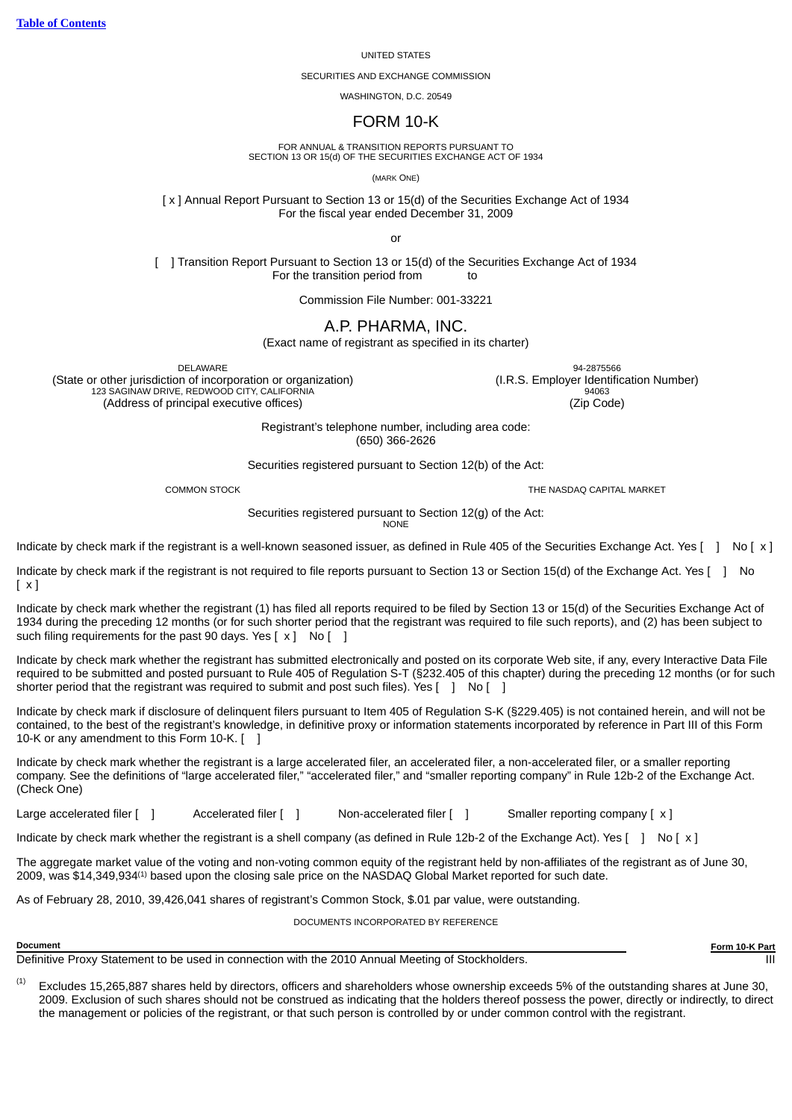# UNITED STATES

#### SECURITIES AND EXCHANGE COMMISSION

WASHINGTON, D.C. 20549

# FORM 10-K

FOR ANNUAL & TRANSITION REPORTS PURSUANT TO SECTION 13 OR 15(d) OF THE SECURITIES EXCHANGE ACT OF 1934

(MARK ONE)

[ x ] Annual Report Pursuant to Section 13 or 15(d) of the Securities Exchange Act of 1934 For the fiscal year ended December 31, 2009

or

[ ] Transition Report Pursuant to Section 13 or 15(d) of the Securities Exchange Act of 1934 For the transition period from to

Commission File Number: 001-33221

# A.P. PHARMA, INC.

(Exact name of registrant as specified in its charter)

(State or other jurisdiction of incorporation or organization) (I.R.S. Employer Identification Number) 123 SAGINAW DRIVE, REDWOOD CITY, CALIFORNIA (Address of principal executive offices) (Zip Code)

DELAWARE 94-2875566

Registrant's telephone number, including area code: (650) 366-2626

Securities registered pursuant to Section 12(b) of the Act:

COMMON STOCK THE NASDAQ CAPITAL MARKET

Securities registered pursuant to Section 12(g) of the Act: **NONE** 

Indicate by check mark if the registrant is a well-known seasoned issuer, as defined in Rule 405 of the Securities Exchange Act. Yes  $\begin{bmatrix} 1 & No & c \end{bmatrix}$ 

Indicate by check mark if the registrant is not required to file reports pursuant to Section 13 or Section 15(d) of the Exchange Act. Yes [ ] No  $\lceil x \rceil$ 

Indicate by check mark whether the registrant (1) has filed all reports required to be filed by Section 13 or 15(d) of the Securities Exchange Act of 1934 during the preceding 12 months (or for such shorter period that the registrant was required to file such reports), and (2) has been subject to such filing requirements for the past 90 days. Yes  $[x]$  No  $[ ]$ 

Indicate by check mark whether the registrant has submitted electronically and posted on its corporate Web site, if any, every Interactive Data File required to be submitted and posted pursuant to Rule 405 of Regulation S-T (§232.405 of this chapter) during the preceding 12 months (or for such shorter period that the registrant was required to submit and post such files). Yes  $\begin{bmatrix} 1 \\ 1 \end{bmatrix}$  No  $\begin{bmatrix} 1 \\ 1 \end{bmatrix}$ 

Indicate by check mark if disclosure of delinquent filers pursuant to Item 405 of Regulation S-K (§229.405) is not contained herein, and will not be contained, to the best of the registrant's knowledge, in definitive proxy or information statements incorporated by reference in Part III of this Form 10-K or any amendment to this Form 10-K. [ ]

Indicate by check mark whether the registrant is a large accelerated filer, an accelerated filer, a non-accelerated filer, or a smaller reporting company. See the definitions of "large accelerated filer," "accelerated filer," and "smaller reporting company" in Rule 12b-2 of the Exchange Act. (Check One)

Large accelerated filer [ ] Accelerated filer [ ] Non-accelerated filer [ ] Smaller reporting company [ x ]

Indicate by check mark whether the registrant is a shell company (as defined in Rule 12b-2 of the Exchange Act). Yes  $[1 \text{ No } 1 \times 1]$ 

The aggregate market value of the voting and non-voting common equity of the registrant held by non-affiliates of the registrant as of June 30, 2009, was \$14,349,934 $\scriptstyle(1)$  based upon the closing sale price on the NASDAQ Global Market reported for such date.

As of February 28, 2010, 39,426,041 shares of registrant's Common Stock, \$.01 par value, were outstanding.

DOCUMENTS INCORPORATED BY REFERENCE

Definitive Proxy Statement to be used in connection with the 2010 Annual Meeting of Stockholders.

**Document Form 10-K Part**

Excludes 15,265,887 shares held by directors, officers and shareholders whose ownership exceeds 5% of the outstanding shares at June 30, 2009. Exclusion of such shares should not be construed as indicating that the holders thereof possess the power, directly or indirectly, to direct the management or policies of the registrant, or that such person is controlled by or under common control with the registrant. (1)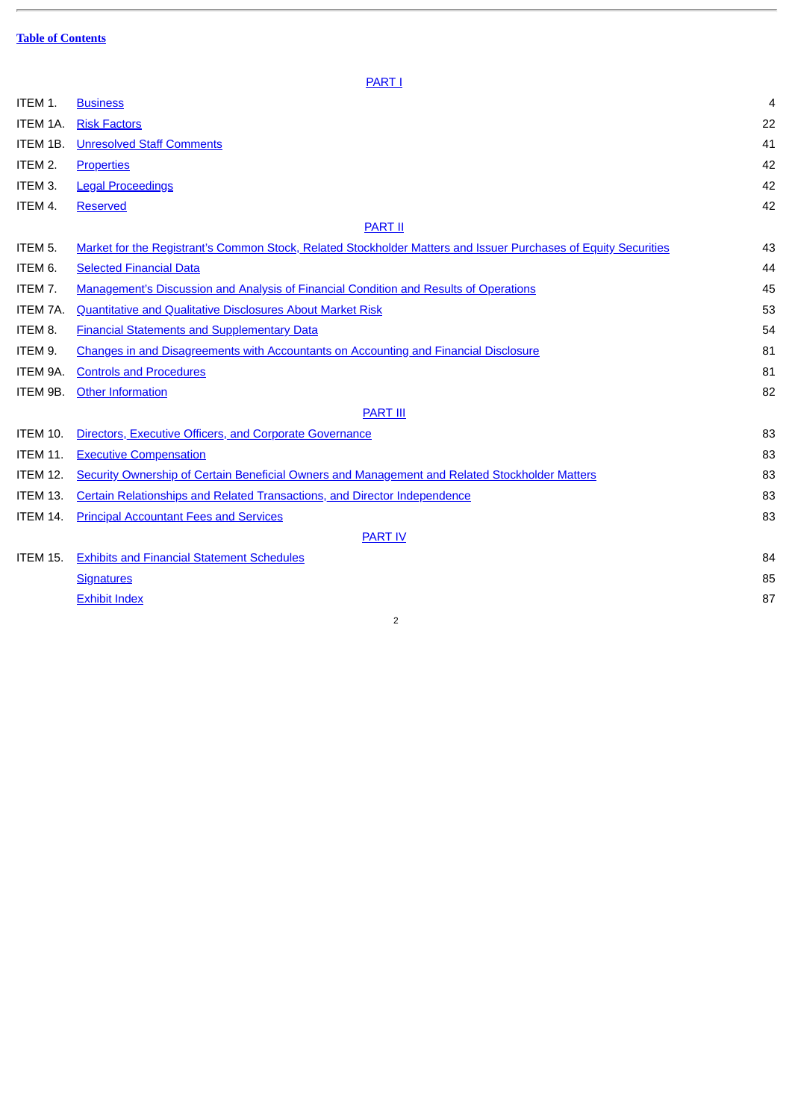J.

**[PART I](#page-2-0)** 

<span id="page-1-0"></span>

| ITEM 1.         | <b>Business</b>                                                                                                 | 4  |
|-----------------|-----------------------------------------------------------------------------------------------------------------|----|
| ITEM 1A.        | <b>Risk Factors</b>                                                                                             | 22 |
| ITEM 1B.        | <b>Unresolved Staff Comments</b>                                                                                | 41 |
| ITEM 2.         | <b>Properties</b>                                                                                               | 42 |
| ITEM 3.         | <b>Legal Proceedings</b>                                                                                        | 42 |
| ITEM 4.         | <b>Reserved</b>                                                                                                 | 42 |
|                 | <b>PART II</b>                                                                                                  |    |
| ITEM 5.         | Market for the Registrant's Common Stock, Related Stockholder Matters and Issuer Purchases of Equity Securities | 43 |
| ITEM 6.         | <b>Selected Financial Data</b>                                                                                  | 44 |
| ITEM 7.         | <b>Management's Discussion and Analysis of Financial Condition and Results of Operations</b>                    | 45 |
| ITEM 7A.        | <b>Quantitative and Qualitative Disclosures About Market Risk</b>                                               | 53 |
| ITEM 8.         | <b>Financial Statements and Supplementary Data</b>                                                              | 54 |
| ITEM 9.         | Changes in and Disagreements with Accountants on Accounting and Financial Disclosure                            | 81 |
| ITEM 9A.        | <b>Controls and Procedures</b>                                                                                  | 81 |
| ITEM 9B.        | <b>Other Information</b>                                                                                        | 82 |
|                 | <b>PART III</b>                                                                                                 |    |
| <b>ITEM 10.</b> | Directors, Executive Officers, and Corporate Governance                                                         | 83 |
| <b>ITEM 11.</b> | <b>Executive Compensation</b>                                                                                   | 83 |
| <b>ITEM 12.</b> | Security Ownership of Certain Beneficial Owners and Management and Related Stockholder Matters                  | 83 |
| ITEM 13.        | Certain Relationships and Related Transactions, and Director Independence                                       | 83 |
| ITEM 14.        | <b>Principal Accountant Fees and Services</b>                                                                   | 83 |
|                 | <b>PART IV</b>                                                                                                  |    |
| <b>ITEM 15.</b> | <b>Exhibits and Financial Statement Schedules</b>                                                               | 84 |
|                 | <b>Signatures</b>                                                                                               | 85 |
|                 | <b>Exhibit Index</b>                                                                                            | 87 |
|                 | 2                                                                                                               |    |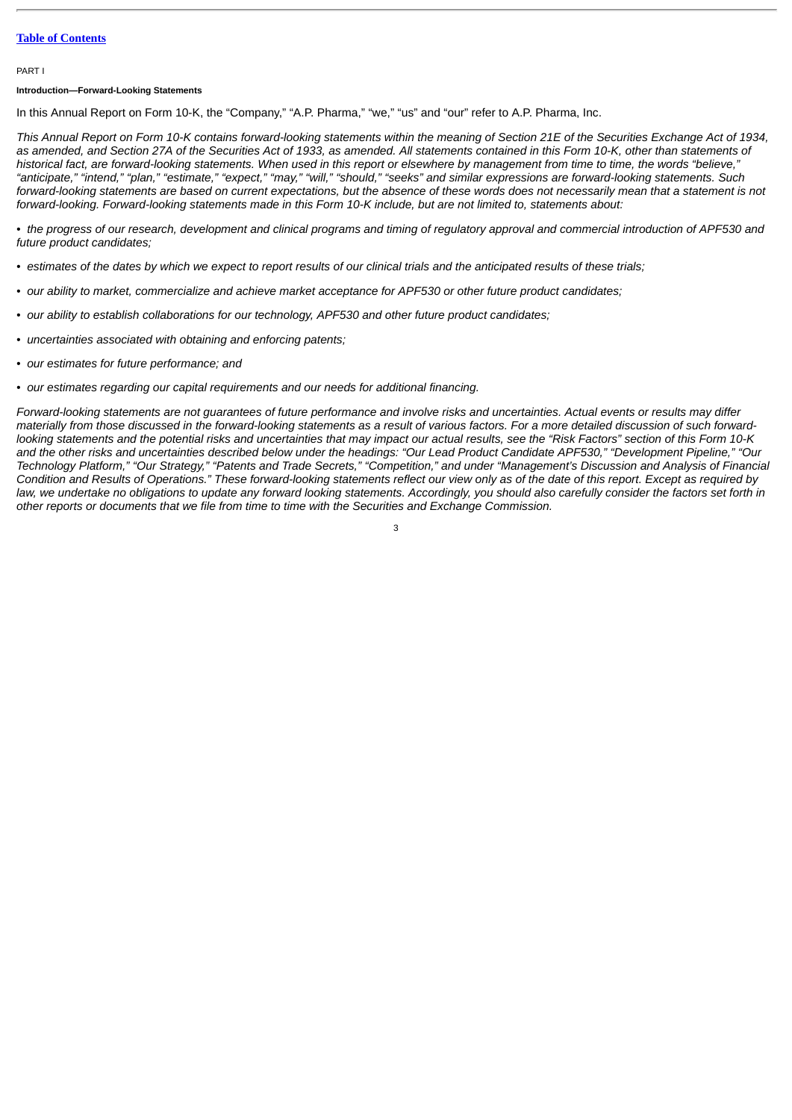# **Table of [Contents](#page-1-0)**

#### <span id="page-2-0"></span>PART I

#### **Introduction—Forward-Looking Statements**

In this Annual Report on Form 10-K, the "Company," "A.P. Pharma," "we," "us" and "our" refer to A.P. Pharma, Inc.

*This Annual Report on Form 10-K contains forward-looking statements within the meaning of Section 21E of the Securities Exchange Act of 1934, as amended, and Section 27A of the Securities Act of 1933, as amended. All statements contained in this Form 10-K, other than statements of historical fact, are forward-looking statements. When used in this report or elsewhere by management from time to time, the words "believe," "anticipate," "intend," "plan," "estimate," "expect," "may," "will," "should," "seeks" and similar expressions are forward-looking statements. Such forward-looking statements are based on current expectations, but the absence of these words does not necessarily mean that a statement is not forward-looking. Forward-looking statements made in this Form 10-K include, but are not limited to, statements about:*

*• the progress of our research, development and clinical programs and timing of regulatory approval and commercial introduction of APF530 and future product candidates;*

- *estimates of the dates by which we expect to report results of our clinical trials and the anticipated results of these trials;*
- *our ability to market, commercialize and achieve market acceptance for APF530 or other future product candidates;*
- *our ability to establish collaborations for our technology, APF530 and other future product candidates;*
- *uncertainties associated with obtaining and enforcing patents;*
- *our estimates for future performance; and*
- *our estimates regarding our capital requirements and our needs for additional financing.*

*Forward-looking statements are not guarantees of future performance and involve risks and uncertainties. Actual events or results may differ materially from those discussed in the forward-looking statements as a result of various factors. For a more detailed discussion of such forwardlooking statements and the potential risks and uncertainties that may impact our actual results, see the "Risk Factors" section of this Form 10-K and the other risks and uncertainties described below under the headings: "Our Lead Product Candidate APF530," "Development Pipeline," "Our Technology Platform," "Our Strategy," "Patents and Trade Secrets," "Competition," and under "Management's Discussion and Analysis of Financial Condition and Results of Operations." These forward-looking statements reflect our view only as of the date of this report. Except as required by law, we undertake no obligations to update any forward looking statements. Accordingly, you should also carefully consider the factors set forth in other reports or documents that we file from time to time with the Securities and Exchange Commission.*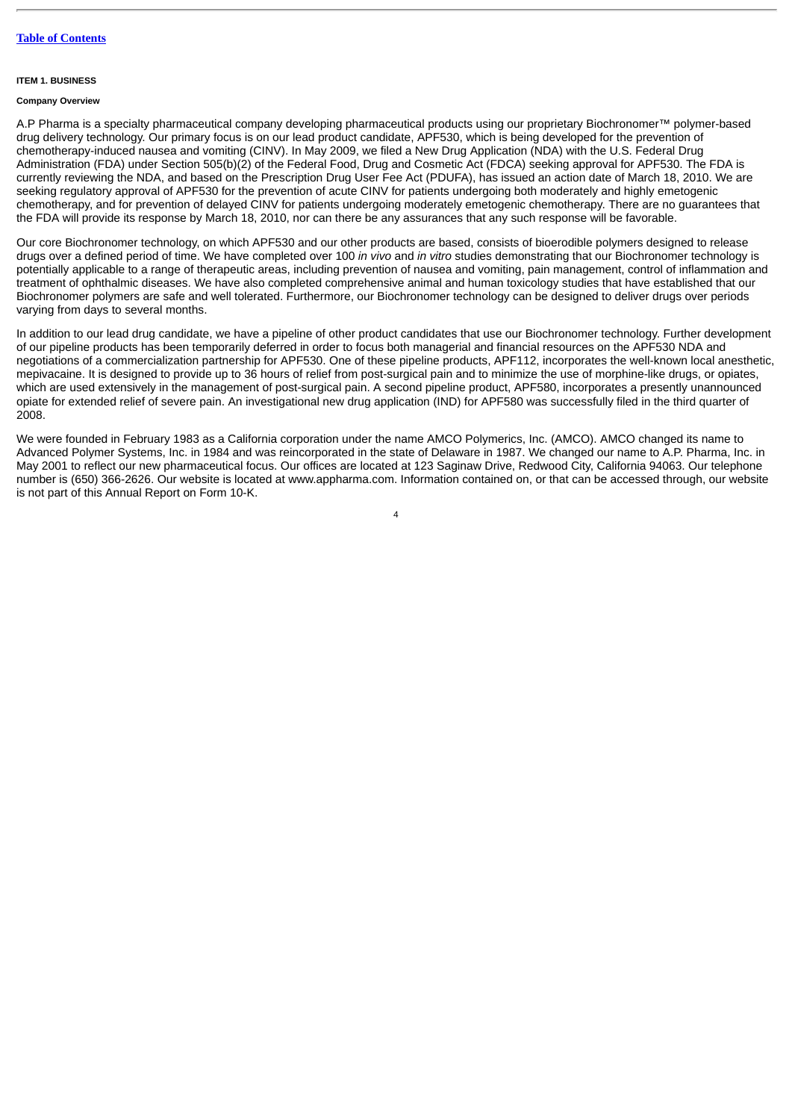#### <span id="page-3-0"></span>**ITEM 1. BUSINESS**

# **Company Overview**

A.P Pharma is a specialty pharmaceutical company developing pharmaceutical products using our proprietary Biochronomer™ polymer-based drug delivery technology. Our primary focus is on our lead product candidate, APF530, which is being developed for the prevention of chemotherapy-induced nausea and vomiting (CINV). In May 2009, we filed a New Drug Application (NDA) with the U.S. Federal Drug Administration (FDA) under Section 505(b)(2) of the Federal Food, Drug and Cosmetic Act (FDCA) seeking approval for APF530. The FDA is currently reviewing the NDA, and based on the Prescription Drug User Fee Act (PDUFA), has issued an action date of March 18, 2010. We are seeking regulatory approval of APF530 for the prevention of acute CINV for patients undergoing both moderately and highly emetogenic chemotherapy, and for prevention of delayed CINV for patients undergoing moderately emetogenic chemotherapy. There are no guarantees that the FDA will provide its response by March 18, 2010, nor can there be any assurances that any such response will be favorable.

Our core Biochronomer technology, on which APF530 and our other products are based, consists of bioerodible polymers designed to release drugs over a defined period of time. We have completed over 100 *in vivo* and *in vitro* studies demonstrating that our Biochronomer technology is potentially applicable to a range of therapeutic areas, including prevention of nausea and vomiting, pain management, control of inflammation and treatment of ophthalmic diseases. We have also completed comprehensive animal and human toxicology studies that have established that our Biochronomer polymers are safe and well tolerated. Furthermore, our Biochronomer technology can be designed to deliver drugs over periods varying from days to several months.

In addition to our lead drug candidate, we have a pipeline of other product candidates that use our Biochronomer technology. Further development of our pipeline products has been temporarily deferred in order to focus both managerial and financial resources on the APF530 NDA and negotiations of a commercialization partnership for APF530. One of these pipeline products, APF112, incorporates the well-known local anesthetic, mepivacaine. It is designed to provide up to 36 hours of relief from post-surgical pain and to minimize the use of morphine-like drugs, or opiates, which are used extensively in the management of post-surgical pain. A second pipeline product, APF580, incorporates a presently unannounced opiate for extended relief of severe pain. An investigational new drug application (IND) for APF580 was successfully filed in the third quarter of 2008.

We were founded in February 1983 as a California corporation under the name AMCO Polymerics, Inc. (AMCO). AMCO changed its name to Advanced Polymer Systems, Inc. in 1984 and was reincorporated in the state of Delaware in 1987. We changed our name to A.P. Pharma, Inc. in May 2001 to reflect our new pharmaceutical focus. Our offices are located at 123 Saginaw Drive, Redwood City, California 94063. Our telephone number is (650) 366-2626. Our website is located at www.appharma.com. Information contained on, or that can be accessed through, our website is not part of this Annual Report on Form 10-K.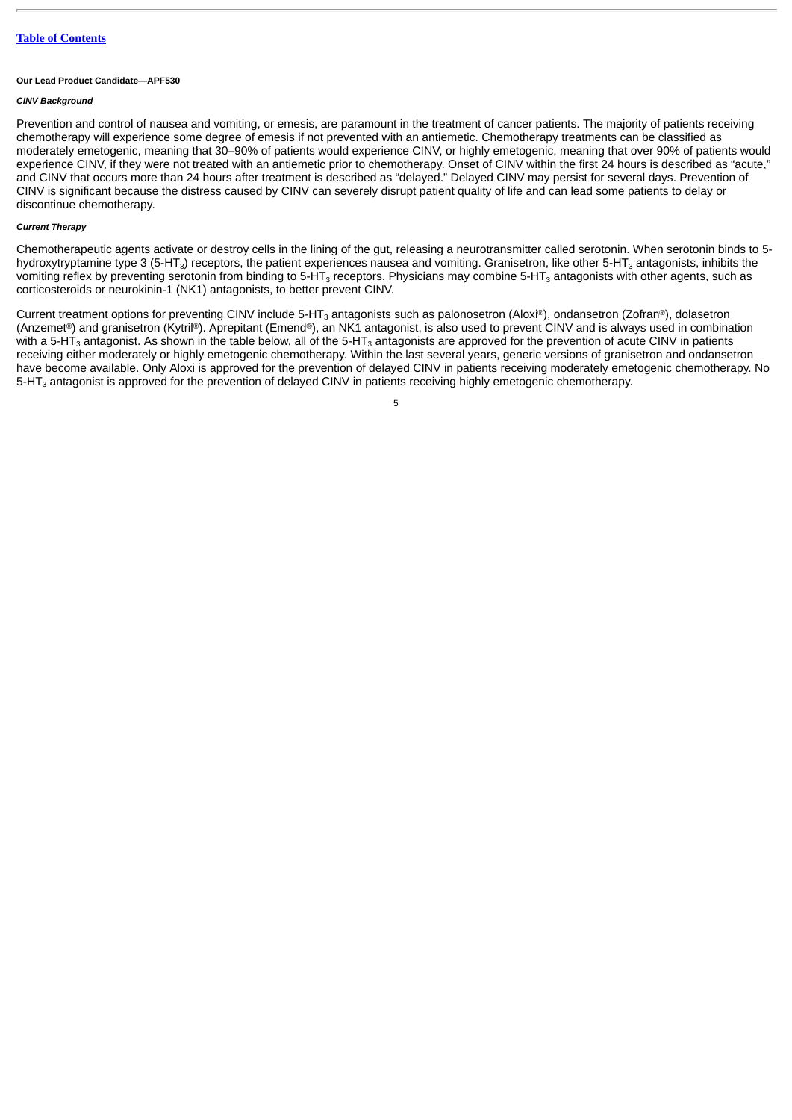#### **Our Lead Product Candidate—APF530**

# *CINV Background*

Prevention and control of nausea and vomiting, or emesis, are paramount in the treatment of cancer patients. The majority of patients receiving chemotherapy will experience some degree of emesis if not prevented with an antiemetic. Chemotherapy treatments can be classified as moderately emetogenic, meaning that 30–90% of patients would experience CINV, or highly emetogenic, meaning that over 90% of patients would experience CINV, if they were not treated with an antiemetic prior to chemotherapy. Onset of CINV within the first 24 hours is described as "acute," and CINV that occurs more than 24 hours after treatment is described as "delayed." Delayed CINV may persist for several days. Prevention of CINV is significant because the distress caused by CINV can severely disrupt patient quality of life and can lead some patients to delay or discontinue chemotherapy.

# *Current Therapy*

Chemotherapeutic agents activate or destroy cells in the lining of the gut, releasing a neurotransmitter called serotonin. When serotonin binds to 5 hydroxytryptamine type 3 (5-HT $_{\rm 3}$ ) receptors, the patient experiences nausea and vomiting. Granisetron, like other 5-HT $_{\rm 3}$  antagonists, inhibits the vomiting reflex by preventing serotonin from binding to 5-HT $_3$  receptors. Physicians may combine 5-HT $_3$  antagonists with other agents, such as corticosteroids or neurokinin-1 (NK1) antagonists, to better prevent CINV.

Current treatment options for preventing CINV include 5-HT $_3$  antagonists such as palonosetron (Aloxi®), ondansetron (Zofran®), dolasetron (Anzemet®) and granisetron (Kytril®). Aprepitant (Emend®), an NK1 antagonist, is also used to prevent CINV and is always used in combination with a 5-HT $_3$  antagonist. As shown in the table below, all of the 5-HT $_3$  antagonists are approved for the prevention of acute CINV in patients receiving either moderately or highly emetogenic chemotherapy. Within the last several years, generic versions of granisetron and ondansetron have become available. Only Aloxi is approved for the prevention of delayed CINV in patients receiving moderately emetogenic chemotherapy. No 5-HT $_3$  antagonist is approved for the prevention of delayed CINV in patients receiving highly emetogenic chemotherapy.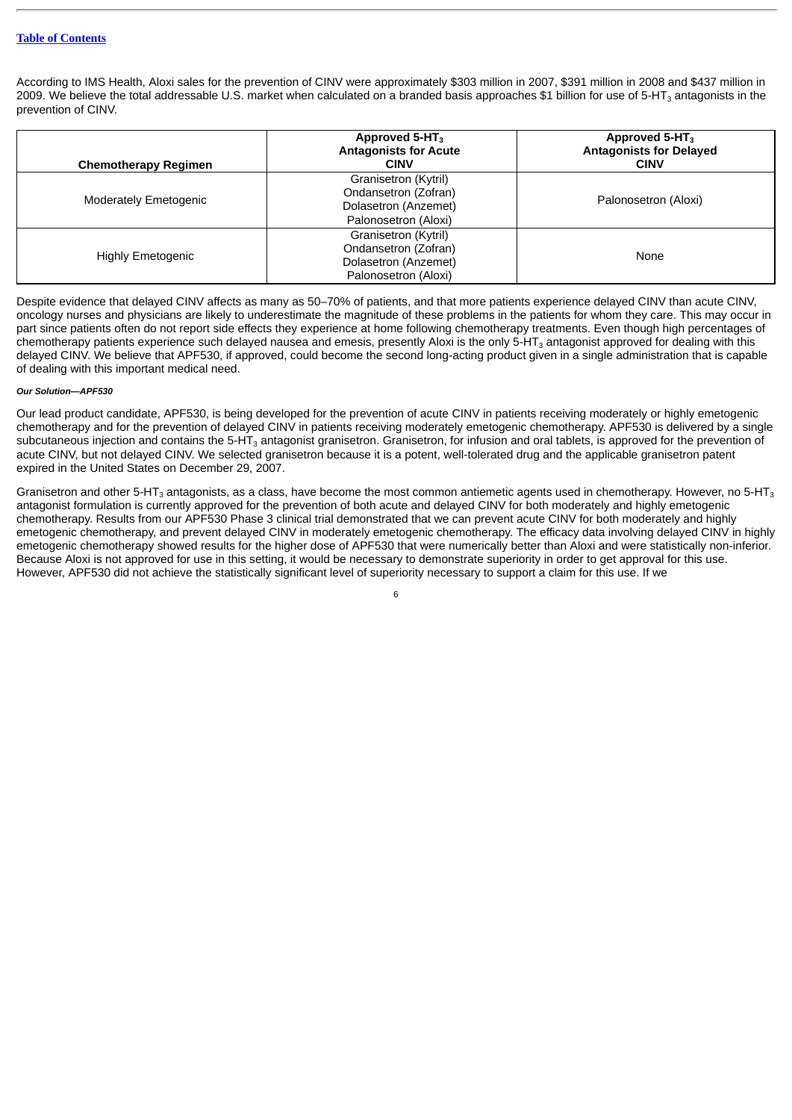# **Table of [Contents](#page-1-0)**

According to IMS Health, Aloxi sales for the prevention of CINV were approximately \$303 million in 2007, \$391 million in 2008 and \$437 million in 2009. We believe the total addressable U.S. market when calculated on a branded basis approaches \$1 billion for use of 5-HT $_{\rm 3}$  antagonists in the prevention of CINV.

| <b>Chemotherapy Regimen</b>  | Approved 5-HT <sub>3</sub><br><b>Antagonists for Acute</b><br><b>CINV</b>                    | Approved 5-HT <sub>3</sub><br><b>Antagonists for Delayed</b><br><b>CINV</b> |
|------------------------------|----------------------------------------------------------------------------------------------|-----------------------------------------------------------------------------|
| <b>Moderately Emetogenic</b> | Granisetron (Kytril)<br>Ondansetron (Zofran)<br>Dolasetron (Anzemet)<br>Palonosetron (Aloxi) | Palonosetron (Aloxi)                                                        |
| <b>Highly Emetogenic</b>     | Granisetron (Kytril)<br>Ondansetron (Zofran)<br>Dolasetron (Anzemet)<br>Palonosetron (Aloxi) | None                                                                        |

Despite evidence that delayed CINV affects as many as 50–70% of patients, and that more patients experience delayed CINV than acute CINV, oncology nurses and physicians are likely to underestimate the magnitude of these problems in the patients for whom they care. This may occur in part since patients often do not report side effects they experience at home following chemotherapy treatments. Even though high percentages of chemotherapy patients experience such delayed nausea and emesis, presently Aloxi is the only 5-HT $_3$  antagonist approved for dealing with this delayed CINV. We believe that APF530, if approved, could become the second long-acting product given in a single administration that is capable of dealing with this important medical need.

# *Our Solution—APF530*

Our lead product candidate, APF530, is being developed for the prevention of acute CINV in patients receiving moderately or highly emetogenic chemotherapy and for the prevention of delayed CINV in patients receiving moderately emetogenic chemotherapy. APF530 is delivered by a single subcutaneous injection and contains the 5-HT $_{\rm 3}$  antagonist granisetron. Granisetron, for infusion and oral tablets, is approved for the prevention of acute CINV, but not delayed CINV. We selected granisetron because it is a potent, well-tolerated drug and the applicable granisetron patent expired in the United States on December 29, 2007.

Granisetron and other 5-HT $_3$  antagonists, as a class, have become the most common antiemetic agents used in chemotherapy. However, no 5-HT $_3$ antagonist formulation is currently approved for the prevention of both acute and delayed CINV for both moderately and highly emetogenic chemotherapy. Results from our APF530 Phase 3 clinical trial demonstrated that we can prevent acute CINV for both moderately and highly emetogenic chemotherapy, and prevent delayed CINV in moderately emetogenic chemotherapy. The efficacy data involving delayed CINV in highly emetogenic chemotherapy showed results for the higher dose of APF530 that were numerically better than Aloxi and were statistically non-inferior. Because Aloxi is not approved for use in this setting, it would be necessary to demonstrate superiority in order to get approval for this use. However, APF530 did not achieve the statistically significant level of superiority necessary to support a claim for this use. If we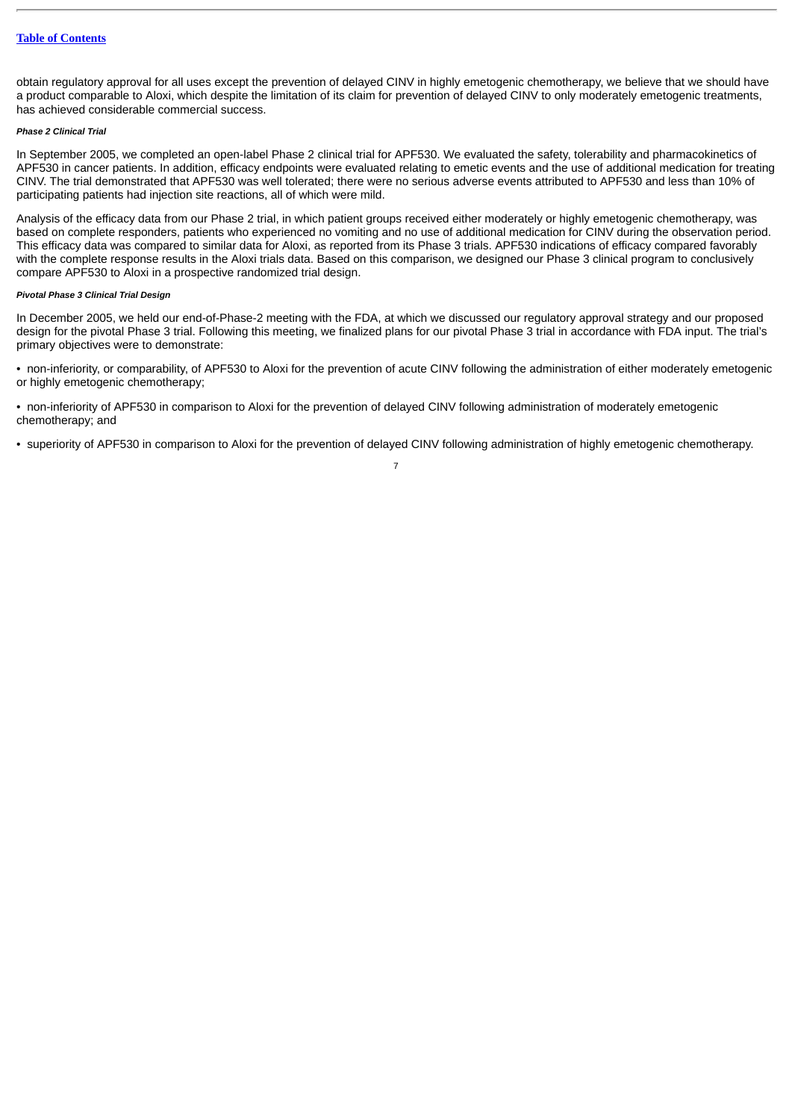obtain regulatory approval for all uses except the prevention of delayed CINV in highly emetogenic chemotherapy, we believe that we should have a product comparable to Aloxi, which despite the limitation of its claim for prevention of delayed CINV to only moderately emetogenic treatments, has achieved considerable commercial success.

# *Phase 2 Clinical Trial*

In September 2005, we completed an open-label Phase 2 clinical trial for APF530. We evaluated the safety, tolerability and pharmacokinetics of APF530 in cancer patients. In addition, efficacy endpoints were evaluated relating to emetic events and the use of additional medication for treating CINV. The trial demonstrated that APF530 was well tolerated; there were no serious adverse events attributed to APF530 and less than 10% of participating patients had injection site reactions, all of which were mild.

Analysis of the efficacy data from our Phase 2 trial, in which patient groups received either moderately or highly emetogenic chemotherapy, was based on complete responders, patients who experienced no vomiting and no use of additional medication for CINV during the observation period. This efficacy data was compared to similar data for Aloxi, as reported from its Phase 3 trials. APF530 indications of efficacy compared favorably with the complete response results in the Aloxi trials data. Based on this comparison, we designed our Phase 3 clinical program to conclusively compare APF530 to Aloxi in a prospective randomized trial design.

# *Pivotal Phase 3 Clinical Trial Design*

In December 2005, we held our end-of-Phase-2 meeting with the FDA, at which we discussed our regulatory approval strategy and our proposed design for the pivotal Phase 3 trial. Following this meeting, we finalized plans for our pivotal Phase 3 trial in accordance with FDA input. The trial's primary objectives were to demonstrate:

• non-inferiority, or comparability, of APF530 to Aloxi for the prevention of acute CINV following the administration of either moderately emetogenic or highly emetogenic chemotherapy;

• non-inferiority of APF530 in comparison to Aloxi for the prevention of delayed CINV following administration of moderately emetogenic chemotherapy; and

• superiority of APF530 in comparison to Aloxi for the prevention of delayed CINV following administration of highly emetogenic chemotherapy.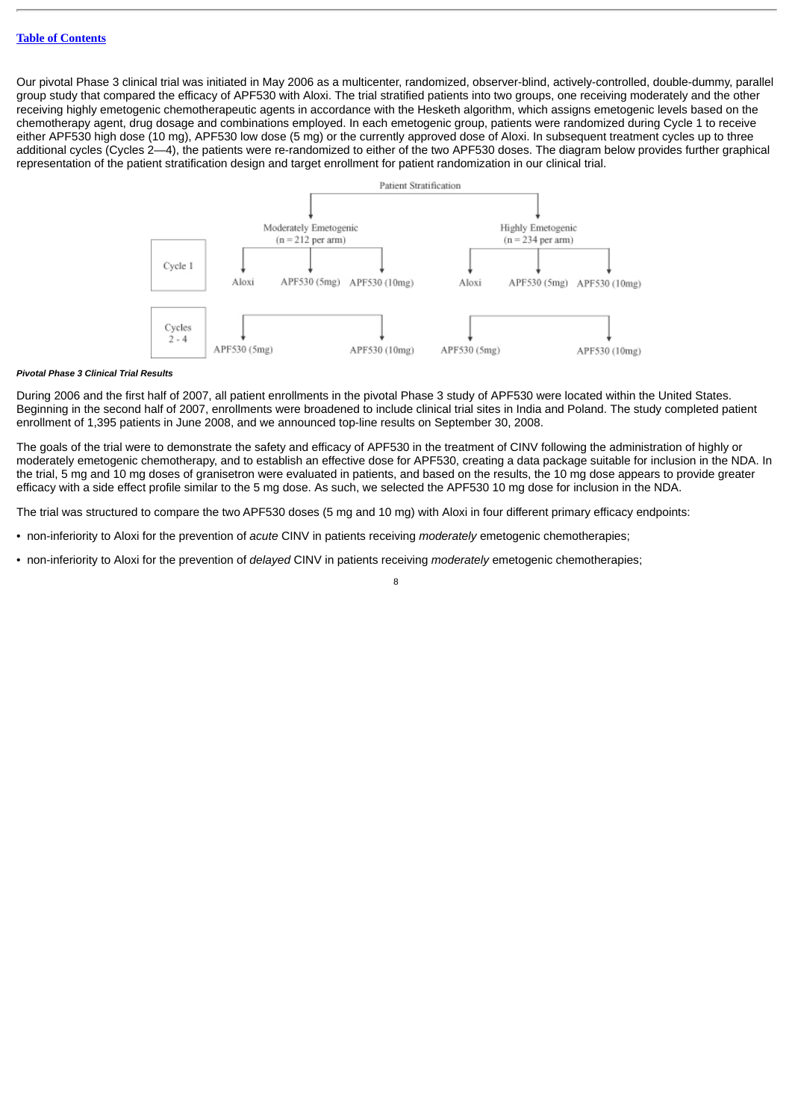Our pivotal Phase 3 clinical trial was initiated in May 2006 as a multicenter, randomized, observer-blind, actively-controlled, double-dummy, parallel group study that compared the efficacy of APF530 with Aloxi. The trial stratified patients into two groups, one receiving moderately and the other receiving highly emetogenic chemotherapeutic agents in accordance with the Hesketh algorithm, which assigns emetogenic levels based on the chemotherapy agent, drug dosage and combinations employed. In each emetogenic group, patients were randomized during Cycle 1 to receive either APF530 high dose (10 mg), APF530 low dose (5 mg) or the currently approved dose of Aloxi. In subsequent treatment cycles up to three additional cycles (Cycles 2—4), the patients were re-randomized to either of the two APF530 doses. The diagram below provides further graphical representation of the patient stratification design and target enrollment for patient randomization in our clinical trial.



#### *Pivotal Phase 3 Clinical Trial Results*

During 2006 and the first half of 2007, all patient enrollments in the pivotal Phase 3 study of APF530 were located within the United States. Beginning in the second half of 2007, enrollments were broadened to include clinical trial sites in India and Poland. The study completed patient enrollment of 1,395 patients in June 2008, and we announced top-line results on September 30, 2008.

The goals of the trial were to demonstrate the safety and efficacy of APF530 in the treatment of CINV following the administration of highly or moderately emetogenic chemotherapy, and to establish an effective dose for APF530, creating a data package suitable for inclusion in the NDA. In the trial, 5 mg and 10 mg doses of granisetron were evaluated in patients, and based on the results, the 10 mg dose appears to provide greater efficacy with a side effect profile similar to the 5 mg dose. As such, we selected the APF530 10 mg dose for inclusion in the NDA.

The trial was structured to compare the two APF530 doses (5 mg and 10 mg) with Aloxi in four different primary efficacy endpoints:

- non-inferiority to Aloxi for the prevention of *acute* CINV in patients receiving *moderately* emetogenic chemotherapies;
- non-inferiority to Aloxi for the prevention of *delayed* CINV in patients receiving *moderately* emetogenic chemotherapies;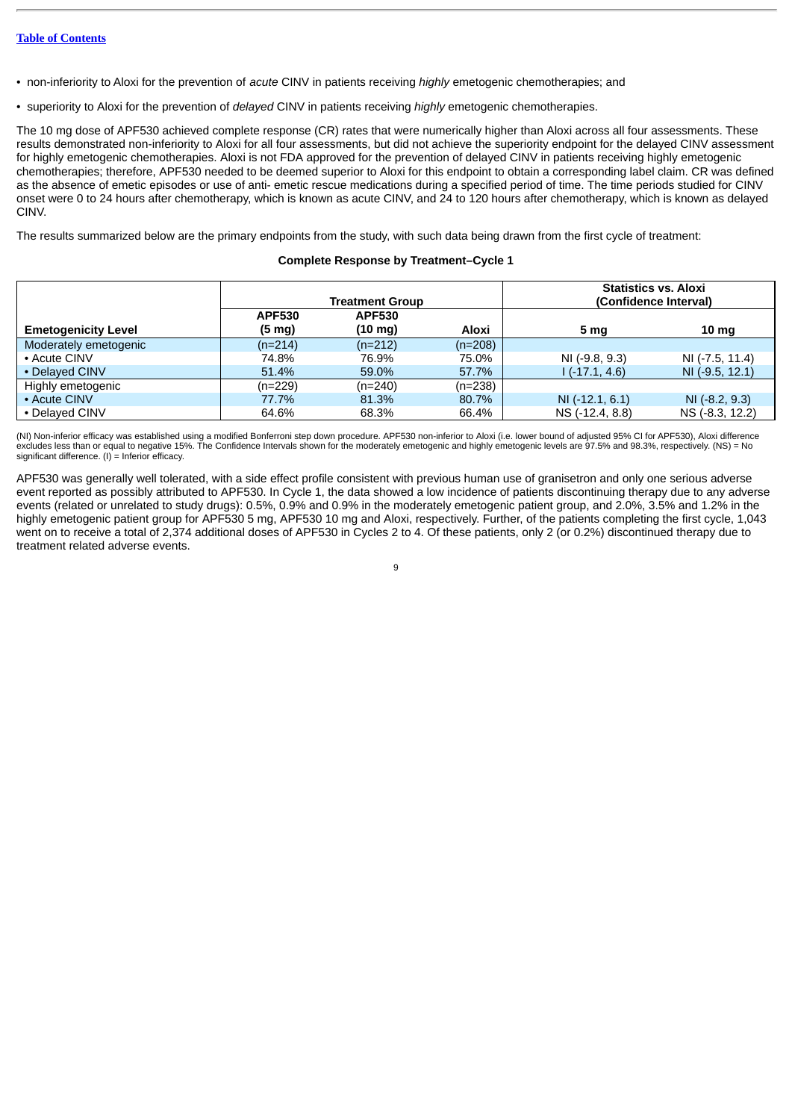- non-inferiority to Aloxi for the prevention of *acute* CINV in patients receiving *highly* emetogenic chemotherapies; and
- superiority to Aloxi for the prevention of *delayed* CINV in patients receiving *highly* emetogenic chemotherapies.

The 10 mg dose of APF530 achieved complete response (CR) rates that were numerically higher than Aloxi across all four assessments. These results demonstrated non-inferiority to Aloxi for all four assessments, but did not achieve the superiority endpoint for the delayed CINV assessment for highly emetogenic chemotherapies. Aloxi is not FDA approved for the prevention of delayed CINV in patients receiving highly emetogenic chemotherapies; therefore, APF530 needed to be deemed superior to Aloxi for this endpoint to obtain a corresponding label claim. CR was defined as the absence of emetic episodes or use of anti- emetic rescue medications during a specified period of time. The time periods studied for CINV onset were 0 to 24 hours after chemotherapy, which is known as acute CINV, and 24 to 120 hours after chemotherapy, which is known as delayed CINV.

The results summarized below are the primary endpoints from the study, with such data being drawn from the first cycle of treatment:

# **Complete Response by Treatment–Cycle 1**

|                            | <b>Treatment Group</b> |                   | <b>Statistics vs. Aloxi</b><br>(Confidence Interval) |                   |                  |
|----------------------------|------------------------|-------------------|------------------------------------------------------|-------------------|------------------|
|                            | <b>APF530</b>          | <b>APF530</b>     |                                                      |                   |                  |
| <b>Emetogenicity Level</b> | $(5 \text{ mg})$       | $(10 \text{ mg})$ | Aloxi                                                | 5 mg              | 10 mg            |
| Moderately emetogenic      | $(n=214)$              | $(n=212)$         | $(n=208)$                                            |                   |                  |
| • Acute CINV               | 74.8%                  | 76.9%             | 75.0%                                                | NI (-9.8, 9.3)    | NI (-7.5, 11.4)  |
| • Delayed CINV             | 51.4%                  | 59.0%             | 57.7%                                                | $1(-17.1, 4.6)$   | NI (-9.5, 12.1)  |
| Highly emetogenic          | $(n=229)$              | $(n=240)$         | $(n=238)$                                            |                   |                  |
| • Acute CINV               | 77.7%                  | 81.3%             | 80.7%                                                | $NI (-12.1, 6.1)$ | $NI (-8.2, 9.3)$ |
| • Delaved CINV             | 64.6%                  | 68.3%             | 66.4%                                                | NS (-12.4, 8.8)   | NS (-8.3, 12.2)  |

(NI) Non-inferior efficacy was established using a modified Bonferroni step down procedure. APF530 non-inferior to Aloxi (i.e. lower bound of adjusted 95% CI for APF530), Aloxi difference excludes less than or equal to negative 15%. The Confidence Intervals shown for the moderately emetogenic and highly emetogenic levels are 97.5% and 98.3%, respectively. (NS) = No significant difference. (I) = Inferior efficacy.

APF530 was generally well tolerated, with a side effect profile consistent with previous human use of granisetron and only one serious adverse event reported as possibly attributed to APF530. In Cycle 1, the data showed a low incidence of patients discontinuing therapy due to any adverse events (related or unrelated to study drugs): 0.5%, 0.9% and 0.9% in the moderately emetogenic patient group, and 2.0%, 3.5% and 1.2% in the highly emetogenic patient group for APF530 5 mg, APF530 10 mg and Aloxi, respectively. Further, of the patients completing the first cycle, 1,043 went on to receive a total of 2,374 additional doses of APF530 in Cycles 2 to 4. Of these patients, only 2 (or 0.2%) discontinued therapy due to treatment related adverse events.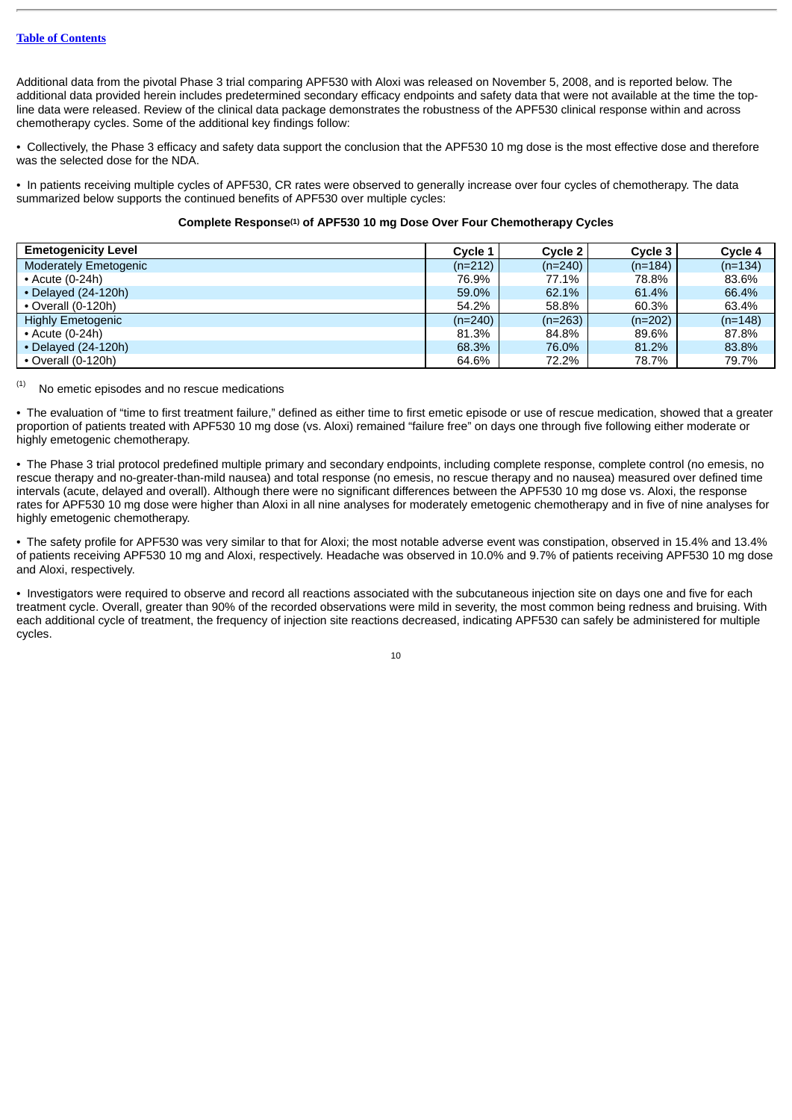Additional data from the pivotal Phase 3 trial comparing APF530 with Aloxi was released on November 5, 2008, and is reported below. The additional data provided herein includes predetermined secondary efficacy endpoints and safety data that were not available at the time the topline data were released. Review of the clinical data package demonstrates the robustness of the APF530 clinical response within and across chemotherapy cycles. Some of the additional key findings follow:

• Collectively, the Phase 3 efficacy and safety data support the conclusion that the APF530 10 mg dose is the most effective dose and therefore was the selected dose for the NDA.

• In patients receiving multiple cycles of APF530, CR rates were observed to generally increase over four cycles of chemotherapy. The data summarized below supports the continued benefits of APF530 over multiple cycles:

# Complete Response<sup>(1)</sup> of APF530 10 mg Dose Over Four Chemotherapy Cycles

| <b>Emetogenicity Level</b>   |           | Cycle 2   | Cycle 3   | Cycle 4   |
|------------------------------|-----------|-----------|-----------|-----------|
| <b>Moderately Emetogenic</b> | $(n=212)$ | $(n=240)$ | $(n=184)$ | $(n=134)$ |
| $\cdot$ Acute (0-24h)        | 76.9%     | 77.1%     | 78.8%     | 83.6%     |
| $\cdot$ Delayed (24-120h)    | 59.0%     | 62.1%     | 61.4%     | 66.4%     |
| $\cdot$ Overall (0-120h)     | 54.2%     | 58.8%     | 60.3%     | 63.4%     |
| <b>Highly Emetogenic</b>     | $(n=240)$ | $(n=263)$ | $(n=202)$ | $(n=148)$ |
| $\cdot$ Acute (0-24h)        | 81.3%     | 84.8%     | 89.6%     | 87.8%     |
| $\cdot$ Delayed (24-120h)    | 68.3%     | 76.0%     | 81.2%     | 83.8%     |
| $\cdot$ Overall (0-120h)     | 64.6%     | 72.2%     | 78.7%     | 79.7%     |

#### No emetic episodes and no rescue medications (1)

• The evaluation of "time to first treatment failure," defined as either time to first emetic episode or use of rescue medication, showed that a greater proportion of patients treated with APF530 10 mg dose (vs. Aloxi) remained "failure free" on days one through five following either moderate or highly emetogenic chemotherapy.

• The Phase 3 trial protocol predefined multiple primary and secondary endpoints, including complete response, complete control (no emesis, no rescue therapy and no-greater-than-mild nausea) and total response (no emesis, no rescue therapy and no nausea) measured over defined time intervals (acute, delayed and overall). Although there were no significant differences between the APF530 10 mg dose vs. Aloxi, the response rates for APF530 10 mg dose were higher than Aloxi in all nine analyses for moderately emetogenic chemotherapy and in five of nine analyses for highly emetogenic chemotherapy.

• The safety profile for APF530 was very similar to that for Aloxi; the most notable adverse event was constipation, observed in 15.4% and 13.4% of patients receiving APF530 10 mg and Aloxi, respectively. Headache was observed in 10.0% and 9.7% of patients receiving APF530 10 mg dose and Aloxi, respectively.

• Investigators were required to observe and record all reactions associated with the subcutaneous injection site on days one and five for each treatment cycle. Overall, greater than 90% of the recorded observations were mild in severity, the most common being redness and bruising. With each additional cycle of treatment, the frequency of injection site reactions decreased, indicating APF530 can safely be administered for multiple cycles.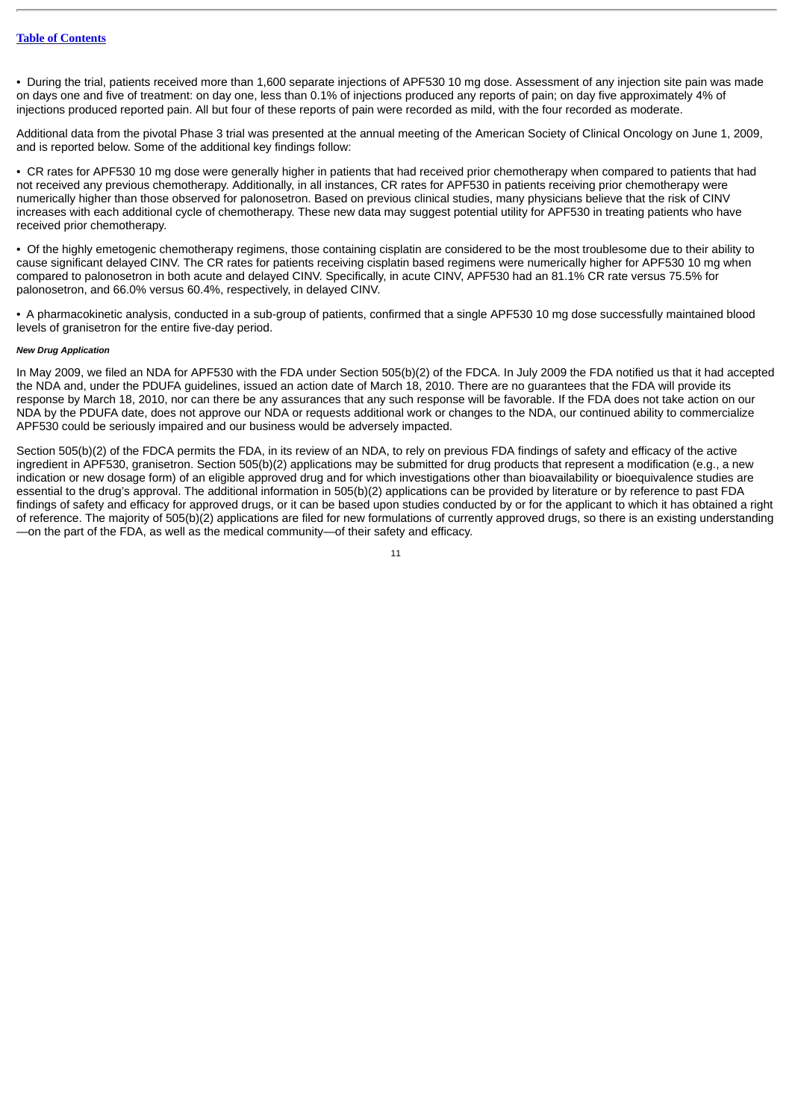• During the trial, patients received more than 1,600 separate injections of APF530 10 mg dose. Assessment of any injection site pain was made on days one and five of treatment: on day one, less than 0.1% of injections produced any reports of pain; on day five approximately 4% of injections produced reported pain. All but four of these reports of pain were recorded as mild, with the four recorded as moderate.

Additional data from the pivotal Phase 3 trial was presented at the annual meeting of the American Society of Clinical Oncology on June 1, 2009, and is reported below. Some of the additional key findings follow:

• CR rates for APF530 10 mg dose were generally higher in patients that had received prior chemotherapy when compared to patients that had not received any previous chemotherapy. Additionally, in all instances, CR rates for APF530 in patients receiving prior chemotherapy were numerically higher than those observed for palonosetron. Based on previous clinical studies, many physicians believe that the risk of CINV increases with each additional cycle of chemotherapy. These new data may suggest potential utility for APF530 in treating patients who have received prior chemotherapy.

• Of the highly emetogenic chemotherapy regimens, those containing cisplatin are considered to be the most troublesome due to their ability to cause significant delayed CINV. The CR rates for patients receiving cisplatin based regimens were numerically higher for APF530 10 mg when compared to palonosetron in both acute and delayed CINV. Specifically, in acute CINV, APF530 had an 81.1% CR rate versus 75.5% for palonosetron, and 66.0% versus 60.4%, respectively, in delayed CINV.

• A pharmacokinetic analysis, conducted in a sub-group of patients, confirmed that a single APF530 10 mg dose successfully maintained blood levels of granisetron for the entire five-day period.

#### *New Drug Application*

In May 2009, we filed an NDA for APF530 with the FDA under Section 505(b)(2) of the FDCA. In July 2009 the FDA notified us that it had accepted the NDA and, under the PDUFA guidelines, issued an action date of March 18, 2010. There are no guarantees that the FDA will provide its response by March 18, 2010, nor can there be any assurances that any such response will be favorable. If the FDA does not take action on our NDA by the PDUFA date, does not approve our NDA or requests additional work or changes to the NDA, our continued ability to commercialize APF530 could be seriously impaired and our business would be adversely impacted.

Section 505(b)(2) of the FDCA permits the FDA, in its review of an NDA, to rely on previous FDA findings of safety and efficacy of the active ingredient in APF530, granisetron. Section 505(b)(2) applications may be submitted for drug products that represent a modification (e.g., a new indication or new dosage form) of an eligible approved drug and for which investigations other than bioavailability or bioequivalence studies are essential to the drug's approval. The additional information in 505(b)(2) applications can be provided by literature or by reference to past FDA findings of safety and efficacy for approved drugs, or it can be based upon studies conducted by or for the applicant to which it has obtained a right of reference. The majority of 505(b)(2) applications are filed for new formulations of currently approved drugs, so there is an existing understanding —on the part of the FDA, as well as the medical community—of their safety and efficacy.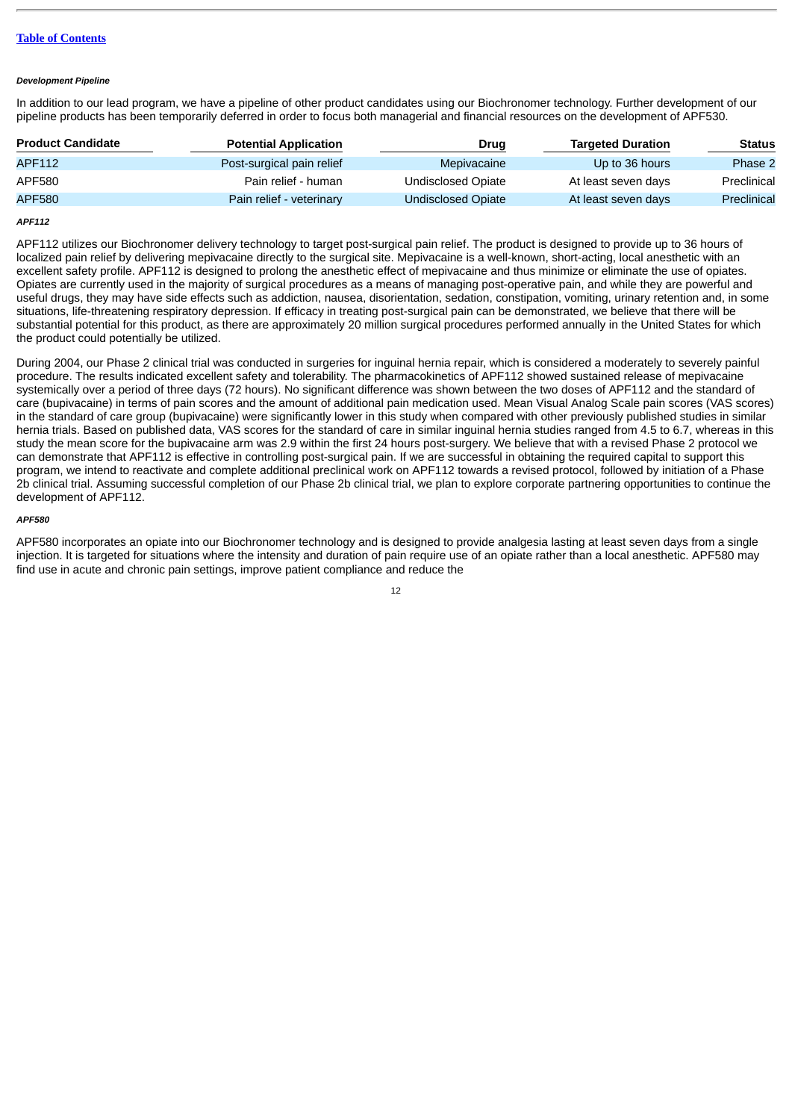# **Table of [Contents](#page-1-0)**

### *Development Pipeline*

In addition to our lead program, we have a pipeline of other product candidates using our Biochronomer technology. Further development of our pipeline products has been temporarily deferred in order to focus both managerial and financial resources on the development of APF530.

| <b>Product Candidate</b> | <b>Potential Application</b> | Drug               | <b>Targeted Duration</b> | <b>Status</b> |
|--------------------------|------------------------------|--------------------|--------------------------|---------------|
| APF112                   | Post-surgical pain relief    | Mepivacaine        | Up to 36 hours           | Phase 2       |
| APF580                   | Pain relief - human          | Undisclosed Opiate | At least seven days      | Preclinical   |
| <b>APF580</b>            | Pain relief - veterinary     | Undisclosed Opiate | At least seven days      | Preclinical   |

# *APF112*

APF112 utilizes our Biochronomer delivery technology to target post-surgical pain relief. The product is designed to provide up to 36 hours of localized pain relief by delivering mepivacaine directly to the surgical site. Mepivacaine is a well-known, short-acting, local anesthetic with an excellent safety profile. APF112 is designed to prolong the anesthetic effect of mepivacaine and thus minimize or eliminate the use of opiates. Opiates are currently used in the majority of surgical procedures as a means of managing post-operative pain, and while they are powerful and useful drugs, they may have side effects such as addiction, nausea, disorientation, sedation, constipation, vomiting, urinary retention and, in some situations, life-threatening respiratory depression. If efficacy in treating post-surgical pain can be demonstrated, we believe that there will be substantial potential for this product, as there are approximately 20 million surgical procedures performed annually in the United States for which the product could potentially be utilized.

During 2004, our Phase 2 clinical trial was conducted in surgeries for inguinal hernia repair, which is considered a moderately to severely painful procedure. The results indicated excellent safety and tolerability. The pharmacokinetics of APF112 showed sustained release of mepivacaine systemically over a period of three days (72 hours). No significant difference was shown between the two doses of APF112 and the standard of care (bupivacaine) in terms of pain scores and the amount of additional pain medication used. Mean Visual Analog Scale pain scores (VAS scores) in the standard of care group (bupivacaine) were significantly lower in this study when compared with other previously published studies in similar hernia trials. Based on published data, VAS scores for the standard of care in similar inguinal hernia studies ranged from 4.5 to 6.7, whereas in this study the mean score for the bupivacaine arm was 2.9 within the first 24 hours post-surgery. We believe that with a revised Phase 2 protocol we can demonstrate that APF112 is effective in controlling post-surgical pain. If we are successful in obtaining the required capital to support this program, we intend to reactivate and complete additional preclinical work on APF112 towards a revised protocol, followed by initiation of a Phase 2b clinical trial. Assuming successful completion of our Phase 2b clinical trial, we plan to explore corporate partnering opportunities to continue the development of APF112.

#### *APF580*

APF580 incorporates an opiate into our Biochronomer technology and is designed to provide analgesia lasting at least seven days from a single injection. It is targeted for situations where the intensity and duration of pain require use of an opiate rather than a local anesthetic. APF580 may find use in acute and chronic pain settings, improve patient compliance and reduce the

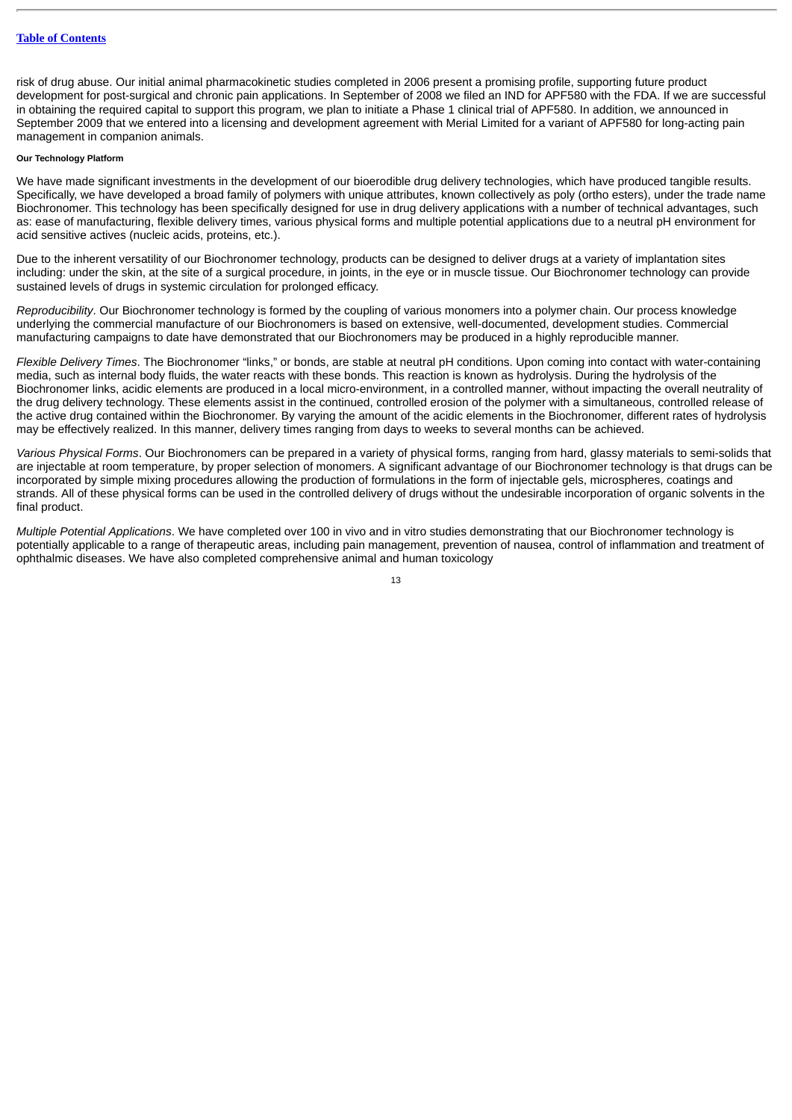risk of drug abuse. Our initial animal pharmacokinetic studies completed in 2006 present a promising profile, supporting future product development for post-surgical and chronic pain applications. In September of 2008 we filed an IND for APF580 with the FDA. If we are successful in obtaining the required capital to support this program, we plan to initiate a Phase 1 clinical trial of APF580. In addition, we announced in September 2009 that we entered into a licensing and development agreement with Merial Limited for a variant of APF580 for long-acting pain management in companion animals.

# **Our Technology Platform**

We have made significant investments in the development of our bioerodible drug delivery technologies, which have produced tangible results. Specifically, we have developed a broad family of polymers with unique attributes, known collectively as poly (ortho esters), under the trade name Biochronomer. This technology has been specifically designed for use in drug delivery applications with a number of technical advantages, such as: ease of manufacturing, flexible delivery times, various physical forms and multiple potential applications due to a neutral pH environment for acid sensitive actives (nucleic acids, proteins, etc.).

Due to the inherent versatility of our Biochronomer technology, products can be designed to deliver drugs at a variety of implantation sites including: under the skin, at the site of a surgical procedure, in joints, in the eye or in muscle tissue. Our Biochronomer technology can provide sustained levels of drugs in systemic circulation for prolonged efficacy.

*Reproducibility*. Our Biochronomer technology is formed by the coupling of various monomers into a polymer chain. Our process knowledge underlying the commercial manufacture of our Biochronomers is based on extensive, well-documented, development studies. Commercial manufacturing campaigns to date have demonstrated that our Biochronomers may be produced in a highly reproducible manner.

*Flexible Delivery Times*. The Biochronomer "links," or bonds, are stable at neutral pH conditions. Upon coming into contact with water-containing media, such as internal body fluids, the water reacts with these bonds. This reaction is known as hydrolysis. During the hydrolysis of the Biochronomer links, acidic elements are produced in a local micro-environment, in a controlled manner, without impacting the overall neutrality of the drug delivery technology. These elements assist in the continued, controlled erosion of the polymer with a simultaneous, controlled release of the active drug contained within the Biochronomer. By varying the amount of the acidic elements in the Biochronomer, different rates of hydrolysis may be effectively realized. In this manner, delivery times ranging from days to weeks to several months can be achieved.

*Various Physical Forms*. Our Biochronomers can be prepared in a variety of physical forms, ranging from hard, glassy materials to semi-solids that are injectable at room temperature, by proper selection of monomers. A significant advantage of our Biochronomer technology is that drugs can be incorporated by simple mixing procedures allowing the production of formulations in the form of injectable gels, microspheres, coatings and strands. All of these physical forms can be used in the controlled delivery of drugs without the undesirable incorporation of organic solvents in the final product.

*Multiple Potential Applications*. We have completed over 100 in vivo and in vitro studies demonstrating that our Biochronomer technology is potentially applicable to a range of therapeutic areas, including pain management, prevention of nausea, control of inflammation and treatment of ophthalmic diseases. We have also completed comprehensive animal and human toxicology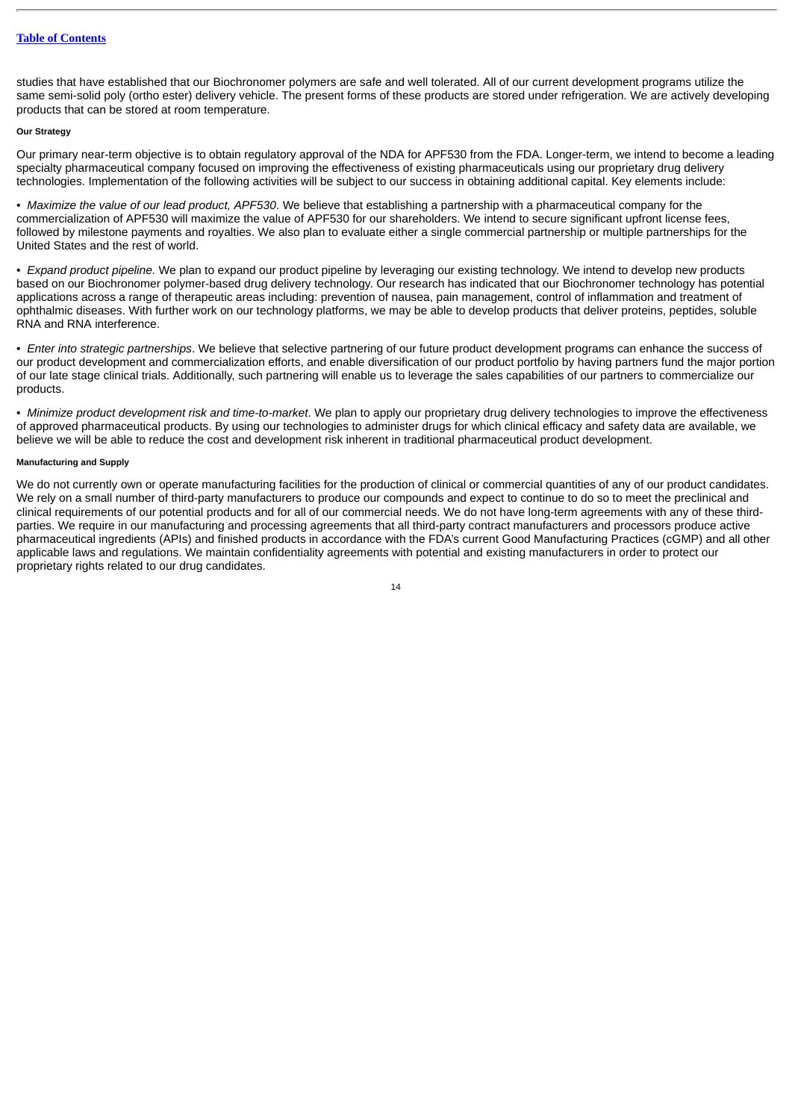studies that have established that our Biochronomer polymers are safe and well tolerated. All of our current development programs utilize the same semi-solid poly (ortho ester) delivery vehicle. The present forms of these products are stored under refrigeration. We are actively developing products that can be stored at room temperature.

# **Our Strategy**

Our primary near-term objective is to obtain regulatory approval of the NDA for APF530 from the FDA. Longer-term, we intend to become a leading specialty pharmaceutical company focused on improving the effectiveness of existing pharmaceuticals using our proprietary drug delivery technologies. Implementation of the following activities will be subject to our success in obtaining additional capital. Key elements include:

• *Maximize the value of our lead product, APF530*. We believe that establishing a partnership with a pharmaceutical company for the commercialization of APF530 will maximize the value of APF530 for our shareholders. We intend to secure significant upfront license fees, followed by milestone payments and royalties. We also plan to evaluate either a single commercial partnership or multiple partnerships for the United States and the rest of world.

• *Expand product pipeline.* We plan to expand our product pipeline by leveraging our existing technology. We intend to develop new products based on our Biochronomer polymer-based drug delivery technology. Our research has indicated that our Biochronomer technology has potential applications across a range of therapeutic areas including: prevention of nausea, pain management, control of inflammation and treatment of ophthalmic diseases. With further work on our technology platforms, we may be able to develop products that deliver proteins, peptides, soluble RNA and RNA interference.

• *Enter into strategic partnerships*. We believe that selective partnering of our future product development programs can enhance the success of our product development and commercialization efforts, and enable diversification of our product portfolio by having partners fund the major portion of our late stage clinical trials. Additionally, such partnering will enable us to leverage the sales capabilities of our partners to commercialize our products.

• *Minimize product development risk and time-to-market*. We plan to apply our proprietary drug delivery technologies to improve the effectiveness of approved pharmaceutical products. By using our technologies to administer drugs for which clinical efficacy and safety data are available, we believe we will be able to reduce the cost and development risk inherent in traditional pharmaceutical product development.

# **Manufacturing and Supply**

We do not currently own or operate manufacturing facilities for the production of clinical or commercial quantities of any of our product candidates. We rely on a small number of third-party manufacturers to produce our compounds and expect to continue to do so to meet the preclinical and clinical requirements of our potential products and for all of our commercial needs. We do not have long-term agreements with any of these thirdparties. We require in our manufacturing and processing agreements that all third-party contract manufacturers and processors produce active pharmaceutical ingredients (APIs) and finished products in accordance with the FDA's current Good Manufacturing Practices (cGMP) and all other applicable laws and regulations. We maintain confidentiality agreements with potential and existing manufacturers in order to protect our proprietary rights related to our drug candidates.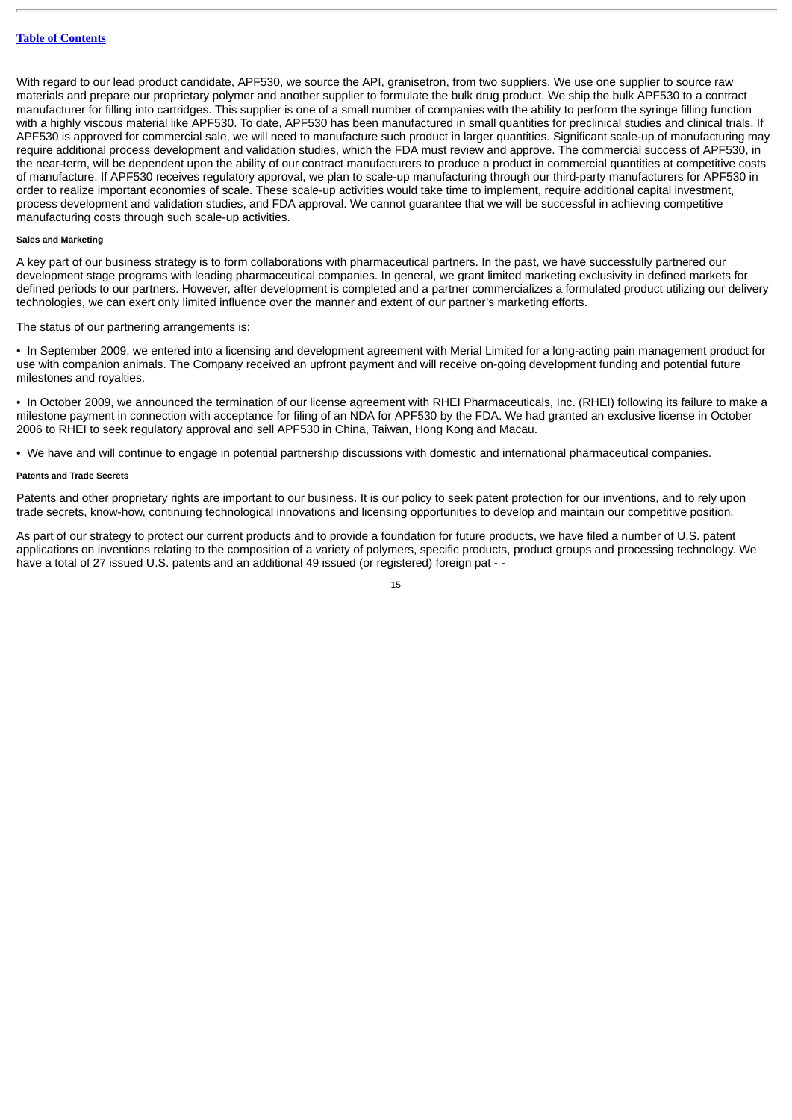With regard to our lead product candidate, APF530, we source the API, granisetron, from two suppliers. We use one supplier to source raw materials and prepare our proprietary polymer and another supplier to formulate the bulk drug product. We ship the bulk APF530 to a contract manufacturer for filling into cartridges. This supplier is one of a small number of companies with the ability to perform the syringe filling function with a highly viscous material like APF530. To date, APF530 has been manufactured in small quantities for preclinical studies and clinical trials. If APF530 is approved for commercial sale, we will need to manufacture such product in larger quantities. Significant scale-up of manufacturing may require additional process development and validation studies, which the FDA must review and approve. The commercial success of APF530, in the near-term, will be dependent upon the ability of our contract manufacturers to produce a product in commercial quantities at competitive costs of manufacture. If APF530 receives regulatory approval, we plan to scale-up manufacturing through our third-party manufacturers for APF530 in order to realize important economies of scale. These scale-up activities would take time to implement, require additional capital investment, process development and validation studies, and FDA approval. We cannot guarantee that we will be successful in achieving competitive manufacturing costs through such scale-up activities.

# **Sales and Marketing**

A key part of our business strategy is to form collaborations with pharmaceutical partners. In the past, we have successfully partnered our development stage programs with leading pharmaceutical companies. In general, we grant limited marketing exclusivity in defined markets for defined periods to our partners. However, after development is completed and a partner commercializes a formulated product utilizing our delivery technologies, we can exert only limited influence over the manner and extent of our partner's marketing efforts.

The status of our partnering arrangements is:

• In September 2009, we entered into a licensing and development agreement with Merial Limited for a long-acting pain management product for use with companion animals. The Company received an upfront payment and will receive on-going development funding and potential future milestones and royalties.

• In October 2009, we announced the termination of our license agreement with RHEI Pharmaceuticals, Inc. (RHEI) following its failure to make a milestone payment in connection with acceptance for filing of an NDA for APF530 by the FDA. We had granted an exclusive license in October 2006 to RHEI to seek regulatory approval and sell APF530 in China, Taiwan, Hong Kong and Macau.

• We have and will continue to engage in potential partnership discussions with domestic and international pharmaceutical companies.

# **Patents and Trade Secrets**

Patents and other proprietary rights are important to our business. It is our policy to seek patent protection for our inventions, and to rely upon trade secrets, know-how, continuing technological innovations and licensing opportunities to develop and maintain our competitive position.

As part of our strategy to protect our current products and to provide a foundation for future products, we have filed a number of U.S. patent applications on inventions relating to the composition of a variety of polymers, specific products, product groups and processing technology. We have a total of 27 issued U.S. patents and an additional 49 issued (or registered) foreign pat - -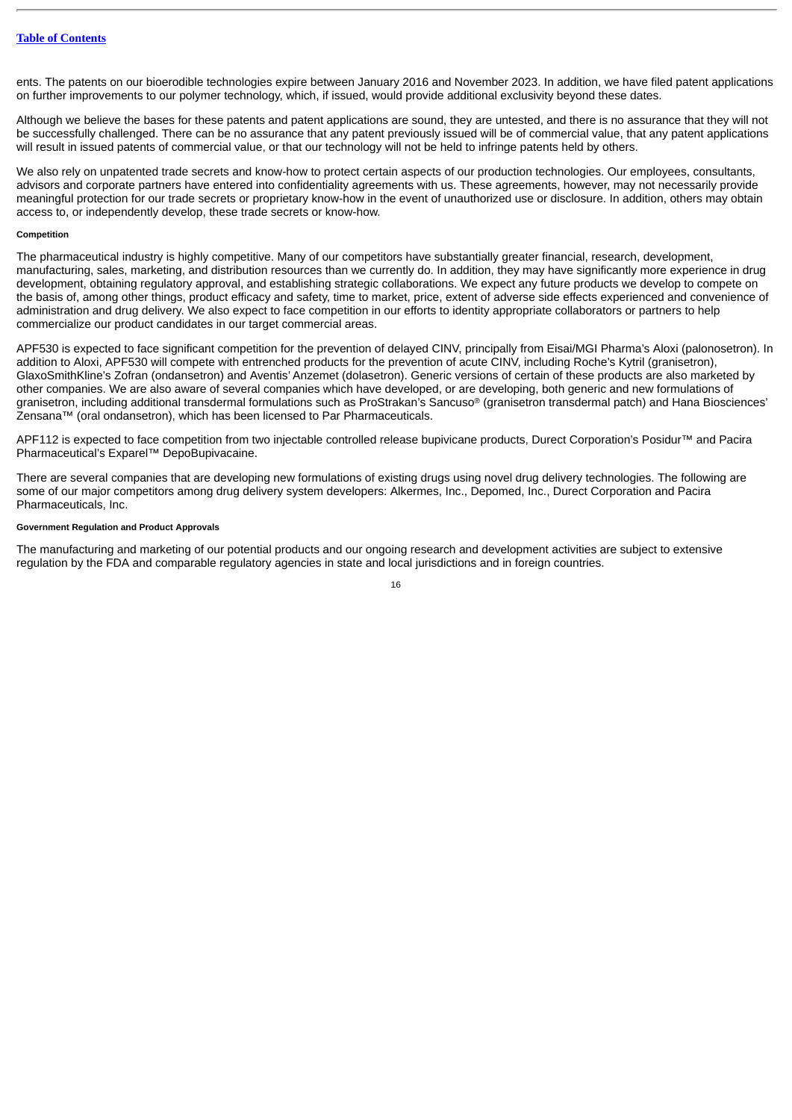ents. The patents on our bioerodible technologies expire between January 2016 and November 2023. In addition, we have filed patent applications on further improvements to our polymer technology, which, if issued, would provide additional exclusivity beyond these dates.

Although we believe the bases for these patents and patent applications are sound, they are untested, and there is no assurance that they will not be successfully challenged. There can be no assurance that any patent previously issued will be of commercial value, that any patent applications will result in issued patents of commercial value, or that our technology will not be held to infringe patents held by others.

We also rely on unpatented trade secrets and know-how to protect certain aspects of our production technologies. Our employees, consultants, advisors and corporate partners have entered into confidentiality agreements with us. These agreements, however, may not necessarily provide meaningful protection for our trade secrets or proprietary know-how in the event of unauthorized use or disclosure. In addition, others may obtain access to, or independently develop, these trade secrets or know-how.

#### **Competition**

The pharmaceutical industry is highly competitive. Many of our competitors have substantially greater financial, research, development, manufacturing, sales, marketing, and distribution resources than we currently do. In addition, they may have significantly more experience in drug development, obtaining regulatory approval, and establishing strategic collaborations. We expect any future products we develop to compete on the basis of, among other things, product efficacy and safety, time to market, price, extent of adverse side effects experienced and convenience of administration and drug delivery. We also expect to face competition in our efforts to identity appropriate collaborators or partners to help commercialize our product candidates in our target commercial areas.

APF530 is expected to face significant competition for the prevention of delayed CINV, principally from Eisai/MGI Pharma's Aloxi (palonosetron). In addition to Aloxi, APF530 will compete with entrenched products for the prevention of acute CINV, including Roche's Kytril (granisetron), GlaxoSmithKline's Zofran (ondansetron) and Aventis' Anzemet (dolasetron). Generic versions of certain of these products are also marketed by other companies. We are also aware of several companies which have developed, or are developing, both generic and new formulations of granisetron, including additional transdermal formulations such as ProStrakan's Sancuso® (granisetron transdermal patch) and Hana Biosciences' Zensana™ (oral ondansetron), which has been licensed to Par Pharmaceuticals.

APF112 is expected to face competition from two injectable controlled release bupivicane products. Durect Corporation's Posidur™ and Pacira Pharmaceutical's Exparel™ DepoBupivacaine.

There are several companies that are developing new formulations of existing drugs using novel drug delivery technologies. The following are some of our major competitors among drug delivery system developers: Alkermes, Inc., Depomed, Inc., Durect Corporation and Pacira Pharmaceuticals, Inc.

# **Government Regulation and Product Approvals**

The manufacturing and marketing of our potential products and our ongoing research and development activities are subject to extensive regulation by the FDA and comparable regulatory agencies in state and local jurisdictions and in foreign countries.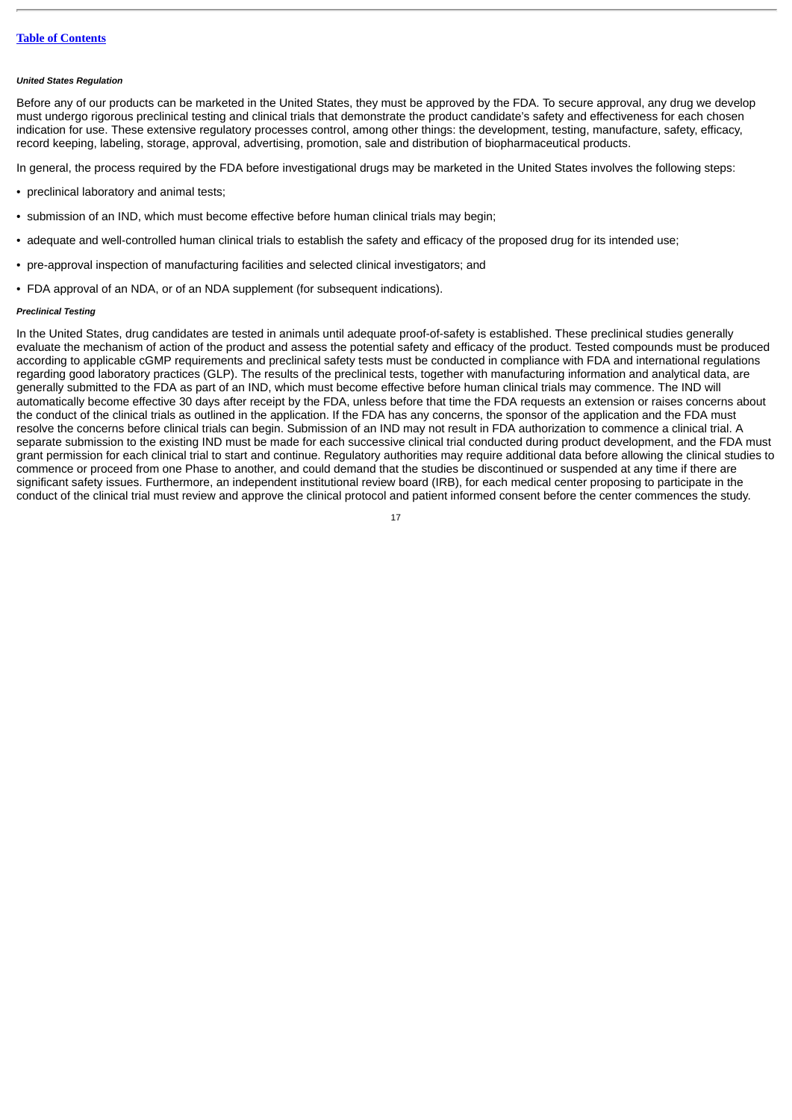#### *United States Regulation*

Before any of our products can be marketed in the United States, they must be approved by the FDA. To secure approval, any drug we develop must undergo rigorous preclinical testing and clinical trials that demonstrate the product candidate's safety and effectiveness for each chosen indication for use. These extensive regulatory processes control, among other things: the development, testing, manufacture, safety, efficacy, record keeping, labeling, storage, approval, advertising, promotion, sale and distribution of biopharmaceutical products.

In general, the process required by the FDA before investigational drugs may be marketed in the United States involves the following steps:

- preclinical laboratory and animal tests;
- submission of an IND, which must become effective before human clinical trials may begin;
- adequate and well-controlled human clinical trials to establish the safety and efficacy of the proposed drug for its intended use;
- pre-approval inspection of manufacturing facilities and selected clinical investigators; and
- FDA approval of an NDA, or of an NDA supplement (for subsequent indications).

# *Preclinical Testing*

In the United States, drug candidates are tested in animals until adequate proof-of-safety is established. These preclinical studies generally evaluate the mechanism of action of the product and assess the potential safety and efficacy of the product. Tested compounds must be produced according to applicable cGMP requirements and preclinical safety tests must be conducted in compliance with FDA and international regulations regarding good laboratory practices (GLP). The results of the preclinical tests, together with manufacturing information and analytical data, are generally submitted to the FDA as part of an IND, which must become effective before human clinical trials may commence. The IND will automatically become effective 30 days after receipt by the FDA, unless before that time the FDA requests an extension or raises concerns about the conduct of the clinical trials as outlined in the application. If the FDA has any concerns, the sponsor of the application and the FDA must resolve the concerns before clinical trials can begin. Submission of an IND may not result in FDA authorization to commence a clinical trial. A separate submission to the existing IND must be made for each successive clinical trial conducted during product development, and the FDA must grant permission for each clinical trial to start and continue. Regulatory authorities may require additional data before allowing the clinical studies to commence or proceed from one Phase to another, and could demand that the studies be discontinued or suspended at any time if there are significant safety issues. Furthermore, an independent institutional review board (IRB), for each medical center proposing to participate in the conduct of the clinical trial must review and approve the clinical protocol and patient informed consent before the center commences the study.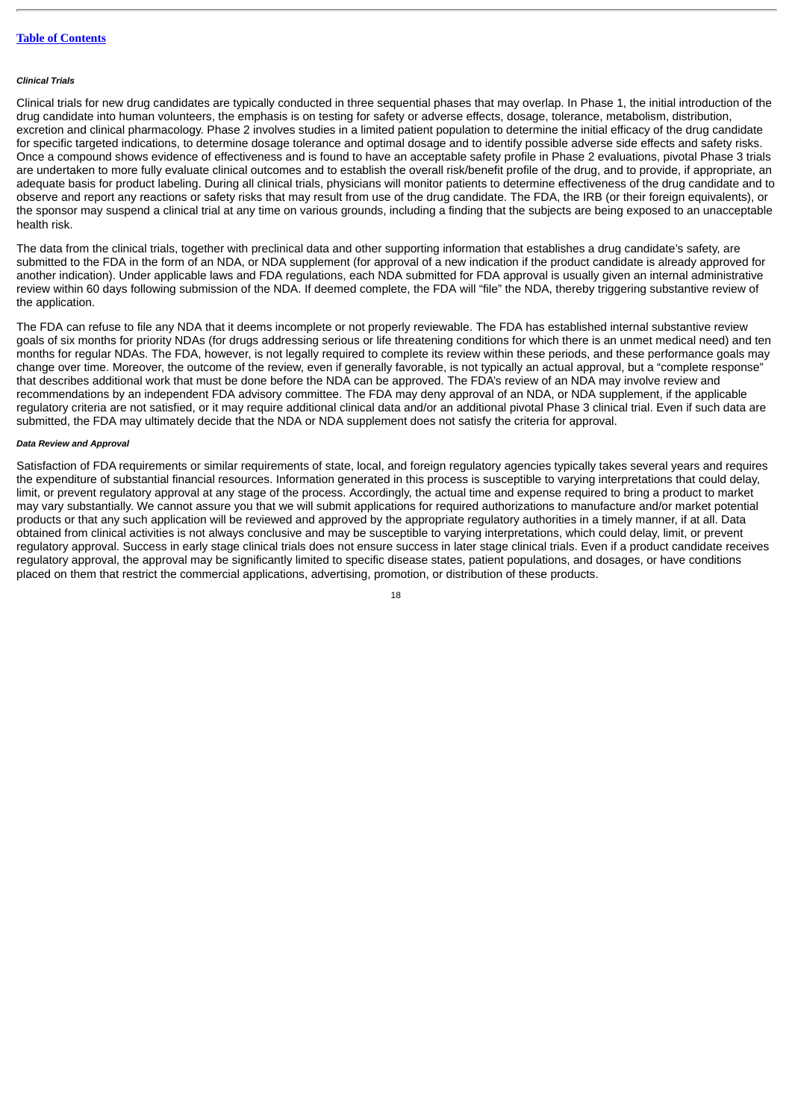#### *Clinical Trials*

Clinical trials for new drug candidates are typically conducted in three sequential phases that may overlap. In Phase 1, the initial introduction of the drug candidate into human volunteers, the emphasis is on testing for safety or adverse effects, dosage, tolerance, metabolism, distribution, excretion and clinical pharmacology. Phase 2 involves studies in a limited patient population to determine the initial efficacy of the drug candidate for specific targeted indications, to determine dosage tolerance and optimal dosage and to identify possible adverse side effects and safety risks. Once a compound shows evidence of effectiveness and is found to have an acceptable safety profile in Phase 2 evaluations, pivotal Phase 3 trials are undertaken to more fully evaluate clinical outcomes and to establish the overall risk/benefit profile of the drug, and to provide, if appropriate, an adequate basis for product labeling. During all clinical trials, physicians will monitor patients to determine effectiveness of the drug candidate and to observe and report any reactions or safety risks that may result from use of the drug candidate. The FDA, the IRB (or their foreign equivalents), or the sponsor may suspend a clinical trial at any time on various grounds, including a finding that the subjects are being exposed to an unacceptable health risk.

The data from the clinical trials, together with preclinical data and other supporting information that establishes a drug candidate's safety, are submitted to the FDA in the form of an NDA, or NDA supplement (for approval of a new indication if the product candidate is already approved for another indication). Under applicable laws and FDA regulations, each NDA submitted for FDA approval is usually given an internal administrative review within 60 days following submission of the NDA. If deemed complete, the FDA will "file" the NDA, thereby triggering substantive review of the application.

The FDA can refuse to file any NDA that it deems incomplete or not properly reviewable. The FDA has established internal substantive review goals of six months for priority NDAs (for drugs addressing serious or life threatening conditions for which there is an unmet medical need) and ten months for regular NDAs. The FDA, however, is not legally required to complete its review within these periods, and these performance goals may change over time. Moreover, the outcome of the review, even if generally favorable, is not typically an actual approval, but a "complete response" that describes additional work that must be done before the NDA can be approved. The FDA's review of an NDA may involve review and recommendations by an independent FDA advisory committee. The FDA may deny approval of an NDA, or NDA supplement, if the applicable regulatory criteria are not satisfied, or it may require additional clinical data and/or an additional pivotal Phase 3 clinical trial. Even if such data are submitted, the FDA may ultimately decide that the NDA or NDA supplement does not satisfy the criteria for approval.

# *Data Review and Approval*

Satisfaction of FDA requirements or similar requirements of state, local, and foreign regulatory agencies typically takes several years and requires the expenditure of substantial financial resources. Information generated in this process is susceptible to varying interpretations that could delay, limit, or prevent regulatory approval at any stage of the process. Accordingly, the actual time and expense required to bring a product to market may vary substantially. We cannot assure you that we will submit applications for required authorizations to manufacture and/or market potential products or that any such application will be reviewed and approved by the appropriate regulatory authorities in a timely manner, if at all. Data obtained from clinical activities is not always conclusive and may be susceptible to varying interpretations, which could delay, limit, or prevent regulatory approval. Success in early stage clinical trials does not ensure success in later stage clinical trials. Even if a product candidate receives regulatory approval, the approval may be significantly limited to specific disease states, patient populations, and dosages, or have conditions placed on them that restrict the commercial applications, advertising, promotion, or distribution of these products.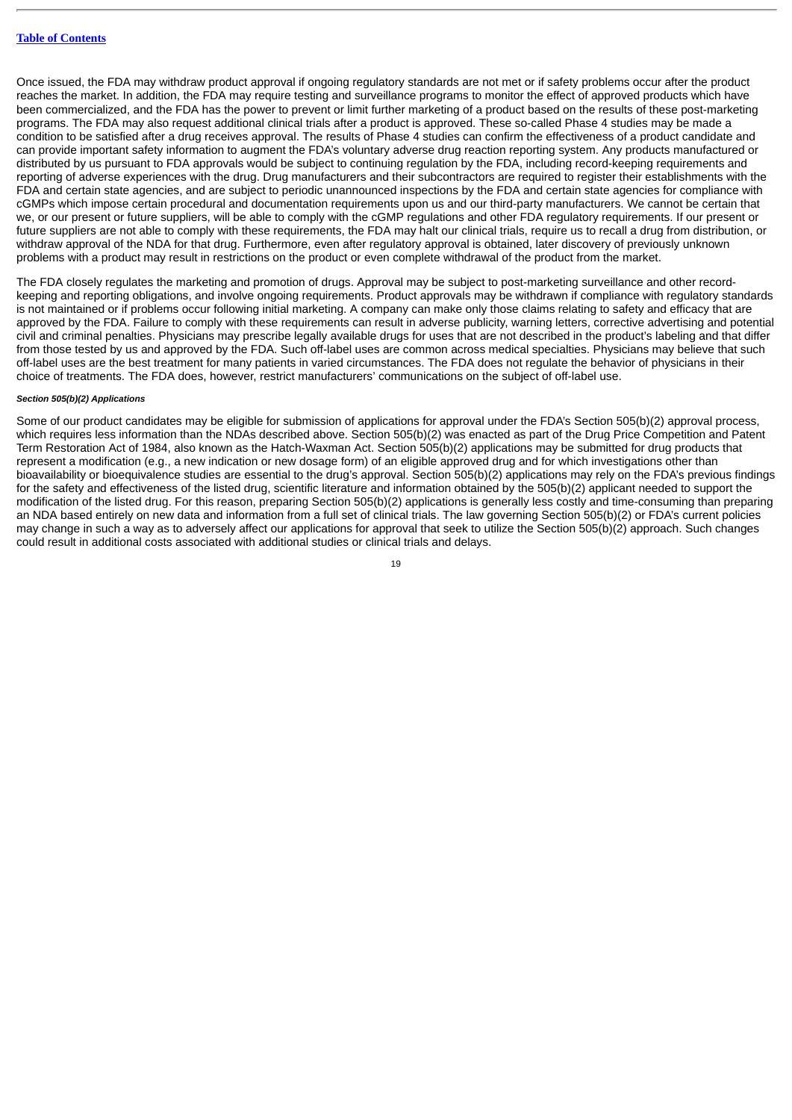Once issued, the FDA may withdraw product approval if ongoing regulatory standards are not met or if safety problems occur after the product reaches the market. In addition, the FDA may require testing and surveillance programs to monitor the effect of approved products which have been commercialized, and the FDA has the power to prevent or limit further marketing of a product based on the results of these post-marketing programs. The FDA may also request additional clinical trials after a product is approved. These so-called Phase 4 studies may be made a condition to be satisfied after a drug receives approval. The results of Phase 4 studies can confirm the effectiveness of a product candidate and can provide important safety information to augment the FDA's voluntary adverse drug reaction reporting system. Any products manufactured or distributed by us pursuant to FDA approvals would be subject to continuing regulation by the FDA, including record-keeping requirements and reporting of adverse experiences with the drug. Drug manufacturers and their subcontractors are required to register their establishments with the FDA and certain state agencies, and are subject to periodic unannounced inspections by the FDA and certain state agencies for compliance with cGMPs which impose certain procedural and documentation requirements upon us and our third-party manufacturers. We cannot be certain that we, or our present or future suppliers, will be able to comply with the cGMP regulations and other FDA regulatory requirements. If our present or future suppliers are not able to comply with these requirements, the FDA may halt our clinical trials, require us to recall a drug from distribution, or withdraw approval of the NDA for that drug. Furthermore, even after regulatory approval is obtained, later discovery of previously unknown problems with a product may result in restrictions on the product or even complete withdrawal of the product from the market.

The FDA closely regulates the marketing and promotion of drugs. Approval may be subject to post-marketing surveillance and other recordkeeping and reporting obligations, and involve ongoing requirements. Product approvals may be withdrawn if compliance with regulatory standards is not maintained or if problems occur following initial marketing. A company can make only those claims relating to safety and efficacy that are approved by the FDA. Failure to comply with these requirements can result in adverse publicity, warning letters, corrective advertising and potential civil and criminal penalties. Physicians may prescribe legally available drugs for uses that are not described in the product's labeling and that differ from those tested by us and approved by the FDA. Such off-label uses are common across medical specialties. Physicians may believe that such off-label uses are the best treatment for many patients in varied circumstances. The FDA does not regulate the behavior of physicians in their choice of treatments. The FDA does, however, restrict manufacturers' communications on the subject of off-label use.

# *Section 505(b)(2) Applications*

Some of our product candidates may be eligible for submission of applications for approval under the FDA's Section 505(b)(2) approval process, which requires less information than the NDAs described above. Section 505(b)(2) was enacted as part of the Drug Price Competition and Patent Term Restoration Act of 1984, also known as the Hatch-Waxman Act. Section 505(b)(2) applications may be submitted for drug products that represent a modification (e.g., a new indication or new dosage form) of an eligible approved drug and for which investigations other than bioavailability or bioequivalence studies are essential to the drug's approval. Section 505(b)(2) applications may rely on the FDA's previous findings for the safety and effectiveness of the listed drug, scientific literature and information obtained by the 505(b)(2) applicant needed to support the modification of the listed drug. For this reason, preparing Section 505(b)(2) applications is generally less costly and time-consuming than preparing an NDA based entirely on new data and information from a full set of clinical trials. The law governing Section 505(b)(2) or FDA's current policies may change in such a way as to adversely affect our applications for approval that seek to utilize the Section 505(b)(2) approach. Such changes could result in additional costs associated with additional studies or clinical trials and delays.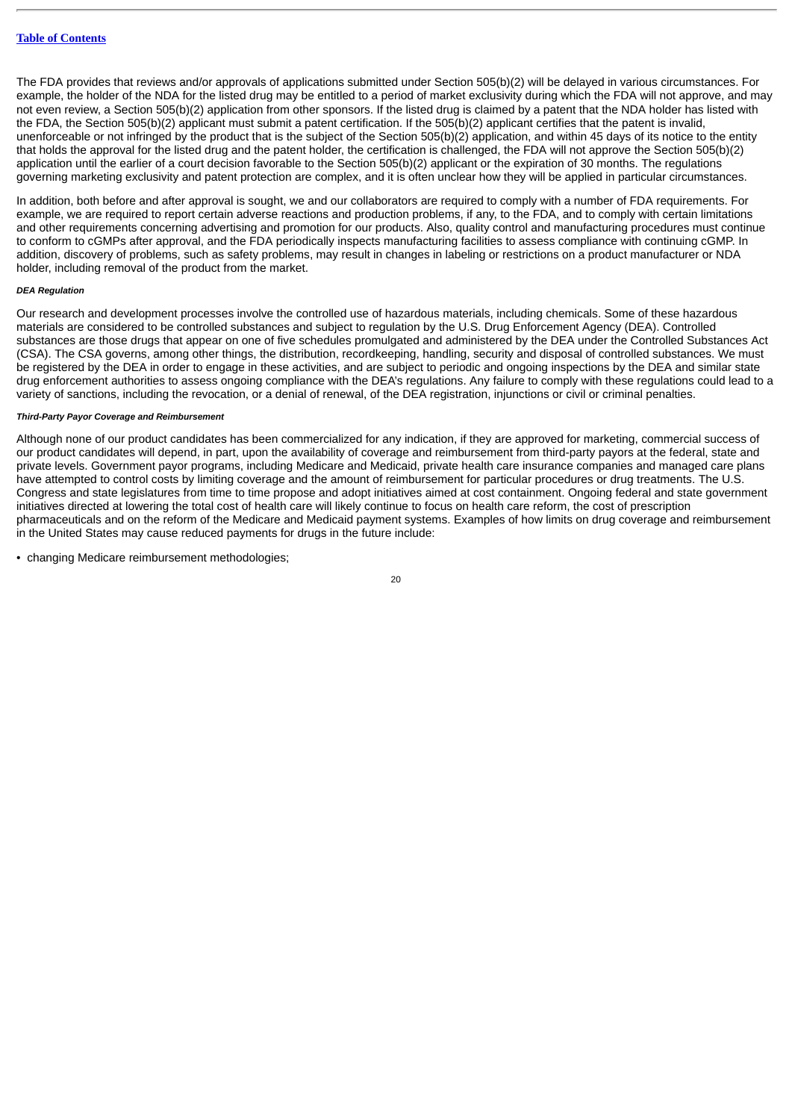The FDA provides that reviews and/or approvals of applications submitted under Section 505(b)(2) will be delayed in various circumstances. For example, the holder of the NDA for the listed drug may be entitled to a period of market exclusivity during which the FDA will not approve, and may not even review, a Section 505(b)(2) application from other sponsors. If the listed drug is claimed by a patent that the NDA holder has listed with the FDA, the Section 505(b)(2) applicant must submit a patent certification. If the 505(b)(2) applicant certifies that the patent is invalid, unenforceable or not infringed by the product that is the subject of the Section 505(b)(2) application, and within 45 days of its notice to the entity that holds the approval for the listed drug and the patent holder, the certification is challenged, the FDA will not approve the Section 505(b)(2) application until the earlier of a court decision favorable to the Section 505(b)(2) applicant or the expiration of 30 months. The regulations governing marketing exclusivity and patent protection are complex, and it is often unclear how they will be applied in particular circumstances.

In addition, both before and after approval is sought, we and our collaborators are required to comply with a number of FDA requirements. For example, we are required to report certain adverse reactions and production problems, if any, to the FDA, and to comply with certain limitations and other requirements concerning advertising and promotion for our products. Also, quality control and manufacturing procedures must continue to conform to cGMPs after approval, and the FDA periodically inspects manufacturing facilities to assess compliance with continuing cGMP. In addition, discovery of problems, such as safety problems, may result in changes in labeling or restrictions on a product manufacturer or NDA holder, including removal of the product from the market.

#### *DEA Regulation*

Our research and development processes involve the controlled use of hazardous materials, including chemicals. Some of these hazardous materials are considered to be controlled substances and subject to regulation by the U.S. Drug Enforcement Agency (DEA). Controlled substances are those drugs that appear on one of five schedules promulgated and administered by the DEA under the Controlled Substances Act (CSA). The CSA governs, among other things, the distribution, recordkeeping, handling, security and disposal of controlled substances. We must be registered by the DEA in order to engage in these activities, and are subject to periodic and ongoing inspections by the DEA and similar state drug enforcement authorities to assess ongoing compliance with the DEA's regulations. Any failure to comply with these regulations could lead to a variety of sanctions, including the revocation, or a denial of renewal, of the DEA registration, injunctions or civil or criminal penalties.

# *Third-Party Payor Coverage and Reimbursement*

Although none of our product candidates has been commercialized for any indication, if they are approved for marketing, commercial success of our product candidates will depend, in part, upon the availability of coverage and reimbursement from third-party payors at the federal, state and private levels. Government payor programs, including Medicare and Medicaid, private health care insurance companies and managed care plans have attempted to control costs by limiting coverage and the amount of reimbursement for particular procedures or drug treatments. The U.S. Congress and state legislatures from time to time propose and adopt initiatives aimed at cost containment. Ongoing federal and state government initiatives directed at lowering the total cost of health care will likely continue to focus on health care reform, the cost of prescription pharmaceuticals and on the reform of the Medicare and Medicaid payment systems. Examples of how limits on drug coverage and reimbursement in the United States may cause reduced payments for drugs in the future include:

• changing Medicare reimbursement methodologies: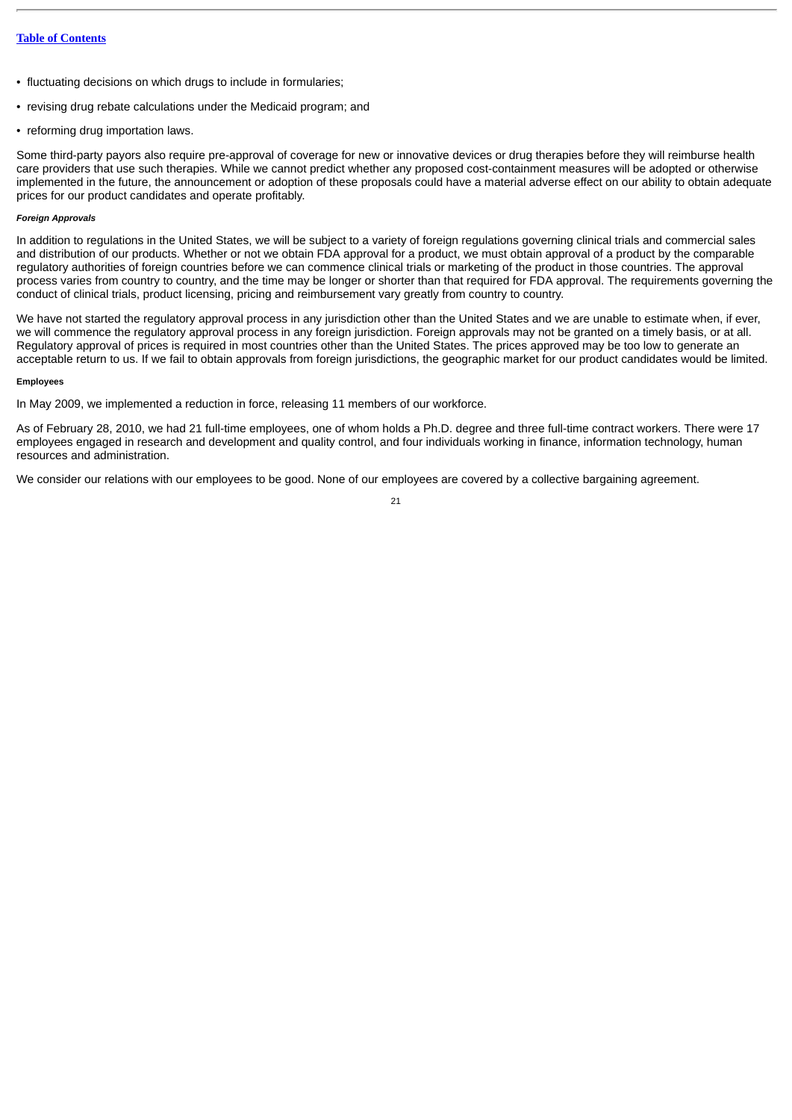- fluctuating decisions on which drugs to include in formularies;
- revising drug rebate calculations under the Medicaid program; and
- reforming drug importation laws.

Some third-party payors also require pre-approval of coverage for new or innovative devices or drug therapies before they will reimburse health care providers that use such therapies. While we cannot predict whether any proposed cost-containment measures will be adopted or otherwise implemented in the future, the announcement or adoption of these proposals could have a material adverse effect on our ability to obtain adequate prices for our product candidates and operate profitably.

# *Foreign Approvals*

In addition to regulations in the United States, we will be subject to a variety of foreign regulations governing clinical trials and commercial sales and distribution of our products. Whether or not we obtain FDA approval for a product, we must obtain approval of a product by the comparable regulatory authorities of foreign countries before we can commence clinical trials or marketing of the product in those countries. The approval process varies from country to country, and the time may be longer or shorter than that required for FDA approval. The requirements governing the conduct of clinical trials, product licensing, pricing and reimbursement vary greatly from country to country.

We have not started the regulatory approval process in any jurisdiction other than the United States and we are unable to estimate when, if ever, we will commence the regulatory approval process in any foreign jurisdiction. Foreign approvals may not be granted on a timely basis, or at all. Regulatory approval of prices is required in most countries other than the United States. The prices approved may be too low to generate an acceptable return to us. If we fail to obtain approvals from foreign jurisdictions, the geographic market for our product candidates would be limited.

#### **Employees**

In May 2009, we implemented a reduction in force, releasing 11 members of our workforce.

As of February 28, 2010, we had 21 full-time employees, one of whom holds a Ph.D. degree and three full-time contract workers. There were 17 employees engaged in research and development and quality control, and four individuals working in finance, information technology, human resources and administration.

We consider our relations with our employees to be good. None of our employees are covered by a collective bargaining agreement.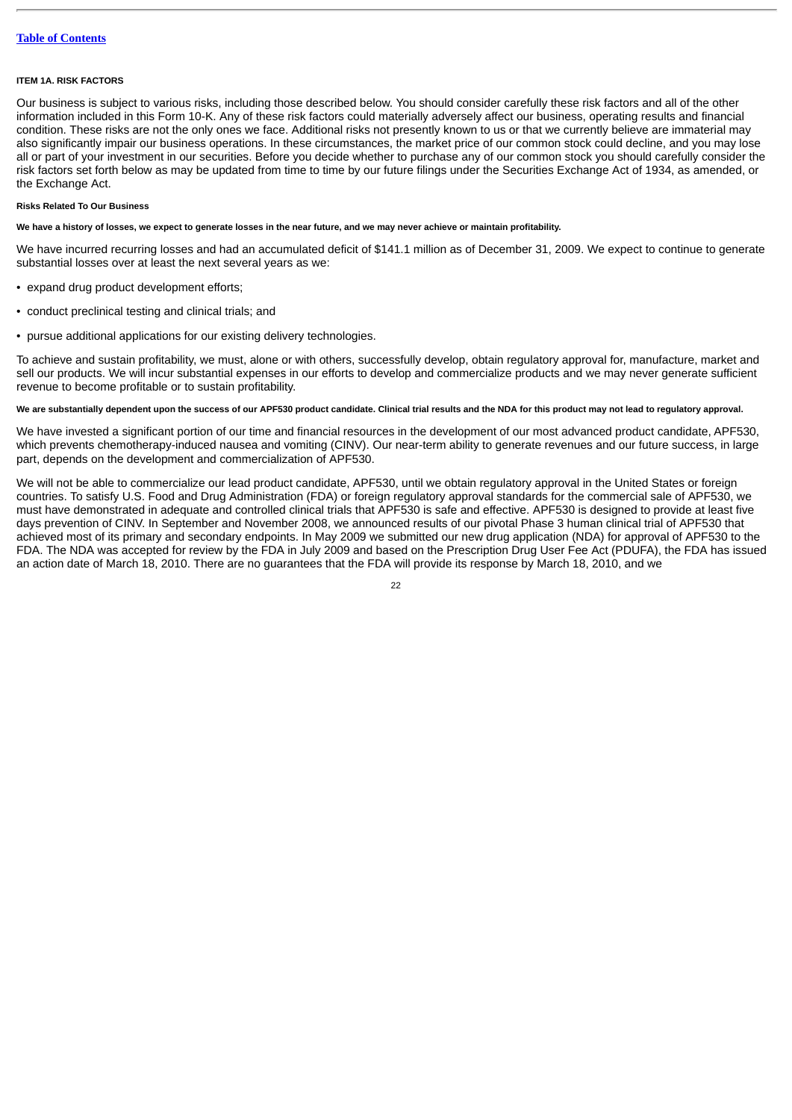#### <span id="page-21-0"></span>**ITEM 1A. RISK FACTORS**

Our business is subject to various risks, including those described below. You should consider carefully these risk factors and all of the other information included in this Form 10-K. Any of these risk factors could materially adversely affect our business, operating results and financial condition. These risks are not the only ones we face. Additional risks not presently known to us or that we currently believe are immaterial may also significantly impair our business operations. In these circumstances, the market price of our common stock could decline, and you may lose all or part of your investment in our securities. Before you decide whether to purchase any of our common stock you should carefully consider the risk factors set forth below as may be updated from time to time by our future filings under the Securities Exchange Act of 1934, as amended, or the Exchange Act.

# **Risks Related To Our Business**

### **We have a history of losses, we expect to generate losses in the near future, and we may never achieve or maintain profitability.**

We have incurred recurring losses and had an accumulated deficit of \$141.1 million as of December 31, 2009. We expect to continue to generate substantial losses over at least the next several years as we:

- expand drug product development efforts;
- conduct preclinical testing and clinical trials; and
- pursue additional applications for our existing delivery technologies.

To achieve and sustain profitability, we must, alone or with others, successfully develop, obtain regulatory approval for, manufacture, market and sell our products. We will incur substantial expenses in our efforts to develop and commercialize products and we may never generate sufficient revenue to become profitable or to sustain profitability.

# **We are substantially dependent upon the success of our APF530 product candidate. Clinical trial results and the NDA for this product may not lead to regulatory approval.**

We have invested a significant portion of our time and financial resources in the development of our most advanced product candidate, APF530, which prevents chemotherapy-induced nausea and vomiting (CINV). Our near-term ability to generate revenues and our future success, in large part, depends on the development and commercialization of APF530.

We will not be able to commercialize our lead product candidate, APF530, until we obtain regulatory approval in the United States or foreign countries. To satisfy U.S. Food and Drug Administration (FDA) or foreign regulatory approval standards for the commercial sale of APF530, we must have demonstrated in adequate and controlled clinical trials that APF530 is safe and effective. APF530 is designed to provide at least five days prevention of CINV. In September and November 2008, we announced results of our pivotal Phase 3 human clinical trial of APF530 that achieved most of its primary and secondary endpoints. In May 2009 we submitted our new drug application (NDA) for approval of APF530 to the FDA. The NDA was accepted for review by the FDA in July 2009 and based on the Prescription Drug User Fee Act (PDUFA), the FDA has issued an action date of March 18, 2010. There are no guarantees that the FDA will provide its response by March 18, 2010, and we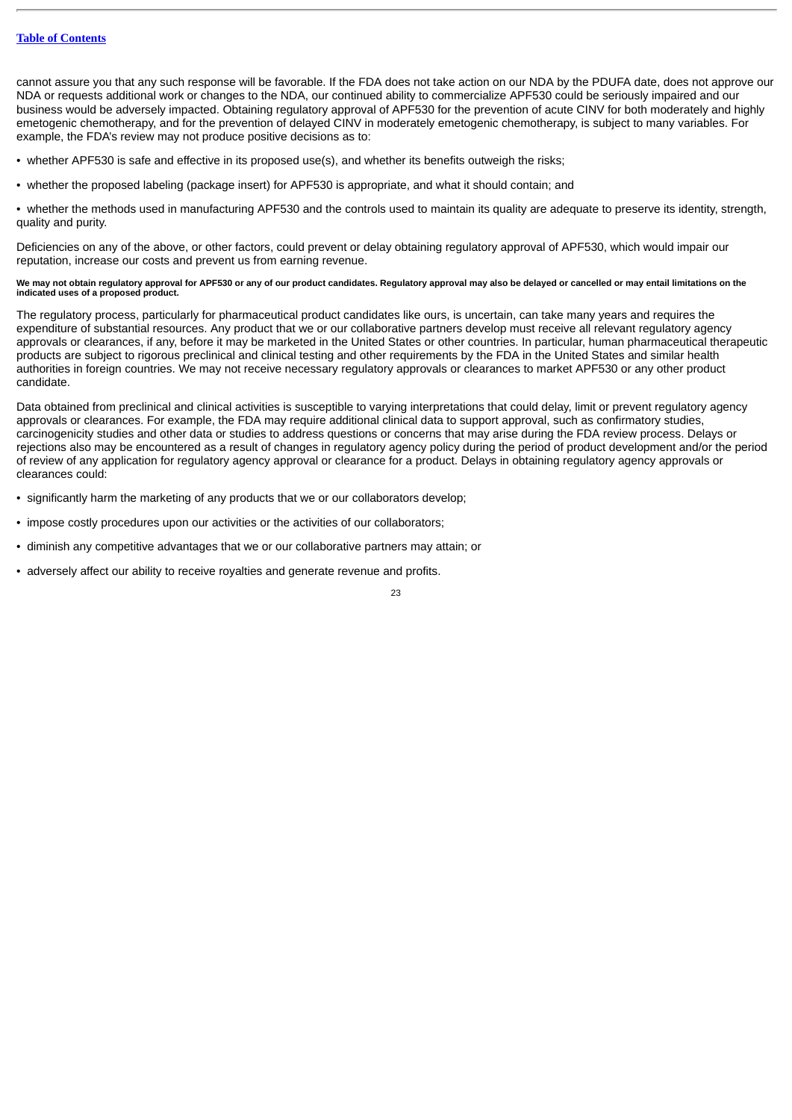cannot assure you that any such response will be favorable. If the FDA does not take action on our NDA by the PDUFA date, does not approve our NDA or requests additional work or changes to the NDA, our continued ability to commercialize APF530 could be seriously impaired and our business would be adversely impacted. Obtaining regulatory approval of APF530 for the prevention of acute CINV for both moderately and highly emetogenic chemotherapy, and for the prevention of delayed CINV in moderately emetogenic chemotherapy, is subject to many variables. For example, the FDA's review may not produce positive decisions as to:

- whether APF530 is safe and effective in its proposed use(s), and whether its benefits outweigh the risks;
- whether the proposed labeling (package insert) for APF530 is appropriate, and what it should contain; and

• whether the methods used in manufacturing APF530 and the controls used to maintain its quality are adequate to preserve its identity, strength, quality and purity.

Deficiencies on any of the above, or other factors, could prevent or delay obtaining regulatory approval of APF530, which would impair our reputation, increase our costs and prevent us from earning revenue.

### **We may not obtain regulatory approval for APF530 or any of our product candidates. Regulatory approval may also be delayed or cancelled or may entail limitations on the indicated uses of a proposed product.**

The regulatory process, particularly for pharmaceutical product candidates like ours, is uncertain, can take many years and requires the expenditure of substantial resources. Any product that we or our collaborative partners develop must receive all relevant regulatory agency approvals or clearances, if any, before it may be marketed in the United States or other countries. In particular, human pharmaceutical therapeutic products are subject to rigorous preclinical and clinical testing and other requirements by the FDA in the United States and similar health authorities in foreign countries. We may not receive necessary regulatory approvals or clearances to market APF530 or any other product candidate.

Data obtained from preclinical and clinical activities is susceptible to varying interpretations that could delay, limit or prevent regulatory agency approvals or clearances. For example, the FDA may require additional clinical data to support approval, such as confirmatory studies, carcinogenicity studies and other data or studies to address questions or concerns that may arise during the FDA review process. Delays or rejections also may be encountered as a result of changes in regulatory agency policy during the period of product development and/or the period of review of any application for regulatory agency approval or clearance for a product. Delays in obtaining regulatory agency approvals or clearances could:

- significantly harm the marketing of any products that we or our collaborators develop;
- impose costly procedures upon our activities or the activities of our collaborators;
- diminish any competitive advantages that we or our collaborative partners may attain; or
- adversely affect our ability to receive royalties and generate revenue and profits.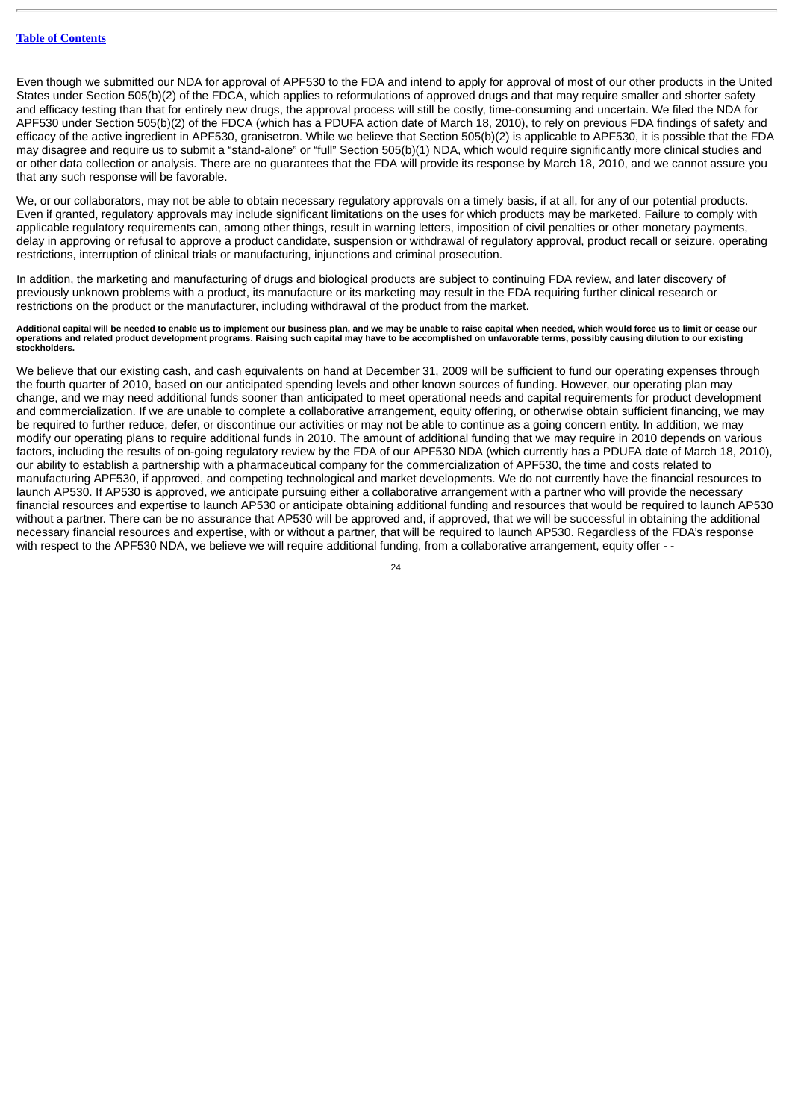Even though we submitted our NDA for approval of APF530 to the FDA and intend to apply for approval of most of our other products in the United States under Section 505(b)(2) of the FDCA, which applies to reformulations of approved drugs and that may require smaller and shorter safety and efficacy testing than that for entirely new drugs, the approval process will still be costly, time-consuming and uncertain. We filed the NDA for APF530 under Section 505(b)(2) of the FDCA (which has a PDUFA action date of March 18, 2010), to rely on previous FDA findings of safety and efficacy of the active ingredient in APF530, granisetron. While we believe that Section 505(b)(2) is applicable to APF530, it is possible that the FDA may disagree and require us to submit a "stand-alone" or "full" Section 505(b)(1) NDA, which would require significantly more clinical studies and or other data collection or analysis. There are no guarantees that the FDA will provide its response by March 18, 2010, and we cannot assure you that any such response will be favorable.

We, or our collaborators, may not be able to obtain necessary regulatory approvals on a timely basis, if at all, for any of our potential products. Even if granted, regulatory approvals may include significant limitations on the uses for which products may be marketed. Failure to comply with applicable regulatory requirements can, among other things, result in warning letters, imposition of civil penalties or other monetary payments, delay in approving or refusal to approve a product candidate, suspension or withdrawal of regulatory approval, product recall or seizure, operating restrictions, interruption of clinical trials or manufacturing, injunctions and criminal prosecution.

In addition, the marketing and manufacturing of drugs and biological products are subject to continuing FDA review, and later discovery of previously unknown problems with a product, its manufacture or its marketing may result in the FDA requiring further clinical research or restrictions on the product or the manufacturer, including withdrawal of the product from the market.

**Additional capital will be needed to enable us to implement our business plan, and we may be unable to raise capital when needed, which would force us to limit or cease our operations and related product development programs. Raising such capital may have to be accomplished on unfavorable terms, possibly causing dilution to our existing stockholders.**

We believe that our existing cash, and cash equivalents on hand at December 31, 2009 will be sufficient to fund our operating expenses through the fourth quarter of 2010, based on our anticipated spending levels and other known sources of funding. However, our operating plan may change, and we may need additional funds sooner than anticipated to meet operational needs and capital requirements for product development and commercialization. If we are unable to complete a collaborative arrangement, equity offering, or otherwise obtain sufficient financing, we may be required to further reduce, defer, or discontinue our activities or may not be able to continue as a going concern entity. In addition, we may modify our operating plans to require additional funds in 2010. The amount of additional funding that we may require in 2010 depends on various factors, including the results of on-going regulatory review by the FDA of our APF530 NDA (which currently has a PDUFA date of March 18, 2010), our ability to establish a partnership with a pharmaceutical company for the commercialization of APF530, the time and costs related to manufacturing APF530, if approved, and competing technological and market developments. We do not currently have the financial resources to launch AP530. If AP530 is approved, we anticipate pursuing either a collaborative arrangement with a partner who will provide the necessary financial resources and expertise to launch AP530 or anticipate obtaining additional funding and resources that would be required to launch AP530 without a partner. There can be no assurance that AP530 will be approved and, if approved, that we will be successful in obtaining the additional necessary financial resources and expertise, with or without a partner, that will be required to launch AP530. Regardless of the FDA's response with respect to the APF530 NDA, we believe we will require additional funding, from a collaborative arrangement, equity offer - -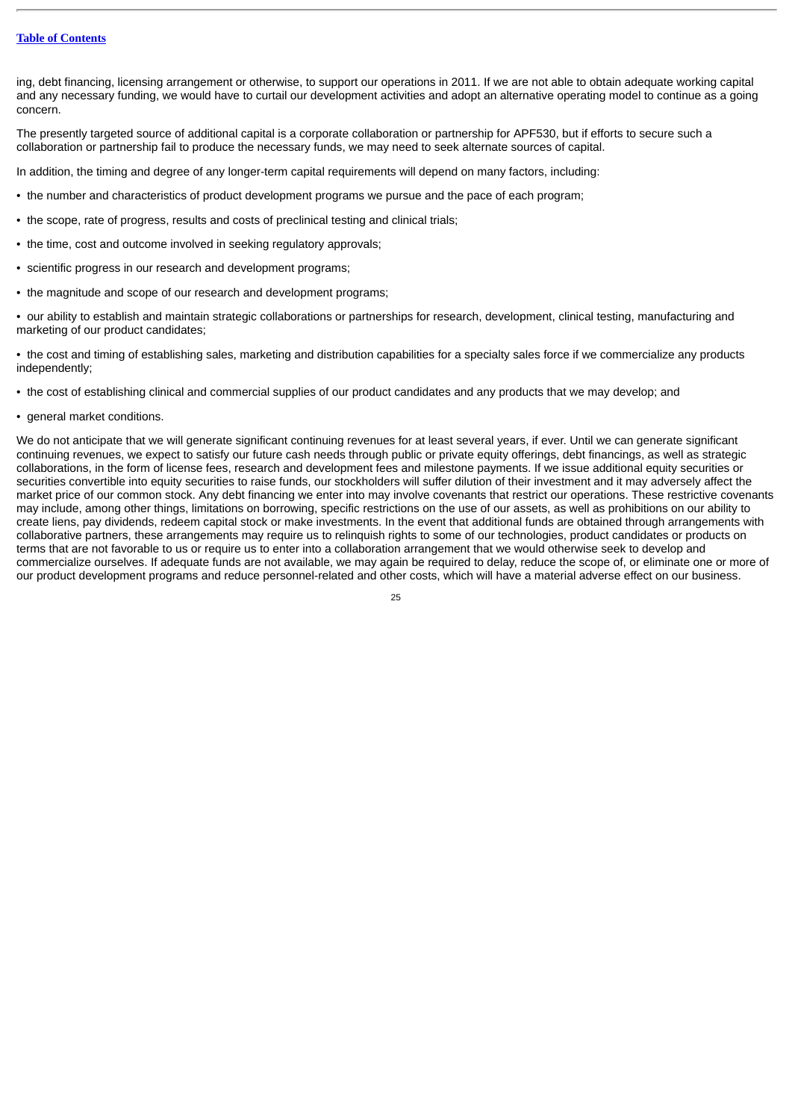# **Table of [Contents](#page-1-0)**

ing, debt financing, licensing arrangement or otherwise, to support our operations in 2011. If we are not able to obtain adequate working capital and any necessary funding, we would have to curtail our development activities and adopt an alternative operating model to continue as a going concern.

The presently targeted source of additional capital is a corporate collaboration or partnership for APF530, but if efforts to secure such a collaboration or partnership fail to produce the necessary funds, we may need to seek alternate sources of capital.

In addition, the timing and degree of any longer-term capital requirements will depend on many factors, including:

- the number and characteristics of product development programs we pursue and the pace of each program;
- the scope, rate of progress, results and costs of preclinical testing and clinical trials;
- the time, cost and outcome involved in seeking regulatory approvals;
- scientific progress in our research and development programs;
- the magnitude and scope of our research and development programs;

• our ability to establish and maintain strategic collaborations or partnerships for research, development, clinical testing, manufacturing and marketing of our product candidates;

• the cost and timing of establishing sales, marketing and distribution capabilities for a specialty sales force if we commercialize any products independently;

- the cost of establishing clinical and commercial supplies of our product candidates and any products that we may develop; and
- general market conditions.

We do not anticipate that we will generate significant continuing revenues for at least several years, if ever. Until we can generate significant continuing revenues, we expect to satisfy our future cash needs through public or private equity offerings, debt financings, as well as strategic collaborations, in the form of license fees, research and development fees and milestone payments. If we issue additional equity securities or securities convertible into equity securities to raise funds, our stockholders will suffer dilution of their investment and it may adversely affect the market price of our common stock. Any debt financing we enter into may involve covenants that restrict our operations. These restrictive covenants may include, among other things, limitations on borrowing, specific restrictions on the use of our assets, as well as prohibitions on our ability to create liens, pay dividends, redeem capital stock or make investments. In the event that additional funds are obtained through arrangements with collaborative partners, these arrangements may require us to relinquish rights to some of our technologies, product candidates or products on terms that are not favorable to us or require us to enter into a collaboration arrangement that we would otherwise seek to develop and commercialize ourselves. If adequate funds are not available, we may again be required to delay, reduce the scope of, or eliminate one or more of our product development programs and reduce personnel-related and other costs, which will have a material adverse effect on our business.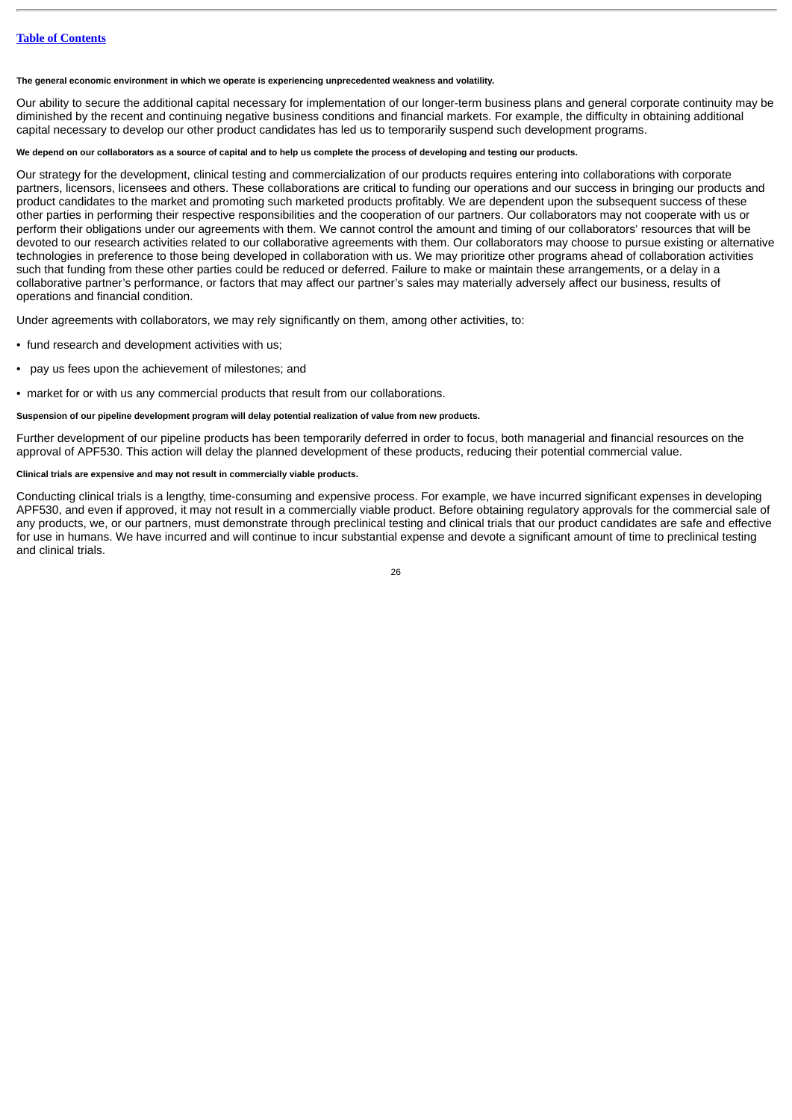**The general economic environment in which we operate is experiencing unprecedented weakness and volatility.**

Our ability to secure the additional capital necessary for implementation of our longer-term business plans and general corporate continuity may be diminished by the recent and continuing negative business conditions and financial markets. For example, the difficulty in obtaining additional capital necessary to develop our other product candidates has led us to temporarily suspend such development programs.

# **We depend on our collaborators as a source of capital and to help us complete the process of developing and testing our products.**

Our strategy for the development, clinical testing and commercialization of our products requires entering into collaborations with corporate partners, licensors, licensees and others. These collaborations are critical to funding our operations and our success in bringing our products and product candidates to the market and promoting such marketed products profitably. We are dependent upon the subsequent success of these other parties in performing their respective responsibilities and the cooperation of our partners. Our collaborators may not cooperate with us or perform their obligations under our agreements with them. We cannot control the amount and timing of our collaborators' resources that will be devoted to our research activities related to our collaborative agreements with them. Our collaborators may choose to pursue existing or alternative technologies in preference to those being developed in collaboration with us. We may prioritize other programs ahead of collaboration activities such that funding from these other parties could be reduced or deferred. Failure to make or maintain these arrangements, or a delay in a collaborative partner's performance, or factors that may affect our partner's sales may materially adversely affect our business, results of operations and financial condition.

Under agreements with collaborators, we may rely significantly on them, among other activities, to:

- fund research and development activities with us;
- pay us fees upon the achievement of milestones; and
- market for or with us any commercial products that result from our collaborations.

# **Suspension of our pipeline development program will delay potential realization of value from new products.**

Further development of our pipeline products has been temporarily deferred in order to focus, both managerial and financial resources on the approval of APF530. This action will delay the planned development of these products, reducing their potential commercial value.

# **Clinical trials are expensive and may not result in commercially viable products.**

Conducting clinical trials is a lengthy, time-consuming and expensive process. For example, we have incurred significant expenses in developing APF530, and even if approved, it may not result in a commercially viable product. Before obtaining regulatory approvals for the commercial sale of any products, we, or our partners, must demonstrate through preclinical testing and clinical trials that our product candidates are safe and effective for use in humans. We have incurred and will continue to incur substantial expense and devote a significant amount of time to preclinical testing and clinical trials.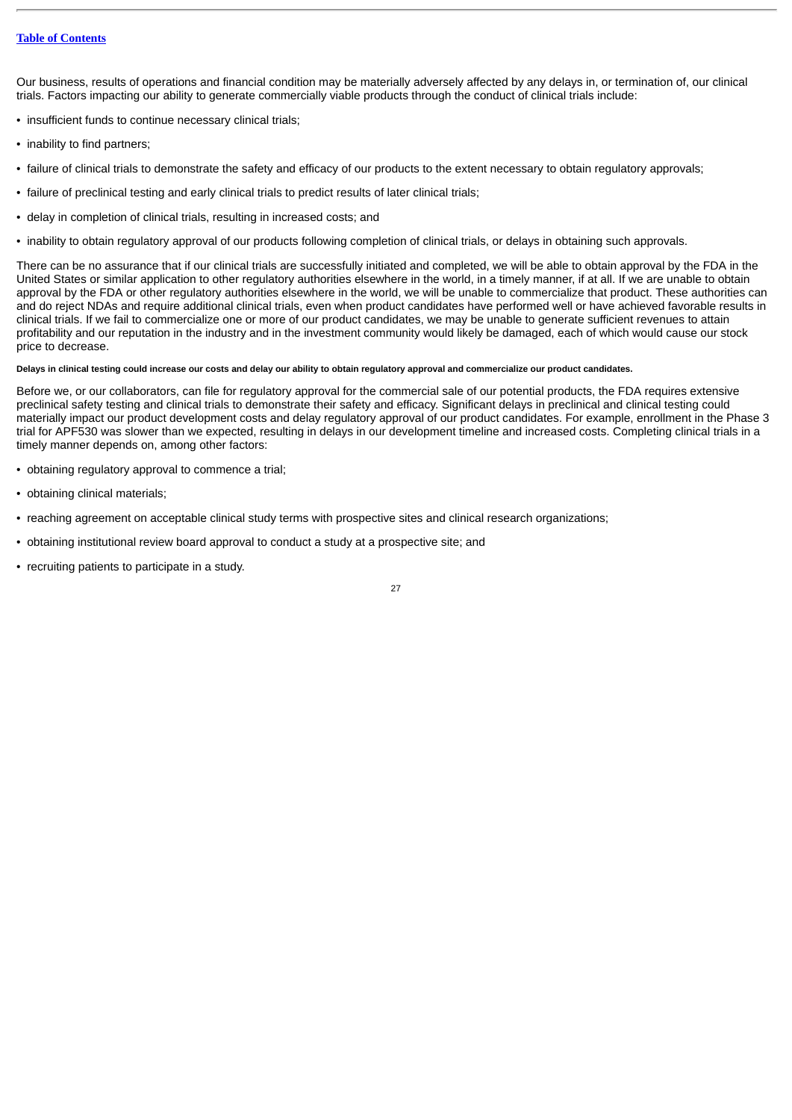# **Table of [Contents](#page-1-0)**

Our business, results of operations and financial condition may be materially adversely affected by any delays in, or termination of, our clinical trials. Factors impacting our ability to generate commercially viable products through the conduct of clinical trials include:

- insufficient funds to continue necessary clinical trials;
- inability to find partners;
- failure of clinical trials to demonstrate the safety and efficacy of our products to the extent necessary to obtain regulatory approvals;
- failure of preclinical testing and early clinical trials to predict results of later clinical trials;
- delay in completion of clinical trials, resulting in increased costs; and
- inability to obtain regulatory approval of our products following completion of clinical trials, or delays in obtaining such approvals.

There can be no assurance that if our clinical trials are successfully initiated and completed, we will be able to obtain approval by the FDA in the United States or similar application to other regulatory authorities elsewhere in the world, in a timely manner, if at all. If we are unable to obtain approval by the FDA or other regulatory authorities elsewhere in the world, we will be unable to commercialize that product. These authorities can and do reject NDAs and require additional clinical trials, even when product candidates have performed well or have achieved favorable results in clinical trials. If we fail to commercialize one or more of our product candidates, we may be unable to generate sufficient revenues to attain profitability and our reputation in the industry and in the investment community would likely be damaged, each of which would cause our stock price to decrease.

# **Delays in clinical testing could increase our costs and delay our ability to obtain regulatory approval and commercialize our product candidates.**

Before we, or our collaborators, can file for regulatory approval for the commercial sale of our potential products, the FDA requires extensive preclinical safety testing and clinical trials to demonstrate their safety and efficacy. Significant delays in preclinical and clinical testing could materially impact our product development costs and delay regulatory approval of our product candidates. For example, enrollment in the Phase 3 trial for APF530 was slower than we expected, resulting in delays in our development timeline and increased costs. Completing clinical trials in a timely manner depends on, among other factors:

- obtaining regulatory approval to commence a trial;
- obtaining clinical materials:
- reaching agreement on acceptable clinical study terms with prospective sites and clinical research organizations;
- obtaining institutional review board approval to conduct a study at a prospective site; and
- recruiting patients to participate in a study.

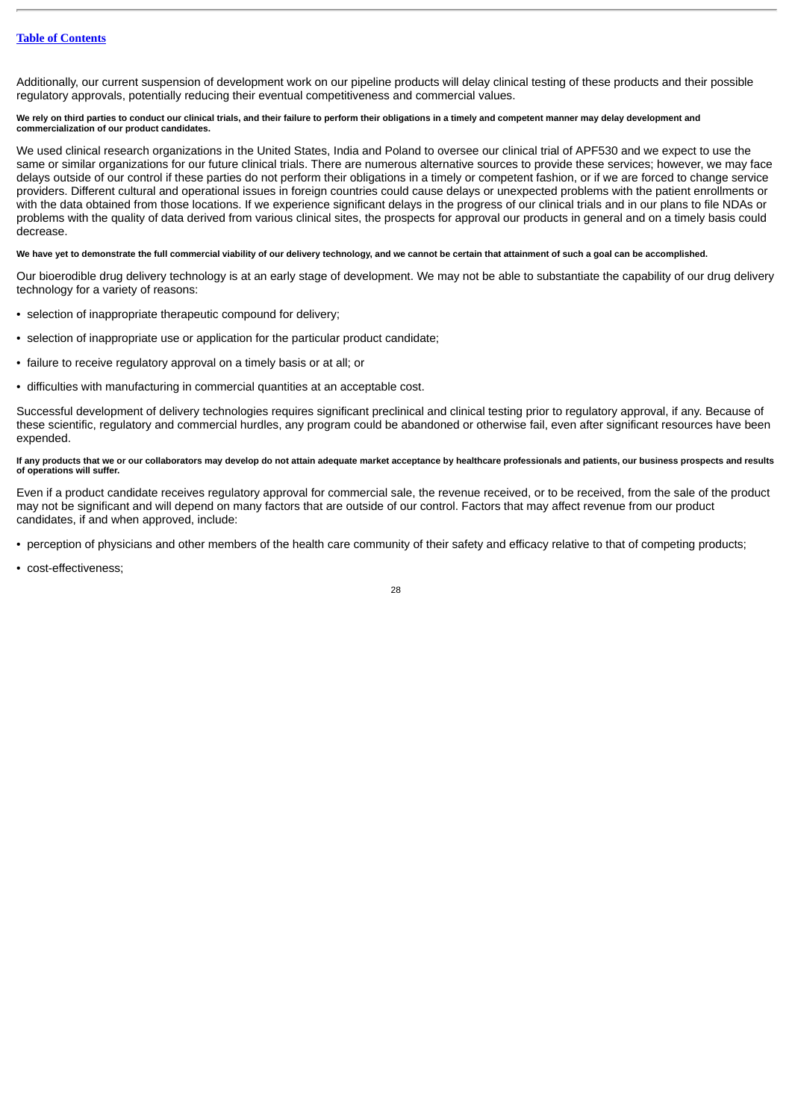Additionally, our current suspension of development work on our pipeline products will delay clinical testing of these products and their possible regulatory approvals, potentially reducing their eventual competitiveness and commercial values.

#### We rely on third parties to conduct our clinical trials, and their failure to perform their obligations in a timely and competent manner may delay development and **commercialization of our product candidates.**

We used clinical research organizations in the United States, India and Poland to oversee our clinical trial of APF530 and we expect to use the same or similar organizations for our future clinical trials. There are numerous alternative sources to provide these services; however, we may face delays outside of our control if these parties do not perform their obligations in a timely or competent fashion, or if we are forced to change service providers. Different cultural and operational issues in foreign countries could cause delays or unexpected problems with the patient enrollments or with the data obtained from those locations. If we experience significant delays in the progress of our clinical trials and in our plans to file NDAs or problems with the quality of data derived from various clinical sites, the prospects for approval our products in general and on a timely basis could decrease.

# **We have yet to demonstrate the full commercial viability of our delivery technology, and we cannot be certain that attainment of such a goal can be accomplished.**

Our bioerodible drug delivery technology is at an early stage of development. We may not be able to substantiate the capability of our drug delivery technology for a variety of reasons:

- selection of inappropriate therapeutic compound for delivery;
- selection of inappropriate use or application for the particular product candidate;
- failure to receive regulatory approval on a timely basis or at all; or
- difficulties with manufacturing in commercial quantities at an acceptable cost.

Successful development of delivery technologies requires significant preclinical and clinical testing prior to regulatory approval, if any. Because of these scientific, regulatory and commercial hurdles, any program could be abandoned or otherwise fail, even after significant resources have been expended.

# **If any products that we or our collaborators may develop do not attain adequate market acceptance by healthcare professionals and patients, our business prospects and results of operations will suffer.**

Even if a product candidate receives regulatory approval for commercial sale, the revenue received, or to be received, from the sale of the product may not be significant and will depend on many factors that are outside of our control. Factors that may affect revenue from our product candidates, if and when approved, include:

• perception of physicians and other members of the health care community of their safety and efficacy relative to that of competing products;

• cost-effectiveness;

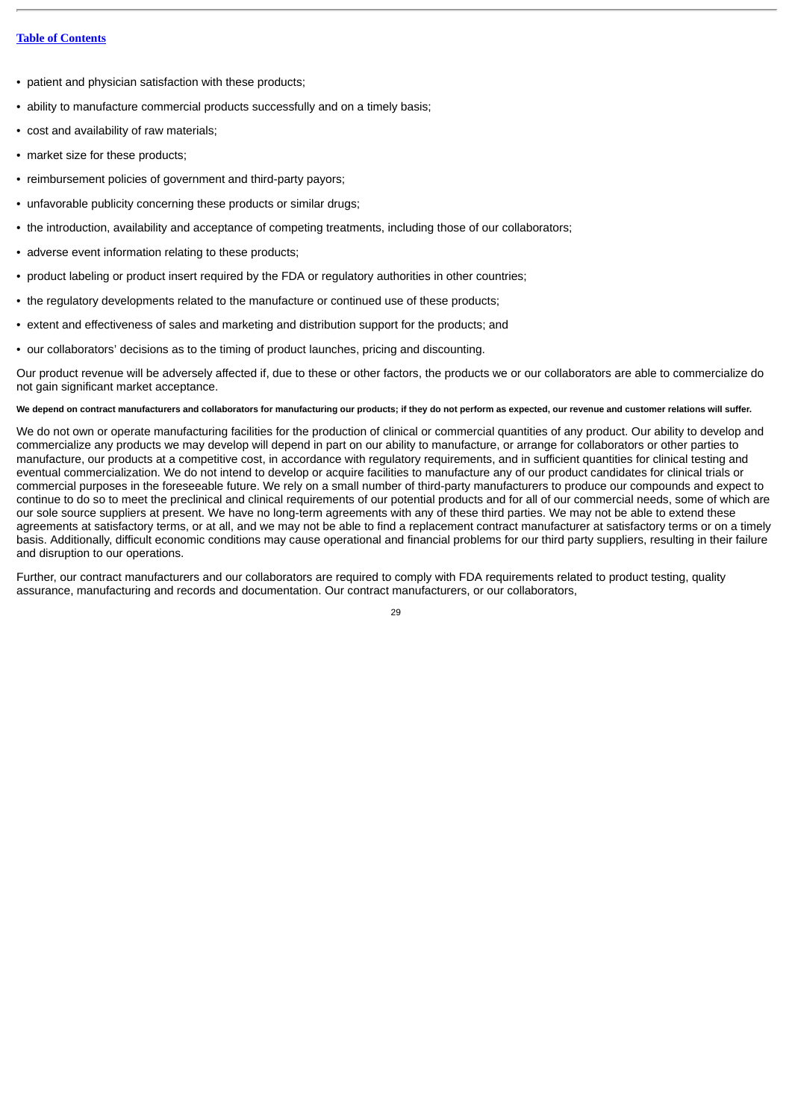# **Table of [Contents](#page-1-0)**

- patient and physician satisfaction with these products;
- ability to manufacture commercial products successfully and on a timely basis;
- cost and availability of raw materials;
- market size for these products;
- reimbursement policies of government and third-party payors;
- unfavorable publicity concerning these products or similar drugs;
- the introduction, availability and acceptance of competing treatments, including those of our collaborators;
- adverse event information relating to these products;
- product labeling or product insert required by the FDA or regulatory authorities in other countries;
- the regulatory developments related to the manufacture or continued use of these products;
- extent and effectiveness of sales and marketing and distribution support for the products; and
- our collaborators' decisions as to the timing of product launches, pricing and discounting.

Our product revenue will be adversely affected if, due to these or other factors, the products we or our collaborators are able to commercialize do not gain significant market acceptance.

# **We depend on contract manufacturers and collaborators for manufacturing our products; if they do not perform as expected, our revenue and customer relations will suffer.**

We do not own or operate manufacturing facilities for the production of clinical or commercial quantities of any product. Our ability to develop and commercialize any products we may develop will depend in part on our ability to manufacture, or arrange for collaborators or other parties to manufacture, our products at a competitive cost, in accordance with regulatory requirements, and in sufficient quantities for clinical testing and eventual commercialization. We do not intend to develop or acquire facilities to manufacture any of our product candidates for clinical trials or commercial purposes in the foreseeable future. We rely on a small number of third-party manufacturers to produce our compounds and expect to continue to do so to meet the preclinical and clinical requirements of our potential products and for all of our commercial needs, some of which are our sole source suppliers at present. We have no long-term agreements with any of these third parties. We may not be able to extend these agreements at satisfactory terms, or at all, and we may not be able to find a replacement contract manufacturer at satisfactory terms or on a timely basis. Additionally, difficult economic conditions may cause operational and financial problems for our third party suppliers, resulting in their failure and disruption to our operations.

Further, our contract manufacturers and our collaborators are required to comply with FDA requirements related to product testing, quality assurance, manufacturing and records and documentation. Our contract manufacturers, or our collaborators,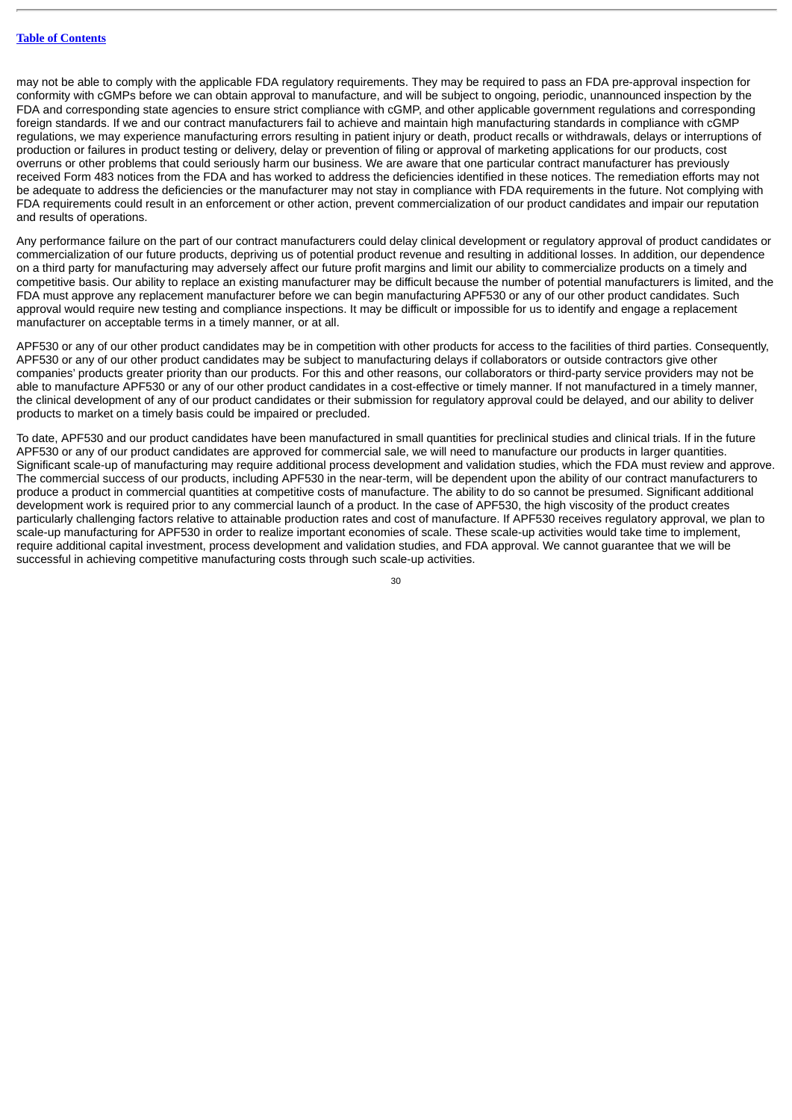may not be able to comply with the applicable FDA regulatory requirements. They may be required to pass an FDA pre-approval inspection for conformity with cGMPs before we can obtain approval to manufacture, and will be subject to ongoing, periodic, unannounced inspection by the FDA and corresponding state agencies to ensure strict compliance with cGMP, and other applicable government regulations and corresponding foreign standards. If we and our contract manufacturers fail to achieve and maintain high manufacturing standards in compliance with cGMP regulations, we may experience manufacturing errors resulting in patient injury or death, product recalls or withdrawals, delays or interruptions of production or failures in product testing or delivery, delay or prevention of filing or approval of marketing applications for our products, cost overruns or other problems that could seriously harm our business. We are aware that one particular contract manufacturer has previously received Form 483 notices from the FDA and has worked to address the deficiencies identified in these notices. The remediation efforts may not be adequate to address the deficiencies or the manufacturer may not stay in compliance with FDA requirements in the future. Not complying with FDA requirements could result in an enforcement or other action, prevent commercialization of our product candidates and impair our reputation and results of operations.

Any performance failure on the part of our contract manufacturers could delay clinical development or regulatory approval of product candidates or commercialization of our future products, depriving us of potential product revenue and resulting in additional losses. In addition, our dependence on a third party for manufacturing may adversely affect our future profit margins and limit our ability to commercialize products on a timely and competitive basis. Our ability to replace an existing manufacturer may be difficult because the number of potential manufacturers is limited, and the FDA must approve any replacement manufacturer before we can begin manufacturing APF530 or any of our other product candidates. Such approval would require new testing and compliance inspections. It may be difficult or impossible for us to identify and engage a replacement manufacturer on acceptable terms in a timely manner, or at all.

APF530 or any of our other product candidates may be in competition with other products for access to the facilities of third parties. Consequently, APF530 or any of our other product candidates may be subject to manufacturing delays if collaborators or outside contractors give other companies' products greater priority than our products. For this and other reasons, our collaborators or third-party service providers may not be able to manufacture APF530 or any of our other product candidates in a cost-effective or timely manner. If not manufactured in a timely manner, the clinical development of any of our product candidates or their submission for regulatory approval could be delayed, and our ability to deliver products to market on a timely basis could be impaired or precluded.

To date, APF530 and our product candidates have been manufactured in small quantities for preclinical studies and clinical trials. If in the future APF530 or any of our product candidates are approved for commercial sale, we will need to manufacture our products in larger quantities. Significant scale-up of manufacturing may require additional process development and validation studies, which the FDA must review and approve. The commercial success of our products, including APF530 in the near-term, will be dependent upon the ability of our contract manufacturers to produce a product in commercial quantities at competitive costs of manufacture. The ability to do so cannot be presumed. Significant additional development work is required prior to any commercial launch of a product. In the case of APF530, the high viscosity of the product creates particularly challenging factors relative to attainable production rates and cost of manufacture. If APF530 receives regulatory approval, we plan to scale-up manufacturing for APF530 in order to realize important economies of scale. These scale-up activities would take time to implement, require additional capital investment, process development and validation studies, and FDA approval. We cannot guarantee that we will be successful in achieving competitive manufacturing costs through such scale-up activities.

 $2<sub>0</sub>$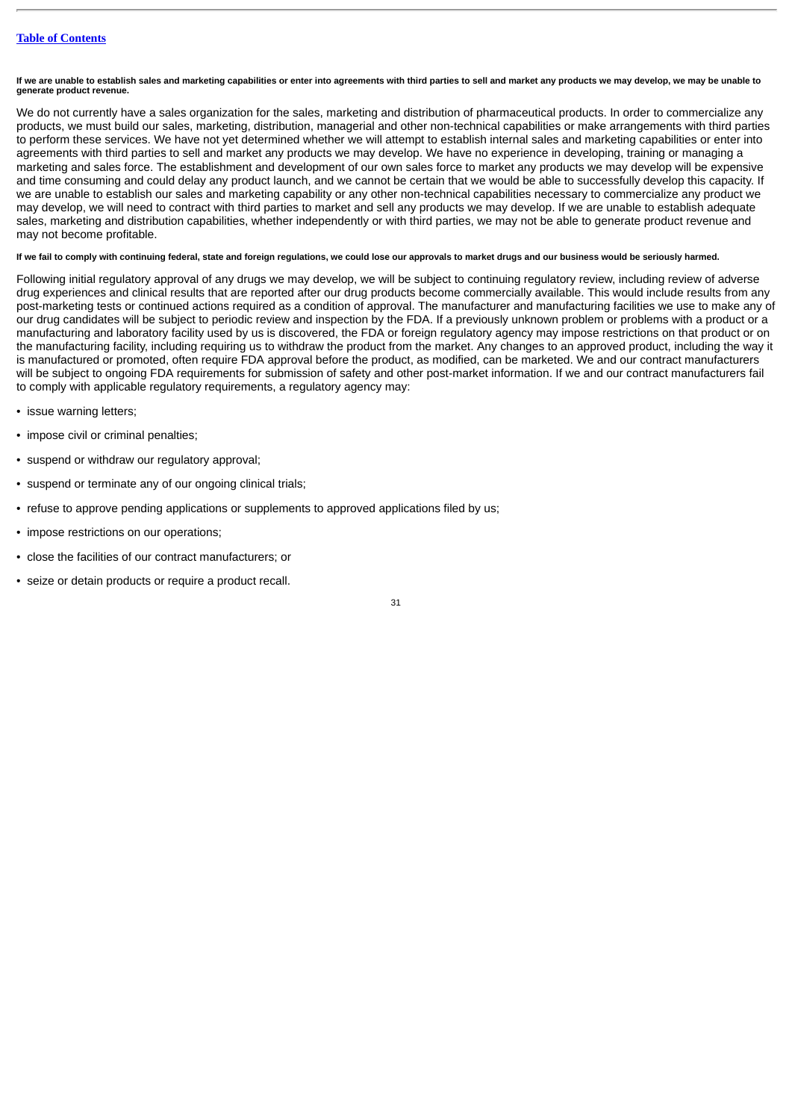**If we are unable to establish sales and marketing capabilities or enter into agreements with third parties to sell and market any products we may develop, we may be unable to generate product revenue.**

We do not currently have a sales organization for the sales, marketing and distribution of pharmaceutical products. In order to commercialize any products, we must build our sales, marketing, distribution, managerial and other non-technical capabilities or make arrangements with third parties to perform these services. We have not yet determined whether we will attempt to establish internal sales and marketing capabilities or enter into agreements with third parties to sell and market any products we may develop. We have no experience in developing, training or managing a marketing and sales force. The establishment and development of our own sales force to market any products we may develop will be expensive and time consuming and could delay any product launch, and we cannot be certain that we would be able to successfully develop this capacity. If we are unable to establish our sales and marketing capability or any other non-technical capabilities necessary to commercialize any product we may develop, we will need to contract with third parties to market and sell any products we may develop. If we are unable to establish adequate sales, marketing and distribution capabilities, whether independently or with third parties, we may not be able to generate product revenue and may not become profitable.

# **If we fail to comply with continuing federal, state and foreign regulations, we could lose our approvals to market drugs and our business would be seriously harmed.**

Following initial regulatory approval of any drugs we may develop, we will be subject to continuing regulatory review, including review of adverse drug experiences and clinical results that are reported after our drug products become commercially available. This would include results from any post-marketing tests or continued actions required as a condition of approval. The manufacturer and manufacturing facilities we use to make any of our drug candidates will be subject to periodic review and inspection by the FDA. If a previously unknown problem or problems with a product or a manufacturing and laboratory facility used by us is discovered, the FDA or foreign regulatory agency may impose restrictions on that product or on the manufacturing facility, including requiring us to withdraw the product from the market. Any changes to an approved product, including the way it is manufactured or promoted, often require FDA approval before the product, as modified, can be marketed. We and our contract manufacturers will be subject to ongoing FDA requirements for submission of safety and other post-market information. If we and our contract manufacturers fail to comply with applicable regulatory requirements, a regulatory agency may:

- issue warning letters;
- impose civil or criminal penalties;
- suspend or withdraw our regulatory approval;
- suspend or terminate any of our ongoing clinical trials;
- refuse to approve pending applications or supplements to approved applications filed by us;
- impose restrictions on our operations;
- close the facilities of our contract manufacturers; or
- seize or detain products or require a product recall.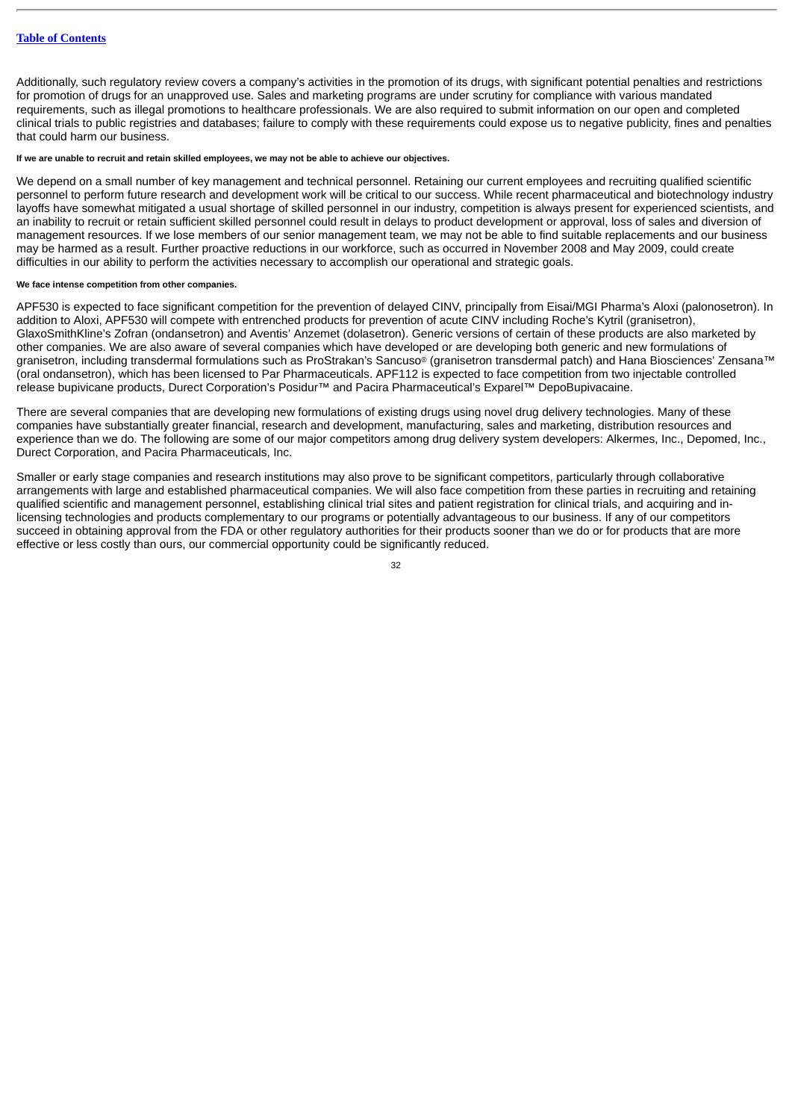Additionally, such regulatory review covers a company's activities in the promotion of its drugs, with significant potential penalties and restrictions for promotion of drugs for an unapproved use. Sales and marketing programs are under scrutiny for compliance with various mandated requirements, such as illegal promotions to healthcare professionals. We are also required to submit information on our open and completed clinical trials to public registries and databases; failure to comply with these requirements could expose us to negative publicity, fines and penalties that could harm our business.

### **If we are unable to recruit and retain skilled employees, we may not be able to achieve our objectives.**

We depend on a small number of key management and technical personnel. Retaining our current employees and recruiting qualified scientific personnel to perform future research and development work will be critical to our success. While recent pharmaceutical and biotechnology industry layoffs have somewhat mitigated a usual shortage of skilled personnel in our industry, competition is always present for experienced scientists, and an inability to recruit or retain sufficient skilled personnel could result in delays to product development or approval, loss of sales and diversion of management resources. If we lose members of our senior management team, we may not be able to find suitable replacements and our business may be harmed as a result. Further proactive reductions in our workforce, such as occurred in November 2008 and May 2009, could create difficulties in our ability to perform the activities necessary to accomplish our operational and strategic goals.

# **We face intense competition from other companies.**

APF530 is expected to face significant competition for the prevention of delayed CINV, principally from Eisai/MGI Pharma's Aloxi (palonosetron). In addition to Aloxi, APF530 will compete with entrenched products for prevention of acute CINV including Roche's Kytril (granisetron), GlaxoSmithKline's Zofran (ondansetron) and Aventis' Anzemet (dolasetron). Generic versions of certain of these products are also marketed by other companies. We are also aware of several companies which have developed or are developing both generic and new formulations of granisetron, including transdermal formulations such as ProStrakan's Sancuso® (granisetron transdermal patch) and Hana Biosciences' Zensana™ (oral ondansetron), which has been licensed to Par Pharmaceuticals. APF112 is expected to face competition from two injectable controlled release bupivicane products, Durect Corporation's Posidur™ and Pacira Pharmaceutical's Exparel™ DepoBupivacaine.

There are several companies that are developing new formulations of existing drugs using novel drug delivery technologies. Many of these companies have substantially greater financial, research and development, manufacturing, sales and marketing, distribution resources and experience than we do. The following are some of our major competitors among drug delivery system developers: Alkermes, Inc., Depomed, Inc., Durect Corporation, and Pacira Pharmaceuticals, Inc.

Smaller or early stage companies and research institutions may also prove to be significant competitors, particularly through collaborative arrangements with large and established pharmaceutical companies. We will also face competition from these parties in recruiting and retaining qualified scientific and management personnel, establishing clinical trial sites and patient registration for clinical trials, and acquiring and inlicensing technologies and products complementary to our programs or potentially advantageous to our business. If any of our competitors succeed in obtaining approval from the FDA or other regulatory authorities for their products sooner than we do or for products that are more effective or less costly than ours, our commercial opportunity could be significantly reduced.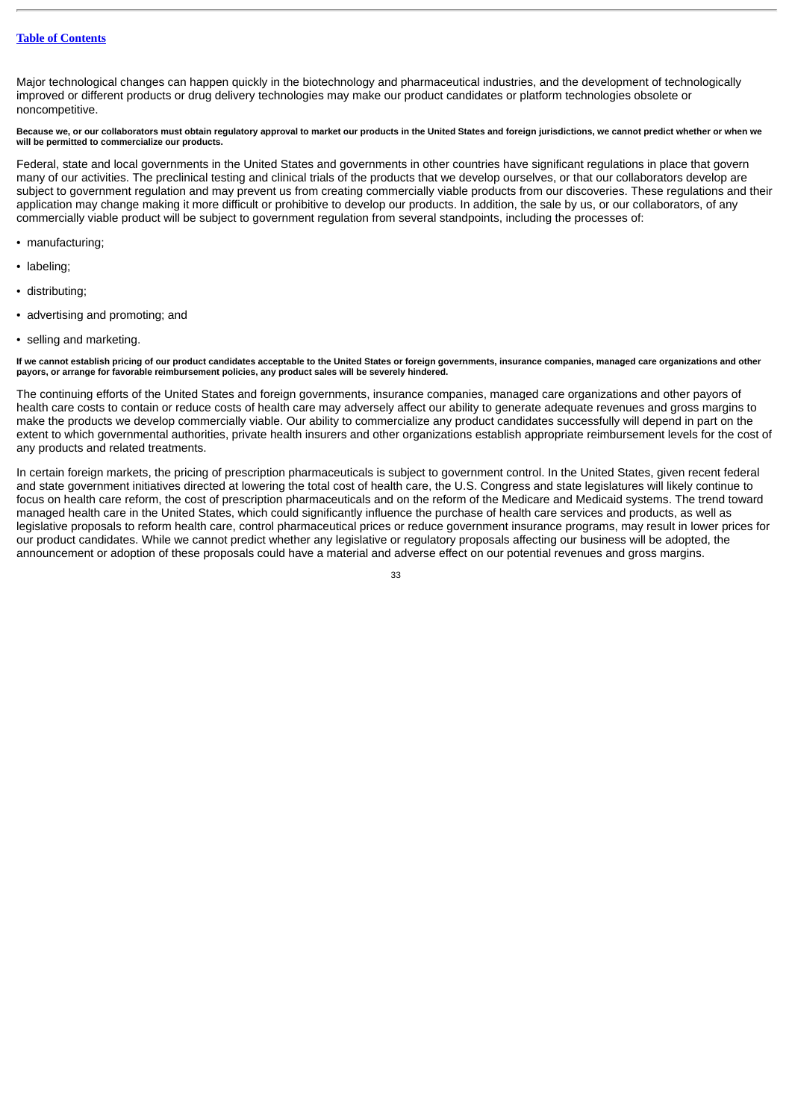Major technological changes can happen quickly in the biotechnology and pharmaceutical industries, and the development of technologically improved or different products or drug delivery technologies may make our product candidates or platform technologies obsolete or noncompetitive.

# **Because we, or our collaborators must obtain regulatory approval to market our products in the United States and foreign jurisdictions, we cannot predict whether or when we will be permitted to commercialize our products.**

Federal, state and local governments in the United States and governments in other countries have significant regulations in place that govern many of our activities. The preclinical testing and clinical trials of the products that we develop ourselves, or that our collaborators develop are subject to government regulation and may prevent us from creating commercially viable products from our discoveries. These regulations and their application may change making it more difficult or prohibitive to develop our products. In addition, the sale by us, or our collaborators, of any commercially viable product will be subject to government regulation from several standpoints, including the processes of:

- manufacturing;
- labeling;
- distributing;
- advertising and promoting; and
- selling and marketing.

**If we cannot establish pricing of our product candidates acceptable to the United States or foreign governments, insurance companies, managed care organizations and other payors, or arrange for favorable reimbursement policies, any product sales will be severely hindered.**

The continuing efforts of the United States and foreign governments, insurance companies, managed care organizations and other payors of health care costs to contain or reduce costs of health care may adversely affect our ability to generate adequate revenues and gross margins to make the products we develop commercially viable. Our ability to commercialize any product candidates successfully will depend in part on the extent to which governmental authorities, private health insurers and other organizations establish appropriate reimbursement levels for the cost of any products and related treatments.

In certain foreign markets, the pricing of prescription pharmaceuticals is subject to government control. In the United States, given recent federal and state government initiatives directed at lowering the total cost of health care, the U.S. Congress and state legislatures will likely continue to focus on health care reform, the cost of prescription pharmaceuticals and on the reform of the Medicare and Medicaid systems. The trend toward managed health care in the United States, which could significantly influence the purchase of health care services and products, as well as legislative proposals to reform health care, control pharmaceutical prices or reduce government insurance programs, may result in lower prices for our product candidates. While we cannot predict whether any legislative or regulatory proposals affecting our business will be adopted, the announcement or adoption of these proposals could have a material and adverse effect on our potential revenues and gross margins.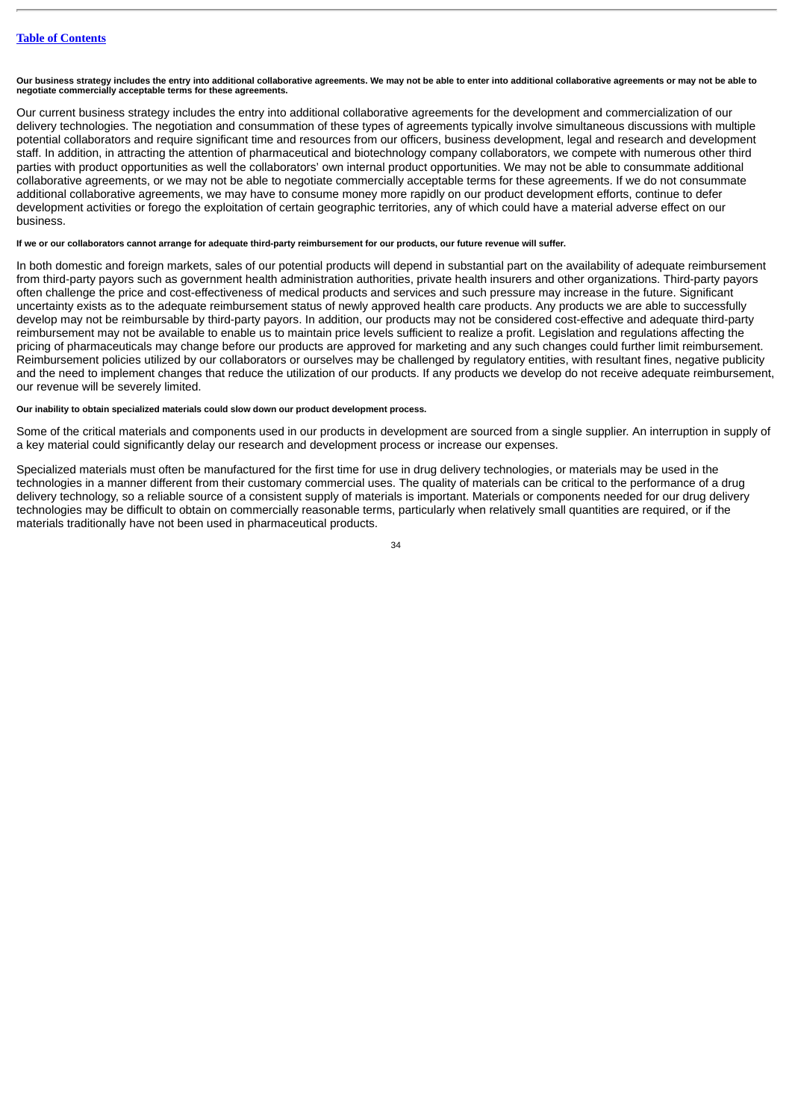**Our business strategy includes the entry into additional collaborative agreements. We may not be able to enter into additional collaborative agreements or may not be able to negotiate commercially acceptable terms for these agreements.**

Our current business strategy includes the entry into additional collaborative agreements for the development and commercialization of our delivery technologies. The negotiation and consummation of these types of agreements typically involve simultaneous discussions with multiple potential collaborators and require significant time and resources from our officers, business development, legal and research and development staff. In addition, in attracting the attention of pharmaceutical and biotechnology company collaborators, we compete with numerous other third parties with product opportunities as well the collaborators' own internal product opportunities. We may not be able to consummate additional collaborative agreements, or we may not be able to negotiate commercially acceptable terms for these agreements. If we do not consummate additional collaborative agreements, we may have to consume money more rapidly on our product development efforts, continue to defer development activities or forego the exploitation of certain geographic territories, any of which could have a material adverse effect on our business.

# **If we or our collaborators cannot arrange for adequate third-party reimbursement for our products, our future revenue will suffer.**

In both domestic and foreign markets, sales of our potential products will depend in substantial part on the availability of adequate reimbursement from third-party payors such as government health administration authorities, private health insurers and other organizations. Third-party payors often challenge the price and cost-effectiveness of medical products and services and such pressure may increase in the future. Significant uncertainty exists as to the adequate reimbursement status of newly approved health care products. Any products we are able to successfully develop may not be reimbursable by third-party payors. In addition, our products may not be considered cost-effective and adequate third-party reimbursement may not be available to enable us to maintain price levels sufficient to realize a profit. Legislation and regulations affecting the pricing of pharmaceuticals may change before our products are approved for marketing and any such changes could further limit reimbursement. Reimbursement policies utilized by our collaborators or ourselves may be challenged by regulatory entities, with resultant fines, negative publicity and the need to implement changes that reduce the utilization of our products. If any products we develop do not receive adequate reimbursement, our revenue will be severely limited.

# **Our inability to obtain specialized materials could slow down our product development process.**

Some of the critical materials and components used in our products in development are sourced from a single supplier. An interruption in supply of a key material could significantly delay our research and development process or increase our expenses.

Specialized materials must often be manufactured for the first time for use in drug delivery technologies, or materials may be used in the technologies in a manner different from their customary commercial uses. The quality of materials can be critical to the performance of a drug delivery technology, so a reliable source of a consistent supply of materials is important. Materials or components needed for our drug delivery technologies may be difficult to obtain on commercially reasonable terms, particularly when relatively small quantities are required, or if the materials traditionally have not been used in pharmaceutical products.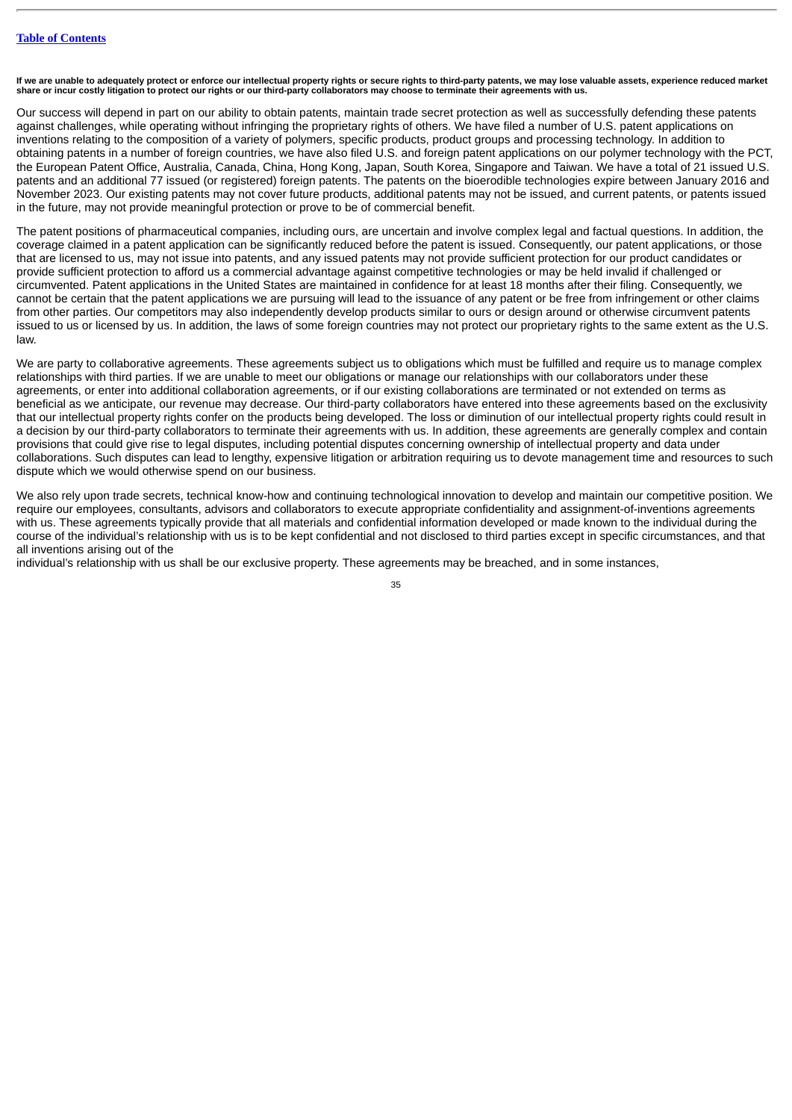If we are unable to adequately protect or enforce our intellectual property rights or secure rights to third-party patents, we may lose valuable assets, experience reduced market<br>share or incur costly litigation to protect

Our success will depend in part on our ability to obtain patents, maintain trade secret protection as well as successfully defending these patents against challenges, while operating without infringing the proprietary rights of others. We have filed a number of U.S. patent applications on inventions relating to the composition of a variety of polymers, specific products, product groups and processing technology. In addition to obtaining patents in a number of foreign countries, we have also filed U.S. and foreign patent applications on our polymer technology with the PCT, the European Patent Office, Australia, Canada, China, Hong Kong, Japan, South Korea, Singapore and Taiwan. We have a total of 21 issued U.S. patents and an additional 77 issued (or registered) foreign patents. The patents on the bioerodible technologies expire between January 2016 and November 2023. Our existing patents may not cover future products, additional patents may not be issued, and current patents, or patents issued in the future, may not provide meaningful protection or prove to be of commercial benefit.

The patent positions of pharmaceutical companies, including ours, are uncertain and involve complex legal and factual questions. In addition, the coverage claimed in a patent application can be significantly reduced before the patent is issued. Consequently, our patent applications, or those that are licensed to us, may not issue into patents, and any issued patents may not provide sufficient protection for our product candidates or provide sufficient protection to afford us a commercial advantage against competitive technologies or may be held invalid if challenged or circumvented. Patent applications in the United States are maintained in confidence for at least 18 months after their filing. Consequently, we cannot be certain that the patent applications we are pursuing will lead to the issuance of any patent or be free from infringement or other claims from other parties. Our competitors may also independently develop products similar to ours or design around or otherwise circumvent patents issued to us or licensed by us. In addition, the laws of some foreign countries may not protect our proprietary rights to the same extent as the U.S. law.

We are party to collaborative agreements. These agreements subject us to obligations which must be fulfilled and require us to manage complex relationships with third parties. If we are unable to meet our obligations or manage our relationships with our collaborators under these agreements, or enter into additional collaboration agreements, or if our existing collaborations are terminated or not extended on terms as beneficial as we anticipate, our revenue may decrease. Our third-party collaborators have entered into these agreements based on the exclusivity that our intellectual property rights confer on the products being developed. The loss or diminution of our intellectual property rights could result in a decision by our third-party collaborators to terminate their agreements with us. In addition, these agreements are generally complex and contain provisions that could give rise to legal disputes, including potential disputes concerning ownership of intellectual property and data under collaborations. Such disputes can lead to lengthy, expensive litigation or arbitration requiring us to devote management time and resources to such dispute which we would otherwise spend on our business.

We also rely upon trade secrets, technical know-how and continuing technological innovation to develop and maintain our competitive position. We require our employees, consultants, advisors and collaborators to execute appropriate confidentiality and assignment-of-inventions agreements with us. These agreements typically provide that all materials and confidential information developed or made known to the individual during the course of the individual's relationship with us is to be kept confidential and not disclosed to third parties except in specific circumstances, and that all inventions arising out of the

individual's relationship with us shall be our exclusive property. These agreements may be breached, and in some instances,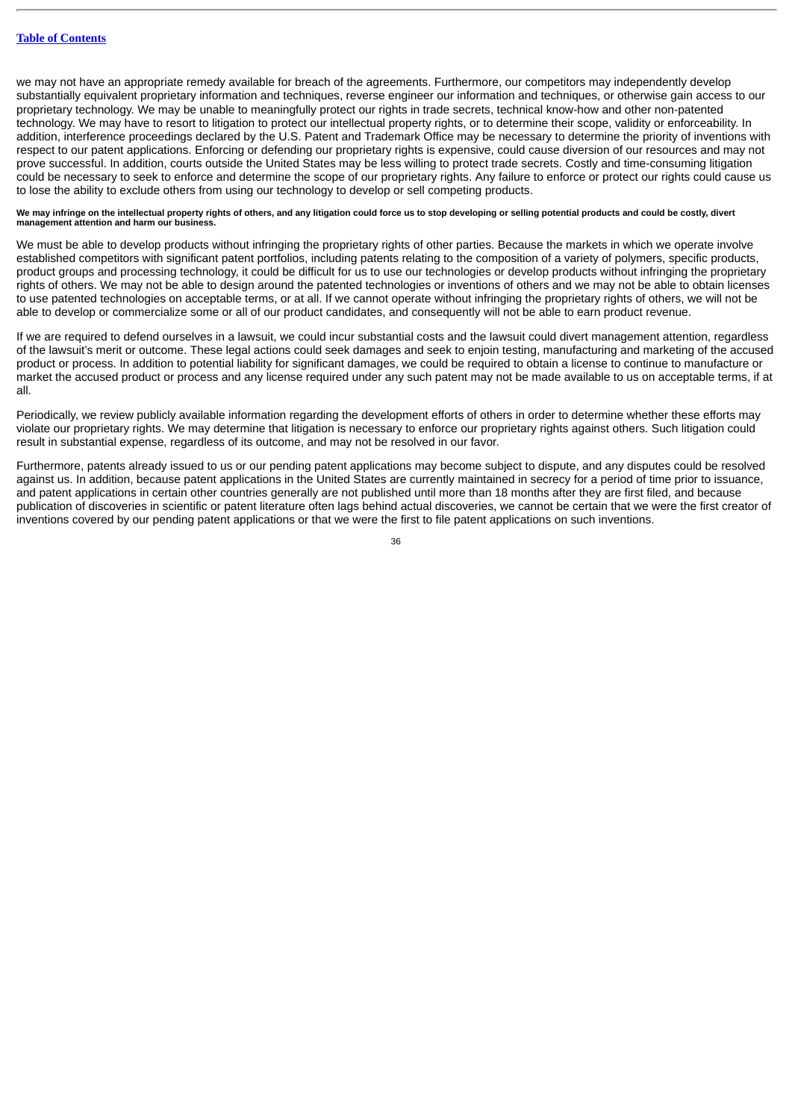we may not have an appropriate remedy available for breach of the agreements. Furthermore, our competitors may independently develop substantially equivalent proprietary information and techniques, reverse engineer our information and techniques, or otherwise gain access to our proprietary technology. We may be unable to meaningfully protect our rights in trade secrets, technical know-how and other non-patented technology. We may have to resort to litigation to protect our intellectual property rights, or to determine their scope, validity or enforceability. In addition, interference proceedings declared by the U.S. Patent and Trademark Office may be necessary to determine the priority of inventions with respect to our patent applications. Enforcing or defending our proprietary rights is expensive, could cause diversion of our resources and may not prove successful. In addition, courts outside the United States may be less willing to protect trade secrets. Costly and time-consuming litigation could be necessary to seek to enforce and determine the scope of our proprietary rights. Any failure to enforce or protect our rights could cause us to lose the ability to exclude others from using our technology to develop or sell competing products.

#### We may infringe on the intellectual property rights of others, and any litigation could force us to stop developing or selling potential products and could be costly, divert **management attention and harm our business.**

We must be able to develop products without infringing the proprietary rights of other parties. Because the markets in which we operate involve established competitors with significant patent portfolios, including patents relating to the composition of a variety of polymers, specific products, product groups and processing technology, it could be difficult for us to use our technologies or develop products without infringing the proprietary rights of others. We may not be able to design around the patented technologies or inventions of others and we may not be able to obtain licenses to use patented technologies on acceptable terms, or at all. If we cannot operate without infringing the proprietary rights of others, we will not be able to develop or commercialize some or all of our product candidates, and consequently will not be able to earn product revenue.

If we are required to defend ourselves in a lawsuit, we could incur substantial costs and the lawsuit could divert management attention, regardless of the lawsuit's merit or outcome. These legal actions could seek damages and seek to enjoin testing, manufacturing and marketing of the accused product or process. In addition to potential liability for significant damages, we could be required to obtain a license to continue to manufacture or market the accused product or process and any license required under any such patent may not be made available to us on acceptable terms, if at all.

Periodically, we review publicly available information regarding the development efforts of others in order to determine whether these efforts may violate our proprietary rights. We may determine that litigation is necessary to enforce our proprietary rights against others. Such litigation could result in substantial expense, regardless of its outcome, and may not be resolved in our favor.

Furthermore, patents already issued to us or our pending patent applications may become subject to dispute, and any disputes could be resolved against us. In addition, because patent applications in the United States are currently maintained in secrecy for a period of time prior to issuance, and patent applications in certain other countries generally are not published until more than 18 months after they are first filed, and because publication of discoveries in scientific or patent literature often lags behind actual discoveries, we cannot be certain that we were the first creator of inventions covered by our pending patent applications or that we were the first to file patent applications on such inventions.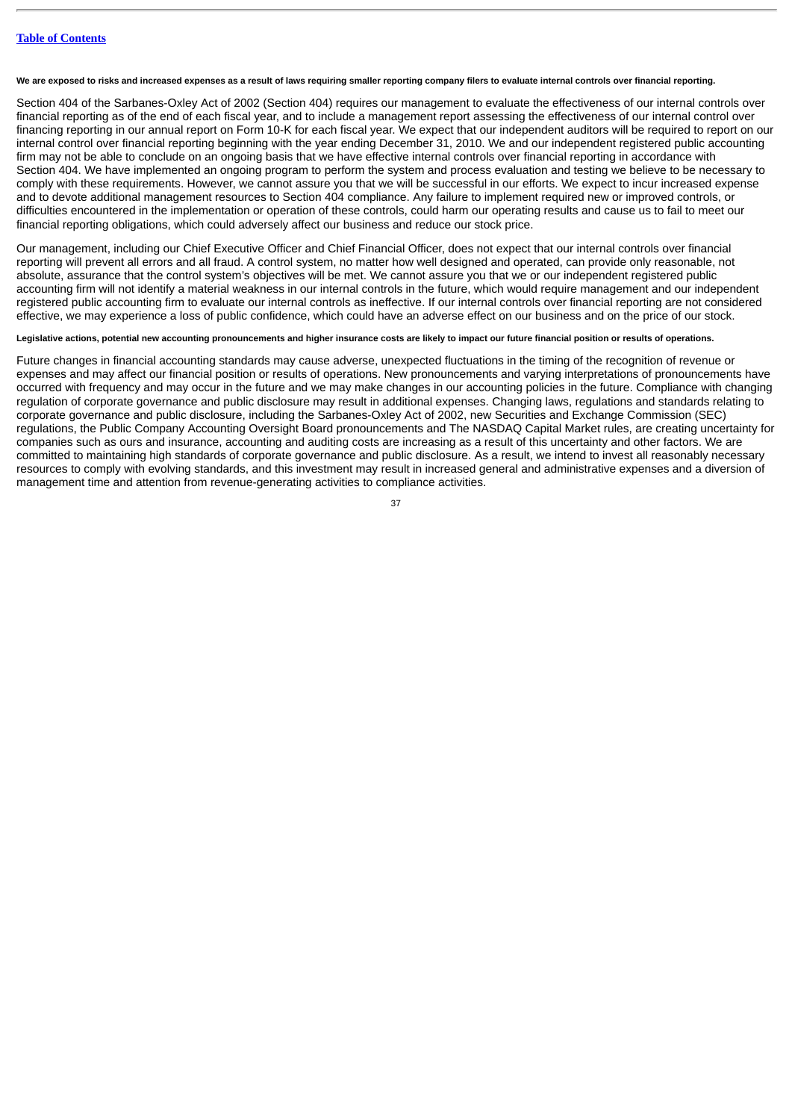**We are exposed to risks and increased expenses as a result of laws requiring smaller reporting company filers to evaluate internal controls over financial reporting.**

Section 404 of the Sarbanes-Oxley Act of 2002 (Section 404) requires our management to evaluate the effectiveness of our internal controls over financial reporting as of the end of each fiscal year, and to include a management report assessing the effectiveness of our internal control over financing reporting in our annual report on Form 10-K for each fiscal year. We expect that our independent auditors will be required to report on our internal control over financial reporting beginning with the year ending December 31, 2010. We and our independent registered public accounting firm may not be able to conclude on an ongoing basis that we have effective internal controls over financial reporting in accordance with Section 404. We have implemented an ongoing program to perform the system and process evaluation and testing we believe to be necessary to comply with these requirements. However, we cannot assure you that we will be successful in our efforts. We expect to incur increased expense and to devote additional management resources to Section 404 compliance. Any failure to implement required new or improved controls, or difficulties encountered in the implementation or operation of these controls, could harm our operating results and cause us to fail to meet our financial reporting obligations, which could adversely affect our business and reduce our stock price.

Our management, including our Chief Executive Officer and Chief Financial Officer, does not expect that our internal controls over financial reporting will prevent all errors and all fraud. A control system, no matter how well designed and operated, can provide only reasonable, not absolute, assurance that the control system's objectives will be met. We cannot assure you that we or our independent registered public accounting firm will not identify a material weakness in our internal controls in the future, which would require management and our independent registered public accounting firm to evaluate our internal controls as ineffective. If our internal controls over financial reporting are not considered effective, we may experience a loss of public confidence, which could have an adverse effect on our business and on the price of our stock.

#### **Legislative actions, potential new accounting pronouncements and higher insurance costs are likely to impact our future financial position or results of operations.**

Future changes in financial accounting standards may cause adverse, unexpected fluctuations in the timing of the recognition of revenue or expenses and may affect our financial position or results of operations. New pronouncements and varying interpretations of pronouncements have occurred with frequency and may occur in the future and we may make changes in our accounting policies in the future. Compliance with changing regulation of corporate governance and public disclosure may result in additional expenses. Changing laws, regulations and standards relating to corporate governance and public disclosure, including the Sarbanes-Oxley Act of 2002, new Securities and Exchange Commission (SEC) regulations, the Public Company Accounting Oversight Board pronouncements and The NASDAQ Capital Market rules, are creating uncertainty for companies such as ours and insurance, accounting and auditing costs are increasing as a result of this uncertainty and other factors. We are committed to maintaining high standards of corporate governance and public disclosure. As a result, we intend to invest all reasonably necessary resources to comply with evolving standards, and this investment may result in increased general and administrative expenses and a diversion of management time and attention from revenue-generating activities to compliance activities.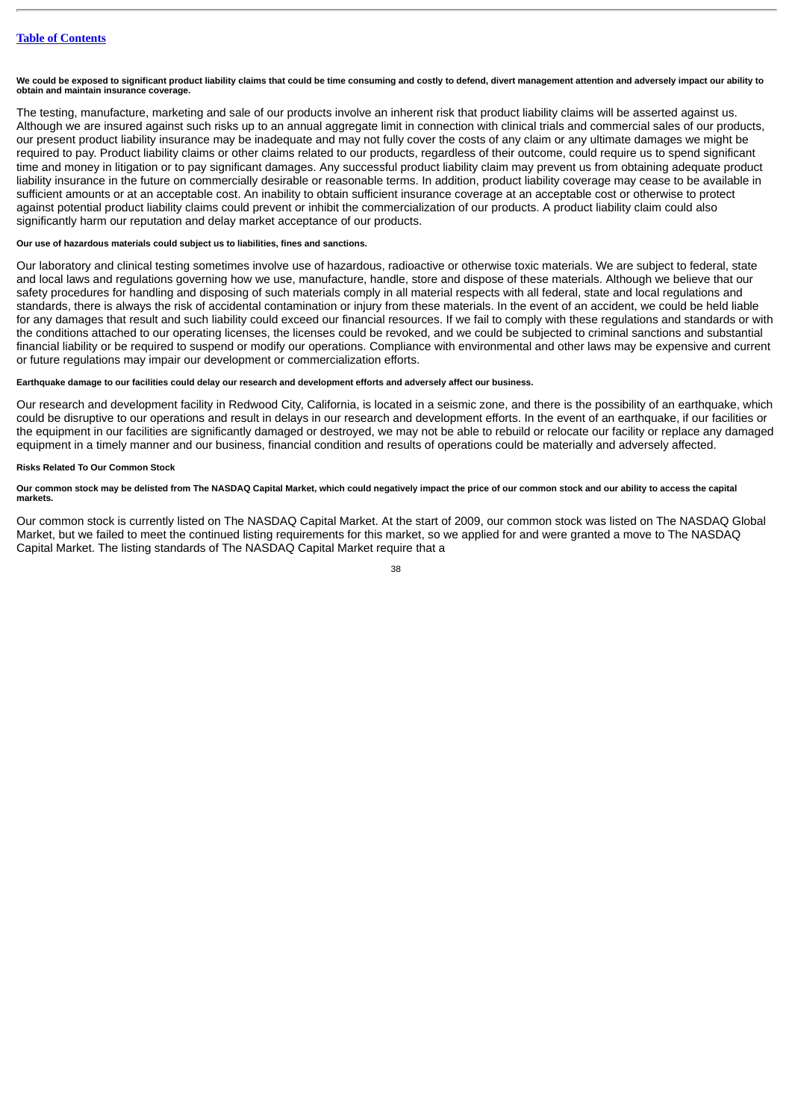**We could be exposed to significant product liability claims that could be time consuming and costly to defend, divert management attention and adversely impact our ability to obtain and maintain insurance coverage.**

The testing, manufacture, marketing and sale of our products involve an inherent risk that product liability claims will be asserted against us. Although we are insured against such risks up to an annual aggregate limit in connection with clinical trials and commercial sales of our products, our present product liability insurance may be inadequate and may not fully cover the costs of any claim or any ultimate damages we might be required to pay. Product liability claims or other claims related to our products, regardless of their outcome, could require us to spend significant time and money in litigation or to pay significant damages. Any successful product liability claim may prevent us from obtaining adequate product liability insurance in the future on commercially desirable or reasonable terms. In addition, product liability coverage may cease to be available in sufficient amounts or at an acceptable cost. An inability to obtain sufficient insurance coverage at an acceptable cost or otherwise to protect against potential product liability claims could prevent or inhibit the commercialization of our products. A product liability claim could also significantly harm our reputation and delay market acceptance of our products.

# **Our use of hazardous materials could subject us to liabilities, fines and sanctions.**

Our laboratory and clinical testing sometimes involve use of hazardous, radioactive or otherwise toxic materials. We are subject to federal, state and local laws and regulations governing how we use, manufacture, handle, store and dispose of these materials. Although we believe that our safety procedures for handling and disposing of such materials comply in all material respects with all federal, state and local regulations and standards, there is always the risk of accidental contamination or injury from these materials. In the event of an accident, we could be held liable for any damages that result and such liability could exceed our financial resources. If we fail to comply with these regulations and standards or with the conditions attached to our operating licenses, the licenses could be revoked, and we could be subjected to criminal sanctions and substantial financial liability or be required to suspend or modify our operations. Compliance with environmental and other laws may be expensive and current or future regulations may impair our development or commercialization efforts.

# **Earthquake damage to our facilities could delay our research and development efforts and adversely affect our business.**

Our research and development facility in Redwood City, California, is located in a seismic zone, and there is the possibility of an earthquake, which could be disruptive to our operations and result in delays in our research and development efforts. In the event of an earthquake, if our facilities or the equipment in our facilities are significantly damaged or destroyed, we may not be able to rebuild or relocate our facility or replace any damaged equipment in a timely manner and our business, financial condition and results of operations could be materially and adversely affected.

# **Risks Related To Our Common Stock**

# **Our common stock may be delisted from The NASDAQ Capital Market, which could negatively impact the price of our common stock and our ability to access the capital markets.**

Our common stock is currently listed on The NASDAQ Capital Market. At the start of 2009, our common stock was listed on The NASDAQ Global Market, but we failed to meet the continued listing requirements for this market, so we applied for and were granted a move to The NASDAQ Capital Market. The listing standards of The NASDAQ Capital Market require that a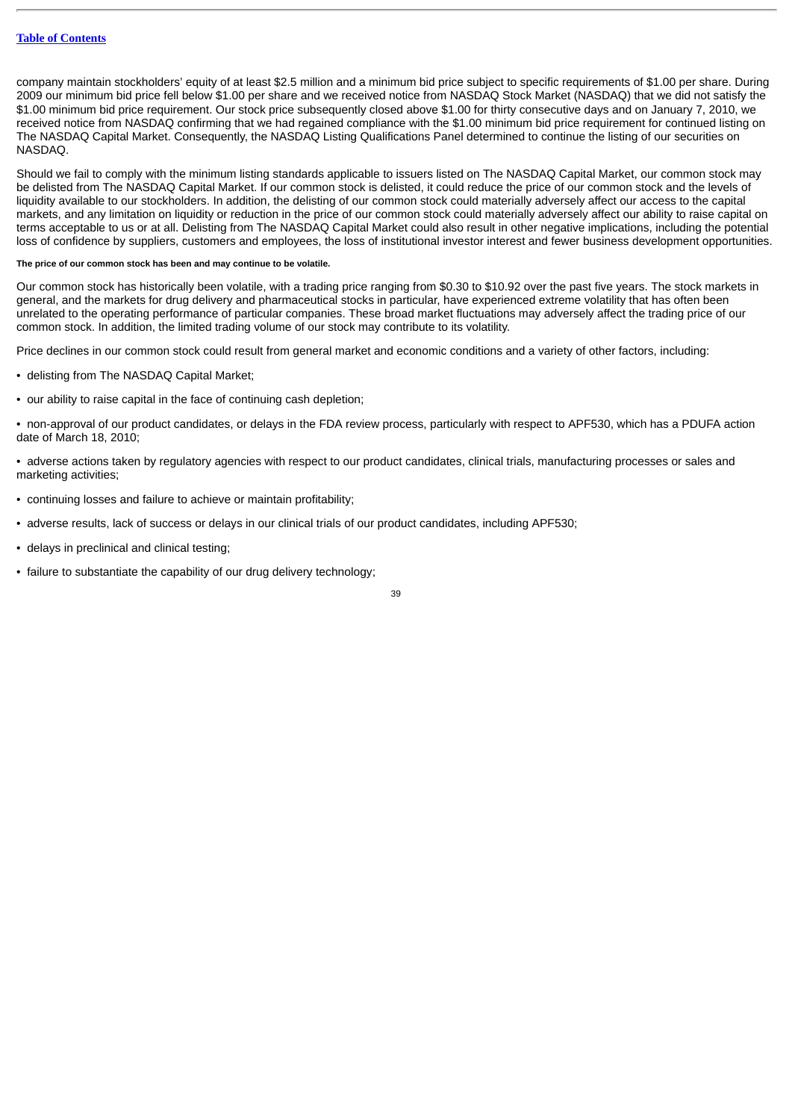company maintain stockholders' equity of at least \$2.5 million and a minimum bid price subject to specific requirements of \$1.00 per share. During 2009 our minimum bid price fell below \$1.00 per share and we received notice from NASDAQ Stock Market (NASDAQ) that we did not satisfy the \$1.00 minimum bid price requirement. Our stock price subsequently closed above \$1.00 for thirty consecutive days and on January 7, 2010, we received notice from NASDAQ confirming that we had regained compliance with the \$1.00 minimum bid price requirement for continued listing on The NASDAQ Capital Market. Consequently, the NASDAQ Listing Qualifications Panel determined to continue the listing of our securities on NASDAQ.

Should we fail to comply with the minimum listing standards applicable to issuers listed on The NASDAQ Capital Market, our common stock may be delisted from The NASDAQ Capital Market. If our common stock is delisted, it could reduce the price of our common stock and the levels of liquidity available to our stockholders. In addition, the delisting of our common stock could materially adversely affect our access to the capital markets, and any limitation on liquidity or reduction in the price of our common stock could materially adversely affect our ability to raise capital on terms acceptable to us or at all. Delisting from The NASDAQ Capital Market could also result in other negative implications, including the potential loss of confidence by suppliers, customers and employees, the loss of institutional investor interest and fewer business development opportunities.

#### **The price of our common stock has been and may continue to be volatile.**

Our common stock has historically been volatile, with a trading price ranging from \$0.30 to \$10.92 over the past five years. The stock markets in general, and the markets for drug delivery and pharmaceutical stocks in particular, have experienced extreme volatility that has often been unrelated to the operating performance of particular companies. These broad market fluctuations may adversely affect the trading price of our common stock. In addition, the limited trading volume of our stock may contribute to its volatility.

Price declines in our common stock could result from general market and economic conditions and a variety of other factors, including:

- delisting from The NASDAQ Capital Market;
- our ability to raise capital in the face of continuing cash depletion;

• non-approval of our product candidates, or delays in the FDA review process, particularly with respect to APF530, which has a PDUFA action date of March 18, 2010;

• adverse actions taken by regulatory agencies with respect to our product candidates, clinical trials, manufacturing processes or sales and marketing activities;

- continuing losses and failure to achieve or maintain profitability;
- adverse results, lack of success or delays in our clinical trials of our product candidates, including APF530;
- delays in preclinical and clinical testing;
- failure to substantiate the capability of our drug delivery technology;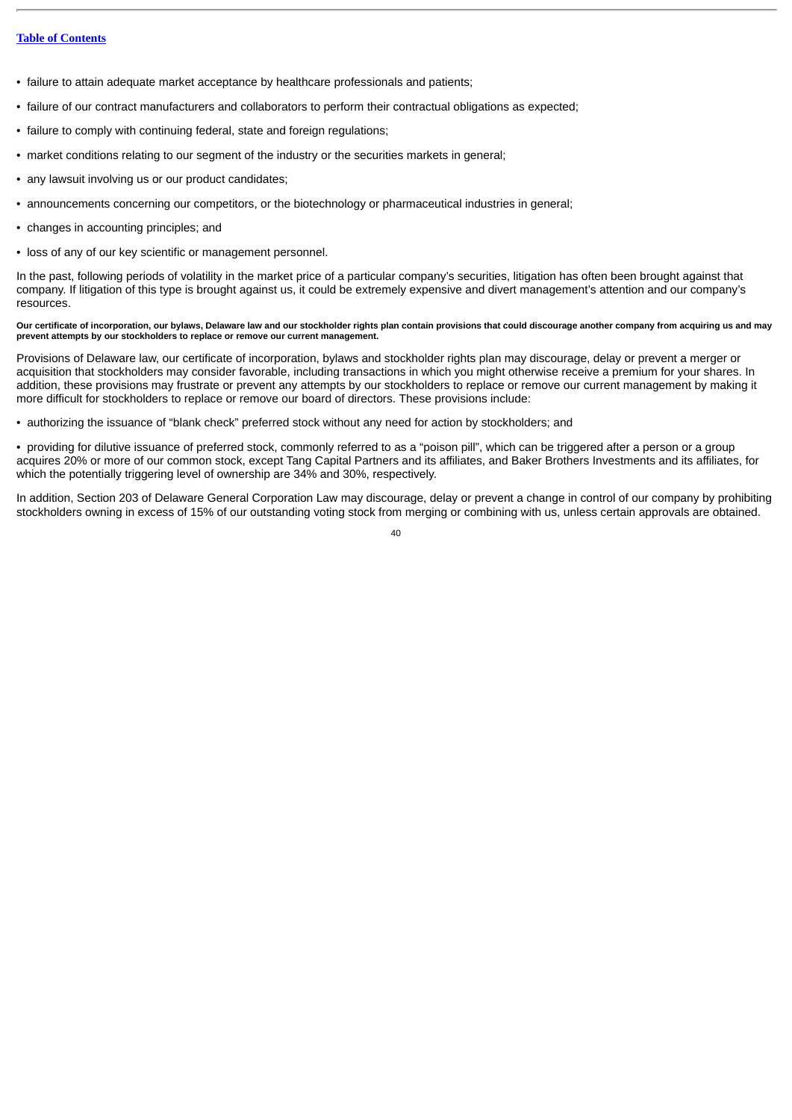- failure to attain adequate market acceptance by healthcare professionals and patients;
- failure of our contract manufacturers and collaborators to perform their contractual obligations as expected;
- failure to comply with continuing federal, state and foreign regulations:
- market conditions relating to our segment of the industry or the securities markets in general;
- any lawsuit involving us or our product candidates;
- announcements concerning our competitors, or the biotechnology or pharmaceutical industries in general;
- changes in accounting principles; and
- loss of any of our key scientific or management personnel.

In the past, following periods of volatility in the market price of a particular company's securities, litigation has often been brought against that company. If litigation of this type is brought against us, it could be extremely expensive and divert management's attention and our company's resources.

# **Our certificate of incorporation, our bylaws, Delaware law and our stockholder rights plan contain provisions that could discourage another company from acquiring us and may prevent attempts by our stockholders to replace or remove our current management.**

Provisions of Delaware law, our certificate of incorporation, bylaws and stockholder rights plan may discourage, delay or prevent a merger or acquisition that stockholders may consider favorable, including transactions in which you might otherwise receive a premium for your shares. In addition, these provisions may frustrate or prevent any attempts by our stockholders to replace or remove our current management by making it more difficult for stockholders to replace or remove our board of directors. These provisions include:

• authorizing the issuance of "blank check" preferred stock without any need for action by stockholders; and

• providing for dilutive issuance of preferred stock, commonly referred to as a "poison pill", which can be triggered after a person or a group acquires 20% or more of our common stock, except Tang Capital Partners and its affiliates, and Baker Brothers Investments and its affiliates, for which the potentially triggering level of ownership are 34% and 30%, respectively.

In addition, Section 203 of Delaware General Corporation Law may discourage, delay or prevent a change in control of our company by prohibiting stockholders owning in excess of 15% of our outstanding voting stock from merging or combining with us, unless certain approvals are obtained.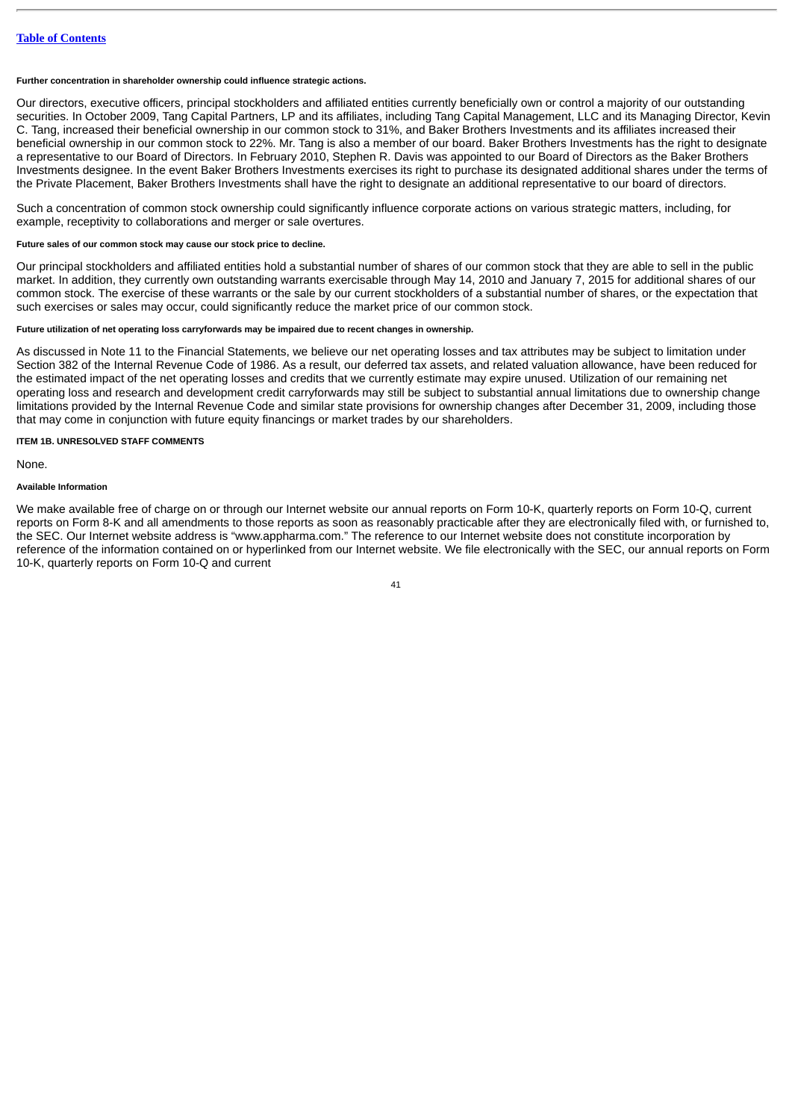#### **Further concentration in shareholder ownership could influence strategic actions.**

Our directors, executive officers, principal stockholders and affiliated entities currently beneficially own or control a majority of our outstanding securities. In October 2009, Tang Capital Partners, LP and its affiliates, including Tang Capital Management, LLC and its Managing Director, Kevin C. Tang, increased their beneficial ownership in our common stock to 31%, and Baker Brothers Investments and its affiliates increased their beneficial ownership in our common stock to 22%. Mr. Tang is also a member of our board. Baker Brothers Investments has the right to designate a representative to our Board of Directors. In February 2010, Stephen R. Davis was appointed to our Board of Directors as the Baker Brothers Investments designee. In the event Baker Brothers Investments exercises its right to purchase its designated additional shares under the terms of the Private Placement, Baker Brothers Investments shall have the right to designate an additional representative to our board of directors.

Such a concentration of common stock ownership could significantly influence corporate actions on various strategic matters, including, for example, receptivity to collaborations and merger or sale overtures.

# **Future sales of our common stock may cause our stock price to decline.**

Our principal stockholders and affiliated entities hold a substantial number of shares of our common stock that they are able to sell in the public market. In addition, they currently own outstanding warrants exercisable through May 14, 2010 and January 7, 2015 for additional shares of our common stock. The exercise of these warrants or the sale by our current stockholders of a substantial number of shares, or the expectation that such exercises or sales may occur, could significantly reduce the market price of our common stock.

# **Future utilization of net operating loss carryforwards may be impaired due to recent changes in ownership.**

As discussed in Note 11 to the Financial Statements, we believe our net operating losses and tax attributes may be subject to limitation under Section 382 of the Internal Revenue Code of 1986. As a result, our deferred tax assets, and related valuation allowance, have been reduced for the estimated impact of the net operating losses and credits that we currently estimate may expire unused. Utilization of our remaining net operating loss and research and development credit carryforwards may still be subject to substantial annual limitations due to ownership change limitations provided by the Internal Revenue Code and similar state provisions for ownership changes after December 31, 2009, including those that may come in conjunction with future equity financings or market trades by our shareholders.

#### **ITEM 1B. UNRESOLVED STAFF COMMENTS**

None.

# **Available Information**

We make available free of charge on or through our Internet website our annual reports on Form 10-K, quarterly reports on Form 10-Q, current reports on Form 8-K and all amendments to those reports as soon as reasonably practicable after they are electronically filed with, or furnished to, the SEC. Our Internet website address is "www.appharma.com." The reference to our Internet website does not constitute incorporation by reference of the information contained on or hyperlinked from our Internet website. We file electronically with the SEC, our annual reports on Form 10-K, quarterly reports on Form 10-Q and current

 $\overline{11}$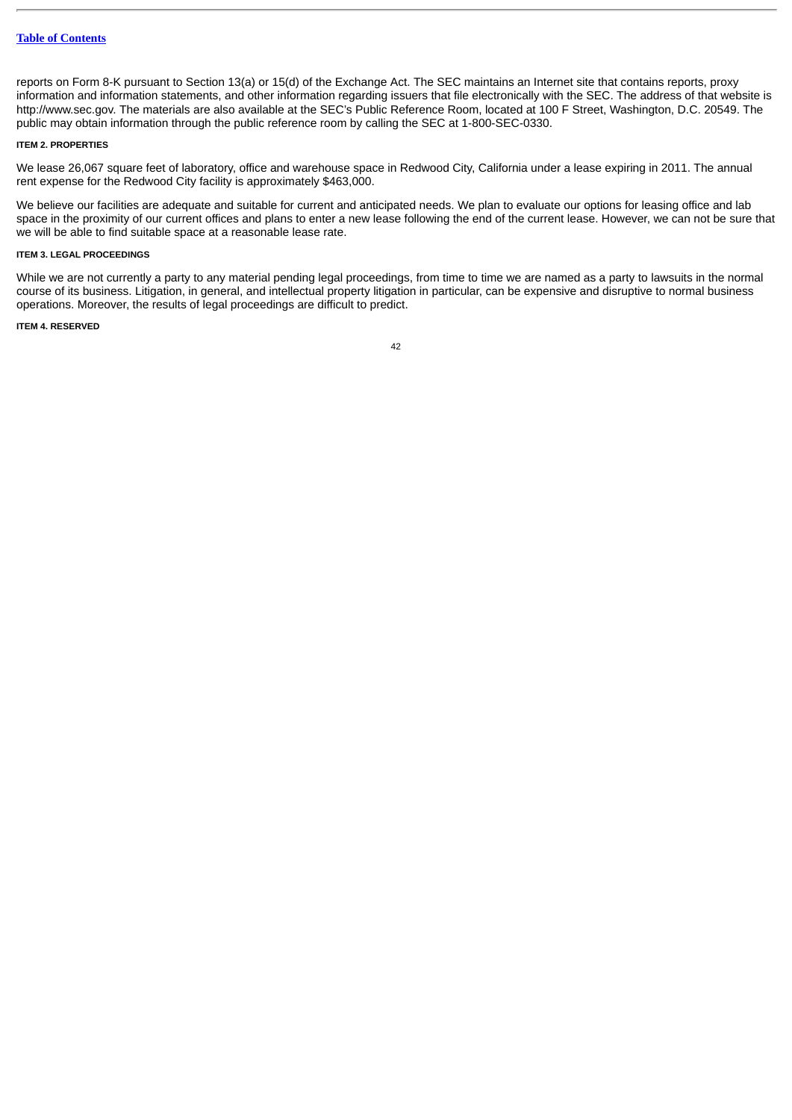reports on Form 8-K pursuant to Section 13(a) or 15(d) of the Exchange Act. The SEC maintains an Internet site that contains reports, proxy information and information statements, and other information regarding issuers that file electronically with the SEC. The address of that website is http://www.sec.gov. The materials are also available at the SEC's Public Reference Room, located at 100 F Street, Washington, D.C. 20549. The public may obtain information through the public reference room by calling the SEC at 1-800-SEC-0330.

#### **ITEM 2. PROPERTIES**

We lease 26,067 square feet of laboratory, office and warehouse space in Redwood City, California under a lease expiring in 2011. The annual rent expense for the Redwood City facility is approximately \$463,000.

We believe our facilities are adequate and suitable for current and anticipated needs. We plan to evaluate our options for leasing office and lab space in the proximity of our current offices and plans to enter a new lease following the end of the current lease. However, we can not be sure that we will be able to find suitable space at a reasonable lease rate.

# **ITEM 3. LEGAL PROCEEDINGS**

While we are not currently a party to any material pending legal proceedings, from time to time we are named as a party to lawsuits in the normal course of its business. Litigation, in general, and intellectual property litigation in particular, can be expensive and disruptive to normal business operations. Moreover, the results of legal proceedings are difficult to predict.

# **ITEM 4. RESERVED**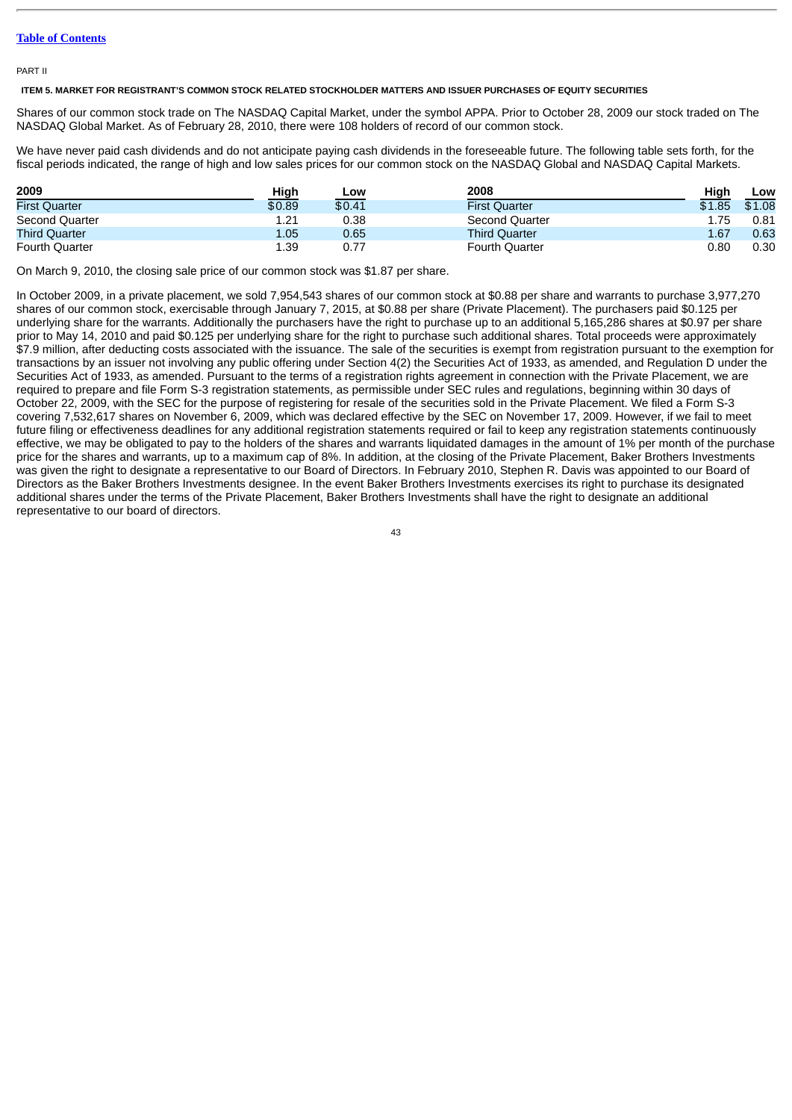PART II

**ITEM 5. MARKET FOR REGISTRANT'S COMMON STOCK RELATED STOCKHOLDER MATTERS AND ISSUER PURCHASES OF EQUITY SECURITIES**

Shares of our common stock trade on The NASDAQ Capital Market, under the symbol APPA. Prior to October 28, 2009 our stock traded on The NASDAQ Global Market. As of February 28, 2010, there were 108 holders of record of our common stock.

We have never paid cash dividends and do not anticipate paying cash dividends in the foreseeable future. The following table sets forth, for the fiscal periods indicated, the range of high and low sales prices for our common stock on the NASDAQ Global and NASDAQ Capital Markets.

| 2009                  | High   | Low    | 2008                  | High   | Low    |
|-----------------------|--------|--------|-----------------------|--------|--------|
| <b>First Ouarter</b>  | \$0.89 | \$0.41 | <b>First Ouarter</b>  | \$1.85 | \$1.08 |
| Second Quarter        | 1.21   | 0.38   | Second Quarter        | 1.75   | 0.81   |
| <b>Third Quarter</b>  | 1.05   | 0.65   | <b>Third Quarter</b>  | 1.67   | 0.63   |
| <b>Fourth Quarter</b> | 1.39   |        | <b>Fourth Quarter</b> | 0.80   | 0.30   |

On March 9, 2010, the closing sale price of our common stock was \$1.87 per share.

In October 2009, in a private placement, we sold 7,954,543 shares of our common stock at \$0.88 per share and warrants to purchase 3,977,270 shares of our common stock, exercisable through January 7, 2015, at \$0.88 per share (Private Placement). The purchasers paid \$0.125 per underlying share for the warrants. Additionally the purchasers have the right to purchase up to an additional 5,165,286 shares at \$0.97 per share prior to May 14, 2010 and paid \$0.125 per underlying share for the right to purchase such additional shares. Total proceeds were approximately \$7.9 million, after deducting costs associated with the issuance. The sale of the securities is exempt from registration pursuant to the exemption for transactions by an issuer not involving any public offering under Section 4(2) the Securities Act of 1933, as amended, and Regulation D under the Securities Act of 1933, as amended. Pursuant to the terms of a registration rights agreement in connection with the Private Placement, we are required to prepare and file Form S-3 registration statements, as permissible under SEC rules and regulations, beginning within 30 days of October 22, 2009, with the SEC for the purpose of registering for resale of the securities sold in the Private Placement. We filed a Form S-3 covering 7,532,617 shares on November 6, 2009, which was declared effective by the SEC on November 17, 2009. However, if we fail to meet future filing or effectiveness deadlines for any additional registration statements required or fail to keep any registration statements continuously effective, we may be obligated to pay to the holders of the shares and warrants liquidated damages in the amount of 1% per month of the purchase price for the shares and warrants, up to a maximum cap of 8%. In addition, at the closing of the Private Placement, Baker Brothers Investments was given the right to designate a representative to our Board of Directors. In February 2010, Stephen R. Davis was appointed to our Board of Directors as the Baker Brothers Investments designee. In the event Baker Brothers Investments exercises its right to purchase its designated additional shares under the terms of the Private Placement, Baker Brothers Investments shall have the right to designate an additional representative to our board of directors.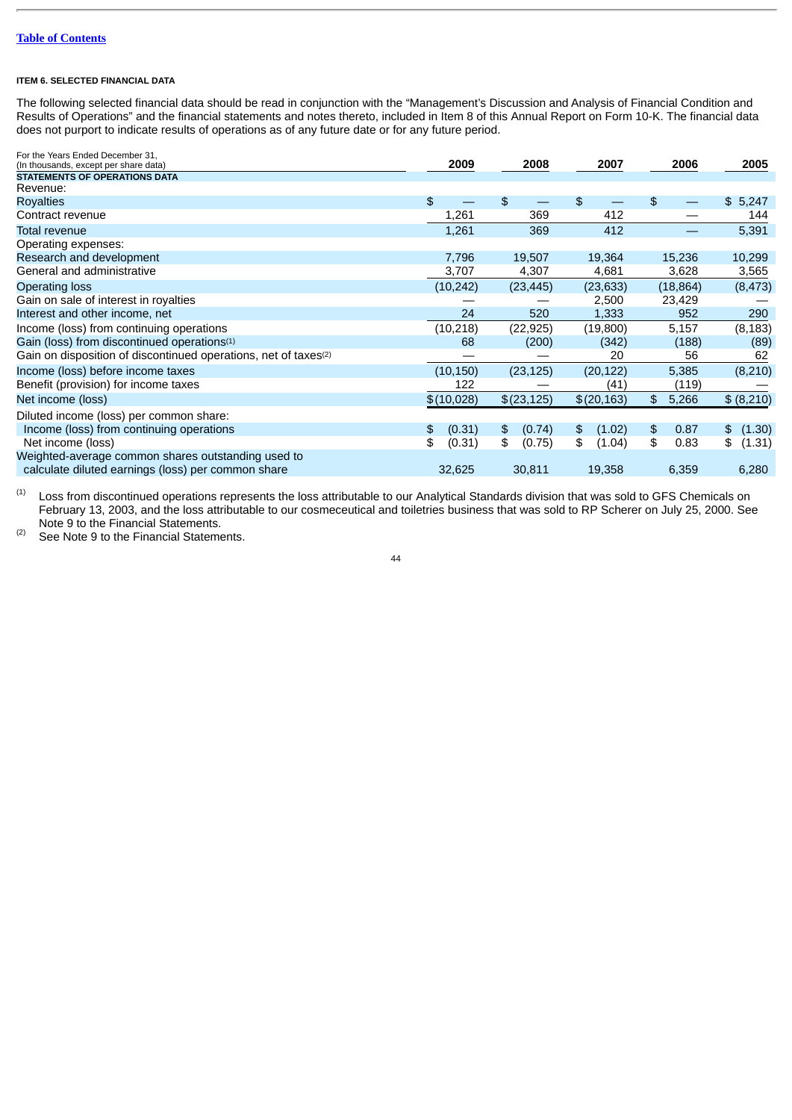# **ITEM 6. SELECTED FINANCIAL DATA**

The following selected financial data should be read in conjunction with the "Management's Discussion and Analysis of Financial Condition and Results of Operations" and the financial statements and notes thereto, included in Item 8 of this Annual Report on Form 10-K. The financial data does not purport to indicate results of operations as of any future date or for any future period.

| 2009         | 2008         | 2007         | 2006                    | 2005         |
|--------------|--------------|--------------|-------------------------|--------------|
|              |              |              |                         |              |
|              |              |              |                         |              |
| \$           | \$           | \$           | \$                      | \$5,247      |
| 1,261        | 369          | 412          |                         | 144          |
| 1,261        | 369          | 412          |                         | 5,391        |
|              |              |              |                         |              |
| 7,796        | 19,507       | 19,364       | 15,236                  | 10,299       |
| 3,707        | 4,307        | 4,681        | 3,628                   | 3,565        |
| (10, 242)    | (23, 445)    | (23, 633)    | (18, 864)               | (8, 473)     |
|              |              | 2,500        | 23,429                  |              |
| 24           | 520          | 1,333        | 952                     | 290          |
| (10, 218)    | (22, 925)    | (19,800)     | 5,157                   | (8, 183)     |
| 68           | (200)        | (342)        | (188)                   | (89)         |
|              |              | 20           | 56                      | 62           |
| (10, 150)    | (23, 125)    | (20, 122)    | 5,385                   | (8, 210)     |
| 122          |              | (41)         | (119)                   |              |
| \$(10,028)   | \$(23,125)   | \$(20,163)   | $\mathfrak{L}$<br>5,266 | \$ (8,210)   |
|              |              |              |                         |              |
| (0.31)<br>\$ | (0.74)<br>\$ | (1.02)<br>\$ | $\frac{2}{3}$<br>0.87   | \$ (1.30)    |
| \$<br>(0.31) | \$<br>(0.75) | \$<br>(1.04) | \$<br>0.83              | \$<br>(1.31) |
| 32,625       | 30,811       | 19,358       | 6,359                   | 6,280        |
|              |              |              |                         |              |

Loss from discontinued operations represents the loss attributable to our Analytical Standards division that was sold to GFS Chemicals on February 13, 2003, and the loss attributable to our cosmeceutical and toiletries business that was sold to RP Scherer on July 25, 2000. See Note 9 to the Financial Statements. (1)

See Note 9 to the Financial Statements. (2)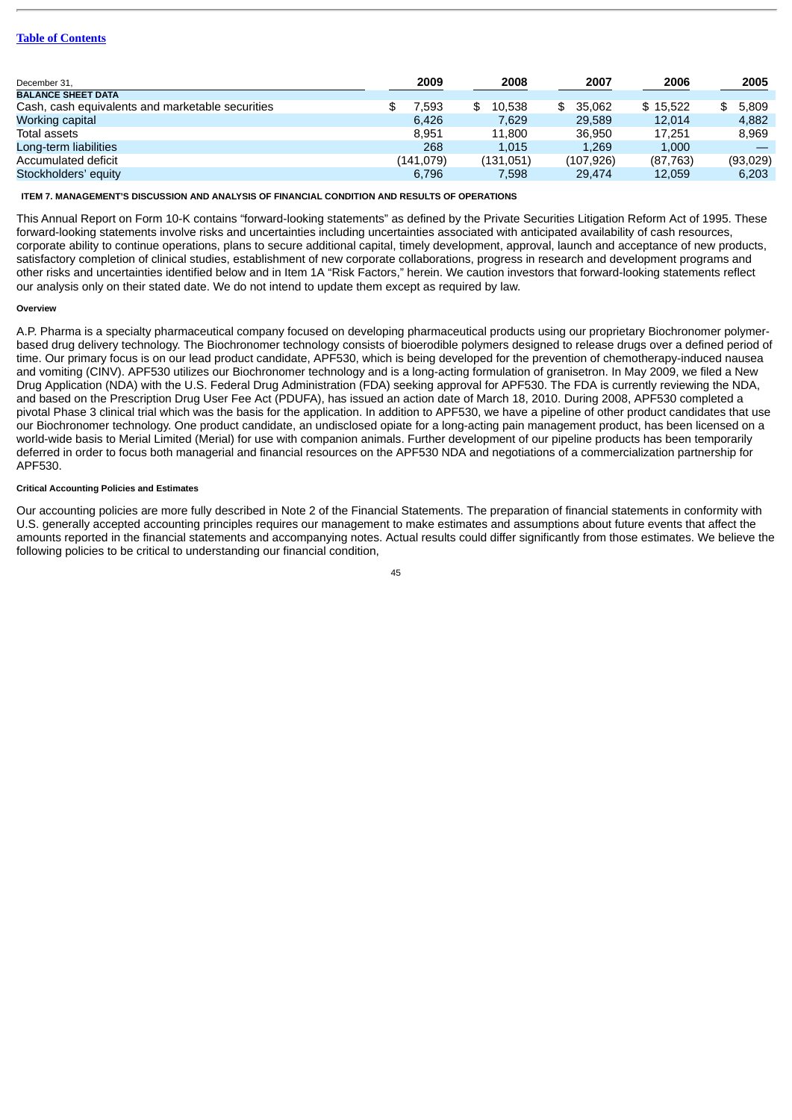|           |              |               |           | 2005     |
|-----------|--------------|---------------|-----------|----------|
|           |              |               |           |          |
| 7.593     | 10.538<br>\$ | 35.062<br>\$. | \$15.522  | 5,809    |
| 6.426     | 7.629        | 29.589        | 12,014    | 4,882    |
| 8.951     | 11.800       | 36.950        | 17.251    | 8.969    |
| 268       | 1.015        | 1.269         | 1.000     |          |
| (141.079) | (131,051)    | (107, 926)    | (87, 763) | (93,029) |
| 6.796     | 7.598        | 29,474        | 12.059    | 6.203    |
|           | 2009         | 2008          | 2007      | 2006     |

**ITEM 7. MANAGEMENT'S DISCUSSION AND ANALYSIS OF FINANCIAL CONDITION AND RESULTS OF OPERATIONS**

This Annual Report on Form 10-K contains "forward-looking statements" as defined by the Private Securities Litigation Reform Act of 1995. These forward-looking statements involve risks and uncertainties including uncertainties associated with anticipated availability of cash resources, corporate ability to continue operations, plans to secure additional capital, timely development, approval, launch and acceptance of new products, satisfactory completion of clinical studies, establishment of new corporate collaborations, progress in research and development programs and other risks and uncertainties identified below and in Item 1A "Risk Factors," herein. We caution investors that forward-looking statements reflect our analysis only on their stated date. We do not intend to update them except as required by law.

#### **Overview**

A.P. Pharma is a specialty pharmaceutical company focused on developing pharmaceutical products using our proprietary Biochronomer polymerbased drug delivery technology. The Biochronomer technology consists of bioerodible polymers designed to release drugs over a defined period of time. Our primary focus is on our lead product candidate, APF530, which is being developed for the prevention of chemotherapy-induced nausea and vomiting (CINV). APF530 utilizes our Biochronomer technology and is a long-acting formulation of granisetron. In May 2009, we filed a New Drug Application (NDA) with the U.S. Federal Drug Administration (FDA) seeking approval for APF530. The FDA is currently reviewing the NDA, and based on the Prescription Drug User Fee Act (PDUFA), has issued an action date of March 18, 2010. During 2008, APF530 completed a pivotal Phase 3 clinical trial which was the basis for the application. In addition to APF530, we have a pipeline of other product candidates that use our Biochronomer technology. One product candidate, an undisclosed opiate for a long-acting pain management product, has been licensed on a world-wide basis to Merial Limited (Merial) for use with companion animals. Further development of our pipeline products has been temporarily deferred in order to focus both managerial and financial resources on the APF530 NDA and negotiations of a commercialization partnership for APF530.

## **Critical Accounting Policies and Estimates**

Our accounting policies are more fully described in Note 2 of the Financial Statements. The preparation of financial statements in conformity with U.S. generally accepted accounting principles requires our management to make estimates and assumptions about future events that affect the amounts reported in the financial statements and accompanying notes. Actual results could differ significantly from those estimates. We believe the following policies to be critical to understanding our financial condition,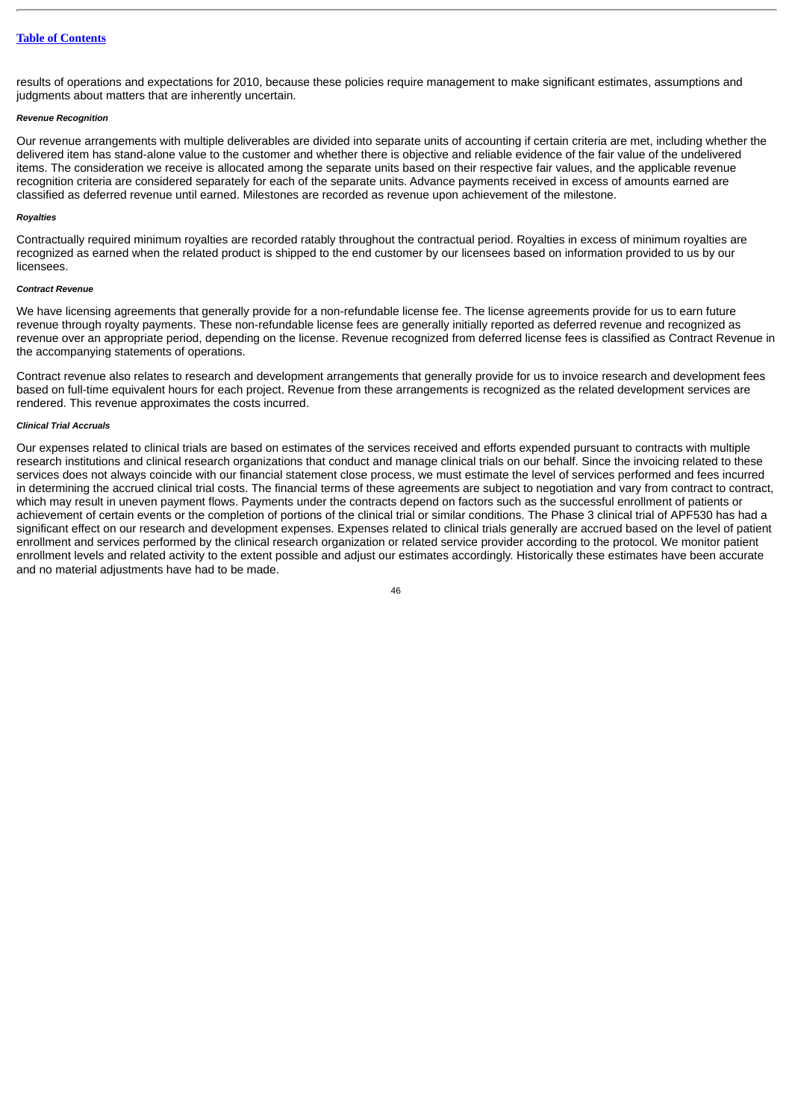results of operations and expectations for 2010, because these policies require management to make significant estimates, assumptions and judgments about matters that are inherently uncertain.

#### *Revenue Recognition*

Our revenue arrangements with multiple deliverables are divided into separate units of accounting if certain criteria are met, including whether the delivered item has stand-alone value to the customer and whether there is objective and reliable evidence of the fair value of the undelivered items. The consideration we receive is allocated among the separate units based on their respective fair values, and the applicable revenue recognition criteria are considered separately for each of the separate units. Advance payments received in excess of amounts earned are classified as deferred revenue until earned. Milestones are recorded as revenue upon achievement of the milestone.

#### *Royalties*

Contractually required minimum royalties are recorded ratably throughout the contractual period. Royalties in excess of minimum royalties are recognized as earned when the related product is shipped to the end customer by our licensees based on information provided to us by our licensees.

#### *Contract Revenue*

We have licensing agreements that generally provide for a non-refundable license fee. The license agreements provide for us to earn future revenue through royalty payments. These non-refundable license fees are generally initially reported as deferred revenue and recognized as revenue over an appropriate period, depending on the license. Revenue recognized from deferred license fees is classified as Contract Revenue in the accompanying statements of operations.

Contract revenue also relates to research and development arrangements that generally provide for us to invoice research and development fees based on full-time equivalent hours for each project. Revenue from these arrangements is recognized as the related development services are rendered. This revenue approximates the costs incurred.

# *Clinical Trial Accruals*

Our expenses related to clinical trials are based on estimates of the services received and efforts expended pursuant to contracts with multiple research institutions and clinical research organizations that conduct and manage clinical trials on our behalf. Since the invoicing related to these services does not always coincide with our financial statement close process, we must estimate the level of services performed and fees incurred in determining the accrued clinical trial costs. The financial terms of these agreements are subject to negotiation and vary from contract to contract, which may result in uneven payment flows. Payments under the contracts depend on factors such as the successful enrollment of patients or achievement of certain events or the completion of portions of the clinical trial or similar conditions. The Phase 3 clinical trial of APF530 has had a significant effect on our research and development expenses. Expenses related to clinical trials generally are accrued based on the level of patient enrollment and services performed by the clinical research organization or related service provider according to the protocol. We monitor patient enrollment levels and related activity to the extent possible and adjust our estimates accordingly. Historically these estimates have been accurate and no material adjustments have had to be made.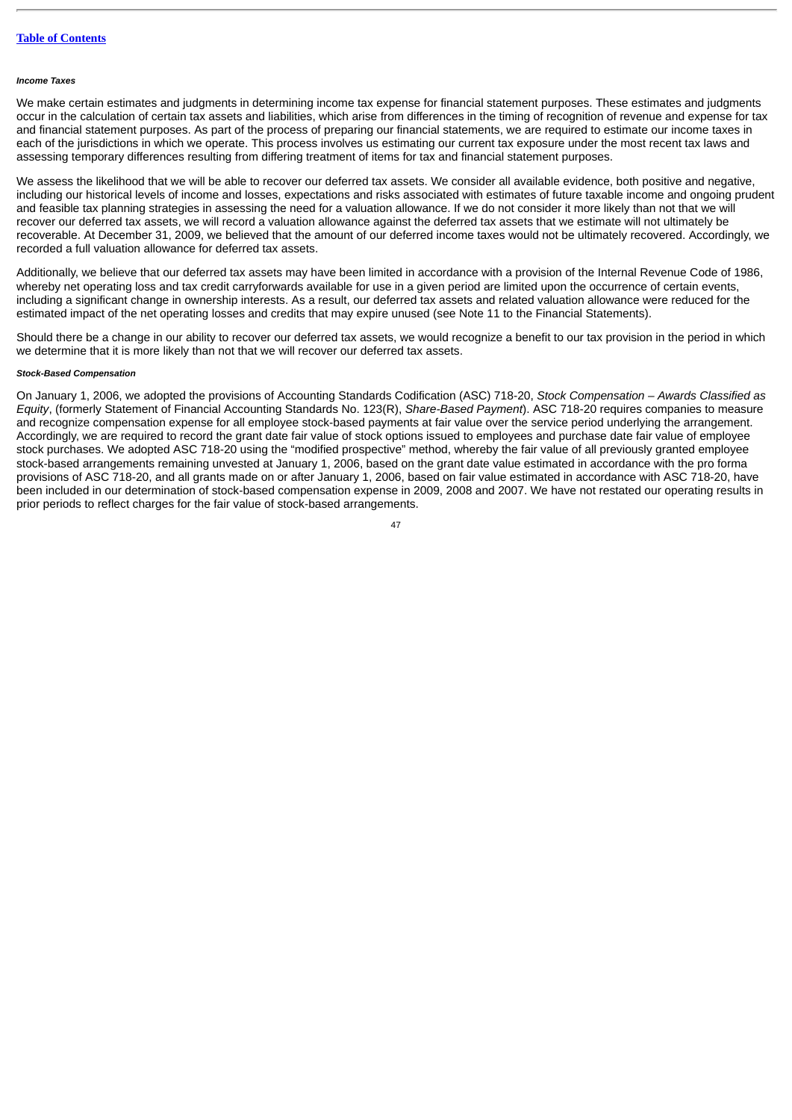#### *Income Taxes*

We make certain estimates and judgments in determining income tax expense for financial statement purposes. These estimates and judgments occur in the calculation of certain tax assets and liabilities, which arise from differences in the timing of recognition of revenue and expense for tax and financial statement purposes. As part of the process of preparing our financial statements, we are required to estimate our income taxes in each of the jurisdictions in which we operate. This process involves us estimating our current tax exposure under the most recent tax laws and assessing temporary differences resulting from differing treatment of items for tax and financial statement purposes.

We assess the likelihood that we will be able to recover our deferred tax assets. We consider all available evidence, both positive and negative, including our historical levels of income and losses, expectations and risks associated with estimates of future taxable income and ongoing prudent and feasible tax planning strategies in assessing the need for a valuation allowance. If we do not consider it more likely than not that we will recover our deferred tax assets, we will record a valuation allowance against the deferred tax assets that we estimate will not ultimately be recoverable. At December 31, 2009, we believed that the amount of our deferred income taxes would not be ultimately recovered. Accordingly, we recorded a full valuation allowance for deferred tax assets.

Additionally, we believe that our deferred tax assets may have been limited in accordance with a provision of the Internal Revenue Code of 1986, whereby net operating loss and tax credit carryforwards available for use in a given period are limited upon the occurrence of certain events, including a significant change in ownership interests. As a result, our deferred tax assets and related valuation allowance were reduced for the estimated impact of the net operating losses and credits that may expire unused (see Note 11 to the Financial Statements).

Should there be a change in our ability to recover our deferred tax assets, we would recognize a benefit to our tax provision in the period in which we determine that it is more likely than not that we will recover our deferred tax assets.

# *Stock-Based Compensation*

On January 1, 2006, we adopted the provisions of Accounting Standards Codification (ASC) 718-20, *Stock Compensation – Awards Classified as Equity*, (formerly Statement of Financial Accounting Standards No. 123(R), *Share-Based Payment*). ASC 718-20 requires companies to measure and recognize compensation expense for all employee stock-based payments at fair value over the service period underlying the arrangement. Accordingly, we are required to record the grant date fair value of stock options issued to employees and purchase date fair value of employee stock purchases. We adopted ASC 718-20 using the "modified prospective" method, whereby the fair value of all previously granted employee stock-based arrangements remaining unvested at January 1, 2006, based on the grant date value estimated in accordance with the pro forma provisions of ASC 718-20, and all grants made on or after January 1, 2006, based on fair value estimated in accordance with ASC 718-20, have been included in our determination of stock-based compensation expense in 2009, 2008 and 2007. We have not restated our operating results in prior periods to reflect charges for the fair value of stock-based arrangements.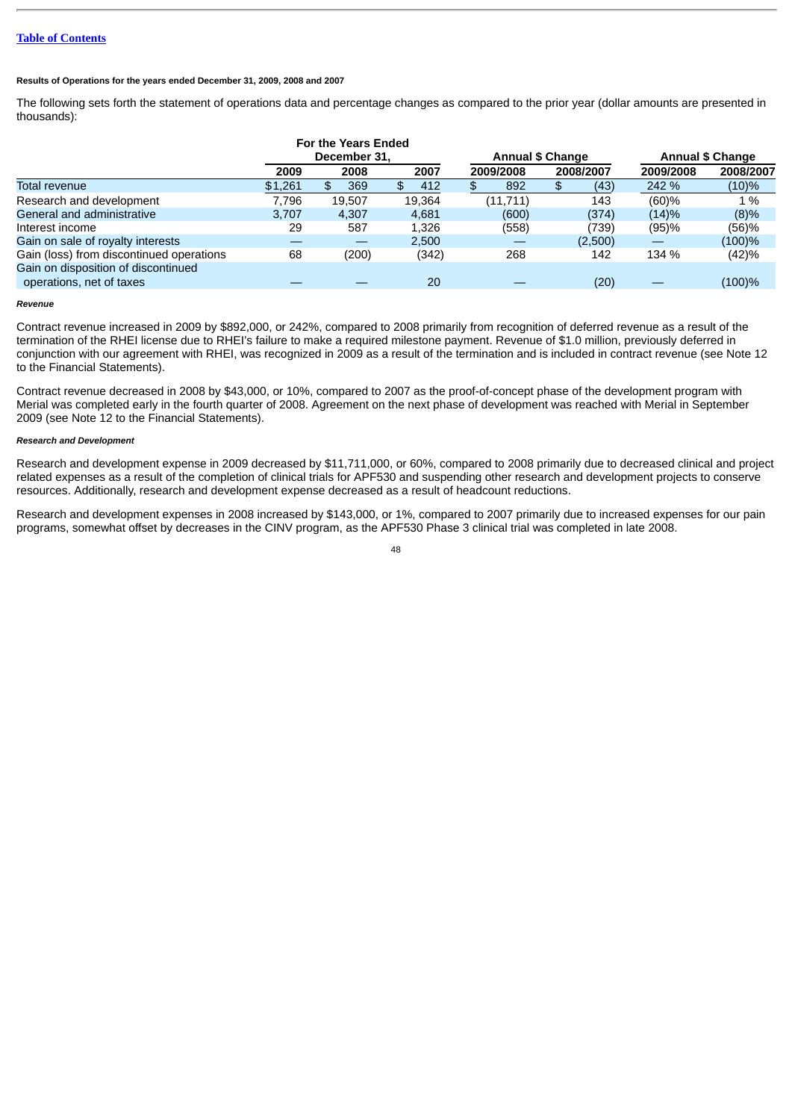# **Results of Operations for the years ended December 31, 2009, 2008 and 2007**

The following sets forth the statement of operations data and percentage changes as compared to the prior year (dollar amounts are presented in thousands):

|                                                                 |         | <b>For the Years Ended</b> |        |                         |           |                         |           |  |
|-----------------------------------------------------------------|---------|----------------------------|--------|-------------------------|-----------|-------------------------|-----------|--|
|                                                                 |         | December 31.               |        | <b>Annual \$ Change</b> |           | <b>Annual \$ Change</b> |           |  |
|                                                                 | 2009    | 2008                       | 2007   | 2009/2008               | 2008/2007 | 2009/2008               | 2008/2007 |  |
| Total revenue                                                   | \$1,261 | 369<br>£.                  | 412    | 892                     | (43)      | 242 %                   | $(10)\%$  |  |
| Research and development                                        | 7.796   | 19.507                     | 19,364 | (11,711)                | 143       | $(60) \%$               | 1 %       |  |
| General and administrative                                      | 3.707   | 4.307                      | 4.681  | (600)                   | (374)     | (14)%                   | (8)%      |  |
| Interest income                                                 | 29      | 587                        | 1.326  | (558)                   | 739)      | (95)%                   | (56)%     |  |
| Gain on sale of royalty interests                               |         |                            | 2.500  |                         | (2,500)   | _                       | $(100)\%$ |  |
| Gain (loss) from discontinued operations                        | 68      | (200)                      | (342)  | 268                     | 142       | 134 %                   | (42)%     |  |
| Gain on disposition of discontinued<br>operations, net of taxes |         |                            | 20     |                         | (20)      |                         | (100)%    |  |

#### *Revenue*

Contract revenue increased in 2009 by \$892,000, or 242%, compared to 2008 primarily from recognition of deferred revenue as a result of the termination of the RHEI license due to RHEI's failure to make a required milestone payment. Revenue of \$1.0 million, previously deferred in conjunction with our agreement with RHEI, was recognized in 2009 as a result of the termination and is included in contract revenue (see Note 12 to the Financial Statements).

Contract revenue decreased in 2008 by \$43,000, or 10%, compared to 2007 as the proof-of-concept phase of the development program with Merial was completed early in the fourth quarter of 2008. Agreement on the next phase of development was reached with Merial in September 2009 (see Note 12 to the Financial Statements).

# *Research and Development*

Research and development expense in 2009 decreased by \$11,711,000, or 60%, compared to 2008 primarily due to decreased clinical and project related expenses as a result of the completion of clinical trials for APF530 and suspending other research and development projects to conserve resources. Additionally, research and development expense decreased as a result of headcount reductions.

Research and development expenses in 2008 increased by \$143,000, or 1%, compared to 2007 primarily due to increased expenses for our pain programs, somewhat offset by decreases in the CINV program, as the APF530 Phase 3 clinical trial was completed in late 2008.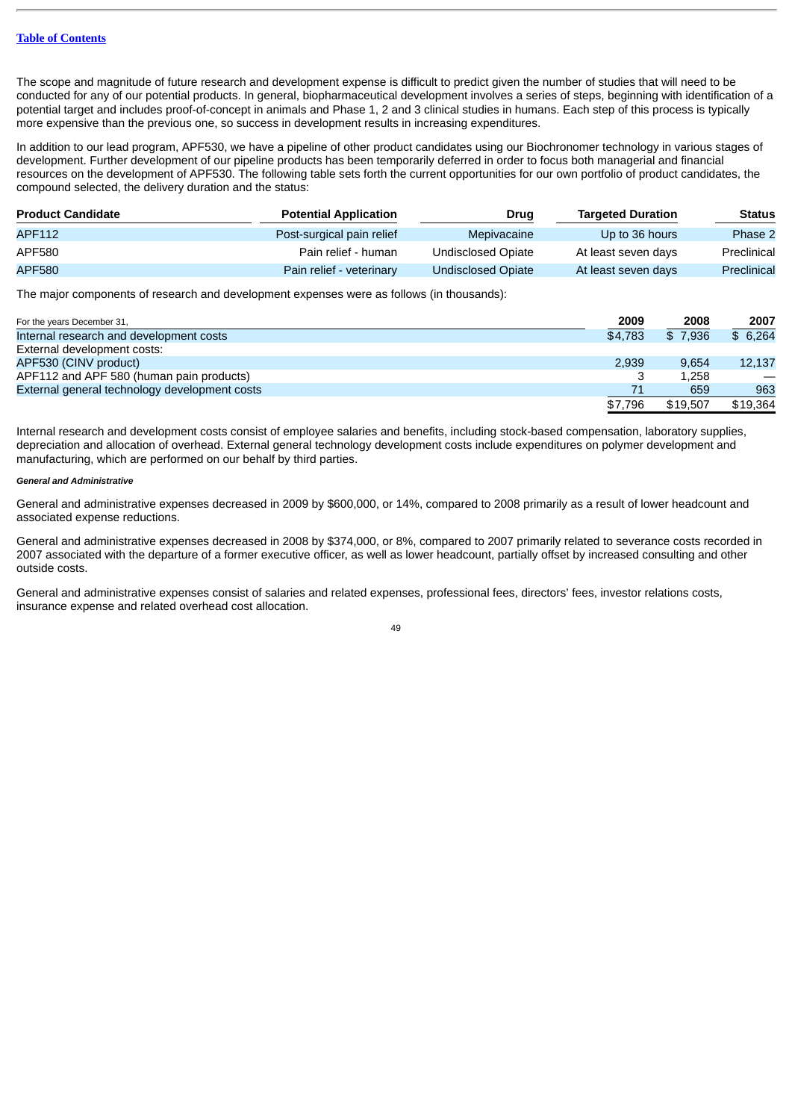The scope and magnitude of future research and development expense is difficult to predict given the number of studies that will need to be conducted for any of our potential products. In general, biopharmaceutical development involves a series of steps, beginning with identification of a potential target and includes proof-of-concept in animals and Phase 1, 2 and 3 clinical studies in humans. Each step of this process is typically more expensive than the previous one, so success in development results in increasing expenditures.

In addition to our lead program, APF530, we have a pipeline of other product candidates using our Biochronomer technology in various stages of development. Further development of our pipeline products has been temporarily deferred in order to focus both managerial and financial resources on the development of APF530. The following table sets forth the current opportunities for our own portfolio of product candidates, the compound selected, the delivery duration and the status:

| <b>Product Candidate</b> | <b>Potential Application</b> | Drug               | <b>Targeted Duration</b> | <b>Status</b> |
|--------------------------|------------------------------|--------------------|--------------------------|---------------|
| APF112                   | Post-surgical pain relief    | Mepivacaine        | Up to 36 hours           | Phase 2       |
| APF580                   | Pain relief - human          | Undisclosed Opiate | At least seven days      | Preclinical   |
| <b>APF580</b>            | Pain relief - veterinary     | Undisclosed Opiate | At least seven days      | Preclinical   |

The major components of research and development expenses were as follows (in thousands):

| For the years December 31,                    | 2009    | 2008     | 2007     |
|-----------------------------------------------|---------|----------|----------|
| Internal research and development costs       | \$4.783 | \$7.936  | \$6,264  |
| External development costs:                   |         |          |          |
| APF530 (CINV product)                         | 2.939   | 9.654    | 12,137   |
| APF112 and APF 580 (human pain products)      |         | 1.258    |          |
| External general technology development costs |         | 659      | 963      |
|                                               | \$7.796 | \$19.507 | \$19.364 |

Internal research and development costs consist of employee salaries and benefits, including stock-based compensation, laboratory supplies, depreciation and allocation of overhead. External general technology development costs include expenditures on polymer development and manufacturing, which are performed on our behalf by third parties.

#### *General and Administrative*

General and administrative expenses decreased in 2009 by \$600,000, or 14%, compared to 2008 primarily as a result of lower headcount and associated expense reductions.

General and administrative expenses decreased in 2008 by \$374,000, or 8%, compared to 2007 primarily related to severance costs recorded in 2007 associated with the departure of a former executive officer, as well as lower headcount, partially offset by increased consulting and other outside costs.

General and administrative expenses consist of salaries and related expenses, professional fees, directors' fees, investor relations costs, insurance expense and related overhead cost allocation.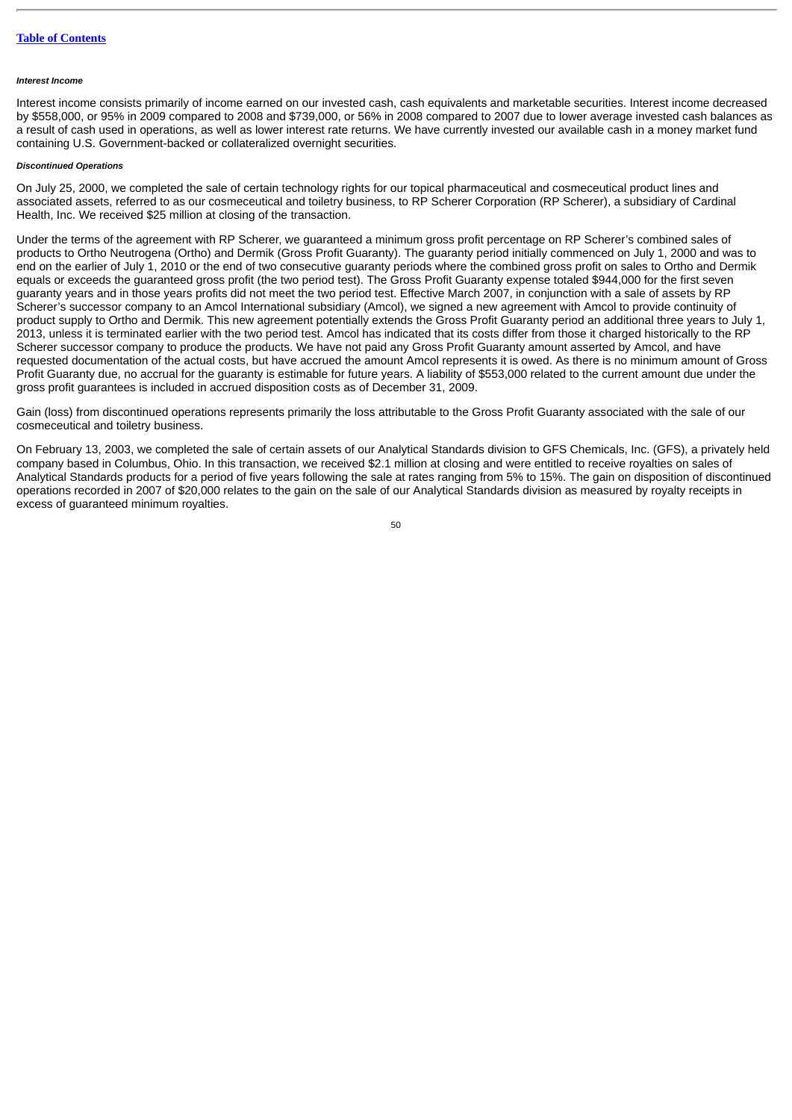#### *Interest Income*

Interest income consists primarily of income earned on our invested cash, cash equivalents and marketable securities. Interest income decreased by \$558,000, or 95% in 2009 compared to 2008 and \$739,000, or 56% in 2008 compared to 2007 due to lower average invested cash balances as a result of cash used in operations, as well as lower interest rate returns. We have currently invested our available cash in a money market fund containing U.S. Government-backed or collateralized overnight securities.

# *Discontinued Operations*

On July 25, 2000, we completed the sale of certain technology rights for our topical pharmaceutical and cosmeceutical product lines and associated assets, referred to as our cosmeceutical and toiletry business, to RP Scherer Corporation (RP Scherer), a subsidiary of Cardinal Health, Inc. We received \$25 million at closing of the transaction.

Under the terms of the agreement with RP Scherer, we guaranteed a minimum gross profit percentage on RP Scherer's combined sales of products to Ortho Neutrogena (Ortho) and Dermik (Gross Profit Guaranty). The guaranty period initially commenced on July 1, 2000 and was to end on the earlier of July 1, 2010 or the end of two consecutive guaranty periods where the combined gross profit on sales to Ortho and Dermik equals or exceeds the guaranteed gross profit (the two period test). The Gross Profit Guaranty expense totaled \$944,000 for the first seven guaranty years and in those years profits did not meet the two period test. Effective March 2007, in conjunction with a sale of assets by RP Scherer's successor company to an Amcol International subsidiary (Amcol), we signed a new agreement with Amcol to provide continuity of product supply to Ortho and Dermik. This new agreement potentially extends the Gross Profit Guaranty period an additional three years to July 1, 2013, unless it is terminated earlier with the two period test. Amcol has indicated that its costs differ from those it charged historically to the RP Scherer successor company to produce the products. We have not paid any Gross Profit Guaranty amount asserted by Amcol, and have requested documentation of the actual costs, but have accrued the amount Amcol represents it is owed. As there is no minimum amount of Gross Profit Guaranty due, no accrual for the guaranty is estimable for future years. A liability of \$553,000 related to the current amount due under the gross profit guarantees is included in accrued disposition costs as of December 31, 2009.

Gain (loss) from discontinued operations represents primarily the loss attributable to the Gross Profit Guaranty associated with the sale of our cosmeceutical and toiletry business.

On February 13, 2003, we completed the sale of certain assets of our Analytical Standards division to GFS Chemicals, Inc. (GFS), a privately held company based in Columbus, Ohio. In this transaction, we received \$2.1 million at closing and were entitled to receive royalties on sales of Analytical Standards products for a period of five years following the sale at rates ranging from 5% to 15%. The gain on disposition of discontinued operations recorded in 2007 of \$20,000 relates to the gain on the sale of our Analytical Standards division as measured by royalty receipts in excess of guaranteed minimum royalties.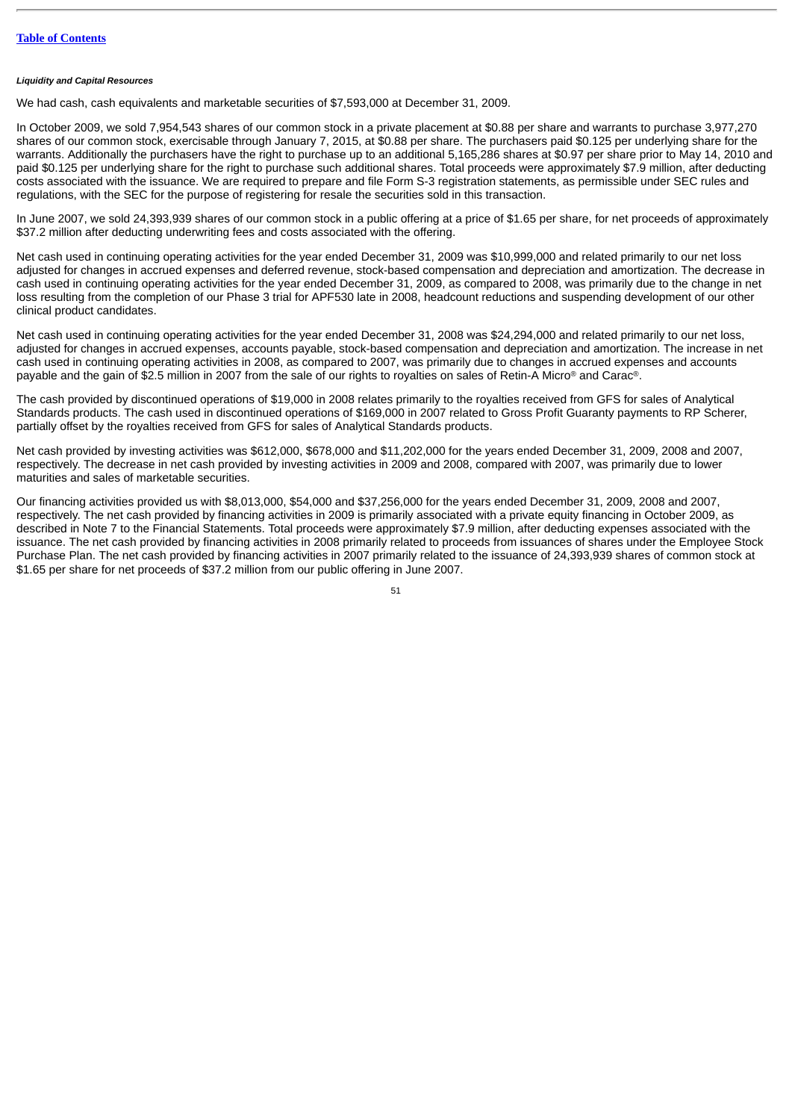#### *Liquidity and Capital Resources*

We had cash, cash equivalents and marketable securities of \$7,593,000 at December 31, 2009.

In October 2009, we sold 7,954,543 shares of our common stock in a private placement at \$0.88 per share and warrants to purchase 3,977,270 shares of our common stock, exercisable through January 7, 2015, at \$0.88 per share. The purchasers paid \$0.125 per underlying share for the warrants. Additionally the purchasers have the right to purchase up to an additional 5,165,286 shares at \$0.97 per share prior to May 14, 2010 and paid \$0.125 per underlying share for the right to purchase such additional shares. Total proceeds were approximately \$7.9 million, after deducting costs associated with the issuance. We are required to prepare and file Form S-3 registration statements, as permissible under SEC rules and regulations, with the SEC for the purpose of registering for resale the securities sold in this transaction.

In June 2007, we sold 24,393,939 shares of our common stock in a public offering at a price of \$1.65 per share, for net proceeds of approximately \$37.2 million after deducting underwriting fees and costs associated with the offering.

Net cash used in continuing operating activities for the year ended December 31, 2009 was \$10,999,000 and related primarily to our net loss adjusted for changes in accrued expenses and deferred revenue, stock-based compensation and depreciation and amortization. The decrease in cash used in continuing operating activities for the year ended December 31, 2009, as compared to 2008, was primarily due to the change in net loss resulting from the completion of our Phase 3 trial for APF530 late in 2008, headcount reductions and suspending development of our other clinical product candidates.

Net cash used in continuing operating activities for the year ended December 31, 2008 was \$24,294,000 and related primarily to our net loss, adjusted for changes in accrued expenses, accounts payable, stock-based compensation and depreciation and amortization. The increase in net cash used in continuing operating activities in 2008, as compared to 2007, was primarily due to changes in accrued expenses and accounts payable and the gain of \$2.5 million in 2007 from the sale of our rights to royalties on sales of Retin-A Micro® and Carac®.

The cash provided by discontinued operations of \$19,000 in 2008 relates primarily to the royalties received from GFS for sales of Analytical Standards products. The cash used in discontinued operations of \$169,000 in 2007 related to Gross Profit Guaranty payments to RP Scherer, partially offset by the royalties received from GFS for sales of Analytical Standards products.

Net cash provided by investing activities was \$612,000, \$678,000 and \$11,202,000 for the years ended December 31, 2009, 2008 and 2007, respectively. The decrease in net cash provided by investing activities in 2009 and 2008, compared with 2007, was primarily due to lower maturities and sales of marketable securities.

Our financing activities provided us with \$8,013,000, \$54,000 and \$37,256,000 for the years ended December 31, 2009, 2008 and 2007, respectively. The net cash provided by financing activities in 2009 is primarily associated with a private equity financing in October 2009, as described in Note 7 to the Financial Statements. Total proceeds were approximately \$7.9 million, after deducting expenses associated with the issuance. The net cash provided by financing activities in 2008 primarily related to proceeds from issuances of shares under the Employee Stock Purchase Plan. The net cash provided by financing activities in 2007 primarily related to the issuance of 24,393,939 shares of common stock at \$1.65 per share for net proceeds of \$37.2 million from our public offering in June 2007.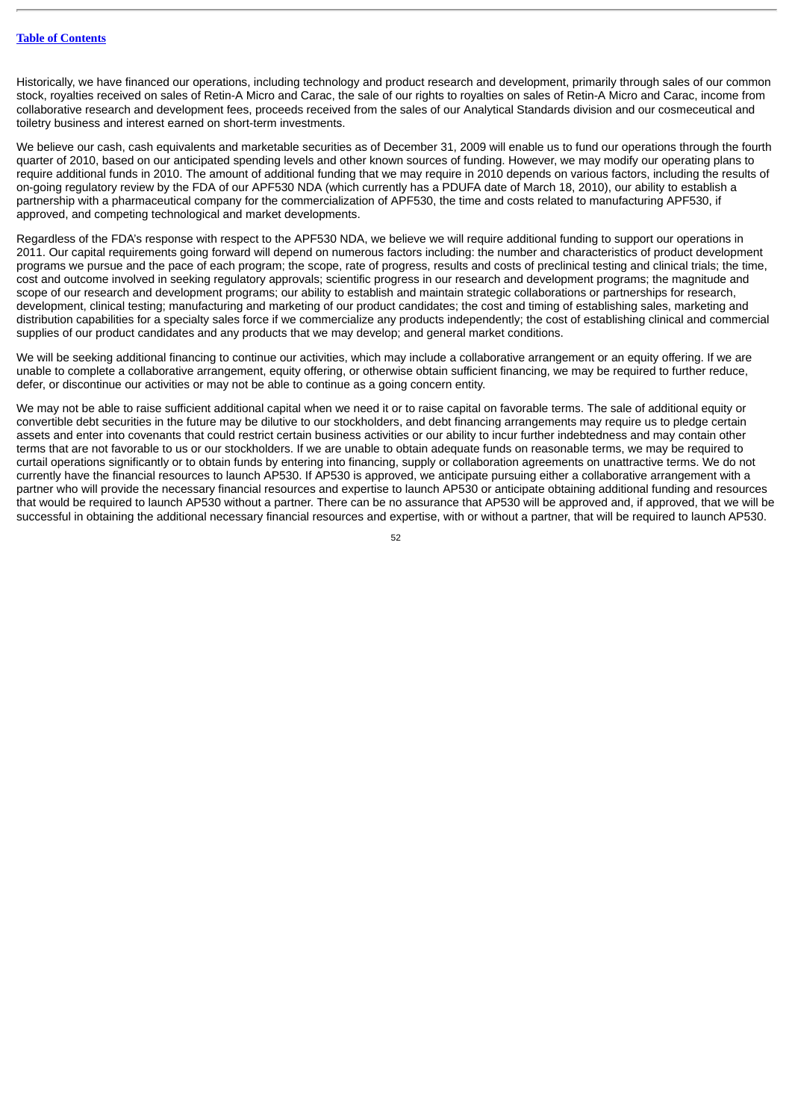Historically, we have financed our operations, including technology and product research and development, primarily through sales of our common stock, royalties received on sales of Retin-A Micro and Carac, the sale of our rights to royalties on sales of Retin-A Micro and Carac, income from collaborative research and development fees, proceeds received from the sales of our Analytical Standards division and our cosmeceutical and toiletry business and interest earned on short-term investments.

We believe our cash, cash equivalents and marketable securities as of December 31, 2009 will enable us to fund our operations through the fourth quarter of 2010, based on our anticipated spending levels and other known sources of funding. However, we may modify our operating plans to require additional funds in 2010. The amount of additional funding that we may require in 2010 depends on various factors, including the results of on-going regulatory review by the FDA of our APF530 NDA (which currently has a PDUFA date of March 18, 2010), our ability to establish a partnership with a pharmaceutical company for the commercialization of APF530, the time and costs related to manufacturing APF530, if approved, and competing technological and market developments.

Regardless of the FDA's response with respect to the APF530 NDA, we believe we will require additional funding to support our operations in 2011. Our capital requirements going forward will depend on numerous factors including: the number and characteristics of product development programs we pursue and the pace of each program; the scope, rate of progress, results and costs of preclinical testing and clinical trials; the time, cost and outcome involved in seeking regulatory approvals; scientific progress in our research and development programs; the magnitude and scope of our research and development programs; our ability to establish and maintain strategic collaborations or partnerships for research, development, clinical testing; manufacturing and marketing of our product candidates; the cost and timing of establishing sales, marketing and distribution capabilities for a specialty sales force if we commercialize any products independently; the cost of establishing clinical and commercial supplies of our product candidates and any products that we may develop; and general market conditions.

We will be seeking additional financing to continue our activities, which may include a collaborative arrangement or an equity offering. If we are unable to complete a collaborative arrangement, equity offering, or otherwise obtain sufficient financing, we may be required to further reduce, defer, or discontinue our activities or may not be able to continue as a going concern entity.

We may not be able to raise sufficient additional capital when we need it or to raise capital on favorable terms. The sale of additional equity or convertible debt securities in the future may be dilutive to our stockholders, and debt financing arrangements may require us to pledge certain assets and enter into covenants that could restrict certain business activities or our ability to incur further indebtedness and may contain other terms that are not favorable to us or our stockholders. If we are unable to obtain adequate funds on reasonable terms, we may be required to curtail operations significantly or to obtain funds by entering into financing, supply or collaboration agreements on unattractive terms. We do not currently have the financial resources to launch AP530. If AP530 is approved, we anticipate pursuing either a collaborative arrangement with a partner who will provide the necessary financial resources and expertise to launch AP530 or anticipate obtaining additional funding and resources that would be required to launch AP530 without a partner. There can be no assurance that AP530 will be approved and, if approved, that we will be successful in obtaining the additional necessary financial resources and expertise, with or without a partner, that will be required to launch AP530.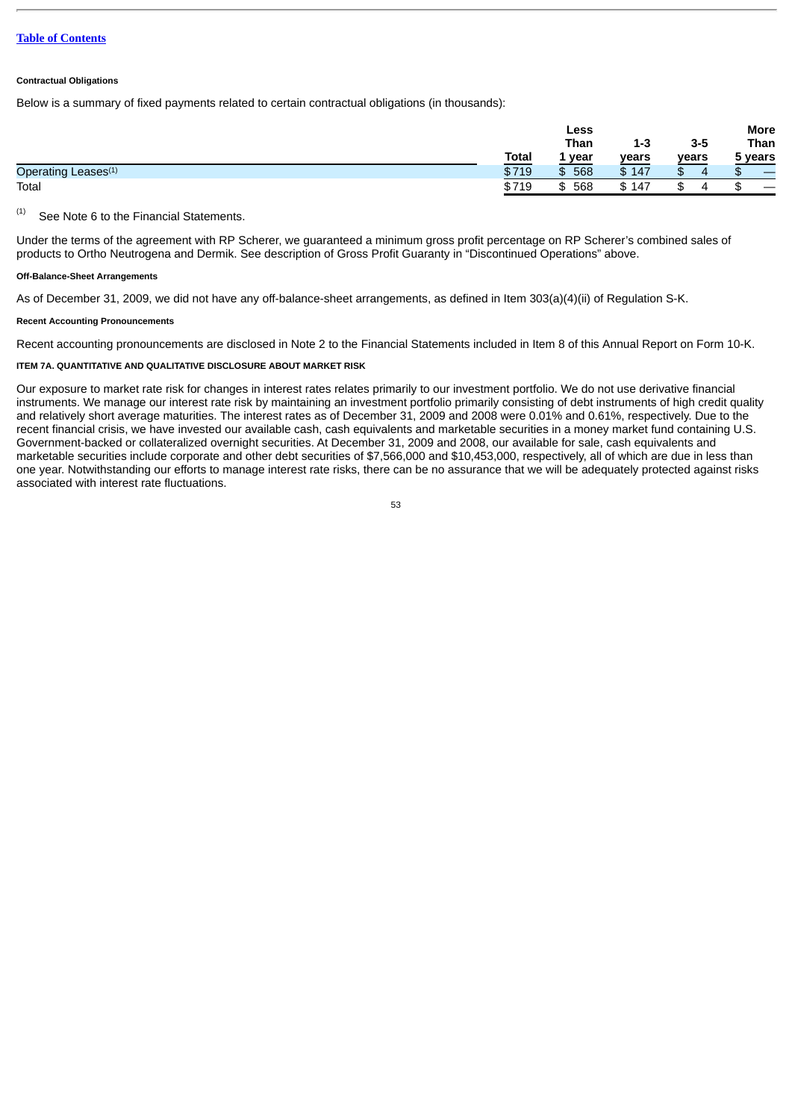## **Contractual Obligations**

Below is a summary of fixed payments related to certain contractual obligations (in thousands):

|                                 |              | Less         |         |         | More    |
|---------------------------------|--------------|--------------|---------|---------|---------|
|                                 |              | <b>Than</b>  | $1 - 3$ | $3 - 5$ | Than    |
|                                 | <b>Total</b> | . year<br>-- | years   | years   | 5 years |
| Operating Leases <sup>(1)</sup> | \$719        | 568<br>\$    | \$147   | ᠊ᡮ<br>Ъ | J.D.    |
| Total                           | \$719        | 568<br>\$    | \$147   | J       |         |

See Note 6 to the Financial Statements. (1)

Under the terms of the agreement with RP Scherer, we guaranteed a minimum gross profit percentage on RP Scherer's combined sales of products to Ortho Neutrogena and Dermik. See description of Gross Profit Guaranty in "Discontinued Operations" above.

# **Off-Balance-Sheet Arrangements**

As of December 31, 2009, we did not have any off-balance-sheet arrangements, as defined in Item 303(a)(4)(ii) of Regulation S-K.

#### **Recent Accounting Pronouncements**

Recent accounting pronouncements are disclosed in Note 2 to the Financial Statements included in Item 8 of this Annual Report on Form 10-K.

# **ITEM 7A. QUANTITATIVE AND QUALITATIVE DISCLOSURE ABOUT MARKET RISK**

Our exposure to market rate risk for changes in interest rates relates primarily to our investment portfolio. We do not use derivative financial instruments. We manage our interest rate risk by maintaining an investment portfolio primarily consisting of debt instruments of high credit quality and relatively short average maturities. The interest rates as of December 31, 2009 and 2008 were 0.01% and 0.61%, respectively. Due to the recent financial crisis, we have invested our available cash, cash equivalents and marketable securities in a money market fund containing U.S. Government-backed or collateralized overnight securities. At December 31, 2009 and 2008, our available for sale, cash equivalents and marketable securities include corporate and other debt securities of \$7,566,000 and \$10,453,000, respectively, all of which are due in less than one year. Notwithstanding our efforts to manage interest rate risks, there can be no assurance that we will be adequately protected against risks associated with interest rate fluctuations.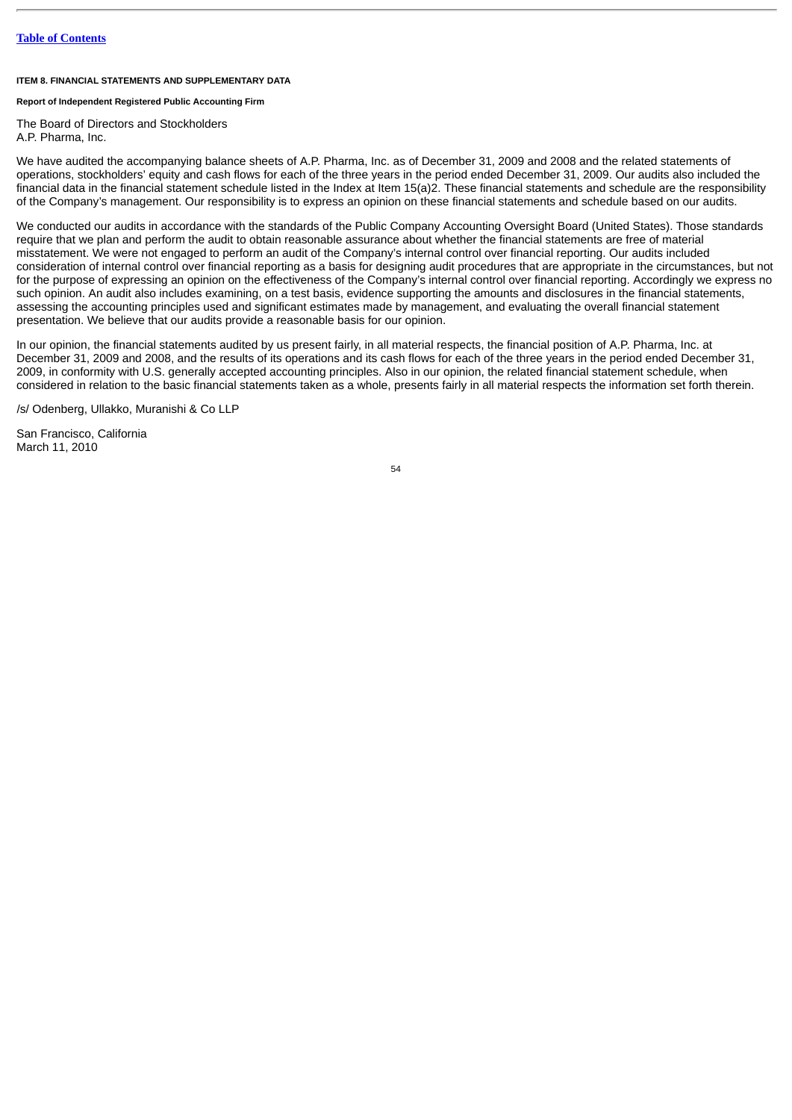# **ITEM 8. FINANCIAL STATEMENTS AND SUPPLEMENTARY DATA**

# **Report of Independent Registered Public Accounting Firm**

The Board of Directors and Stockholders

A.P. Pharma, Inc.

We have audited the accompanying balance sheets of A.P. Pharma, Inc. as of December 31, 2009 and 2008 and the related statements of operations, stockholders' equity and cash flows for each of the three years in the period ended December 31, 2009. Our audits also included the financial data in the financial statement schedule listed in the Index at Item 15(a)2. These financial statements and schedule are the responsibility of the Company's management. Our responsibility is to express an opinion on these financial statements and schedule based on our audits.

We conducted our audits in accordance with the standards of the Public Company Accounting Oversight Board (United States). Those standards require that we plan and perform the audit to obtain reasonable assurance about whether the financial statements are free of material misstatement. We were not engaged to perform an audit of the Company's internal control over financial reporting. Our audits included consideration of internal control over financial reporting as a basis for designing audit procedures that are appropriate in the circumstances, but not for the purpose of expressing an opinion on the effectiveness of the Company's internal control over financial reporting. Accordingly we express no such opinion. An audit also includes examining, on a test basis, evidence supporting the amounts and disclosures in the financial statements, assessing the accounting principles used and significant estimates made by management, and evaluating the overall financial statement presentation. We believe that our audits provide a reasonable basis for our opinion.

In our opinion, the financial statements audited by us present fairly, in all material respects, the financial position of A.P. Pharma, Inc. at December 31, 2009 and 2008, and the results of its operations and its cash flows for each of the three years in the period ended December 31, 2009, in conformity with U.S. generally accepted accounting principles. Also in our opinion, the related financial statement schedule, when considered in relation to the basic financial statements taken as a whole, presents fairly in all material respects the information set forth therein.

/s/ Odenberg, Ullakko, Muranishi & Co LLP

San Francisco, California March 11, 2010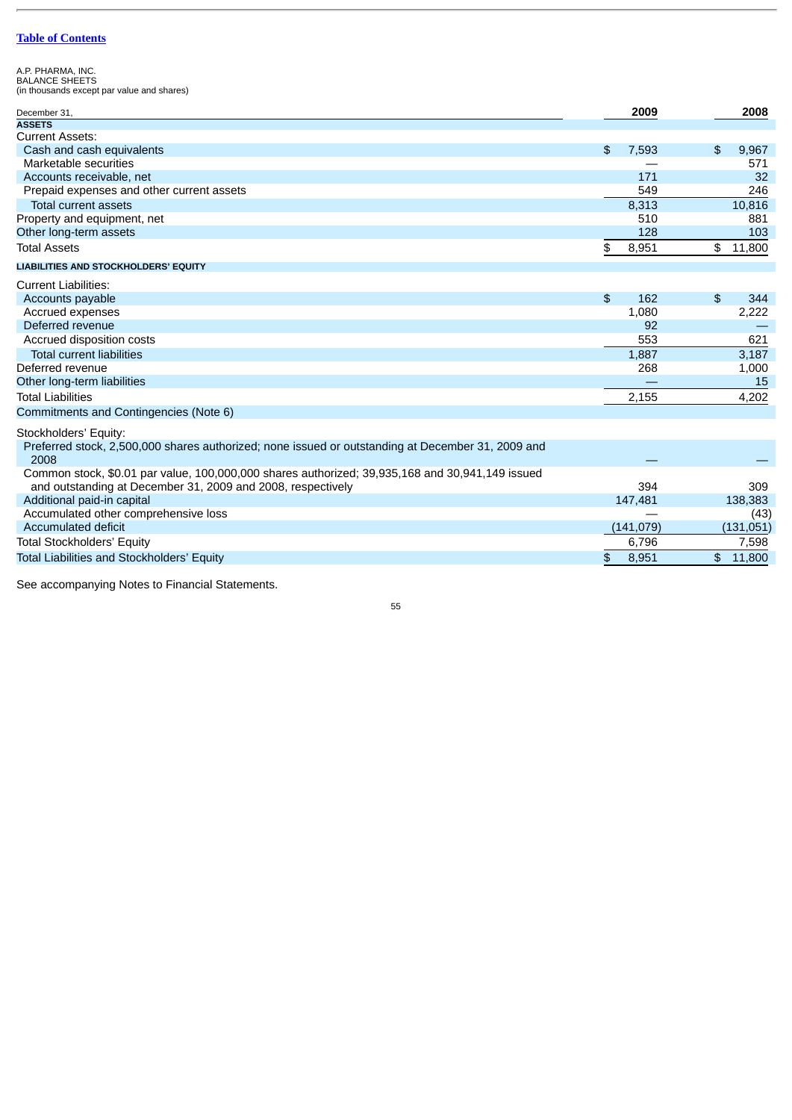A.P. PHARMA, INC. BALANCE SHEETS (in thousands except par value and shares)

| December 31,                                                                                                                                                   |                | 2009       |                | 2008      |
|----------------------------------------------------------------------------------------------------------------------------------------------------------------|----------------|------------|----------------|-----------|
| <b>ASSETS</b>                                                                                                                                                  |                |            |                |           |
| <b>Current Assets:</b>                                                                                                                                         |                |            |                |           |
| Cash and cash equivalents                                                                                                                                      | $\mathfrak{L}$ | 7,593      | \$             | 9,967     |
| Marketable securities                                                                                                                                          |                |            |                | 571       |
| Accounts receivable, net                                                                                                                                       |                | 171        |                | 32        |
| Prepaid expenses and other current assets                                                                                                                      |                | 549        |                | 246       |
| <b>Total current assets</b>                                                                                                                                    |                | 8,313      |                | 10,816    |
| Property and equipment, net                                                                                                                                    |                | 510        |                | 881       |
| Other long-term assets                                                                                                                                         |                | 128        |                | 103       |
| <b>Total Assets</b>                                                                                                                                            | \$             | 8,951      |                | \$11,800  |
| LIABILITIES AND STOCKHOLDERS' EQUITY                                                                                                                           |                |            |                |           |
| <b>Current Liabilities:</b>                                                                                                                                    |                |            |                |           |
| Accounts payable                                                                                                                                               | $\mathfrak{L}$ | 162        | \$             | 344       |
| Accrued expenses                                                                                                                                               |                | 1,080      |                | 2,222     |
| Deferred revenue                                                                                                                                               |                | 92         |                |           |
| Accrued disposition costs                                                                                                                                      |                | 553        |                | 621       |
| <b>Total current liabilities</b>                                                                                                                               |                | 1,887      |                | 3,187     |
| Deferred revenue                                                                                                                                               |                | 268        |                | 1,000     |
| Other long-term liabilities                                                                                                                                    |                |            |                | 15        |
| <b>Total Liabilities</b>                                                                                                                                       |                | 2,155      |                | 4,202     |
| Commitments and Contingencies (Note 6)                                                                                                                         |                |            |                |           |
| Stockholders' Equity:                                                                                                                                          |                |            |                |           |
| Preferred stock, 2,500,000 shares authorized; none issued or outstanding at December 31, 2009 and                                                              |                |            |                |           |
| 2008                                                                                                                                                           |                |            |                |           |
| Common stock, \$0.01 par value, 100,000,000 shares authorized; 39,935,168 and 30,941,149 issued<br>and outstanding at December 31, 2009 and 2008, respectively |                | 394        |                | 309       |
| Additional paid-in capital                                                                                                                                     |                | 147,481    |                | 138,383   |
| Accumulated other comprehensive loss                                                                                                                           |                |            |                | (43)      |
| Accumulated deficit                                                                                                                                            |                | (141, 079) |                | (131,051) |
| <b>Total Stockholders' Equity</b>                                                                                                                              |                | 6,796      |                | 7,598     |
|                                                                                                                                                                |                |            |                |           |
| <b>Total Liabilities and Stockholders' Equity</b>                                                                                                              | \$             | 8,951      | $\mathfrak{L}$ | 11,800    |

See accompanying Notes to Financial Statements.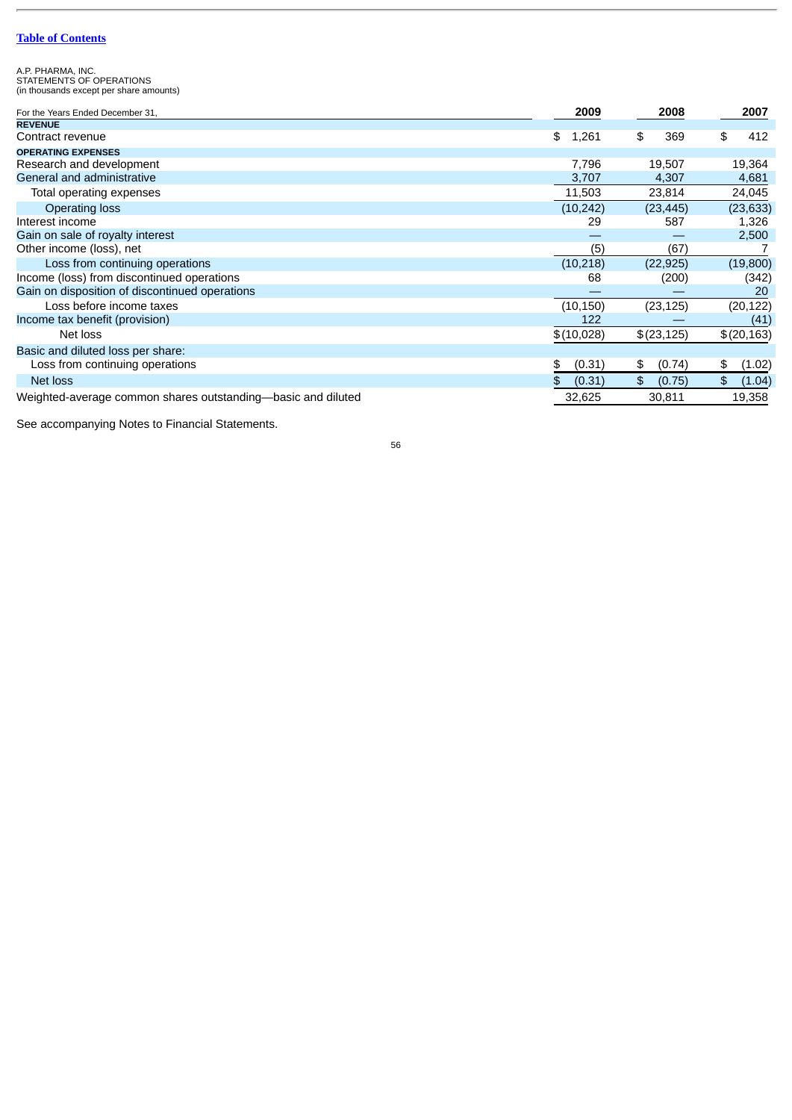A.P. PHARMA, INC. STATEMENTS OF OPERATIONS (in thousands except per share amounts)

| For the Years Ended December 31,                             | 2009         | 2008         | 2007         |
|--------------------------------------------------------------|--------------|--------------|--------------|
| <b>REVENUE</b>                                               |              |              |              |
| Contract revenue                                             | 1,261<br>\$  | 369<br>\$    | \$<br>412    |
| <b>OPERATING EXPENSES</b>                                    |              |              |              |
| Research and development                                     | 7,796        | 19,507       | 19,364       |
| General and administrative                                   | 3,707        | 4,307        | 4,681        |
| Total operating expenses                                     | 11,503       | 23,814       | 24,045       |
| <b>Operating loss</b>                                        | (10, 242)    | (23, 445)    | (23, 633)    |
| Interest income                                              | 29           | 587          | 1,326        |
| Gain on sale of royalty interest                             |              |              | 2,500        |
| Other income (loss), net                                     | (5)          | (67)         |              |
| Loss from continuing operations                              | (10, 218)    | (22, 925)    | (19,800)     |
| Income (loss) from discontinued operations                   | 68           | (200)        | (342)        |
| Gain on disposition of discontinued operations               |              |              | 20           |
| Loss before income taxes                                     | (10, 150)    | (23, 125)    | (20, 122)    |
| Income tax benefit (provision)                               | 122          |              | (41)         |
| Net loss                                                     | \$(10,028)   | \$(23,125)   | \$(20,163)   |
| Basic and diluted loss per share:                            |              |              |              |
| Loss from continuing operations                              | (0.31)<br>\$ | (0.74)<br>\$ | \$<br>(1.02) |
| Net loss                                                     | \$<br>(0.31) | \$<br>(0.75) | \$<br>(1.04) |
| Weighted-average common shares outstanding-basic and diluted | 32.625       | 30.811       | 19,358       |

See accompanying Notes to Financial Statements.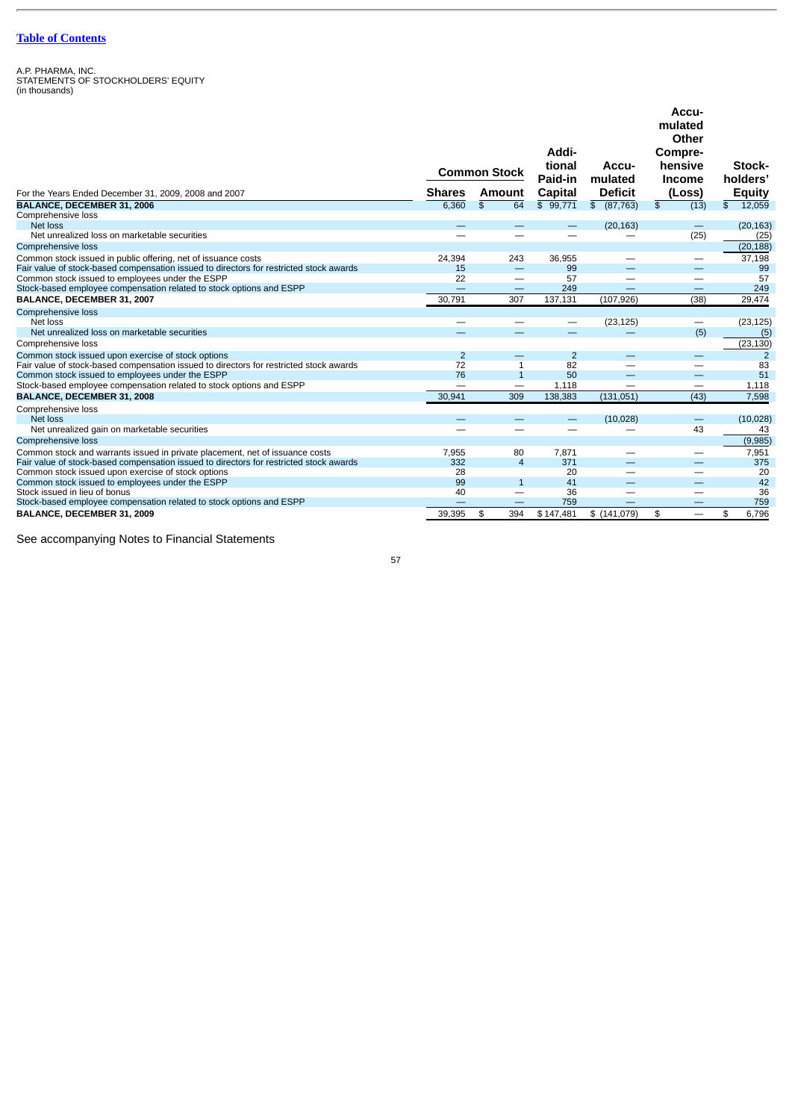A.P. PHARMA, INC. STATEMENTS OF STOCKHOLDERS' EQUITY (in thousands)

|                                                                                        | <b>Common Stock</b> |                          | Addi-<br>tional<br>Paid-in | Accu-<br>mulated               | Accu-<br>mulated<br>Other<br>Compre-<br>hensive<br><b>Income</b> | Stock-<br>holders' |
|----------------------------------------------------------------------------------------|---------------------|--------------------------|----------------------------|--------------------------------|------------------------------------------------------------------|--------------------|
| For the Years Ended December 31, 2009, 2008 and 2007                                   | <b>Shares</b>       | Amount                   | Capital                    | <b>Deficit</b>                 | (Loss)                                                           | <b>Equity</b>      |
| BALANCE, DECEMBER 31, 2006                                                             | 6.360               | \$<br>64                 | \$99.771                   | $\frac{2}{3}$<br>(87, 763)     | \$<br>(13)                                                       | \$<br>12,059       |
| Comprehensive loss                                                                     |                     |                          |                            |                                |                                                                  |                    |
| Net loss                                                                               |                     | $\sim$                   |                            | (20, 163)                      | $\qquad \qquad -$                                                | (20, 163)          |
| Net unrealized loss on marketable securities                                           |                     |                          |                            | —                              | (25)                                                             | (25)               |
| Comprehensive loss                                                                     |                     |                          |                            |                                |                                                                  | (20, 188)          |
| Common stock issued in public offering, net of issuance costs                          | 24,394              | 243                      | 36,955                     | --                             | $\qquad \qquad$                                                  | 37,198             |
| Fair value of stock-based compensation issued to directors for restricted stock awards | 15                  | $\equiv$                 | 99                         |                                |                                                                  | 99                 |
| Common stock issued to employees under the ESPP                                        | 22                  | $\overline{\phantom{m}}$ | 57                         |                                | $\overline{\phantom{0}}$                                         | 57                 |
| Stock-based employee compensation related to stock options and ESPP                    |                     | $\qquad \qquad -$        | 249                        | $\sim$                         | $\qquad \qquad -$                                                | 249                |
| BALANCE, DECEMBER 31, 2007                                                             | 30,791              | 307                      | 137,131                    | (107, 926)                     | (38)                                                             | 29,474             |
| Comprehensive loss                                                                     |                     |                          |                            |                                |                                                                  |                    |
| Net loss                                                                               |                     |                          | $\overline{\phantom{0}}$   | (23, 125)                      | $\qquad \qquad$                                                  | (23, 125)          |
| Net unrealized loss on marketable securities                                           |                     |                          |                            |                                | (5)                                                              | (5)                |
| Comprehensive loss                                                                     |                     |                          |                            |                                |                                                                  | (23, 130)          |
| Common stock issued upon exercise of stock options                                     | $\overline{2}$      | $\qquad \qquad -$        | $\overline{2}$             |                                | $\qquad \qquad \longleftarrow$                                   | 2                  |
| Fair value of stock-based compensation issued to directors for restricted stock awards | 72                  | $\mathbf{1}$             | 82                         | —                              |                                                                  | 83                 |
| Common stock issued to employees under the ESPP                                        | 76                  | $\mathbf{1}$             | 50                         | $\qquad \qquad \longleftarrow$ | $\overline{\phantom{0}}$                                         | 51                 |
| Stock-based employee compensation related to stock options and ESPP                    |                     | $\equiv$                 | 1,118                      |                                | $\equiv$                                                         | 1,118              |
| BALANCE, DECEMBER 31, 2008                                                             | 30,941              | 309                      | 138,383                    | (131,051)                      | (43)                                                             | 7,598              |
| Comprehensive loss                                                                     |                     |                          |                            |                                |                                                                  |                    |
| Net loss                                                                               |                     |                          |                            | (10, 028)                      | $\qquad \qquad -$                                                | (10, 028)          |
| Net unrealized gain on marketable securities                                           |                     |                          |                            |                                | 43                                                               | 43                 |
| Comprehensive loss                                                                     |                     |                          |                            |                                |                                                                  | (9,985)            |
| Common stock and warrants issued in private placement, net of issuance costs           | 7,955               | 80                       | 7,871                      |                                |                                                                  | 7,951              |
| Fair value of stock-based compensation issued to directors for restricted stock awards | 332                 | $\overline{4}$           | 371                        |                                | $-$                                                              | 375                |
| Common stock issued upon exercise of stock options                                     | 28                  |                          | 20                         | —                              | $\overline{\phantom{0}}$                                         | 20                 |
| Common stock issued to employees under the ESPP                                        | 99                  | $\mathbf{1}$             | 41                         | $\overline{\phantom{0}}$       | $\overline{\phantom{0}}$                                         | 42                 |
| Stock issued in lieu of bonus                                                          | 40                  |                          | 36                         |                                |                                                                  | 36                 |
| Stock-based employee compensation related to stock options and ESPP                    |                     | ÷,                       | 759                        |                                |                                                                  | 759                |
| BALANCE, DECEMBER 31, 2009                                                             | 39,395              | \$<br>394                | \$147,481                  | \$(141,079)                    | \$<br>$\equiv$                                                   | 6.796<br>\$        |

See accompanying Notes to Financial Statements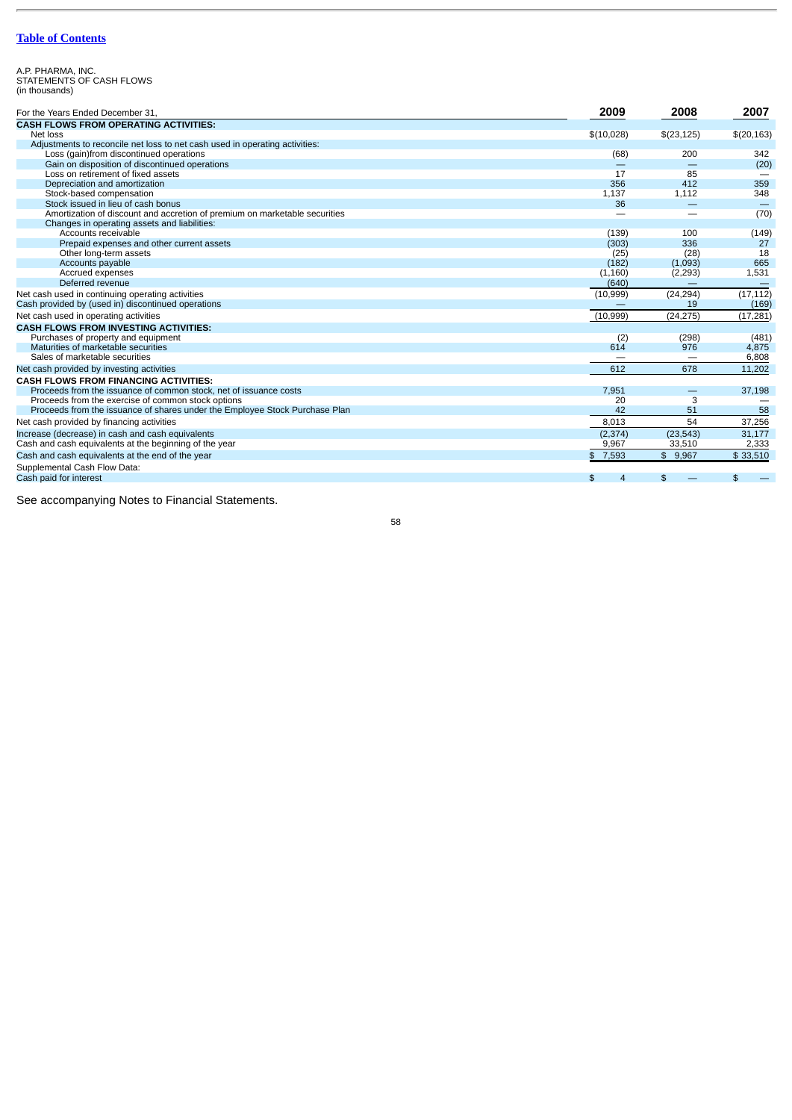A.P. PHARMA, INC. STATEMENTS OF CASH FLOWS (in thousands)

| For the Years Ended December 31.                                            | 2009        | 2008              | 2007        |
|-----------------------------------------------------------------------------|-------------|-------------------|-------------|
| <b>CASH FLOWS FROM OPERATING ACTIVITIES:</b>                                |             |                   |             |
| Net loss                                                                    | \$(10,028)  | \$(23,125)        | \$(20, 163) |
| Adjustments to reconcile net loss to net cash used in operating activities: |             |                   |             |
| Loss (gain)from discontinued operations                                     | (68)        | 200               | 342         |
| Gain on disposition of discontinued operations                              |             |                   | (20)        |
| Loss on retirement of fixed assets                                          | 17          | 85                |             |
| Depreciation and amortization                                               | 356         | 412               | 359         |
| Stock-based compensation                                                    | 1,137       | 1,112             | 348         |
| Stock issued in lieu of cash bonus                                          | 36          | $\qquad \qquad -$ |             |
| Amortization of discount and accretion of premium on marketable securities  |             | —                 | (70)        |
| Changes in operating assets and liabilities:                                |             |                   |             |
| Accounts receivable                                                         | (139)       | 100               | (149)       |
| Prepaid expenses and other current assets                                   | (303)       | 336               | 27          |
| Other long-term assets                                                      | (25)        | (28)              | 18          |
| Accounts payable                                                            | (182)       | (1,093)           | 665         |
| Accrued expenses                                                            | (1, 160)    | (2, 293)          | 1,531       |
| Deferred revenue                                                            | (640)       |                   |             |
| Net cash used in continuing operating activities                            | (10, 999)   | (24, 294)         | (17, 112)   |
| Cash provided by (used in) discontinued operations                          |             | 19                | (169)       |
| Net cash used in operating activities                                       | (10, 999)   | (24, 275)         | (17, 281)   |
| <b>CASH FLOWS FROM INVESTING ACTIVITIES:</b>                                |             |                   |             |
| Purchases of property and equipment                                         | (2)         | (298)             | (481)       |
| Maturities of marketable securities                                         | 614         | 976               | 4,875       |
| Sales of marketable securities                                              |             |                   | 6,808       |
| Net cash provided by investing activities                                   | 612         | 678               | 11,202      |
| <b>CASH FLOWS FROM FINANCING ACTIVITIES:</b>                                |             |                   |             |
| Proceeds from the issuance of common stock, net of issuance costs           | 7,951       |                   | 37,198      |
| Proceeds from the exercise of common stock options                          | 20          | 3                 |             |
| Proceeds from the issuance of shares under the Employee Stock Purchase Plan | 42          | 51                | 58          |
| Net cash provided by financing activities                                   | 8,013       | 54                | 37,256      |
| Increase (decrease) in cash and cash equivalents                            | (2, 374)    | (23, 543)         | 31,177      |
| Cash and cash equivalents at the beginning of the year                      | 9,967       | 33,510            | 2,333       |
| Cash and cash equivalents at the end of the year                            | 7,593<br>\$ | \$9,967           | \$33,510    |
| Supplemental Cash Flow Data:                                                |             |                   |             |
| Cash paid for interest                                                      | \$<br>4     | \$                | \$          |

See accompanying Notes to Financial Statements.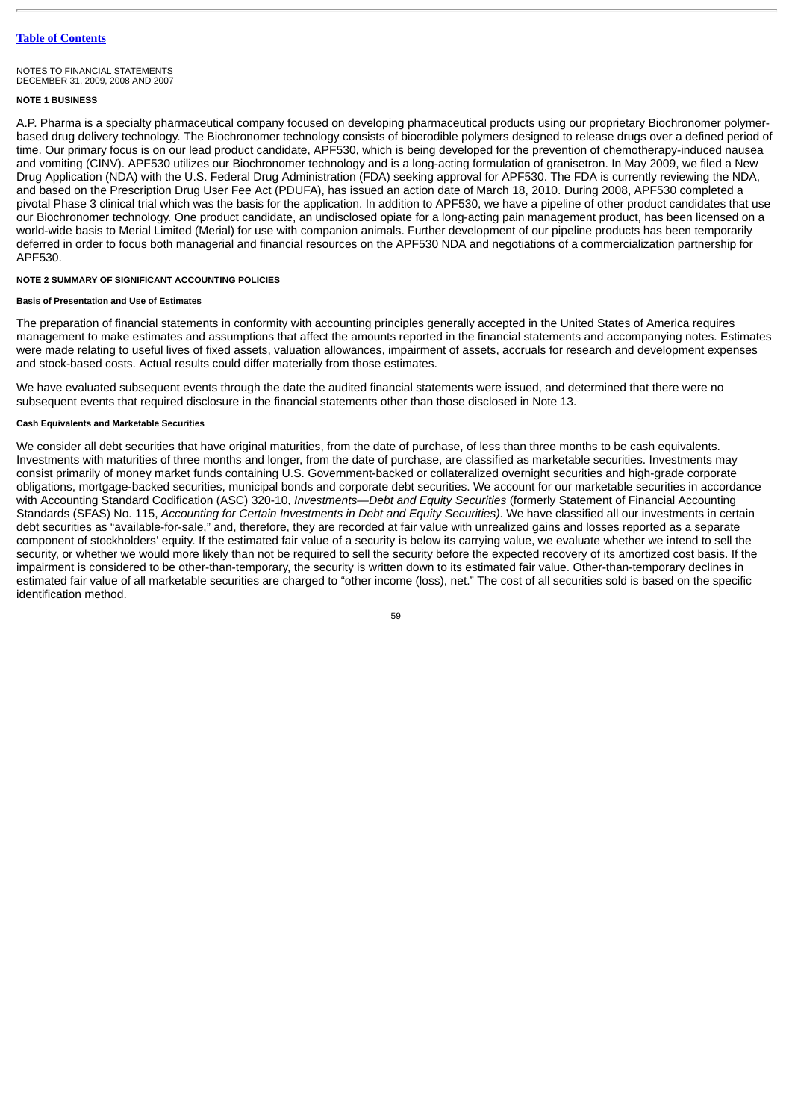# **NOTE 1 BUSINESS**

A.P. Pharma is a specialty pharmaceutical company focused on developing pharmaceutical products using our proprietary Biochronomer polymerbased drug delivery technology. The Biochronomer technology consists of bioerodible polymers designed to release drugs over a defined period of time. Our primary focus is on our lead product candidate, APF530, which is being developed for the prevention of chemotherapy-induced nausea and vomiting (CINV). APF530 utilizes our Biochronomer technology and is a long-acting formulation of granisetron. In May 2009, we filed a New Drug Application (NDA) with the U.S. Federal Drug Administration (FDA) seeking approval for APF530. The FDA is currently reviewing the NDA, and based on the Prescription Drug User Fee Act (PDUFA), has issued an action date of March 18, 2010. During 2008, APF530 completed a pivotal Phase 3 clinical trial which was the basis for the application. In addition to APF530, we have a pipeline of other product candidates that use our Biochronomer technology. One product candidate, an undisclosed opiate for a long-acting pain management product, has been licensed on a world-wide basis to Merial Limited (Merial) for use with companion animals. Further development of our pipeline products has been temporarily deferred in order to focus both managerial and financial resources on the APF530 NDA and negotiations of a commercialization partnership for APF530.

#### **NOTE 2 SUMMARY OF SIGNIFICANT ACCOUNTING POLICIES**

#### **Basis of Presentation and Use of Estimates**

The preparation of financial statements in conformity with accounting principles generally accepted in the United States of America requires management to make estimates and assumptions that affect the amounts reported in the financial statements and accompanying notes. Estimates were made relating to useful lives of fixed assets, valuation allowances, impairment of assets, accruals for research and development expenses and stock-based costs. Actual results could differ materially from those estimates.

We have evaluated subsequent events through the date the audited financial statements were issued, and determined that there were no subsequent events that required disclosure in the financial statements other than those disclosed in Note 13.

# **Cash Equivalents and Marketable Securities**

We consider all debt securities that have original maturities, from the date of purchase, of less than three months to be cash equivalents. Investments with maturities of three months and longer, from the date of purchase, are classified as marketable securities. Investments may consist primarily of money market funds containing U.S. Government-backed or collateralized overnight securities and high-grade corporate obligations, mortgage-backed securities, municipal bonds and corporate debt securities. We account for our marketable securities in accordance with Accounting Standard Codification (ASC) 320-10, *Investments—Debt and Equity Securities* (formerly Statement of Financial Accounting Standards (SFAS) No. 115, *Accounting for Certain Investments in Debt and Equity Securities)*. We have classified all our investments in certain debt securities as "available-for-sale," and, therefore, they are recorded at fair value with unrealized gains and losses reported as a separate component of stockholders' equity. If the estimated fair value of a security is below its carrying value, we evaluate whether we intend to sell the security, or whether we would more likely than not be required to sell the security before the expected recovery of its amortized cost basis. If the impairment is considered to be other-than-temporary, the security is written down to its estimated fair value. Other-than-temporary declines in estimated fair value of all marketable securities are charged to "other income (loss), net." The cost of all securities sold is based on the specific identification method.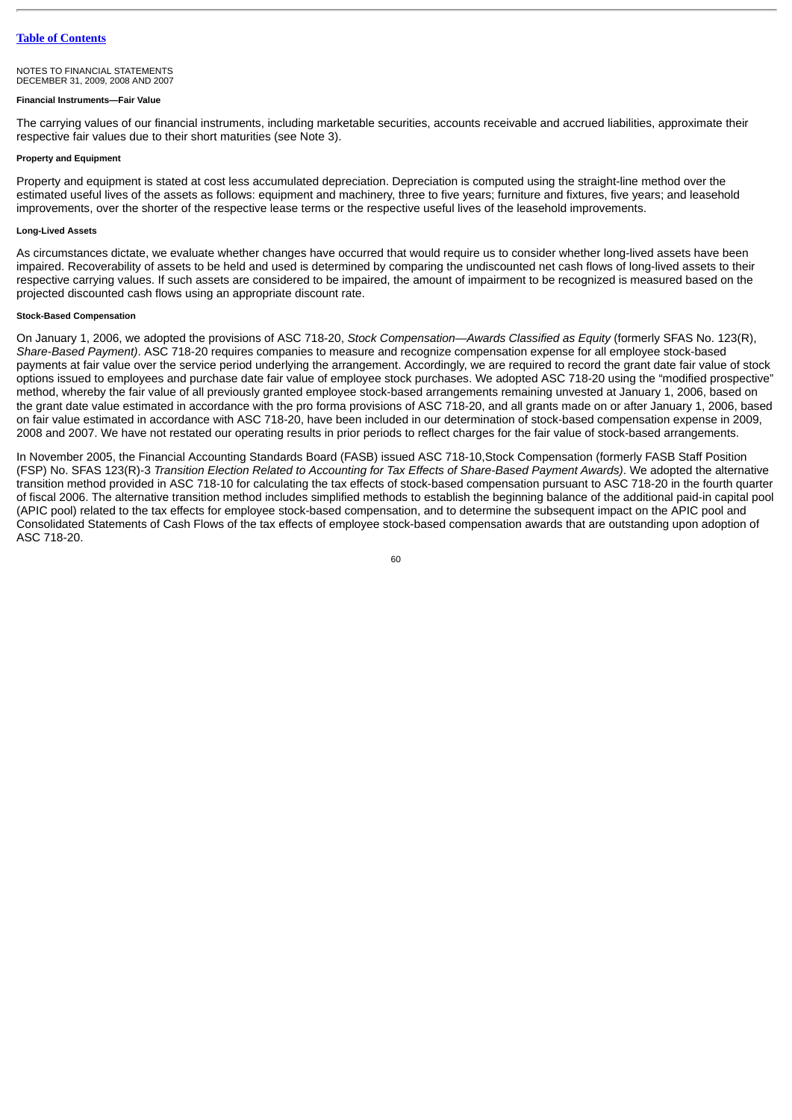#### **Financial Instruments—Fair Value**

The carrying values of our financial instruments, including marketable securities, accounts receivable and accrued liabilities, approximate their respective fair values due to their short maturities (see Note 3).

### **Property and Equipment**

Property and equipment is stated at cost less accumulated depreciation. Depreciation is computed using the straight-line method over the estimated useful lives of the assets as follows: equipment and machinery, three to five years; furniture and fixtures, five years; and leasehold improvements, over the shorter of the respective lease terms or the respective useful lives of the leasehold improvements.

# **Long-Lived Assets**

As circumstances dictate, we evaluate whether changes have occurred that would require us to consider whether long-lived assets have been impaired. Recoverability of assets to be held and used is determined by comparing the undiscounted net cash flows of long-lived assets to their respective carrying values. If such assets are considered to be impaired, the amount of impairment to be recognized is measured based on the projected discounted cash flows using an appropriate discount rate.

## **Stock-Based Compensation**

On January 1, 2006, we adopted the provisions of ASC 718-20, *Stock Compensation—Awards Classified as Equity* (formerly SFAS No. 123(R), *Share-Based Payment)*. ASC 718-20 requires companies to measure and recognize compensation expense for all employee stock-based payments at fair value over the service period underlying the arrangement. Accordingly, we are required to record the grant date fair value of stock options issued to employees and purchase date fair value of employee stock purchases. We adopted ASC 718-20 using the "modified prospective" method, whereby the fair value of all previously granted employee stock-based arrangements remaining unvested at January 1, 2006, based on the grant date value estimated in accordance with the pro forma provisions of ASC 718-20, and all grants made on or after January 1, 2006, based on fair value estimated in accordance with ASC 718-20, have been included in our determination of stock-based compensation expense in 2009, 2008 and 2007. We have not restated our operating results in prior periods to reflect charges for the fair value of stock-based arrangements.

In November 2005, the Financial Accounting Standards Board (FASB) issued ASC 718-10,Stock Compensation (formerly FASB Staff Position (FSP) No. SFAS 123(R)-3 *Transition Election Related to Accounting for Tax Effects of Share-Based Payment Awards)*. We adopted the alternative transition method provided in ASC 718-10 for calculating the tax effects of stock-based compensation pursuant to ASC 718-20 in the fourth quarter of fiscal 2006. The alternative transition method includes simplified methods to establish the beginning balance of the additional paid-in capital pool (APIC pool) related to the tax effects for employee stock-based compensation, and to determine the subsequent impact on the APIC pool and Consolidated Statements of Cash Flows of the tax effects of employee stock-based compensation awards that are outstanding upon adoption of ASC 718-20.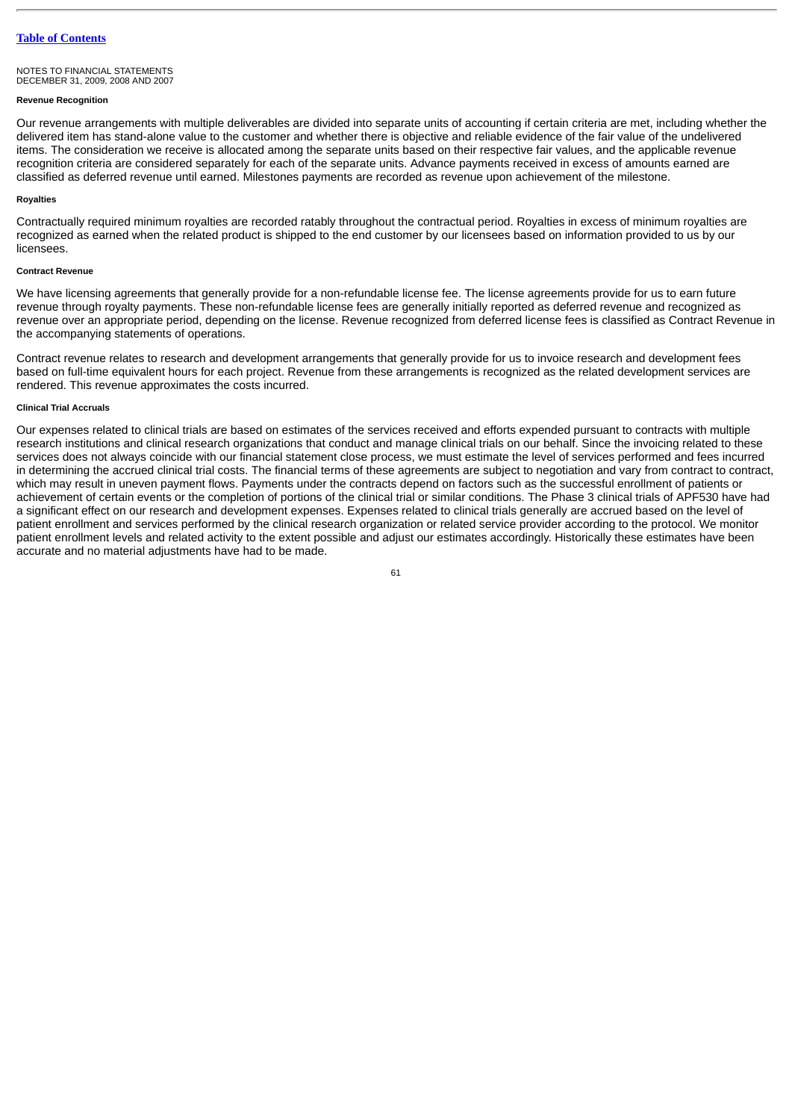# **Revenue Recognition**

Our revenue arrangements with multiple deliverables are divided into separate units of accounting if certain criteria are met, including whether the delivered item has stand-alone value to the customer and whether there is objective and reliable evidence of the fair value of the undelivered items. The consideration we receive is allocated among the separate units based on their respective fair values, and the applicable revenue recognition criteria are considered separately for each of the separate units. Advance payments received in excess of amounts earned are classified as deferred revenue until earned. Milestones payments are recorded as revenue upon achievement of the milestone.

## **Royalties**

Contractually required minimum royalties are recorded ratably throughout the contractual period. Royalties in excess of minimum royalties are recognized as earned when the related product is shipped to the end customer by our licensees based on information provided to us by our licensees.

## **Contract Revenue**

We have licensing agreements that generally provide for a non-refundable license fee. The license agreements provide for us to earn future revenue through royalty payments. These non-refundable license fees are generally initially reported as deferred revenue and recognized as revenue over an appropriate period, depending on the license. Revenue recognized from deferred license fees is classified as Contract Revenue in the accompanying statements of operations.

Contract revenue relates to research and development arrangements that generally provide for us to invoice research and development fees based on full-time equivalent hours for each project. Revenue from these arrangements is recognized as the related development services are rendered. This revenue approximates the costs incurred.

# **Clinical Trial Accruals**

Our expenses related to clinical trials are based on estimates of the services received and efforts expended pursuant to contracts with multiple research institutions and clinical research organizations that conduct and manage clinical trials on our behalf. Since the invoicing related to these services does not always coincide with our financial statement close process, we must estimate the level of services performed and fees incurred in determining the accrued clinical trial costs. The financial terms of these agreements are subject to negotiation and vary from contract to contract, which may result in uneven payment flows. Payments under the contracts depend on factors such as the successful enrollment of patients or achievement of certain events or the completion of portions of the clinical trial or similar conditions. The Phase 3 clinical trials of APF530 have had a significant effect on our research and development expenses. Expenses related to clinical trials generally are accrued based on the level of patient enrollment and services performed by the clinical research organization or related service provider according to the protocol. We monitor patient enrollment levels and related activity to the extent possible and adjust our estimates accordingly. Historically these estimates have been accurate and no material adjustments have had to be made.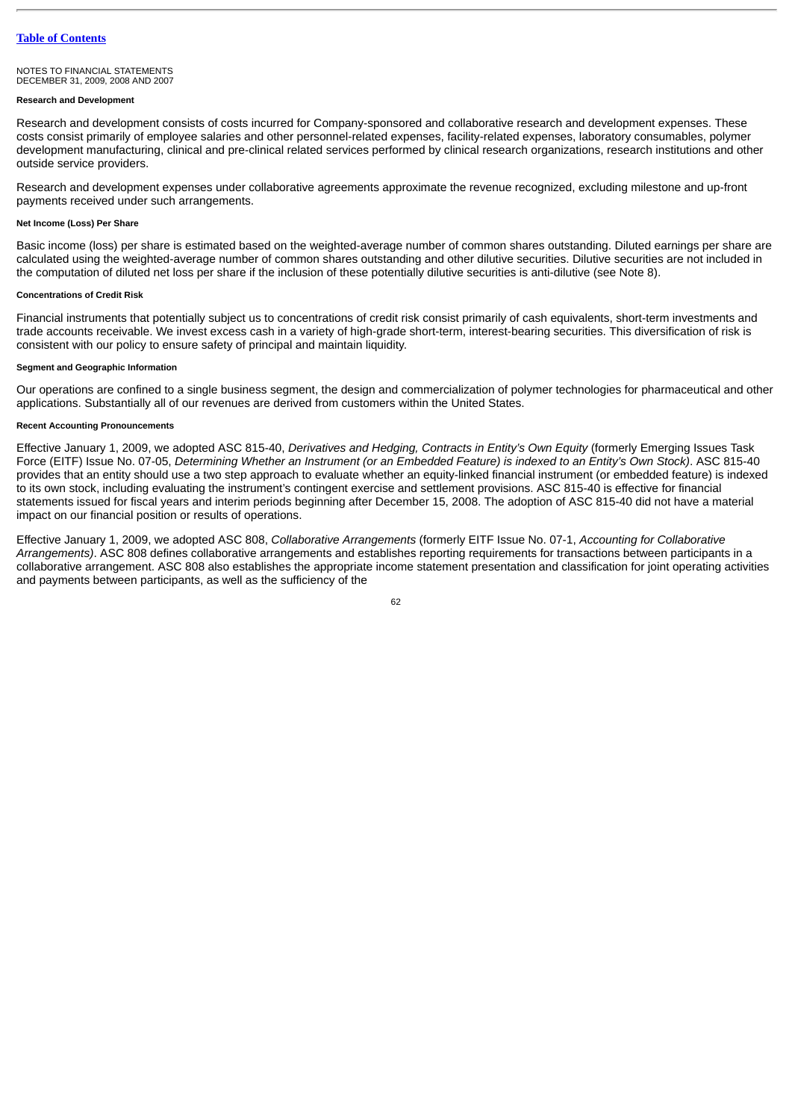#### NOTES TO FINANCIAL STATEMENTS DECEMBER 31, 2009, 2008 AND 2007

# **Research and Development**

Research and development consists of costs incurred for Company-sponsored and collaborative research and development expenses. These costs consist primarily of employee salaries and other personnel-related expenses, facility-related expenses, laboratory consumables, polymer development manufacturing, clinical and pre-clinical related services performed by clinical research organizations, research institutions and other outside service providers.

Research and development expenses under collaborative agreements approximate the revenue recognized, excluding milestone and up-front payments received under such arrangements.

#### **Net Income (Loss) Per Share**

Basic income (loss) per share is estimated based on the weighted-average number of common shares outstanding. Diluted earnings per share are calculated using the weighted-average number of common shares outstanding and other dilutive securities. Dilutive securities are not included in the computation of diluted net loss per share if the inclusion of these potentially dilutive securities is anti-dilutive (see Note 8).

### **Concentrations of Credit Risk**

Financial instruments that potentially subject us to concentrations of credit risk consist primarily of cash equivalents, short-term investments and trade accounts receivable. We invest excess cash in a variety of high-grade short-term, interest-bearing securities. This diversification of risk is consistent with our policy to ensure safety of principal and maintain liquidity.

# **Segment and Geographic Information**

Our operations are confined to a single business segment, the design and commercialization of polymer technologies for pharmaceutical and other applications. Substantially all of our revenues are derived from customers within the United States.

# **Recent Accounting Pronouncements**

Effective January 1, 2009, we adopted ASC 815-40, *Derivatives and Hedging, Contracts in Entity's Own Equity* (formerly Emerging Issues Task Force (EITF) Issue No. 07-05, *Determining Whether an Instrument (or an Embedded Feature) is indexed to an Entity's Own Stock)*. ASC 815-40 provides that an entity should use a two step approach to evaluate whether an equity-linked financial instrument (or embedded feature) is indexed to its own stock, including evaluating the instrument's contingent exercise and settlement provisions. ASC 815-40 is effective for financial statements issued for fiscal years and interim periods beginning after December 15, 2008. The adoption of ASC 815-40 did not have a material impact on our financial position or results of operations.

Effective January 1, 2009, we adopted ASC 808, *Collaborative Arrangements* (formerly EITF Issue No. 07-1, *Accounting for Collaborative Arrangements)*. ASC 808 defines collaborative arrangements and establishes reporting requirements for transactions between participants in a collaborative arrangement. ASC 808 also establishes the appropriate income statement presentation and classification for joint operating activities and payments between participants, as well as the sufficiency of the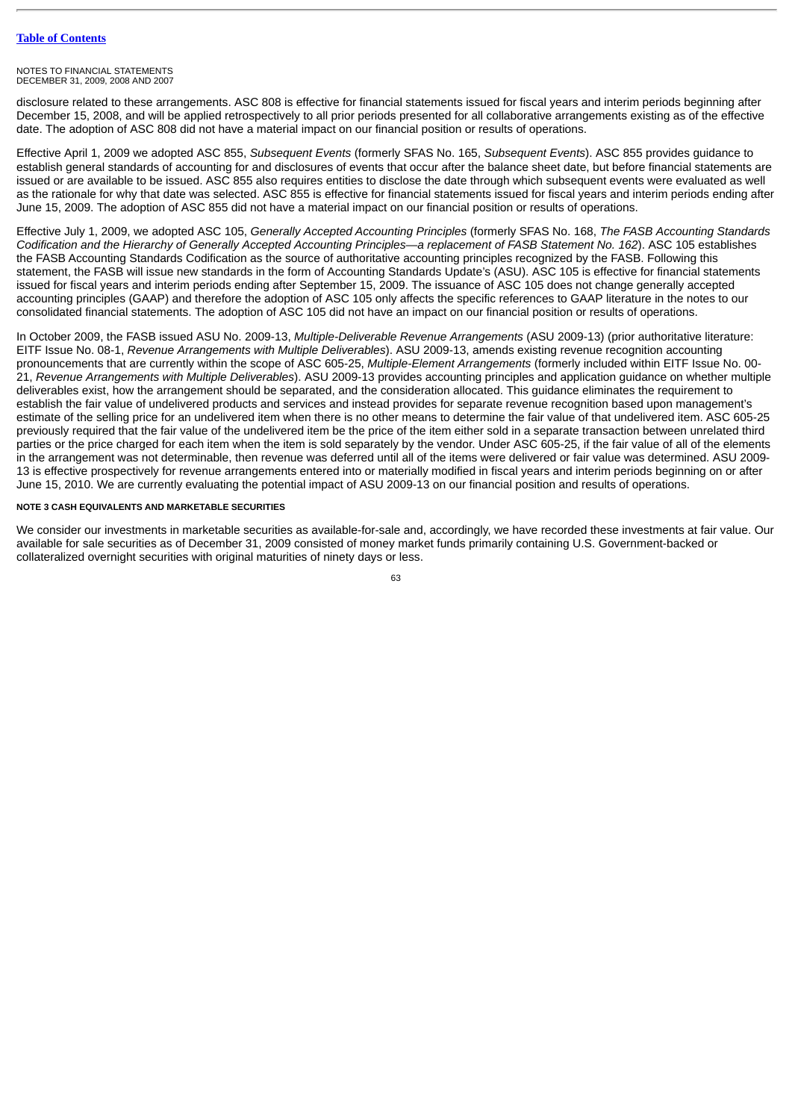disclosure related to these arrangements. ASC 808 is effective for financial statements issued for fiscal years and interim periods beginning after December 15, 2008, and will be applied retrospectively to all prior periods presented for all collaborative arrangements existing as of the effective date. The adoption of ASC 808 did not have a material impact on our financial position or results of operations.

Effective April 1, 2009 we adopted ASC 855, *Subsequent Events* (formerly SFAS No. 165, *Subsequent Events*). ASC 855 provides guidance to establish general standards of accounting for and disclosures of events that occur after the balance sheet date, but before financial statements are issued or are available to be issued. ASC 855 also requires entities to disclose the date through which subsequent events were evaluated as well as the rationale for why that date was selected. ASC 855 is effective for financial statements issued for fiscal years and interim periods ending after June 15, 2009. The adoption of ASC 855 did not have a material impact on our financial position or results of operations.

Effective July 1, 2009, we adopted ASC 105, *Generally Accepted Accounting Principles* (formerly SFAS No. 168, *The FASB Accounting Standards Codification and the Hierarchy of Generally Accepted Accounting Principles—a replacement of FASB Statement No. 162*). ASC 105 establishes the FASB Accounting Standards Codification as the source of authoritative accounting principles recognized by the FASB. Following this statement, the FASB will issue new standards in the form of Accounting Standards Update's (ASU). ASC 105 is effective for financial statements issued for fiscal years and interim periods ending after September 15, 2009. The issuance of ASC 105 does not change generally accepted accounting principles (GAAP) and therefore the adoption of ASC 105 only affects the specific references to GAAP literature in the notes to our consolidated financial statements. The adoption of ASC 105 did not have an impact on our financial position or results of operations.

In October 2009, the FASB issued ASU No. 2009-13, *Multiple-Deliverable Revenue Arrangements* (ASU 2009-13) (prior authoritative literature: EITF Issue No. 08-1, *Revenue Arrangements with Multiple Deliverables*). ASU 2009-13, amends existing revenue recognition accounting pronouncements that are currently within the scope of ASC 605-25, *Multiple-Element Arrangements* (formerly included within EITF Issue No. 00- 21, *Revenue Arrangements with Multiple Deliverables*). ASU 2009-13 provides accounting principles and application guidance on whether multiple deliverables exist, how the arrangement should be separated, and the consideration allocated. This guidance eliminates the requirement to establish the fair value of undelivered products and services and instead provides for separate revenue recognition based upon management's estimate of the selling price for an undelivered item when there is no other means to determine the fair value of that undelivered item. ASC 605-25 previously required that the fair value of the undelivered item be the price of the item either sold in a separate transaction between unrelated third parties or the price charged for each item when the item is sold separately by the vendor. Under ASC 605-25, if the fair value of all of the elements in the arrangement was not determinable, then revenue was deferred until all of the items were delivered or fair value was determined. ASU 2009- 13 is effective prospectively for revenue arrangements entered into or materially modified in fiscal years and interim periods beginning on or after June 15, 2010. We are currently evaluating the potential impact of ASU 2009-13 on our financial position and results of operations.

# **NOTE 3 CASH EQUIVALENTS AND MARKETABLE SECURITIES**

We consider our investments in marketable securities as available-for-sale and, accordingly, we have recorded these investments at fair value. Our available for sale securities as of December 31, 2009 consisted of money market funds primarily containing U.S. Government-backed or collateralized overnight securities with original maturities of ninety days or less.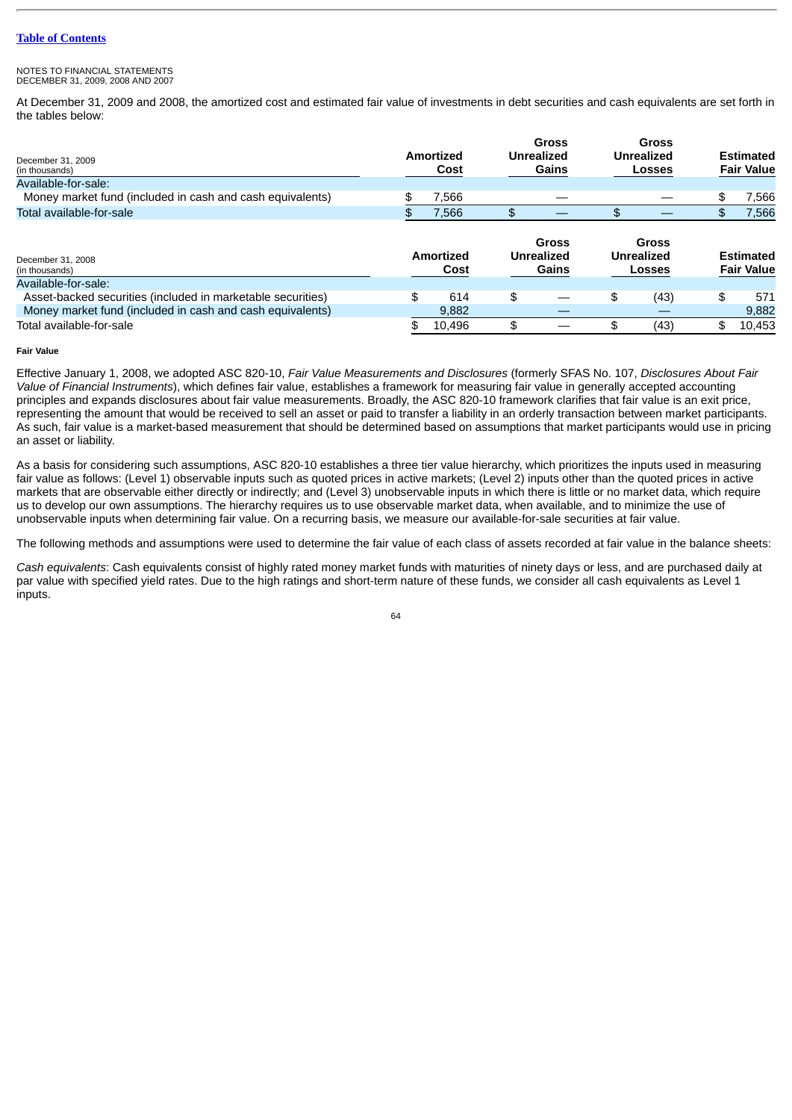#### NOTES TO FINANCIAL STATEMENTS DECEMBER 31, 2009, 2008 AND 2007

At December 31, 2009 and 2008, the amortized cost and estimated fair value of investments in debt securities and cash equivalents are set forth in the tables below:

| December 31, 2009<br>(in thousands)                         |                   | Amortized<br>Cost |     | Gross<br><b>Unrealized</b><br>Gains |    | Gross<br><b>Unrealized</b><br><b>Losses</b> |    | Estimated<br><b>Fair Value</b>        |
|-------------------------------------------------------------|-------------------|-------------------|-----|-------------------------------------|----|---------------------------------------------|----|---------------------------------------|
| Available-for-sale:                                         |                   |                   |     |                                     |    |                                             |    |                                       |
| Money market fund (included in cash and cash equivalents)   | \$                | 7,566             |     |                                     |    |                                             | \$ | 7.566                                 |
| Total available-for-sale                                    | £.                | 7,566             |     |                                     |    |                                             |    | 7,566                                 |
| December 31, 2008<br>(in thousands)                         | Amortized<br>Cost |                   |     | Gross<br><b>Unrealized</b><br>Gains |    | Gross<br>Unrealized<br><b>Losses</b>        |    | <b>Estimated</b><br><b>Fair Value</b> |
| Available-for-sale:                                         |                   |                   |     |                                     |    |                                             |    |                                       |
| Asset-backed securities (included in marketable securities) | \$.               | 614               | \$  |                                     | \$ | (43)                                        | \$ | 571                                   |
| Money market fund (included in cash and cash equivalents)   |                   | 9.882             |     |                                     |    |                                             |    | 9,882                                 |
| Total available-for-sale                                    |                   | 10,496            | \$. |                                     |    | (43)                                        | \$ | 10,453                                |

# **Fair Value**

Effective January 1, 2008, we adopted ASC 820-10, *Fair Value Measurements and Disclosures* (formerly SFAS No. 107, *Disclosures About Fair Value of Financial Instruments*), which defines fair value, establishes a framework for measuring fair value in generally accepted accounting principles and expands disclosures about fair value measurements. Broadly, the ASC 820-10 framework clarifies that fair value is an exit price, representing the amount that would be received to sell an asset or paid to transfer a liability in an orderly transaction between market participants. As such, fair value is a market-based measurement that should be determined based on assumptions that market participants would use in pricing an asset or liability.

As a basis for considering such assumptions, ASC 820-10 establishes a three tier value hierarchy, which prioritizes the inputs used in measuring fair value as follows: (Level 1) observable inputs such as quoted prices in active markets; (Level 2) inputs other than the quoted prices in active markets that are observable either directly or indirectly; and (Level 3) unobservable inputs in which there is little or no market data, which require us to develop our own assumptions. The hierarchy requires us to use observable market data, when available, and to minimize the use of unobservable inputs when determining fair value. On a recurring basis, we measure our available-for-sale securities at fair value.

The following methods and assumptions were used to determine the fair value of each class of assets recorded at fair value in the balance sheets:

*Cash equivalents*: Cash equivalents consist of highly rated money market funds with maturities of ninety days or less, and are purchased daily at par value with specified yield rates. Due to the high ratings and short-term nature of these funds, we consider all cash equivalents as Level 1 inputs.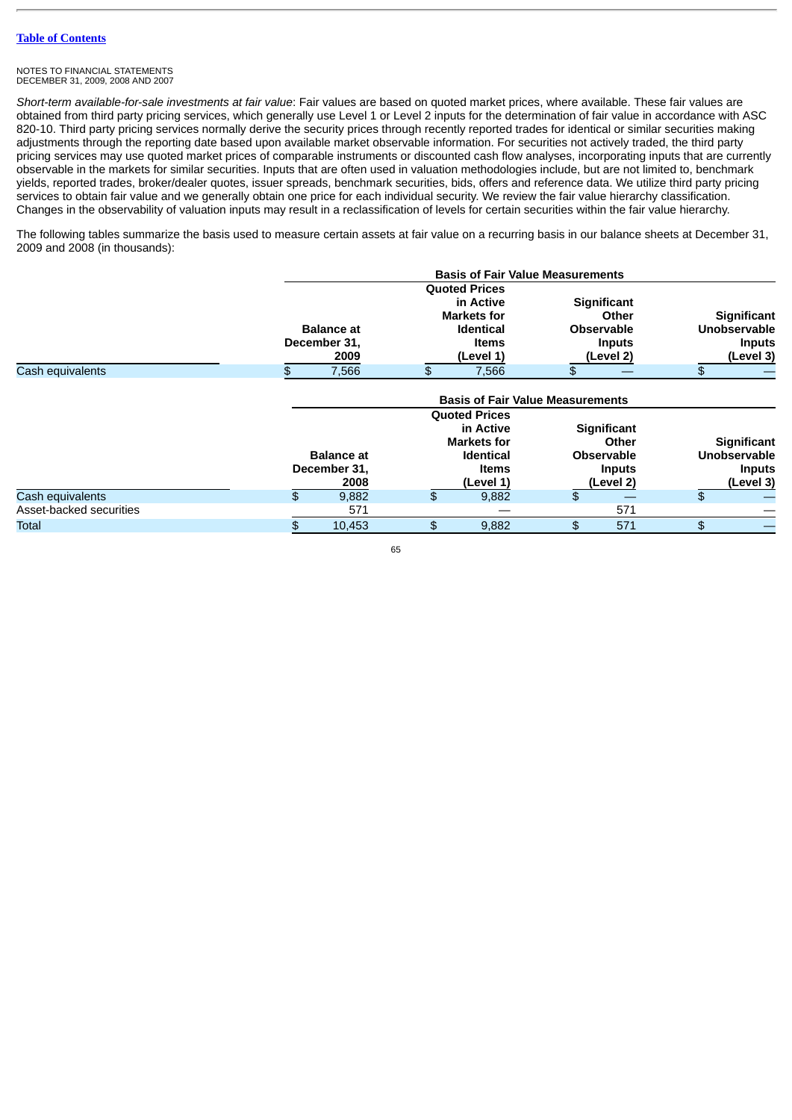*Short-term available-for-sale investments at fair value*: Fair values are based on quoted market prices, where available. These fair values are obtained from third party pricing services, which generally use Level 1 or Level 2 inputs for the determination of fair value in accordance with ASC 820-10. Third party pricing services normally derive the security prices through recently reported trades for identical or similar securities making adjustments through the reporting date based upon available market observable information. For securities not actively traded, the third party pricing services may use quoted market prices of comparable instruments or discounted cash flow analyses, incorporating inputs that are currently observable in the markets for similar securities. Inputs that are often used in valuation methodologies include, but are not limited to, benchmark yields, reported trades, broker/dealer quotes, issuer spreads, benchmark securities, bids, offers and reference data. We utilize third party pricing services to obtain fair value and we generally obtain one price for each individual security. We review the fair value hierarchy classification. Changes in the observability of valuation inputs may result in a reclassification of levels for certain securities within the fair value hierarchy.

The following tables summarize the basis used to measure certain assets at fair value on a recurring basis in our balance sheets at December 31, 2009 and 2008 (in thousands):

|                         | <b>Basis of Fair Value Measurements</b> |                      |                                                        |                    |                                             |                   |                                      |                     |
|-------------------------|-----------------------------------------|----------------------|--------------------------------------------------------|--------------------|---------------------------------------------|-------------------|--------------------------------------|---------------------|
|                         |                                         | <b>Ouoted Prices</b> |                                                        |                    |                                             |                   |                                      |                     |
|                         |                                         |                      |                                                        | in Active          |                                             | Significant       |                                      |                     |
|                         | <b>Balance at</b><br>December 31,       |                      | <b>Markets for</b><br><b>Identical</b><br><b>Items</b> |                    | Other<br><b>Observable</b><br><b>Inputs</b> |                   | <b>Significant</b>                   |                     |
|                         |                                         |                      |                                                        |                    |                                             |                   | <b>Unobservable</b><br><b>Inputs</b> |                     |
|                         |                                         |                      |                                                        |                    |                                             |                   |                                      |                     |
|                         |                                         | 2009                 |                                                        | (Level 1)          |                                             | (Level 2)         |                                      | (Level 3)           |
| Cash equivalents        | \$                                      | 7,566                | \$                                                     | 7,566              | \$                                          |                   | \$                                   |                     |
|                         | <b>Ouoted Prices</b>                    |                      |                                                        |                    |                                             |                   |                                      |                     |
|                         | in Active                               |                      |                                                        | <b>Significant</b> |                                             |                   |                                      |                     |
|                         |                                         |                      |                                                        | <b>Markets for</b> |                                             | Other             |                                      | Significant         |
|                         |                                         | <b>Balance at</b>    |                                                        | <b>Identical</b>   |                                             | <b>Observable</b> |                                      | <b>Unobservable</b> |
|                         |                                         | December 31,         |                                                        | <b>Items</b>       |                                             | <b>Inputs</b>     |                                      | <b>Inputs</b>       |
|                         |                                         | 2008                 |                                                        | (Level 1)          |                                             | (Level 2)         |                                      | (Level 3)           |
| Cash equivalents        | \$                                      | 9,882                | \$                                                     | 9,882              | \$                                          |                   | \$                                   |                     |
| Asset-backed securities |                                         | 571                  |                                                        |                    |                                             | 571               |                                      |                     |
| Total                   | \$                                      | 10,453               | \$                                                     | 9,882              | \$                                          | 571               | \$                                   |                     |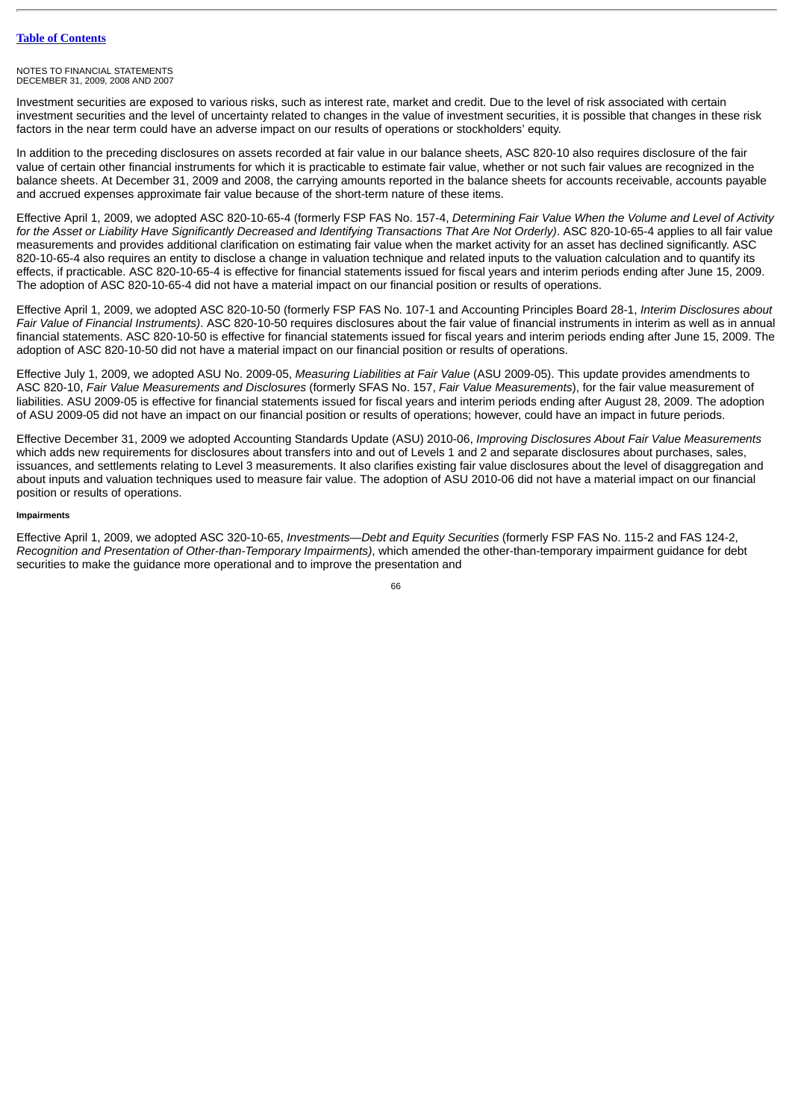Investment securities are exposed to various risks, such as interest rate, market and credit. Due to the level of risk associated with certain investment securities and the level of uncertainty related to changes in the value of investment securities, it is possible that changes in these risk factors in the near term could have an adverse impact on our results of operations or stockholders' equity.

In addition to the preceding disclosures on assets recorded at fair value in our balance sheets, ASC 820-10 also requires disclosure of the fair value of certain other financial instruments for which it is practicable to estimate fair value, whether or not such fair values are recognized in the balance sheets. At December 31, 2009 and 2008, the carrying amounts reported in the balance sheets for accounts receivable, accounts payable and accrued expenses approximate fair value because of the short-term nature of these items.

Effective April 1, 2009, we adopted ASC 820-10-65-4 (formerly FSP FAS No. 157-4, *Determining Fair Value When the Volume and Level of Activity for the Asset or Liability Have Significantly Decreased and Identifying Transactions That Are Not Orderly)*. ASC 820-10-65-4 applies to all fair value measurements and provides additional clarification on estimating fair value when the market activity for an asset has declined significantly. ASC 820-10-65-4 also requires an entity to disclose a change in valuation technique and related inputs to the valuation calculation and to quantify its effects, if practicable. ASC 820-10-65-4 is effective for financial statements issued for fiscal years and interim periods ending after June 15, 2009. The adoption of ASC 820-10-65-4 did not have a material impact on our financial position or results of operations.

Effective April 1, 2009, we adopted ASC 820-10-50 (formerly FSP FAS No. 107-1 and Accounting Principles Board 28-1, *Interim Disclosures about Fair Value of Financial Instruments)*. ASC 820-10-50 requires disclosures about the fair value of financial instruments in interim as well as in annual financial statements. ASC 820-10-50 is effective for financial statements issued for fiscal years and interim periods ending after June 15, 2009. The adoption of ASC 820-10-50 did not have a material impact on our financial position or results of operations.

Effective July 1, 2009, we adopted ASU No. 2009-05, *Measuring Liabilities at Fair Value* (ASU 2009-05). This update provides amendments to ASC 820-10, *Fair Value Measurements and Disclosures* (formerly SFAS No. 157, *Fair Value Measurements*), for the fair value measurement of liabilities. ASU 2009-05 is effective for financial statements issued for fiscal years and interim periods ending after August 28, 2009. The adoption of ASU 2009-05 did not have an impact on our financial position or results of operations; however, could have an impact in future periods.

Effective December 31, 2009 we adopted Accounting Standards Update (ASU) 2010-06, *Improving Disclosures About Fair Value Measurements* which adds new requirements for disclosures about transfers into and out of Levels 1 and 2 and separate disclosures about purchases, sales, issuances, and settlements relating to Level 3 measurements. It also clarifies existing fair value disclosures about the level of disaggregation and about inputs and valuation techniques used to measure fair value. The adoption of ASU 2010-06 did not have a material impact on our financial position or results of operations.

# **Impairments**

Effective April 1, 2009, we adopted ASC 320-10-65, *Investments—Debt and Equity Securities* (formerly FSP FAS No. 115-2 and FAS 124-2, *Recognition and Presentation of Other-than-Temporary Impairments)*, which amended the other-than-temporary impairment guidance for debt securities to make the guidance more operational and to improve the presentation and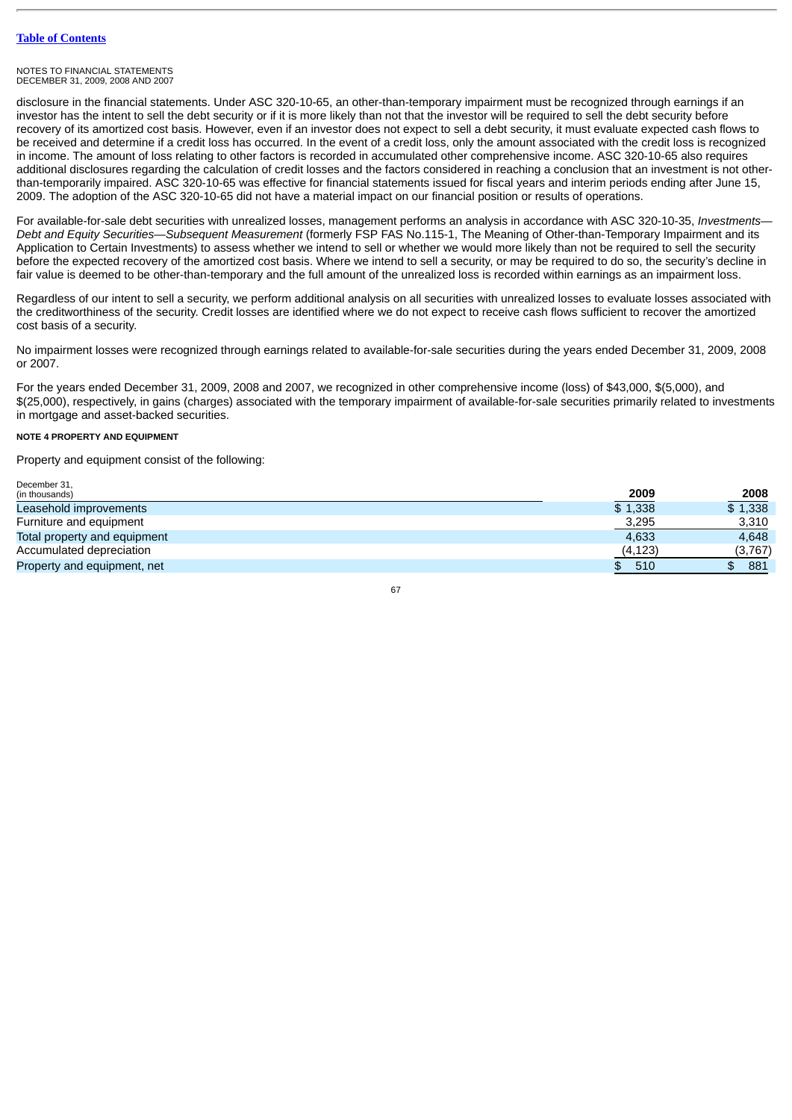#### NOTES TO FINANCIAL STATEMENTS DECEMBER 31, 2009, 2008 AND 2007

disclosure in the financial statements. Under ASC 320-10-65, an other-than-temporary impairment must be recognized through earnings if an investor has the intent to sell the debt security or if it is more likely than not that the investor will be required to sell the debt security before recovery of its amortized cost basis. However, even if an investor does not expect to sell a debt security, it must evaluate expected cash flows to be received and determine if a credit loss has occurred. In the event of a credit loss, only the amount associated with the credit loss is recognized in income. The amount of loss relating to other factors is recorded in accumulated other comprehensive income. ASC 320-10-65 also requires additional disclosures regarding the calculation of credit losses and the factors considered in reaching a conclusion that an investment is not otherthan-temporarily impaired. ASC 320-10-65 was effective for financial statements issued for fiscal years and interim periods ending after June 15, 2009. The adoption of the ASC 320-10-65 did not have a material impact on our financial position or results of operations.

For available-for-sale debt securities with unrealized losses, management performs an analysis in accordance with ASC 320-10-35, *Investments— Debt and Equity Securities—Subsequent Measurement* (formerly FSP FAS No.115-1, The Meaning of Other-than-Temporary Impairment and its Application to Certain Investments) to assess whether we intend to sell or whether we would more likely than not be required to sell the security before the expected recovery of the amortized cost basis. Where we intend to sell a security, or may be required to do so, the security's decline in fair value is deemed to be other-than-temporary and the full amount of the unrealized loss is recorded within earnings as an impairment loss.

Regardless of our intent to sell a security, we perform additional analysis on all securities with unrealized losses to evaluate losses associated with the creditworthiness of the security. Credit losses are identified where we do not expect to receive cash flows sufficient to recover the amortized cost basis of a security.

No impairment losses were recognized through earnings related to available-for-sale securities during the years ended December 31, 2009, 2008 or 2007.

For the years ended December 31, 2009, 2008 and 2007, we recognized in other comprehensive income (loss) of \$43,000, \$(5,000), and \$(25,000), respectively, in gains (charges) associated with the temporary impairment of available-for-sale securities primarily related to investments in mortgage and asset-backed securities.

# **NOTE 4 PROPERTY AND EQUIPMENT**

December 31

Property and equipment consist of the following:

| DECENNEL JT.                 |          |            |
|------------------------------|----------|------------|
| (in thousands)               | 2009     | 2008       |
| Leasehold improvements       | \$1.338  | \$1,338    |
| Furniture and equipment      | 3,295    | 3,310      |
| Total property and equipment | 4,633    | 4,648      |
| Accumulated depreciation     | (4, 123) | (3,767)    |
| Property and equipment, net  | 510      | 881<br>\$. |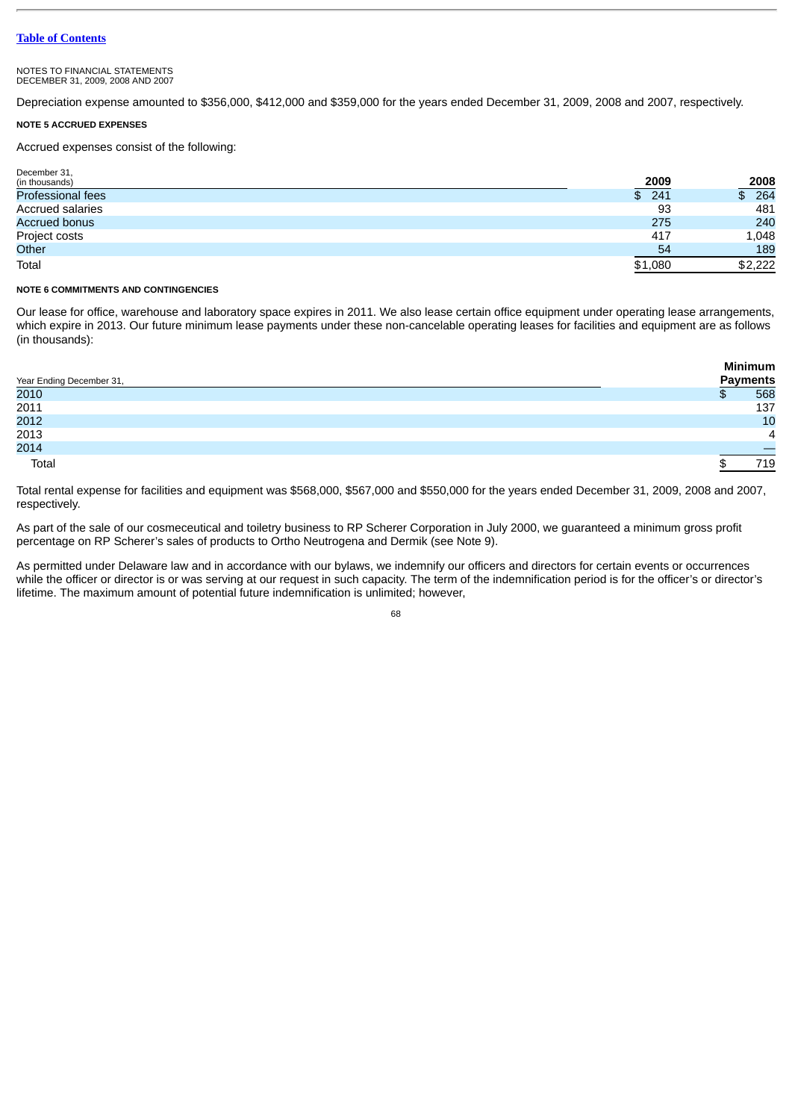#### NOTES TO FINANCIAL STATEMENTS DECEMBER 31, 2009, 2008 AND 2007

Depreciation expense amounted to \$356,000, \$412,000 and \$359,000 for the years ended December 31, 2009, 2008 and 2007, respectively.

# **NOTE 5 ACCRUED EXPENSES**

Accrued expenses consist of the following:

| December 31,             |             |                           |
|--------------------------|-------------|---------------------------|
| (in thousands)           | <u>2009</u> |                           |
| <b>Professional fees</b> | \$241       | $\frac{2008}{264}$<br>\$. |
| <b>Accrued salaries</b>  | 93          | 481                       |
| <b>Accrued bonus</b>     | 275         | 240                       |
| Project costs            | 417         | 1,048                     |
| Other                    | 54          | 189                       |
| Total                    | \$1,080     | \$2,222                   |

#### **NOTE 6 COMMITMENTS AND CONTINGENCIES**

Our lease for office, warehouse and laboratory space expires in 2011. We also lease certain office equipment under operating lease arrangements, which expire in 2013. Our future minimum lease payments under these non-cancelable operating leases for facilities and equipment are as follows (in thousands):

|                          | Minimum         |
|--------------------------|-----------------|
| Year Ending December 31, | <b>Payments</b> |
| 2010                     | 568             |
| 2011                     | 137             |
| 2012                     | 10              |
| 2013                     | 4               |
| 2014                     |                 |
| Total                    | 719             |

Total rental expense for facilities and equipment was \$568,000, \$567,000 and \$550,000 for the years ended December 31, 2009, 2008 and 2007, respectively.

As part of the sale of our cosmeceutical and toiletry business to RP Scherer Corporation in July 2000, we guaranteed a minimum gross profit percentage on RP Scherer's sales of products to Ortho Neutrogena and Dermik (see Note 9).

As permitted under Delaware law and in accordance with our bylaws, we indemnify our officers and directors for certain events or occurrences while the officer or director is or was serving at our request in such capacity. The term of the indemnification period is for the officer's or director's lifetime. The maximum amount of potential future indemnification is unlimited; however,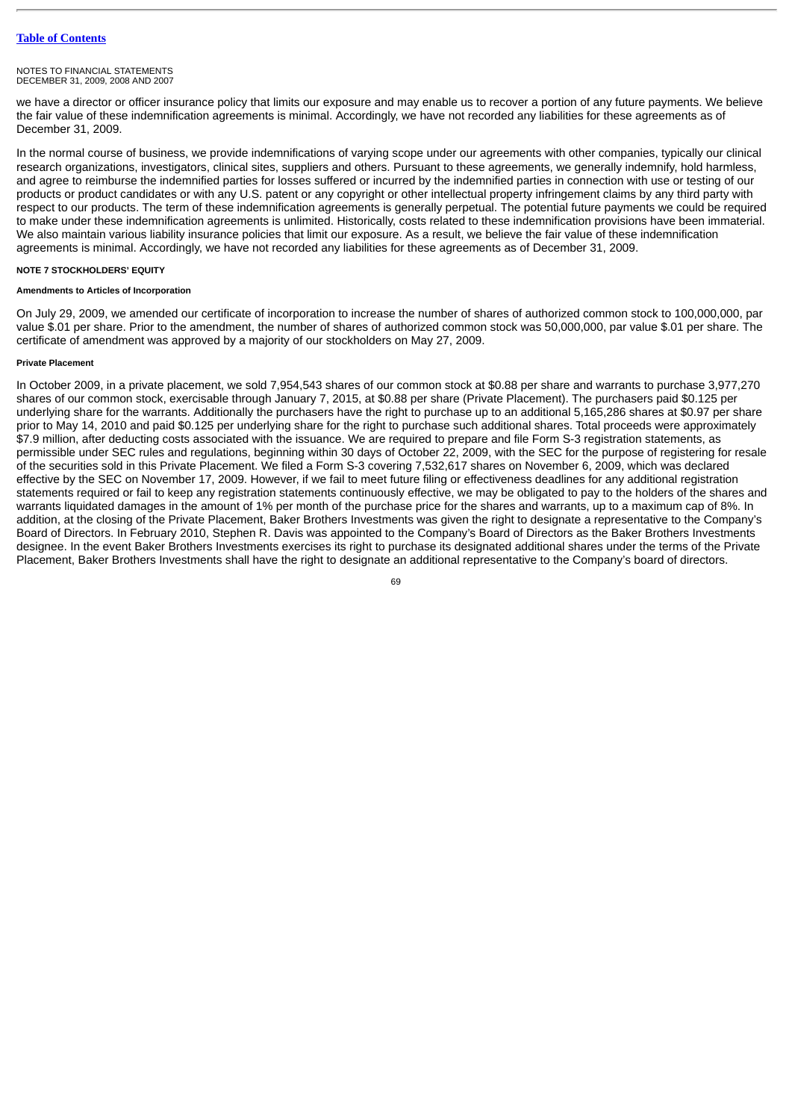we have a director or officer insurance policy that limits our exposure and may enable us to recover a portion of any future payments. We believe the fair value of these indemnification agreements is minimal. Accordingly, we have not recorded any liabilities for these agreements as of December 31, 2009.

In the normal course of business, we provide indemnifications of varying scope under our agreements with other companies, typically our clinical research organizations, investigators, clinical sites, suppliers and others. Pursuant to these agreements, we generally indemnify, hold harmless, and agree to reimburse the indemnified parties for losses suffered or incurred by the indemnified parties in connection with use or testing of our products or product candidates or with any U.S. patent or any copyright or other intellectual property infringement claims by any third party with respect to our products. The term of these indemnification agreements is generally perpetual. The potential future payments we could be required to make under these indemnification agreements is unlimited. Historically, costs related to these indemnification provisions have been immaterial. We also maintain various liability insurance policies that limit our exposure. As a result, we believe the fair value of these indemnification agreements is minimal. Accordingly, we have not recorded any liabilities for these agreements as of December 31, 2009.

# **NOTE 7 STOCKHOLDERS' EQUITY**

# **Amendments to Articles of Incorporation**

On July 29, 2009, we amended our certificate of incorporation to increase the number of shares of authorized common stock to 100,000,000, par value \$.01 per share. Prior to the amendment, the number of shares of authorized common stock was 50,000,000, par value \$.01 per share. The certificate of amendment was approved by a majority of our stockholders on May 27, 2009.

### **Private Placement**

In October 2009, in a private placement, we sold 7,954,543 shares of our common stock at \$0.88 per share and warrants to purchase 3,977,270 shares of our common stock, exercisable through January 7, 2015, at \$0.88 per share (Private Placement). The purchasers paid \$0.125 per underlying share for the warrants. Additionally the purchasers have the right to purchase up to an additional 5,165,286 shares at \$0.97 per share prior to May 14, 2010 and paid \$0.125 per underlying share for the right to purchase such additional shares. Total proceeds were approximately \$7.9 million, after deducting costs associated with the issuance. We are required to prepare and file Form S-3 registration statements, as permissible under SEC rules and regulations, beginning within 30 days of October 22, 2009, with the SEC for the purpose of registering for resale of the securities sold in this Private Placement. We filed a Form S-3 covering 7,532,617 shares on November 6, 2009, which was declared effective by the SEC on November 17, 2009. However, if we fail to meet future filing or effectiveness deadlines for any additional registration statements required or fail to keep any registration statements continuously effective, we may be obligated to pay to the holders of the shares and warrants liquidated damages in the amount of 1% per month of the purchase price for the shares and warrants, up to a maximum cap of 8%. In addition, at the closing of the Private Placement, Baker Brothers Investments was given the right to designate a representative to the Company's Board of Directors. In February 2010, Stephen R. Davis was appointed to the Company's Board of Directors as the Baker Brothers Investments designee. In the event Baker Brothers Investments exercises its right to purchase its designated additional shares under the terms of the Private Placement, Baker Brothers Investments shall have the right to designate an additional representative to the Company's board of directors.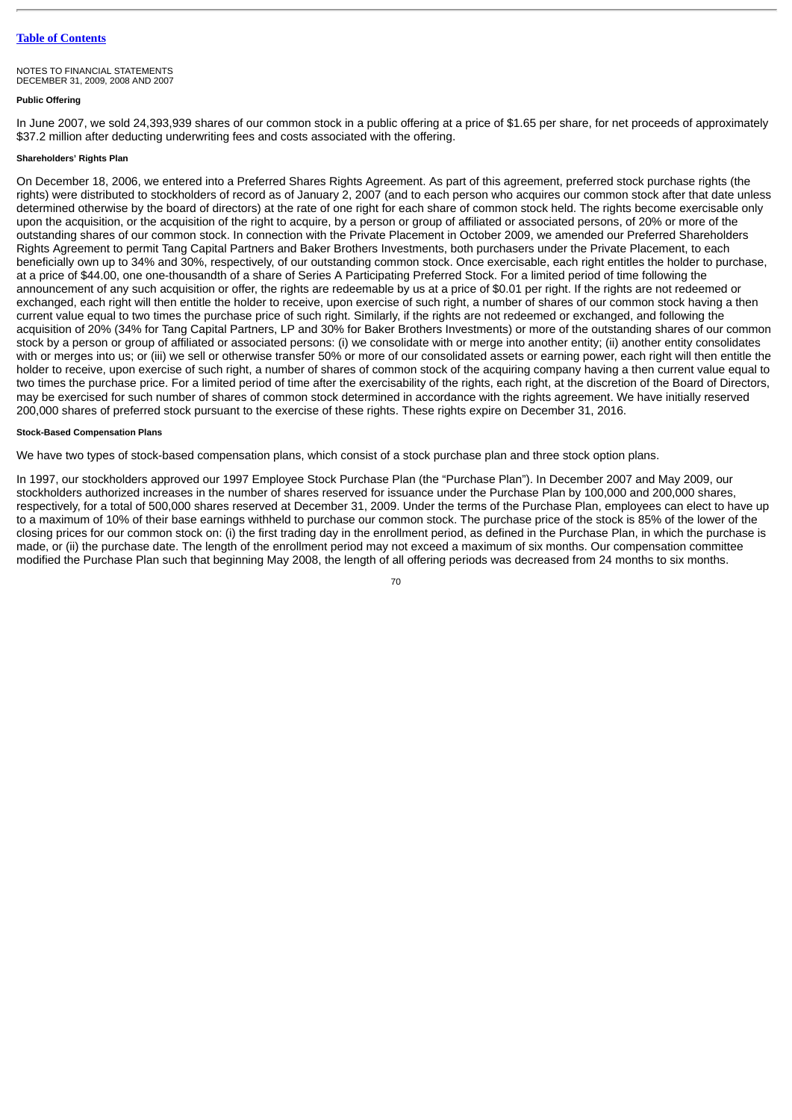# **Public Offering**

In June 2007, we sold 24,393,939 shares of our common stock in a public offering at a price of \$1.65 per share, for net proceeds of approximately \$37.2 million after deducting underwriting fees and costs associated with the offering.

# **Shareholders' Rights Plan**

On December 18, 2006, we entered into a Preferred Shares Rights Agreement. As part of this agreement, preferred stock purchase rights (the rights) were distributed to stockholders of record as of January 2, 2007 (and to each person who acquires our common stock after that date unless determined otherwise by the board of directors) at the rate of one right for each share of common stock held. The rights become exercisable only upon the acquisition, or the acquisition of the right to acquire, by a person or group of affiliated or associated persons, of 20% or more of the outstanding shares of our common stock. In connection with the Private Placement in October 2009, we amended our Preferred Shareholders Rights Agreement to permit Tang Capital Partners and Baker Brothers Investments, both purchasers under the Private Placement, to each beneficially own up to 34% and 30%, respectively, of our outstanding common stock. Once exercisable, each right entitles the holder to purchase, at a price of \$44.00, one one-thousandth of a share of Series A Participating Preferred Stock. For a limited period of time following the announcement of any such acquisition or offer, the rights are redeemable by us at a price of \$0.01 per right. If the rights are not redeemed or exchanged, each right will then entitle the holder to receive, upon exercise of such right, a number of shares of our common stock having a then current value equal to two times the purchase price of such right. Similarly, if the rights are not redeemed or exchanged, and following the acquisition of 20% (34% for Tang Capital Partners, LP and 30% for Baker Brothers Investments) or more of the outstanding shares of our common stock by a person or group of affiliated or associated persons: (i) we consolidate with or merge into another entity; (ii) another entity consolidates with or merges into us; or (iii) we sell or otherwise transfer 50% or more of our consolidated assets or earning power, each right will then entitle the holder to receive, upon exercise of such right, a number of shares of common stock of the acquiring company having a then current value equal to two times the purchase price. For a limited period of time after the exercisability of the rights, each right, at the discretion of the Board of Directors, may be exercised for such number of shares of common stock determined in accordance with the rights agreement. We have initially reserved 200,000 shares of preferred stock pursuant to the exercise of these rights. These rights expire on December 31, 2016.

# **Stock-Based Compensation Plans**

We have two types of stock-based compensation plans, which consist of a stock purchase plan and three stock option plans.

In 1997, our stockholders approved our 1997 Employee Stock Purchase Plan (the "Purchase Plan"). In December 2007 and May 2009, our stockholders authorized increases in the number of shares reserved for issuance under the Purchase Plan by 100,000 and 200,000 shares, respectively, for a total of 500,000 shares reserved at December 31, 2009. Under the terms of the Purchase Plan, employees can elect to have up to a maximum of 10% of their base earnings withheld to purchase our common stock. The purchase price of the stock is 85% of the lower of the closing prices for our common stock on: (i) the first trading day in the enrollment period, as defined in the Purchase Plan, in which the purchase is made, or (ii) the purchase date. The length of the enrollment period may not exceed a maximum of six months. Our compensation committee modified the Purchase Plan such that beginning May 2008, the length of all offering periods was decreased from 24 months to six months.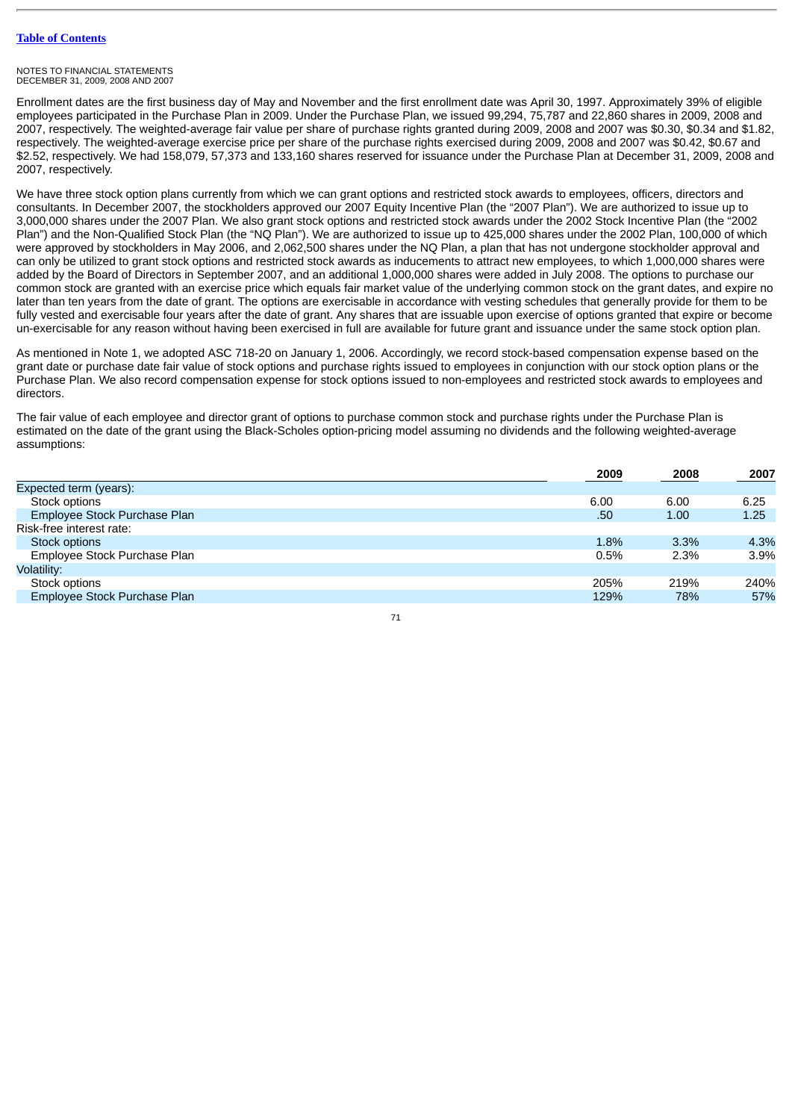#### NOTES TO FINANCIAL STATEMENTS DECEMBER 31, 2009, 2008 AND 2007

Enrollment dates are the first business day of May and November and the first enrollment date was April 30, 1997. Approximately 39% of eligible employees participated in the Purchase Plan in 2009. Under the Purchase Plan, we issued 99,294, 75,787 and 22,860 shares in 2009, 2008 and 2007, respectively. The weighted-average fair value per share of purchase rights granted during 2009, 2008 and 2007 was \$0.30, \$0.34 and \$1.82, respectively. The weighted-average exercise price per share of the purchase rights exercised during 2009, 2008 and 2007 was \$0.42, \$0.67 and \$2.52, respectively. We had 158,079, 57,373 and 133,160 shares reserved for issuance under the Purchase Plan at December 31, 2009, 2008 and 2007, respectively.

We have three stock option plans currently from which we can grant options and restricted stock awards to employees, officers, directors and consultants. In December 2007, the stockholders approved our 2007 Equity Incentive Plan (the "2007 Plan"). We are authorized to issue up to 3,000,000 shares under the 2007 Plan. We also grant stock options and restricted stock awards under the 2002 Stock Incentive Plan (the "2002 Plan") and the Non-Qualified Stock Plan (the "NQ Plan"). We are authorized to issue up to 425,000 shares under the 2002 Plan, 100,000 of which were approved by stockholders in May 2006, and 2,062,500 shares under the NQ Plan, a plan that has not undergone stockholder approval and can only be utilized to grant stock options and restricted stock awards as inducements to attract new employees, to which 1,000,000 shares were added by the Board of Directors in September 2007, and an additional 1,000,000 shares were added in July 2008. The options to purchase our common stock are granted with an exercise price which equals fair market value of the underlying common stock on the grant dates, and expire no later than ten years from the date of grant. The options are exercisable in accordance with vesting schedules that generally provide for them to be fully vested and exercisable four years after the date of grant. Any shares that are issuable upon exercise of options granted that expire or become un-exercisable for any reason without having been exercised in full are available for future grant and issuance under the same stock option plan.

As mentioned in Note 1, we adopted ASC 718-20 on January 1, 2006. Accordingly, we record stock-based compensation expense based on the grant date or purchase date fair value of stock options and purchase rights issued to employees in conjunction with our stock option plans or the Purchase Plan. We also record compensation expense for stock options issued to non-employees and restricted stock awards to employees and directors.

The fair value of each employee and director grant of options to purchase common stock and purchase rights under the Purchase Plan is estimated on the date of the grant using the Black-Scholes option-pricing model assuming no dividends and the following weighted-average assumptions:

|                              | 2009 | 2008 | 2007 |
|------------------------------|------|------|------|
| Expected term (years):       |      |      |      |
| Stock options                | 6.00 | 6.00 | 6.25 |
| Employee Stock Purchase Plan | .50  | 1.00 | 1.25 |
| Risk-free interest rate:     |      |      |      |
| Stock options                | 1.8% | 3.3% | 4.3% |
| Employee Stock Purchase Plan | 0.5% | 2.3% | 3.9% |
| Volatility:                  |      |      |      |
| Stock options                | 205% | 219% | 240% |
| Employee Stock Purchase Plan | 129% | 78%  | 57%  |
|                              |      |      |      |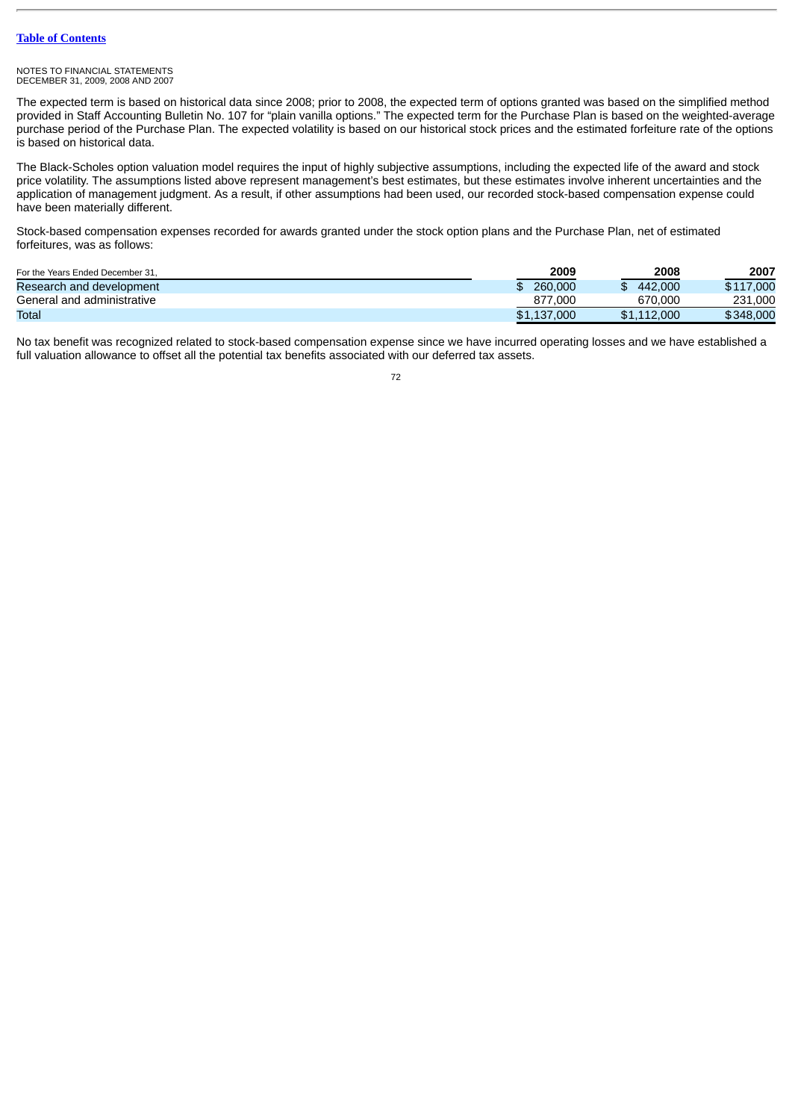#### NOTES TO FINANCIAL STATEMENTS DECEMBER 31, 2009, 2008 AND 2007

The expected term is based on historical data since 2008; prior to 2008, the expected term of options granted was based on the simplified method provided in Staff Accounting Bulletin No. 107 for "plain vanilla options." The expected term for the Purchase Plan is based on the weighted-average purchase period of the Purchase Plan. The expected volatility is based on our historical stock prices and the estimated forfeiture rate of the options is based on historical data.

The Black-Scholes option valuation model requires the input of highly subjective assumptions, including the expected life of the award and stock price volatility. The assumptions listed above represent management's best estimates, but these estimates involve inherent uncertainties and the application of management judgment. As a result, if other assumptions had been used, our recorded stock-based compensation expense could have been materially different.

Stock-based compensation expenses recorded for awards granted under the stock option plans and the Purchase Plan, net of estimated forfeitures, was as follows:

| For the Years Ended December 31. | 2009        | 2008        | 2007      |
|----------------------------------|-------------|-------------|-----------|
| Research and development         | 260,000     | 442,000     | \$117,000 |
| General and administrative       | 877.000     | 670,000     | 231,000   |
| Total                            | \$1,137,000 | \$1,112,000 | \$348,000 |

No tax benefit was recognized related to stock-based compensation expense since we have incurred operating losses and we have established a full valuation allowance to offset all the potential tax benefits associated with our deferred tax assets.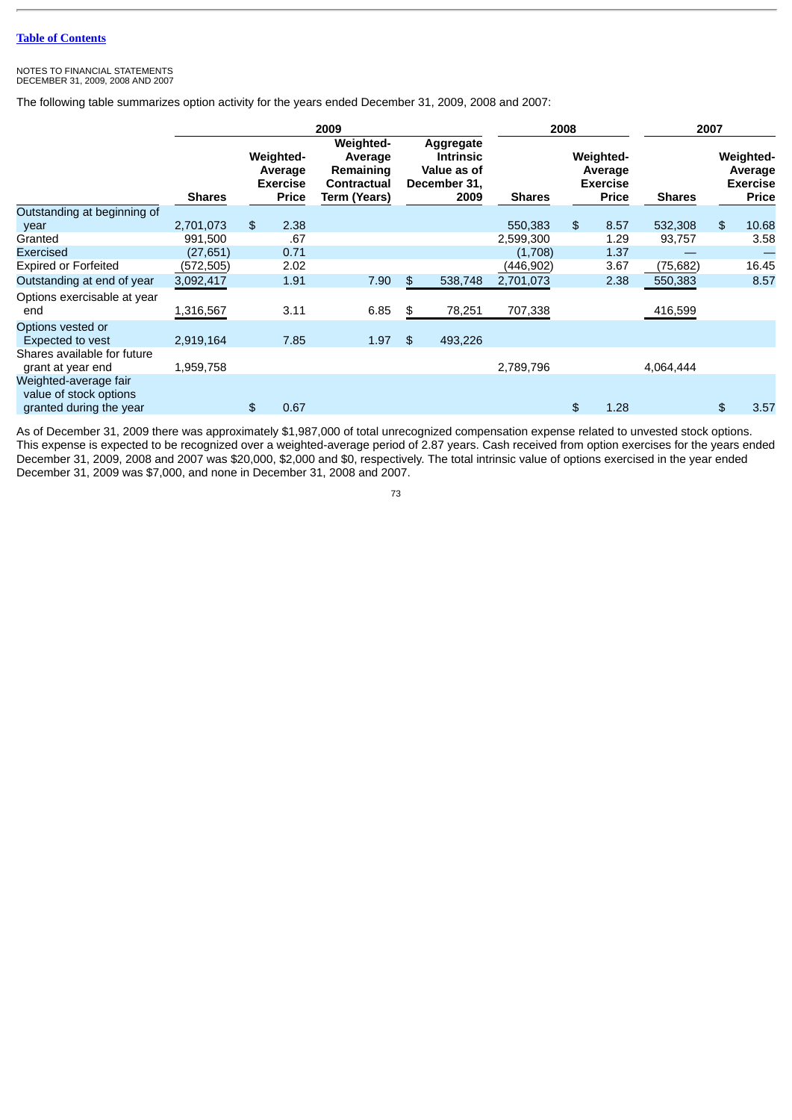#### NOTES TO FINANCIAL STATEMENTS DECEMBER 31, 2009, 2008 AND 2007

The following table summarizes option activity for the years ended December 31, 2009, 2008 and 2007:

|                                                                            |               | 2009 |                                                         |                                                                         |  | 2008           |                                                                      |               | 2007           |                                                         |               |    |                                                         |
|----------------------------------------------------------------------------|---------------|------|---------------------------------------------------------|-------------------------------------------------------------------------|--|----------------|----------------------------------------------------------------------|---------------|----------------|---------------------------------------------------------|---------------|----|---------------------------------------------------------|
|                                                                            | <b>Shares</b> |      | Weighted-<br>Average<br><b>Exercise</b><br><b>Price</b> | Weighted-<br>Average<br>Remaining<br>Contractual<br><b>Term (Years)</b> |  |                | Aggregate<br><b>Intrinsic</b><br>Value as of<br>December 31,<br>2009 | <b>Shares</b> |                | Weighted-<br>Average<br><b>Exercise</b><br><b>Price</b> | <b>Shares</b> |    | Weighted-<br>Average<br><b>Exercise</b><br><b>Price</b> |
| Outstanding at beginning of                                                |               |      |                                                         |                                                                         |  |                |                                                                      |               |                |                                                         |               |    |                                                         |
| year                                                                       | 2,701,073     | \$   | 2.38                                                    |                                                                         |  |                |                                                                      | 550,383       | $\mathfrak{L}$ | 8.57                                                    | 532,308       | \$ | 10.68                                                   |
| Granted                                                                    | 991,500       |      | .67                                                     |                                                                         |  |                |                                                                      | 2,599,300     |                | 1.29                                                    | 93,757        |    | 3.58                                                    |
| Exercised                                                                  | (27, 651)     |      | 0.71                                                    |                                                                         |  |                |                                                                      | (1,708)       |                | 1.37                                                    |               |    |                                                         |
| <b>Expired or Forfeited</b>                                                | (572, 505)    |      | 2.02                                                    |                                                                         |  |                |                                                                      | (446, 902)    |                | 3.67                                                    | (75, 682)     |    | 16.45                                                   |
| Outstanding at end of year                                                 | 3,092,417     |      | 1.91                                                    | 7.90                                                                    |  | \$             | 538,748                                                              | 2,701,073     |                | 2.38                                                    | 550,383       |    | 8.57                                                    |
| Options exercisable at year<br>end                                         | 1,316,567     |      | 3.11                                                    | 6.85                                                                    |  | \$             | 78,251                                                               | 707,338       |                |                                                         | 416,599       |    |                                                         |
| Options vested or<br><b>Expected to vest</b>                               | 2,919,164     |      | 7.85                                                    | 1.97                                                                    |  | $\mathfrak{D}$ | 493,226                                                              |               |                |                                                         |               |    |                                                         |
| Shares available for future<br>grant at year end                           | 1,959,758     |      |                                                         |                                                                         |  |                |                                                                      | 2,789,796     |                |                                                         | 4,064,444     |    |                                                         |
| Weighted-average fair<br>value of stock options<br>granted during the year |               | \$   | 0.67                                                    |                                                                         |  |                |                                                                      |               | $\mathfrak{L}$ | 1.28                                                    |               | \$ | 3.57                                                    |

As of December 31, 2009 there was approximately \$1,987,000 of total unrecognized compensation expense related to unvested stock options. This expense is expected to be recognized over a weighted-average period of 2.87 years. Cash received from option exercises for the years ended December 31, 2009, 2008 and 2007 was \$20,000, \$2,000 and \$0, respectively. The total intrinsic value of options exercised in the year ended December 31, 2009 was \$7,000, and none in December 31, 2008 and 2007.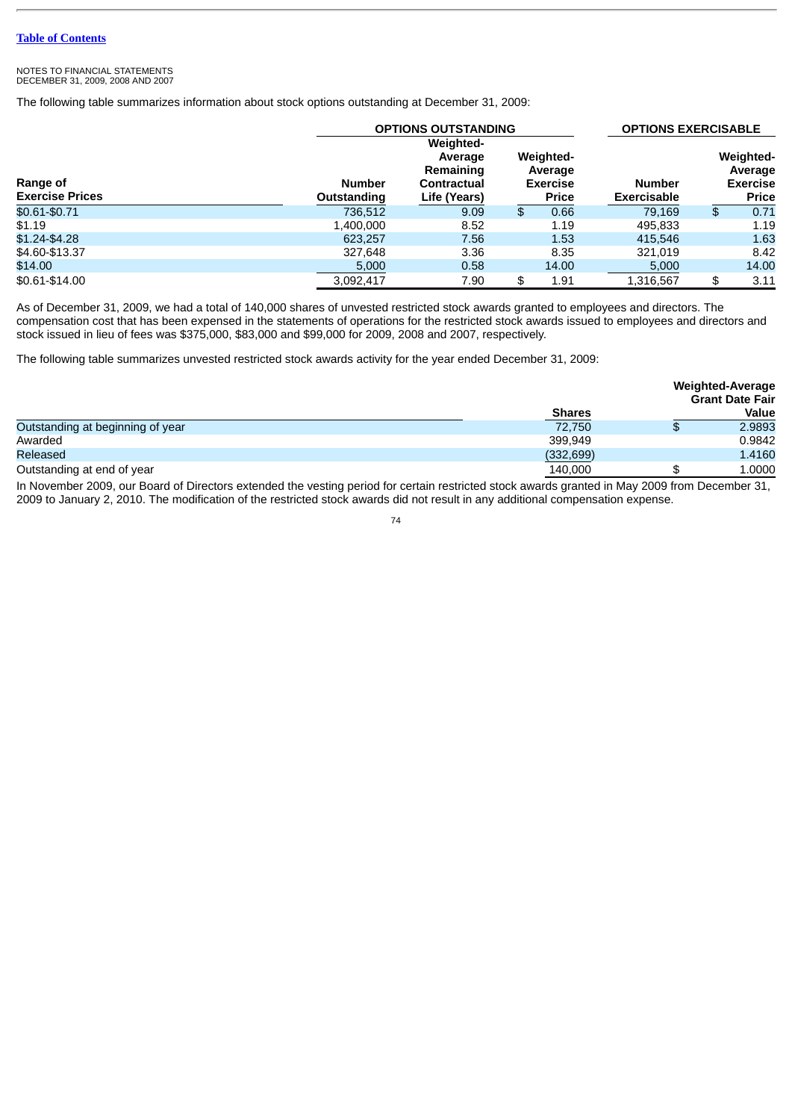The following table summarizes information about stock options outstanding at December 31, 2009:

|                                           |                              | <b>OPTIONS OUTSTANDING</b>                                              |                                                         | <b>OPTIONS EXERCISABLE</b>          |                                                         |  |
|-------------------------------------------|------------------------------|-------------------------------------------------------------------------|---------------------------------------------------------|-------------------------------------|---------------------------------------------------------|--|
| <b>Range of</b><br><b>Exercise Prices</b> | <b>Number</b><br>Outstanding | <b>Weighted-</b><br>Average<br>Remaining<br>Contractual<br>Life (Years) | Weighted-<br>Average<br><b>Exercise</b><br><b>Price</b> | <b>Number</b><br><b>Exercisable</b> | Weighted-<br>Average<br><b>Exercise</b><br><b>Price</b> |  |
| \$0.61-\$0.71                             | 736.512                      | 9.09                                                                    | 0.66<br>\$                                              | 79.169                              | \$<br>0.71                                              |  |
| \$1.19                                    | 1,400,000                    | 8.52                                                                    | 1.19                                                    | 495.833                             | 1.19                                                    |  |
| $$1.24 - $4.28$                           | 623,257                      | 7.56                                                                    | 1.53                                                    | 415.546                             | 1.63                                                    |  |
| \$4.60-\$13.37                            | 327,648                      | 3.36                                                                    | 8.35                                                    | 321.019                             | 8.42                                                    |  |
| \$14.00                                   | 5,000                        | 0.58                                                                    | 14.00                                                   | 5,000                               | 14.00                                                   |  |
| \$0.61-\$14.00                            | 3.092.417                    | 7.90                                                                    | 1.91<br>\$                                              | 1.316.567                           | \$<br>3.11                                              |  |

As of December 31, 2009, we had a total of 140,000 shares of unvested restricted stock awards granted to employees and directors. The compensation cost that has been expensed in the statements of operations for the restricted stock awards issued to employees and directors and stock issued in lieu of fees was \$375,000, \$83,000 and \$99,000 for 2009, 2008 and 2007, respectively.

The following table summarizes unvested restricted stock awards activity for the year ended December 31, 2009:

|                                  |               | <b>Weighted-Average</b><br><b>Grant Date Fair</b> |
|----------------------------------|---------------|---------------------------------------------------|
|                                  | <b>Shares</b> | Value                                             |
| Outstanding at beginning of year | 72.750        | 2.9893                                            |
| Awarded                          | 399.949       | 0.9842                                            |
| Released                         | (332, 699)    | 1.4160                                            |
| Outstanding at end of year       | 140,000       | 1.0000                                            |

 In November 2009, our Board of Directors extended the vesting period for certain restricted stock awards granted in May 2009 from December 31, 2009 to January 2, 2010. The modification of the restricted stock awards did not result in any additional compensation expense.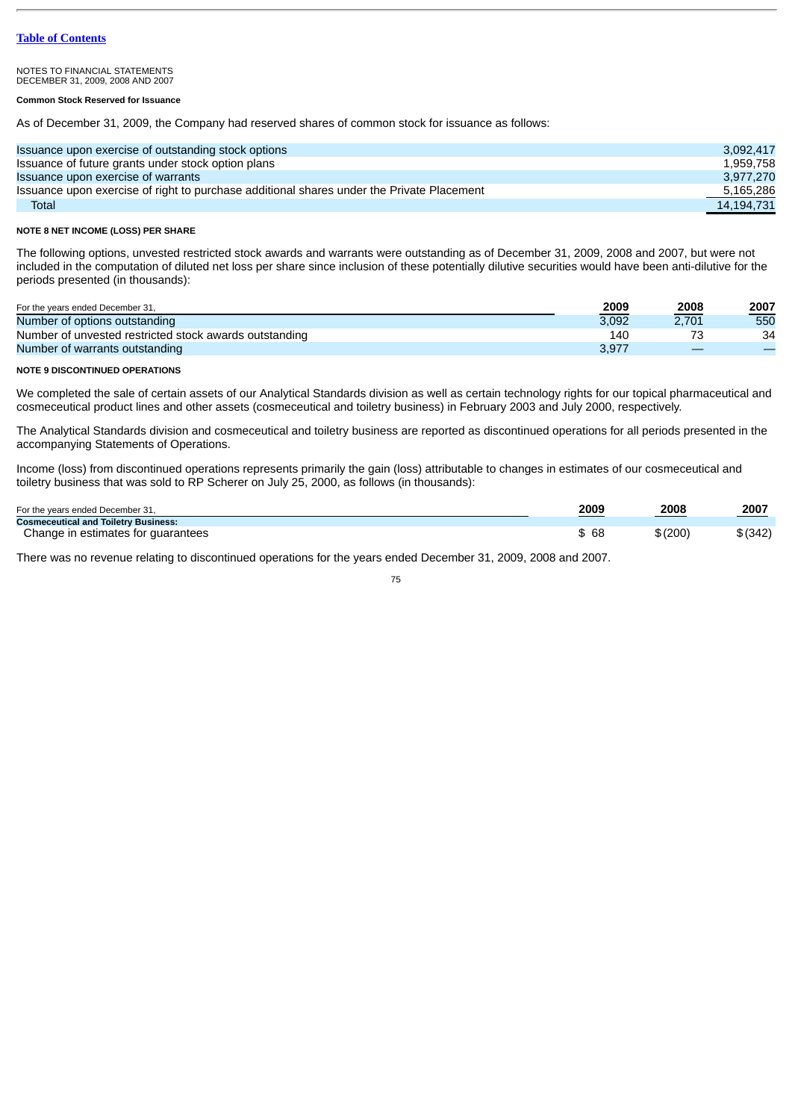### **Common Stock Reserved for Issuance**

As of December 31, 2009, the Company had reserved shares of common stock for issuance as follows:

| Issuance upon exercise of outstanding stock options                                       | 3.092.417  |
|-------------------------------------------------------------------------------------------|------------|
| Issuance of future grants under stock option plans                                        | 1.959.758  |
| Issuance upon exercise of warrants                                                        | 3.977.270  |
| Issuance upon exercise of right to purchase additional shares under the Private Placement | 5,165,286  |
| <b>Total</b>                                                                              | 14.194.731 |

### **NOTE 8 NET INCOME (LOSS) PER SHARE**

The following options, unvested restricted stock awards and warrants were outstanding as of December 31, 2009, 2008 and 2007, but were not included in the computation of diluted net loss per share since inclusion of these potentially dilutive securities would have been anti-dilutive for the periods presented (in thousands):

| For the years ended December 31,                       | 2009  | 2008<br><u>in the company of the company of the company of the company of the company of the company of the company of the company of the company of the company of the company of the company of the company of the company of the comp</u> | 2007 |
|--------------------------------------------------------|-------|----------------------------------------------------------------------------------------------------------------------------------------------------------------------------------------------------------------------------------------------|------|
| Number of options outstanding                          | 3.092 | 2.701                                                                                                                                                                                                                                        | 550  |
| Number of unvested restricted stock awards outstanding | 140   | ⇁                                                                                                                                                                                                                                            | 34   |
| Number of warrants outstanding                         | 3.977 |                                                                                                                                                                                                                                              |      |

### **NOTE 9 DISCONTINUED OPERATIONS**

We completed the sale of certain assets of our Analytical Standards division as well as certain technology rights for our topical pharmaceutical and cosmeceutical product lines and other assets (cosmeceutical and toiletry business) in February 2003 and July 2000, respectively.

The Analytical Standards division and cosmeceutical and toiletry business are reported as discontinued operations for all periods presented in the accompanying Statements of Operations.

Income (loss) from discontinued operations represents primarily the gain (loss) attributable to changes in estimates of our cosmeceutical and toiletry business that was sold to RP Scherer on July 25, 2000, as follows (in thousands):

| For the years ended December 31,            | 2009  | 2008<br>and the control of the control of | 2007<br>and the contract of the contract of |
|---------------------------------------------|-------|-------------------------------------------|---------------------------------------------|
| <b>Cosmeceutical and Toiletry Business:</b> |       |                                           |                                             |
| Change in estimates for guarantees          | \$ 68 | \$(200)                                   | \$ (342)                                    |

There was no revenue relating to discontinued operations for the years ended December 31, 2009, 2008 and 2007.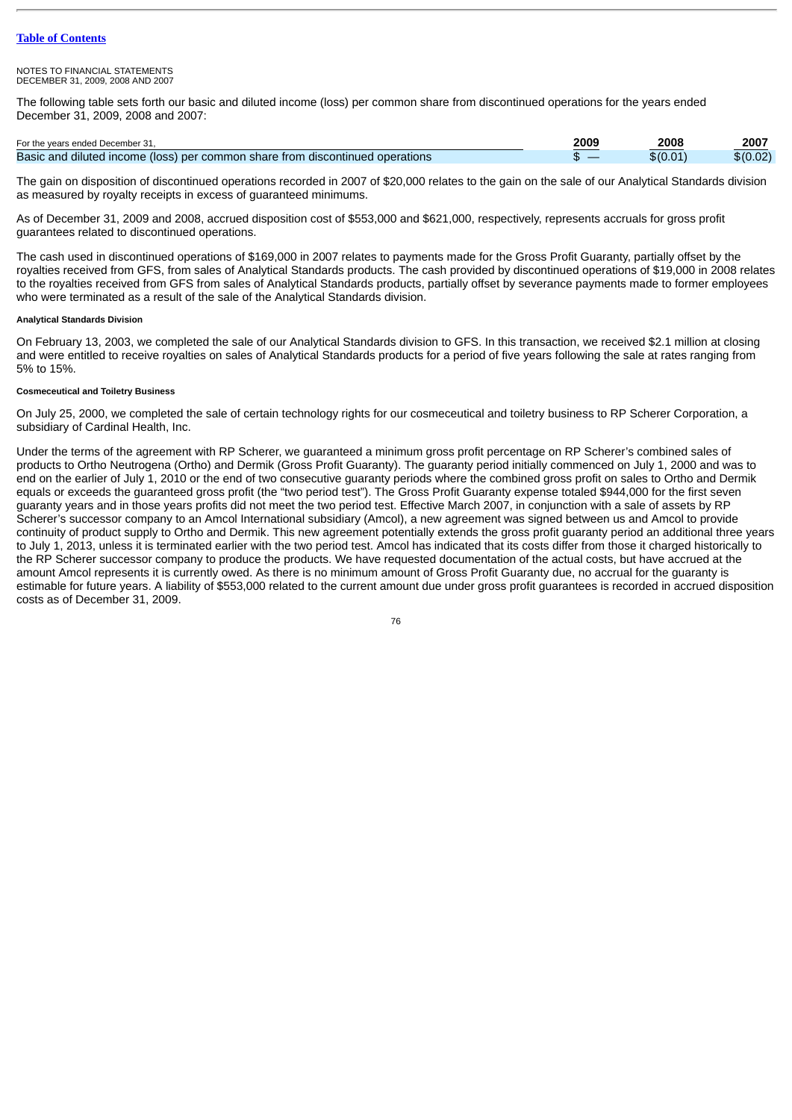#### NOTES TO FINANCIAL STATEMENTS DECEMBER 31, 2009, 2008 AND 2007

The following table sets forth our basic and diluted income (loss) per common share from discontinued operations for the years ended December 31, 2009, 2008 and 2007:

| For the years ended December 31,                                              | 2009 | 2008   | 2007     |
|-------------------------------------------------------------------------------|------|--------|----------|
| Basic and diluted income (loss) per common share from discontinued operations |      | \$0.01 | \$(0.02) |

The gain on disposition of discontinued operations recorded in 2007 of \$20,000 relates to the gain on the sale of our Analytical Standards division as measured by royalty receipts in excess of guaranteed minimums.

As of December 31, 2009 and 2008, accrued disposition cost of \$553,000 and \$621,000, respectively, represents accruals for gross profit guarantees related to discontinued operations.

The cash used in discontinued operations of \$169,000 in 2007 relates to payments made for the Gross Profit Guaranty, partially offset by the royalties received from GFS, from sales of Analytical Standards products. The cash provided by discontinued operations of \$19,000 in 2008 relates to the royalties received from GFS from sales of Analytical Standards products, partially offset by severance payments made to former employees who were terminated as a result of the sale of the Analytical Standards division.

### **Analytical Standards Division**

On February 13, 2003, we completed the sale of our Analytical Standards division to GFS. In this transaction, we received \$2.1 million at closing and were entitled to receive royalties on sales of Analytical Standards products for a period of five years following the sale at rates ranging from 5% to 15%.

# **Cosmeceutical and Toiletry Business**

On July 25, 2000, we completed the sale of certain technology rights for our cosmeceutical and toiletry business to RP Scherer Corporation, a subsidiary of Cardinal Health, Inc.

Under the terms of the agreement with RP Scherer, we guaranteed a minimum gross profit percentage on RP Scherer's combined sales of products to Ortho Neutrogena (Ortho) and Dermik (Gross Profit Guaranty). The guaranty period initially commenced on July 1, 2000 and was to end on the earlier of July 1, 2010 or the end of two consecutive guaranty periods where the combined gross profit on sales to Ortho and Dermik equals or exceeds the guaranteed gross profit (the "two period test"). The Gross Profit Guaranty expense totaled \$944,000 for the first seven guaranty years and in those years profits did not meet the two period test. Effective March 2007, in conjunction with a sale of assets by RP Scherer's successor company to an Amcol International subsidiary (Amcol), a new agreement was signed between us and Amcol to provide continuity of product supply to Ortho and Dermik. This new agreement potentially extends the gross profit guaranty period an additional three years to July 1, 2013, unless it is terminated earlier with the two period test. Amcol has indicated that its costs differ from those it charged historically to the RP Scherer successor company to produce the products. We have requested documentation of the actual costs, but have accrued at the amount Amcol represents it is currently owed. As there is no minimum amount of Gross Profit Guaranty due, no accrual for the guaranty is estimable for future years. A liability of \$553,000 related to the current amount due under gross profit guarantees is recorded in accrued disposition costs as of December 31, 2009.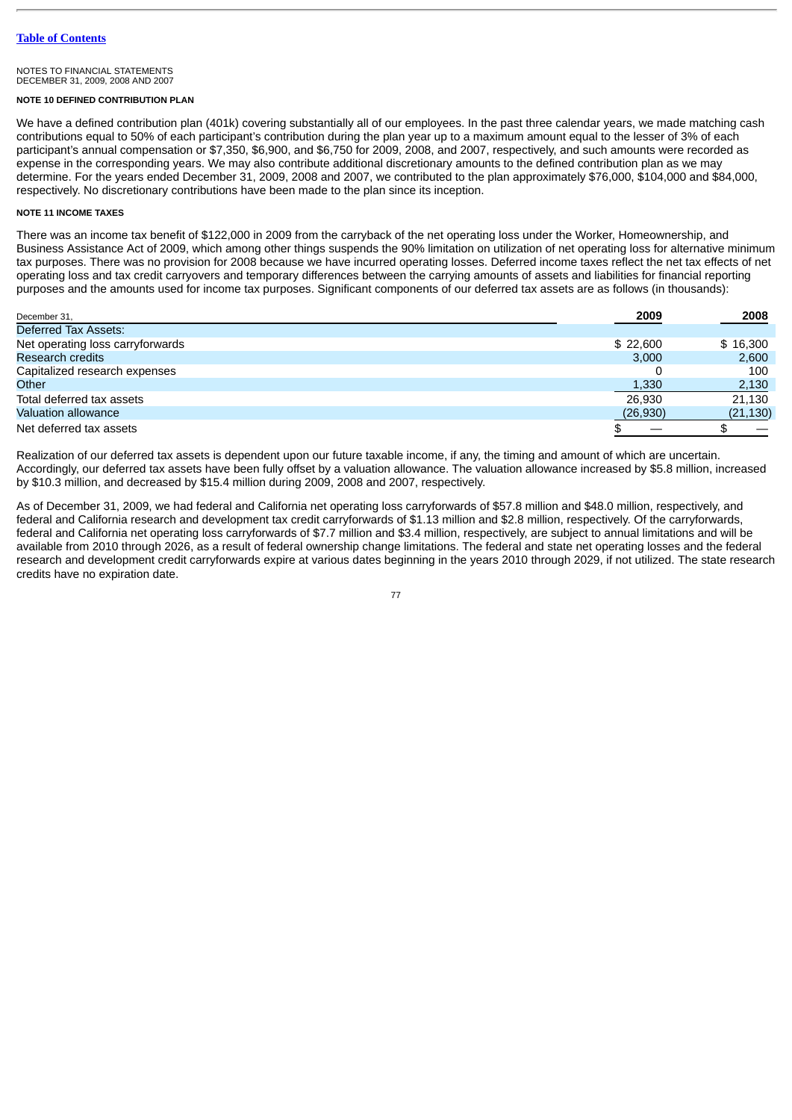### **NOTE 10 DEFINED CONTRIBUTION PLAN**

We have a defined contribution plan (401k) covering substantially all of our employees. In the past three calendar years, we made matching cash contributions equal to 50% of each participant's contribution during the plan year up to a maximum amount equal to the lesser of 3% of each participant's annual compensation or \$7,350, \$6,900, and \$6,750 for 2009, 2008, and 2007, respectively, and such amounts were recorded as expense in the corresponding years. We may also contribute additional discretionary amounts to the defined contribution plan as we may determine. For the years ended December 31, 2009, 2008 and 2007, we contributed to the plan approximately \$76,000, \$104,000 and \$84,000, respectively. No discretionary contributions have been made to the plan since its inception.

## **NOTE 11 INCOME TAXES**

There was an income tax benefit of \$122,000 in 2009 from the carryback of the net operating loss under the Worker, Homeownership, and Business Assistance Act of 2009, which among other things suspends the 90% limitation on utilization of net operating loss for alternative minimum tax purposes. There was no provision for 2008 because we have incurred operating losses. Deferred income taxes reflect the net tax effects of net operating loss and tax credit carryovers and temporary differences between the carrying amounts of assets and liabilities for financial reporting purposes and the amounts used for income tax purposes. Significant components of our deferred tax assets are as follows (in thousands):

| December 31,                     | 2009      | 2008      |
|----------------------------------|-----------|-----------|
| Deferred Tax Assets:             |           |           |
| Net operating loss carryforwards | \$22.600  | \$16,300  |
| <b>Research credits</b>          | 3.000     | 2,600     |
| Capitalized research expenses    |           | 100       |
| Other                            | 1,330     | 2,130     |
| Total deferred tax assets        | 26.930    | 21.130    |
| <b>Valuation allowance</b>       | (26, 930) | (21, 130) |
| Net deferred tax assets          |           |           |

Realization of our deferred tax assets is dependent upon our future taxable income, if any, the timing and amount of which are uncertain. Accordingly, our deferred tax assets have been fully offset by a valuation allowance. The valuation allowance increased by \$5.8 million, increased by \$10.3 million, and decreased by \$15.4 million during 2009, 2008 and 2007, respectively.

As of December 31, 2009, we had federal and California net operating loss carryforwards of \$57.8 million and \$48.0 million, respectively, and federal and California research and development tax credit carryforwards of \$1.13 million and \$2.8 million, respectively. Of the carryforwards, federal and California net operating loss carryforwards of \$7.7 million and \$3.4 million, respectively, are subject to annual limitations and will be available from 2010 through 2026, as a result of federal ownership change limitations. The federal and state net operating losses and the federal research and development credit carryforwards expire at various dates beginning in the years 2010 through 2029, if not utilized. The state research credits have no expiration date.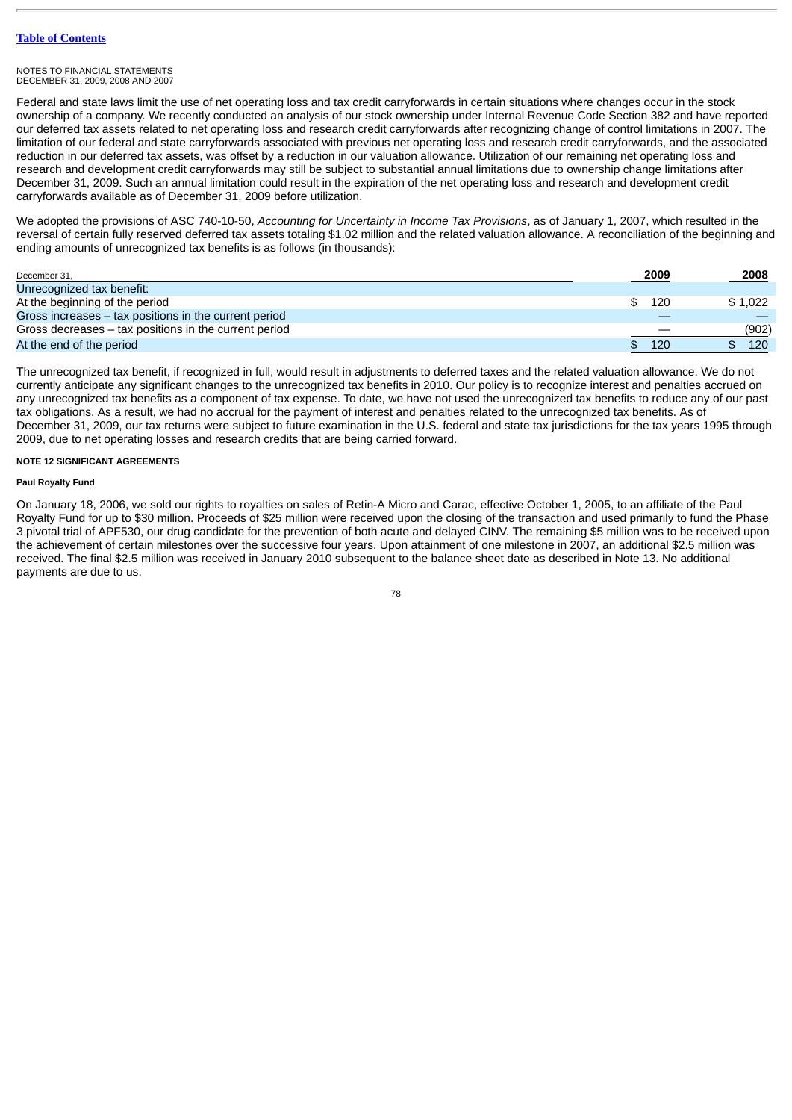Federal and state laws limit the use of net operating loss and tax credit carryforwards in certain situations where changes occur in the stock ownership of a company. We recently conducted an analysis of our stock ownership under Internal Revenue Code Section 382 and have reported our deferred tax assets related to net operating loss and research credit carryforwards after recognizing change of control limitations in 2007. The limitation of our federal and state carryforwards associated with previous net operating loss and research credit carryforwards, and the associated reduction in our deferred tax assets, was offset by a reduction in our valuation allowance. Utilization of our remaining net operating loss and research and development credit carryforwards may still be subject to substantial annual limitations due to ownership change limitations after December 31, 2009. Such an annual limitation could result in the expiration of the net operating loss and research and development credit carryforwards available as of December 31, 2009 before utilization.

We adopted the provisions of ASC 740-10-50, *Accounting for Uncertainty in Income Tax Provisions*, as of January 1, 2007, which resulted in the reversal of certain fully reserved deferred tax assets totaling \$1.02 million and the related valuation allowance. A reconciliation of the beginning and ending amounts of unrecognized tax benefits is as follows (in thousands):

| December 31,                                          | 2009      | 2008    |
|-------------------------------------------------------|-----------|---------|
| Unrecognized tax benefit:                             |           |         |
| At the beginning of the period                        | 120<br>S. | \$1.022 |
| Gross increases – tax positions in the current period |           |         |
| Gross decreases – tax positions in the current period |           | (902)   |
| At the end of the period                              | 120       | 120     |

The unrecognized tax benefit, if recognized in full, would result in adjustments to deferred taxes and the related valuation allowance. We do not currently anticipate any significant changes to the unrecognized tax benefits in 2010. Our policy is to recognize interest and penalties accrued on any unrecognized tax benefits as a component of tax expense. To date, we have not used the unrecognized tax benefits to reduce any of our past tax obligations. As a result, we had no accrual for the payment of interest and penalties related to the unrecognized tax benefits. As of December 31, 2009, our tax returns were subject to future examination in the U.S. federal and state tax jurisdictions for the tax years 1995 through 2009, due to net operating losses and research credits that are being carried forward.

### **NOTE 12 SIGNIFICANT AGREEMENTS**

### **Paul Royalty Fund**

On January 18, 2006, we sold our rights to royalties on sales of Retin-A Micro and Carac, effective October 1, 2005, to an affiliate of the Paul Royalty Fund for up to \$30 million. Proceeds of \$25 million were received upon the closing of the transaction and used primarily to fund the Phase 3 pivotal trial of APF530, our drug candidate for the prevention of both acute and delayed CINV. The remaining \$5 million was to be received upon the achievement of certain milestones over the successive four years. Upon attainment of one milestone in 2007, an additional \$2.5 million was received. The final \$2.5 million was received in January 2010 subsequent to the balance sheet date as described in Note 13. No additional payments are due to us.

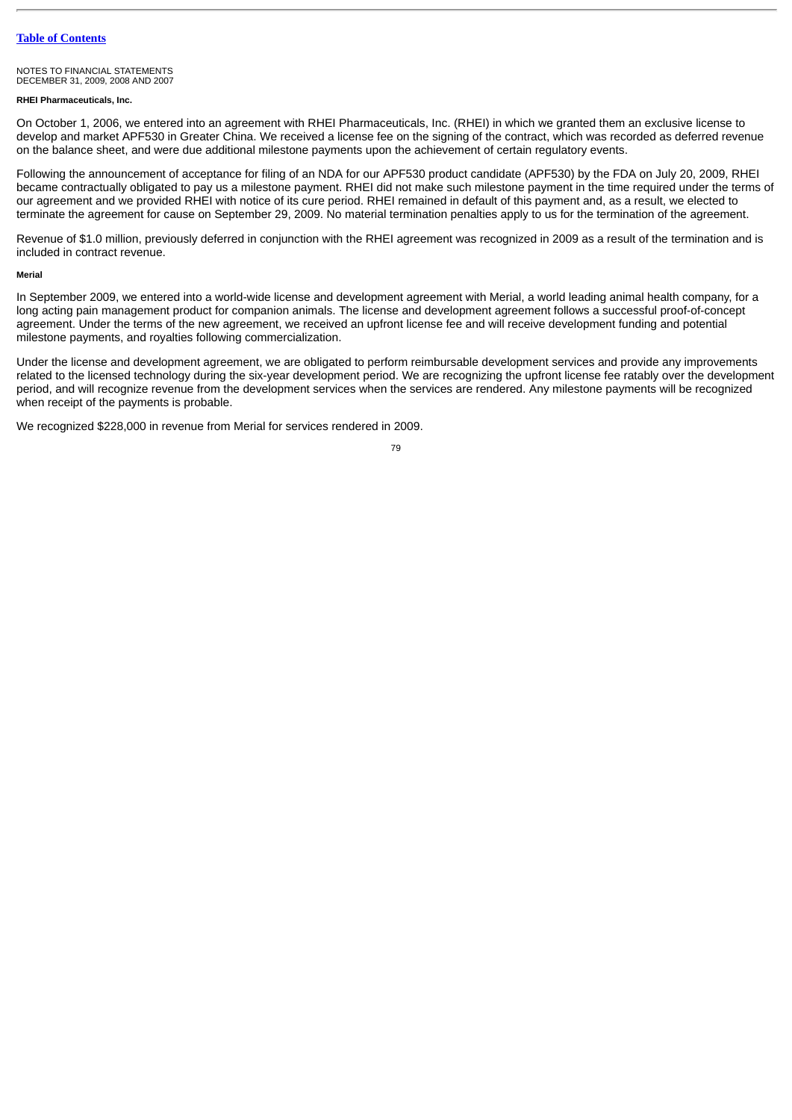NOTES TO FINANCIAL STATEMENTS DECEMBER 31, 2009, 2008 AND 2007

### **RHEI Pharmaceuticals, Inc.**

On October 1, 2006, we entered into an agreement with RHEI Pharmaceuticals, Inc. (RHEI) in which we granted them an exclusive license to develop and market APF530 in Greater China. We received a license fee on the signing of the contract, which was recorded as deferred revenue on the balance sheet, and were due additional milestone payments upon the achievement of certain regulatory events.

Following the announcement of acceptance for filing of an NDA for our APF530 product candidate (APF530) by the FDA on July 20, 2009, RHEI became contractually obligated to pay us a milestone payment. RHEI did not make such milestone payment in the time required under the terms of our agreement and we provided RHEI with notice of its cure period. RHEI remained in default of this payment and, as a result, we elected to terminate the agreement for cause on September 29, 2009. No material termination penalties apply to us for the termination of the agreement.

Revenue of \$1.0 million, previously deferred in conjunction with the RHEI agreement was recognized in 2009 as a result of the termination and is included in contract revenue.

#### **Merial**

In September 2009, we entered into a world-wide license and development agreement with Merial, a world leading animal health company, for a long acting pain management product for companion animals. The license and development agreement follows a successful proof-of-concept agreement. Under the terms of the new agreement, we received an upfront license fee and will receive development funding and potential milestone payments, and royalties following commercialization.

Under the license and development agreement, we are obligated to perform reimbursable development services and provide any improvements related to the licensed technology during the six-year development period. We are recognizing the upfront license fee ratably over the development period, and will recognize revenue from the development services when the services are rendered. Any milestone payments will be recognized when receipt of the payments is probable.

We recognized \$228,000 in revenue from Merial for services rendered in 2009.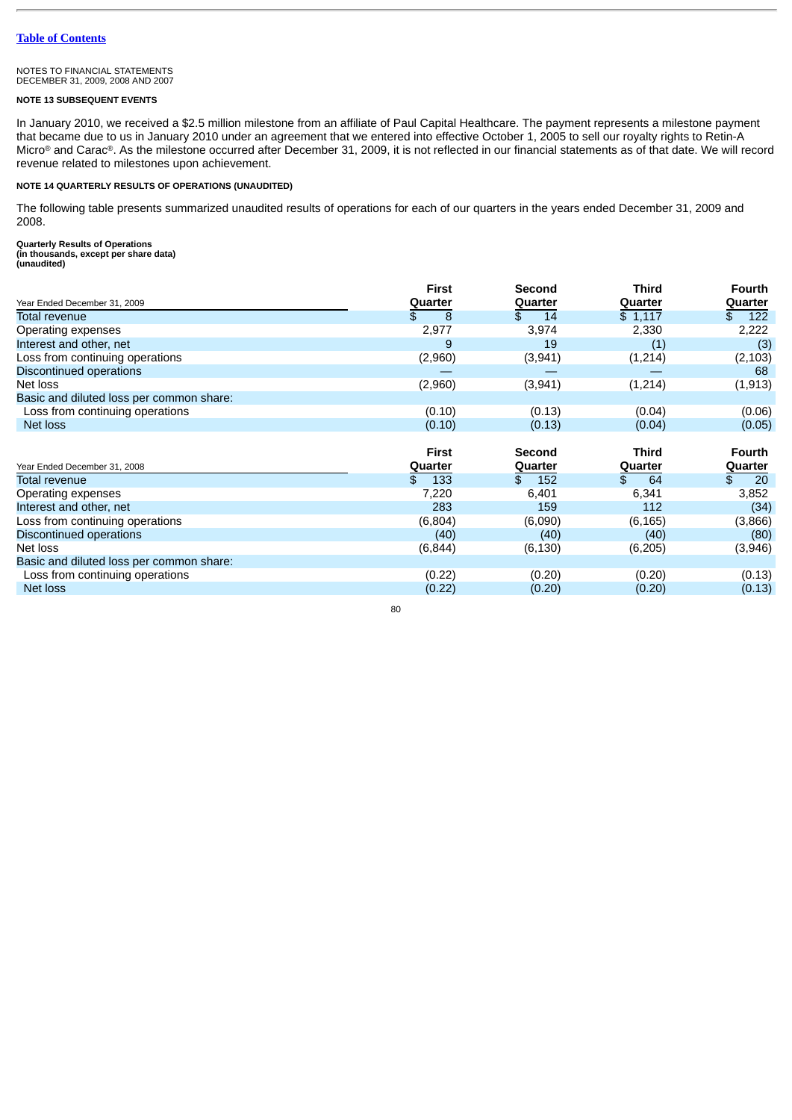### **NOTE 13 SUBSEQUENT EVENTS**

In January 2010, we received a \$2.5 million milestone from an affiliate of Paul Capital Healthcare. The payment represents a milestone payment that became due to us in January 2010 under an agreement that we entered into effective October 1, 2005 to sell our royalty rights to Retin-A Micro® and Carac®. As the milestone occurred after December 31, 2009, it is not reflected in our financial statements as of that date. We will record revenue related to milestones upon achievement.

# **NOTE 14 QUARTERLY RESULTS OF OPERATIONS (UNAUDITED)**

The following table presents summarized unaudited results of operations for each of our quarters in the years ended December 31, 2009 and 2008.

**Quarterly Results of Operations (in thousands, except per share data) (unaudited)**

|                                          | First     | <b>Second</b> | Third    | <b>Fourth</b> |
|------------------------------------------|-----------|---------------|----------|---------------|
| Year Ended December 31, 2009             | Quarter   | Quarter       | Quarter  | Quarter       |
| Total revenue                            | \$<br>8   | \$.<br>14     | \$1,117  | 122<br>\$     |
| Operating expenses                       | 2,977     | 3,974         | 2,330    | 2,222         |
| Interest and other, net                  | 9         | 19            | (1)      | (3)           |
| Loss from continuing operations          | (2,960)   | (3,941)       | (1, 214) | (2,103)       |
| Discontinued operations                  |           |               |          | 68            |
| Net loss                                 | (2,960)   | (3,941)       | (1, 214) | (1, 913)      |
| Basic and diluted loss per common share: |           |               |          |               |
| Loss from continuing operations          | (0.10)    | (0.13)        | (0.04)   | (0.06)        |
| <b>Net loss</b>                          | (0.10)    | (0.13)        | (0.04)   | (0.05)        |
|                                          |           |               |          |               |
|                                          | First     | <b>Second</b> | Third    | <b>Fourth</b> |
| Year Ended December 31, 2008             | Quarter   | Quarter       | Quarter  | Quarter       |
| Total revenue                            | \$<br>133 | 152<br>\$.    | 64<br>\$ | 20<br>\$      |
| Operating expenses                       | 7,220     | 6,401         | 6,341    | 3,852         |
| Interest and other, net                  | 283       | 159           | 112      | (34)          |
| Loss from continuing operations          | (6,804)   | (6,090)       | (6, 165) | (3,866)       |
| Discontinued operations                  | (40)      | (40)          | (40)     | (80)          |
| Net loss                                 | (6, 844)  | (6, 130)      | (6, 205) | (3,946)       |
| Basic and diluted loss per common share: |           |               |          |               |
|                                          |           |               |          |               |
| Loss from continuing operations          | (0.22)    | (0.20)        | (0.20)   | (0.13)        |
| Net loss                                 | (0.22)    | (0.20)        | (0.20)   | (0.13)        |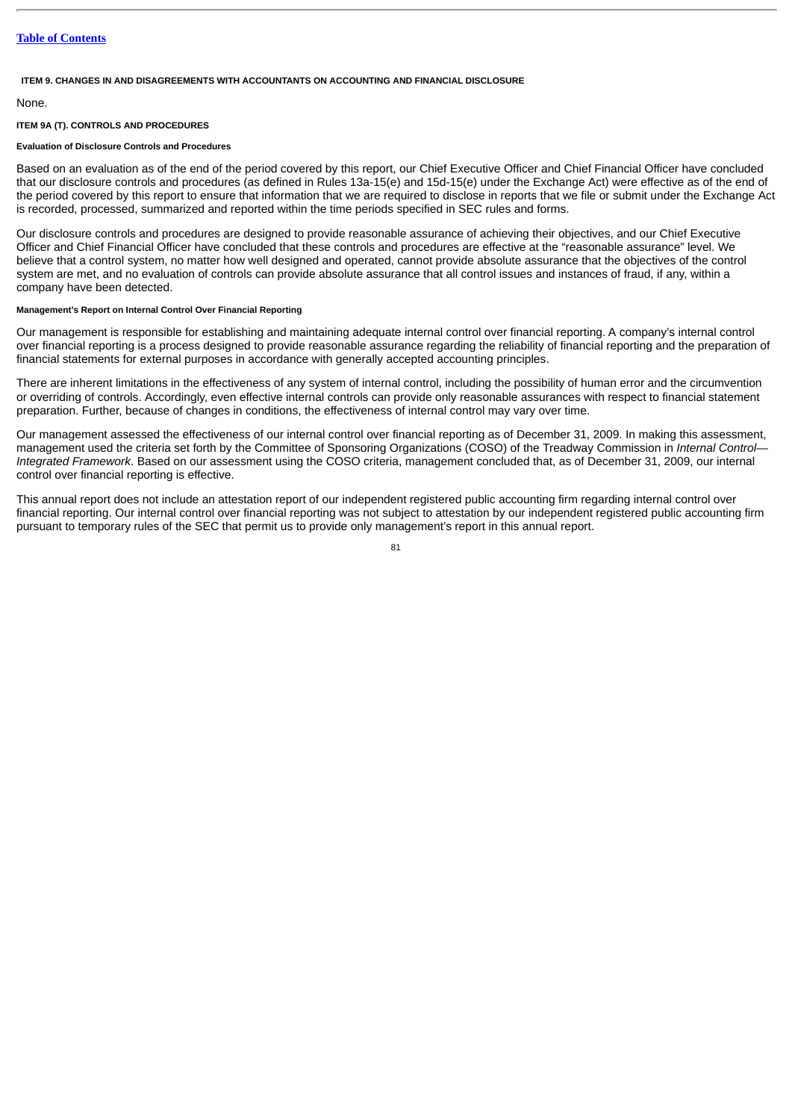### **ITEM 9. CHANGES IN AND DISAGREEMENTS WITH ACCOUNTANTS ON ACCOUNTING AND FINANCIAL DISCLOSURE**

### None.

# **ITEM 9A (T). CONTROLS AND PROCEDURES**

# **Evaluation of Disclosure Controls and Procedures**

Based on an evaluation as of the end of the period covered by this report, our Chief Executive Officer and Chief Financial Officer have concluded that our disclosure controls and procedures (as defined in Rules 13a-15(e) and 15d-15(e) under the Exchange Act) were effective as of the end of the period covered by this report to ensure that information that we are required to disclose in reports that we file or submit under the Exchange Act is recorded, processed, summarized and reported within the time periods specified in SEC rules and forms.

Our disclosure controls and procedures are designed to provide reasonable assurance of achieving their objectives, and our Chief Executive Officer and Chief Financial Officer have concluded that these controls and procedures are effective at the "reasonable assurance" level. We believe that a control system, no matter how well designed and operated, cannot provide absolute assurance that the objectives of the control system are met, and no evaluation of controls can provide absolute assurance that all control issues and instances of fraud, if any, within a company have been detected.

### **Management's Report on Internal Control Over Financial Reporting**

Our management is responsible for establishing and maintaining adequate internal control over financial reporting. A company's internal control over financial reporting is a process designed to provide reasonable assurance regarding the reliability of financial reporting and the preparation of financial statements for external purposes in accordance with generally accepted accounting principles.

There are inherent limitations in the effectiveness of any system of internal control, including the possibility of human error and the circumvention or overriding of controls. Accordingly, even effective internal controls can provide only reasonable assurances with respect to financial statement preparation. Further, because of changes in conditions, the effectiveness of internal control may vary over time.

Our management assessed the effectiveness of our internal control over financial reporting as of December 31, 2009. In making this assessment, management used the criteria set forth by the Committee of Sponsoring Organizations (COSO) of the Treadway Commission in *Internal Control— Integrated Framework*. Based on our assessment using the COSO criteria, management concluded that, as of December 31, 2009, our internal control over financial reporting is effective.

This annual report does not include an attestation report of our independent registered public accounting firm regarding internal control over financial reporting. Our internal control over financial reporting was not subject to attestation by our independent registered public accounting firm pursuant to temporary rules of the SEC that permit us to provide only management's report in this annual report.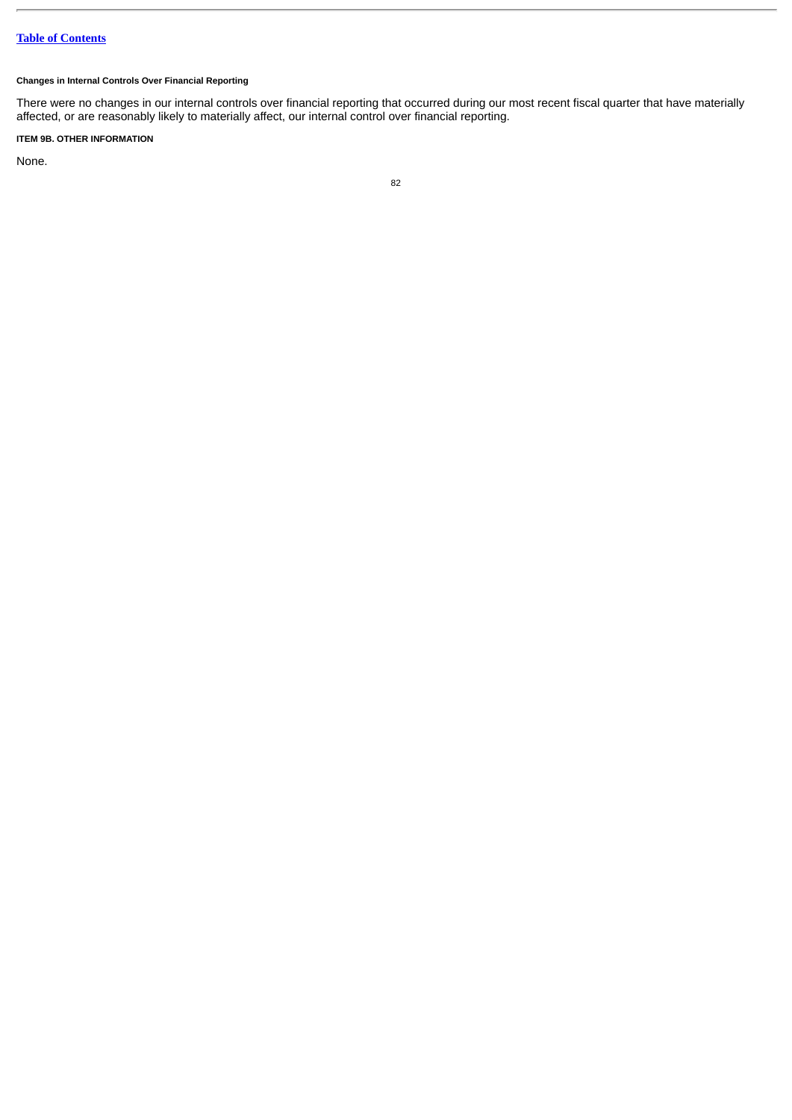# **Changes in Internal Controls Over Financial Reporting**

There were no changes in our internal controls over financial reporting that occurred during our most recent fiscal quarter that have materially affected, or are reasonably likely to materially affect, our internal control over financial reporting.

# **ITEM 9B. OTHER INFORMATION**

None.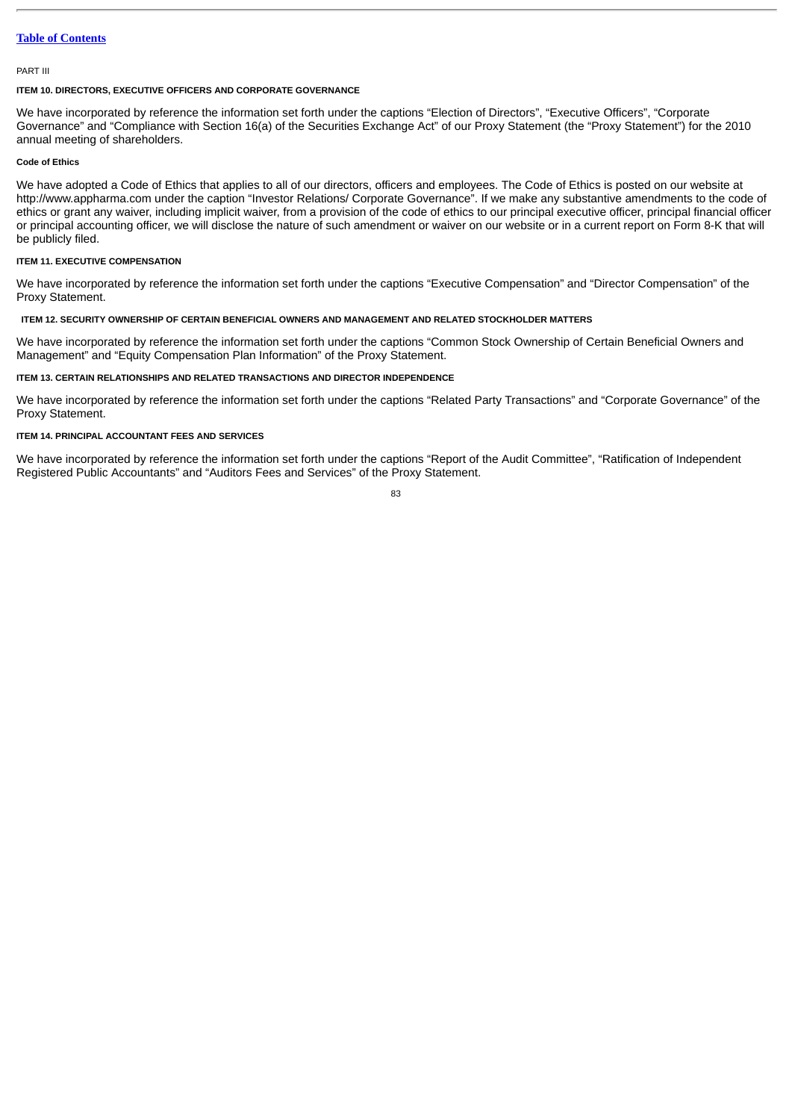#### PART III

### **ITEM 10. DIRECTORS, EXECUTIVE OFFICERS AND CORPORATE GOVERNANCE**

We have incorporated by reference the information set forth under the captions "Election of Directors", "Executive Officers", "Corporate Governance" and "Compliance with Section 16(a) of the Securities Exchange Act" of our Proxy Statement (the "Proxy Statement") for the 2010 annual meeting of shareholders.

# **Code of Ethics**

We have adopted a Code of Ethics that applies to all of our directors, officers and employees. The Code of Ethics is posted on our website at http://www.appharma.com under the caption "Investor Relations/ Corporate Governance". If we make any substantive amendments to the code of ethics or grant any waiver, including implicit waiver, from a provision of the code of ethics to our principal executive officer, principal financial officer or principal accounting officer, we will disclose the nature of such amendment or waiver on our website or in a current report on Form 8-K that will be publicly filed.

### **ITEM 11. EXECUTIVE COMPENSATION**

We have incorporated by reference the information set forth under the captions "Executive Compensation" and "Director Compensation" of the Proxy Statement.

### **ITEM 12. SECURITY OWNERSHIP OF CERTAIN BENEFICIAL OWNERS AND MANAGEMENT AND RELATED STOCKHOLDER MATTERS**

We have incorporated by reference the information set forth under the captions "Common Stock Ownership of Certain Beneficial Owners and Management" and "Equity Compensation Plan Information" of the Proxy Statement.

### **ITEM 13. CERTAIN RELATIONSHIPS AND RELATED TRANSACTIONS AND DIRECTOR INDEPENDENCE**

We have incorporated by reference the information set forth under the captions "Related Party Transactions" and "Corporate Governance" of the Proxy Statement.

### **ITEM 14. PRINCIPAL ACCOUNTANT FEES AND SERVICES**

We have incorporated by reference the information set forth under the captions "Report of the Audit Committee", "Ratification of Independent Registered Public Accountants" and "Auditors Fees and Services" of the Proxy Statement.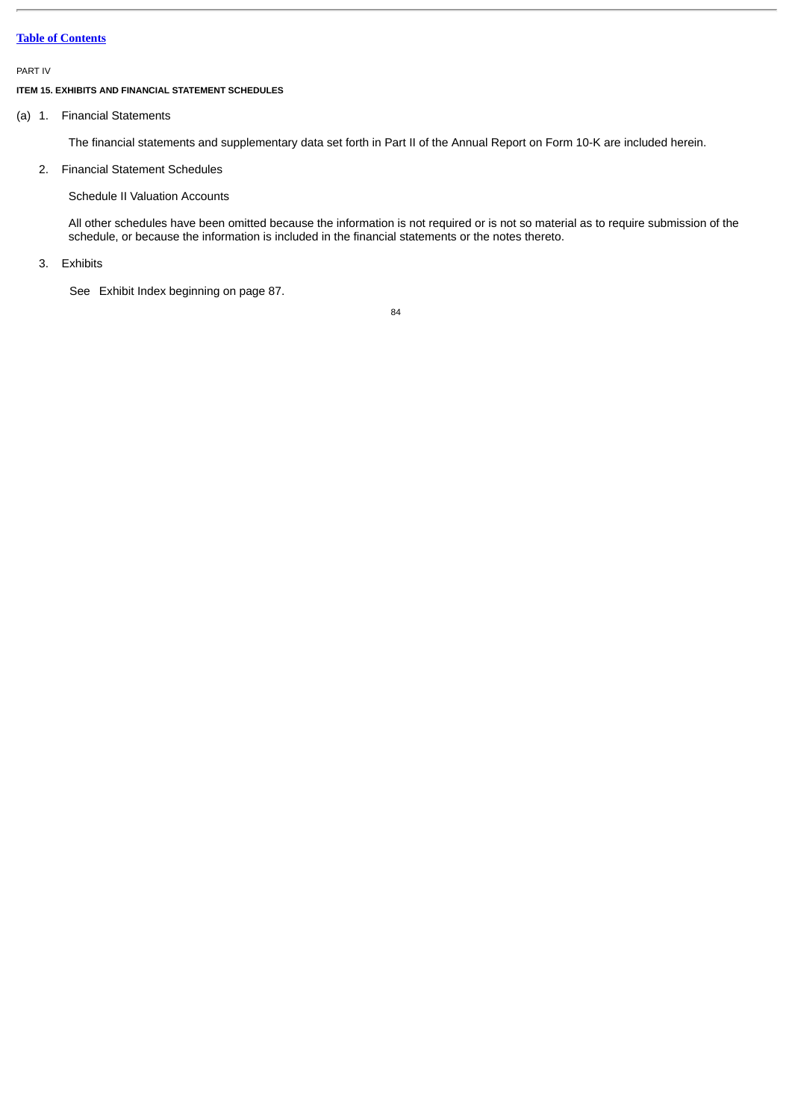#### PART IV

### **ITEM 15. EXHIBITS AND FINANCIAL STATEMENT SCHEDULES**

### (a) 1. Financial Statements

The financial statements and supplementary data set forth in Part II of the Annual Report on Form 10-K are included herein.

# 2. Financial Statement Schedules

Schedule II Valuation Accounts

All other schedules have been omitted because the information is not required or is not so material as to require submission of the schedule, or because the information is included in the financial statements or the notes thereto.

## 3. Exhibits

See Exhibit Index beginning on page 87.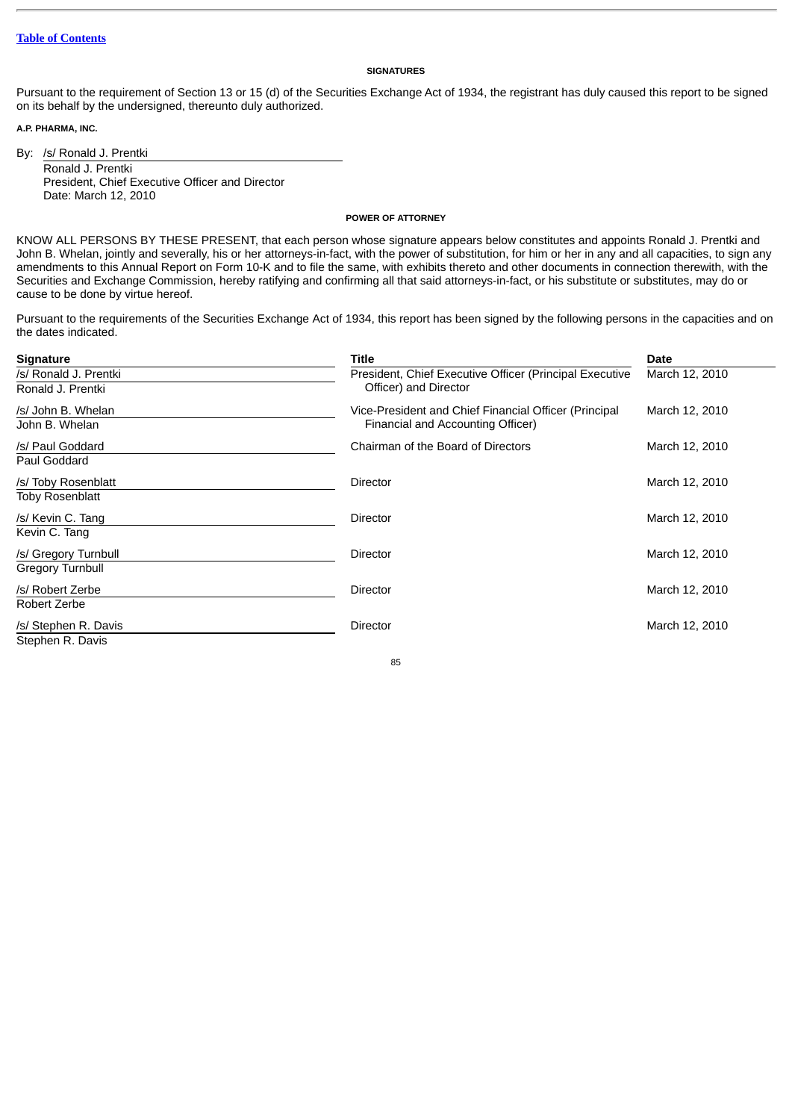### **SIGNATURES**

Pursuant to the requirement of Section 13 or 15 (d) of the Securities Exchange Act of 1934, the registrant has duly caused this report to be signed on its behalf by the undersigned, thereunto duly authorized.

**A.P. PHARMA, INC.**

By: /s/ Ronald J. Prentki Ronald J. Prentki President, Chief Executive Officer and Director Date: March 12, 2010

**POWER OF ATTORNEY**

KNOW ALL PERSONS BY THESE PRESENT, that each person whose signature appears below constitutes and appoints Ronald J. Prentki and John B. Whelan, jointly and severally, his or her attorneys-in-fact, with the power of substitution, for him or her in any and all capacities, to sign any amendments to this Annual Report on Form 10-K and to file the same, with exhibits thereto and other documents in connection therewith, with the Securities and Exchange Commission, hereby ratifying and confirming all that said attorneys-in-fact, or his substitute or substitutes, may do or cause to be done by virtue hereof.

Pursuant to the requirements of the Securities Exchange Act of 1934, this report has been signed by the following persons in the capacities and on the dates indicated.

| <b>Signature</b>        | Title                                                   | Date           |
|-------------------------|---------------------------------------------------------|----------------|
| /s/ Ronald J. Prentki   | President, Chief Executive Officer (Principal Executive | March 12, 2010 |
| Ronald J. Prentki       | Officer) and Director                                   |                |
| /s/ John B. Whelan      | Vice-President and Chief Financial Officer (Principal   | March 12, 2010 |
| John B. Whelan          | Financial and Accounting Officer)                       |                |
| /s/ Paul Goddard        | Chairman of the Board of Directors                      | March 12, 2010 |
| Paul Goddard            |                                                         |                |
| /s/ Toby Rosenblatt     | Director                                                | March 12, 2010 |
| <b>Toby Rosenblatt</b>  |                                                         |                |
| /s/ Kevin C. Tang       | <b>Director</b>                                         | March 12, 2010 |
| Kevin C. Tang           |                                                         |                |
| /s/ Gregory Turnbull    | <b>Director</b>                                         | March 12, 2010 |
| <b>Gregory Turnbull</b> |                                                         |                |
| /s/ Robert Zerbe        | <b>Director</b>                                         | March 12, 2010 |
| Robert Zerbe            |                                                         |                |
| /s/ Stephen R. Davis    | <b>Director</b>                                         | March 12, 2010 |
| Stephen R. Davis        |                                                         |                |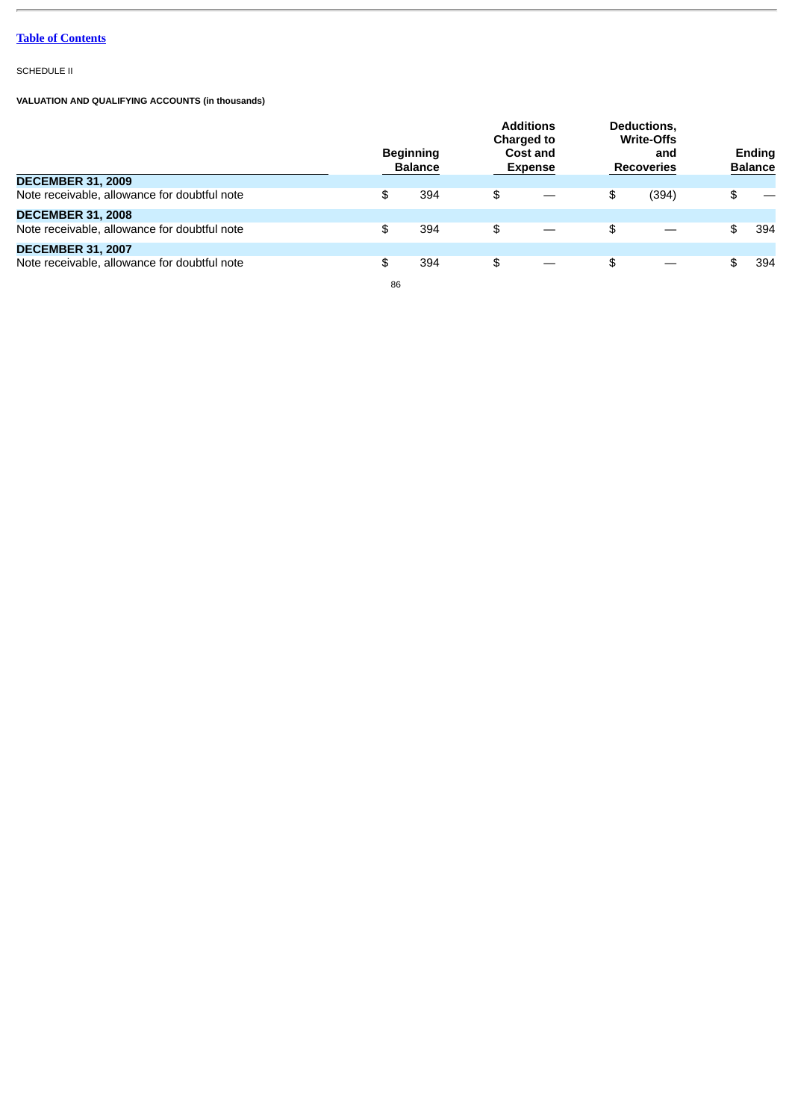SCHEDULE II

**VALUATION AND QUALIFYING ACCOUNTS (in thousands)**

|                                              | <b>Additions</b><br><b>Charged to</b><br><b>Beginning</b><br>Cost and<br><b>Balance</b><br><b>Expense</b> |    | Deductions,<br><b>Write-Offs</b><br>and<br><b>Recoveries</b> |       | Ending<br><b>Balance</b> |     |
|----------------------------------------------|-----------------------------------------------------------------------------------------------------------|----|--------------------------------------------------------------|-------|--------------------------|-----|
| <b>DECEMBER 31, 2009</b>                     |                                                                                                           |    |                                                              |       |                          |     |
| Note receivable, allowance for doubtful note | \$<br>394                                                                                                 | \$ | \$                                                           | (394) | \$                       |     |
| <b>DECEMBER 31, 2008</b>                     |                                                                                                           |    |                                                              |       |                          |     |
| Note receivable, allowance for doubtful note | \$<br>394                                                                                                 | \$ | \$                                                           |       | \$                       | 394 |
| <b>DECEMBER 31, 2007</b>                     |                                                                                                           |    |                                                              |       |                          |     |
| Note receivable, allowance for doubtful note | \$<br>394                                                                                                 | \$ | \$                                                           |       | \$                       | 394 |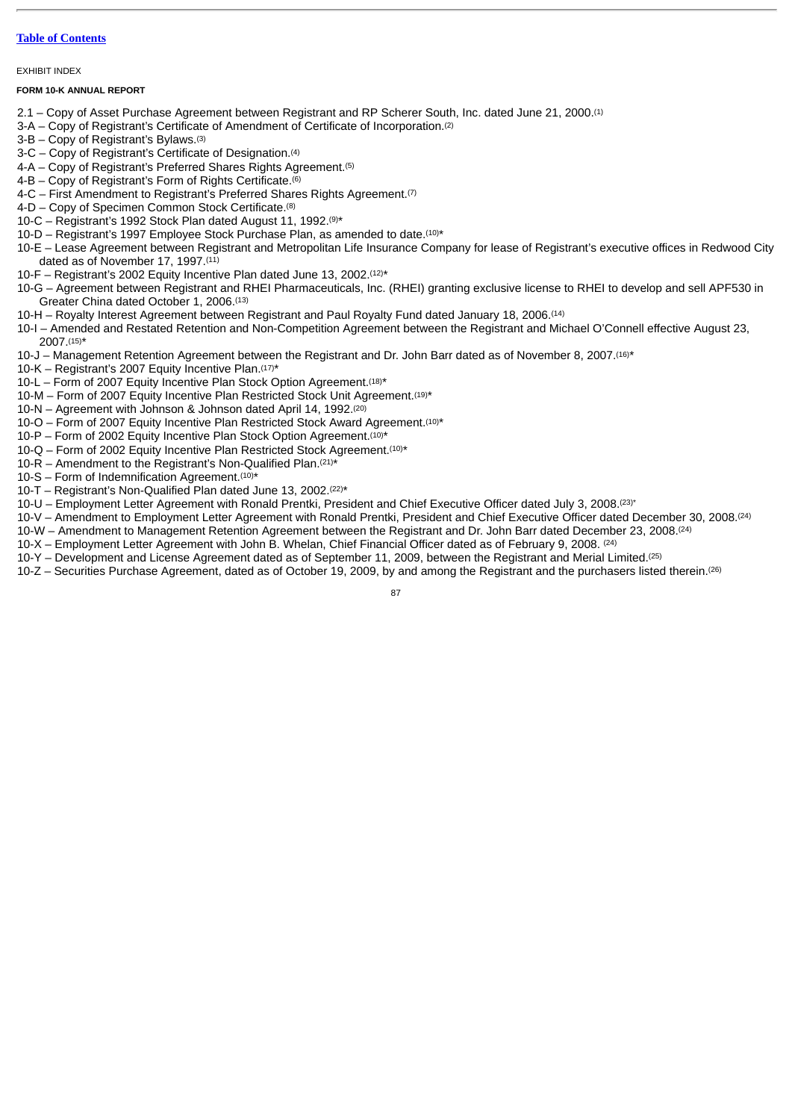#### EXHIBIT INDEX

### **FORM 10-K ANNUAL REPORT**

- 2.1 Copy of Asset Purchase Agreement between Registrant and RP Scherer South, Inc. dated June 21, 2000. (1)
- 3-A Copy of Registrant's Certificate of Amendment of Certificate of Incorporation. (2)
- 3-B Copy of Registrant's Bylaws. (3)
- 3-C Copy of Registrant's Certificate of Designation. (4)
- 4-A Copy of Registrant's Preferred Shares Rights Agreement. (5)
- 4-B Copy of Registrant's Form of Rights Certificate. (6)
- 4-C First Amendment to Registrant's Preferred Shares Rights Agreement.<sup>(7)</sup>
- 4-D Copy of Specimen Common Stock Certificate. (8)
- 10-C Registrant's 1992 Stock Plan dated August 11, 1992. $(9)$ \*
- $10-D$  Registrant's 1997 Employee Stock Purchase Plan, as amended to date.  $(10)^*$
- 10-E Lease Agreement between Registrant and Metropolitan Life Insurance Company for lease of Registrant's executive offices in Redwood City dated as of November 17, 1997. (11)
- 10-F Registrant's 2002 Equity Incentive Plan dated June 13, 2002. $(12)*$
- 10-G Agreement between Registrant and RHEI Pharmaceuticals, Inc. (RHEI) granting exclusive license to RHEI to develop and sell APF530 in Greater China dated October 1, 2006. (13)
- 10-H Royalty Interest Agreement between Registrant and Paul Royalty Fund dated January 18, 2006. (14)
- 10-I Amended and Restated Retention and Non-Competition Agreement between the Registrant and Michael O'Connell effective August 23,  $2007^{(15)*}$
- 10-J Management Retention Agreement between the Registrant and Dr. John Barr dated as of November 8, 2007.<sup>(16)\*</sup>
- 10-K Registrant's 2007 Equity Incentive Plan.  $(17)*$
- 10-L Form of 2007 Equity Incentive Plan Stock Option Agreement.  $(18)*$
- 10-M  $-$  Form of 2007 Equity Incentive Plan Restricted Stock Unit Agreement.<sup>(19)\*</sup>
- 10-N Agreement with Johnson & Johnson dated April 14, 1992. (20)
- $10$ -O Form of 2007 Equity Incentive Plan Restricted Stock Award Agreement.<sup>(10)\*</sup>
- $10$ -P Form of 2002 Equity Incentive Plan Stock Option Agreement.  $(10)*$
- $10-Q$  Form of 2002 Equity Incentive Plan Restricted Stock Agreement.  $(10)*$
- 10-R Amendment to the Registrant's Non-Qualified Plan.  $(21)^*$
- $10-S$  Form of Indemnification Agreement.  $(10)*$
- $10$ -T Registrant's Non-Qualified Plan dated June 13, 2002. $(22)*$
- 10-U Employment Letter Agreement with Ronald Prentki, President and Chief Executive Officer dated July 3, 2008. (23)\*
- 10-V Amendment to Employment Letter Agreement with Ronald Prentki, President and Chief Executive Officer dated December 30, 2008. (24)
- 10-W Amendment to Management Retention Agreement between the Registrant and Dr. John Barr dated December 23, 2008. (24)
- 10-X Employment Letter Agreement with John B. Whelan, Chief Financial Officer dated as of February 9, 2008. (24)
- 10-Y Development and License Agreement dated as of September 11, 2009, between the Registrant and Merial Limited. (25)
- 10-Z Securities Purchase Agreement, dated as of October 19, 2009, by and among the Registrant and the purchasers listed therein. (26)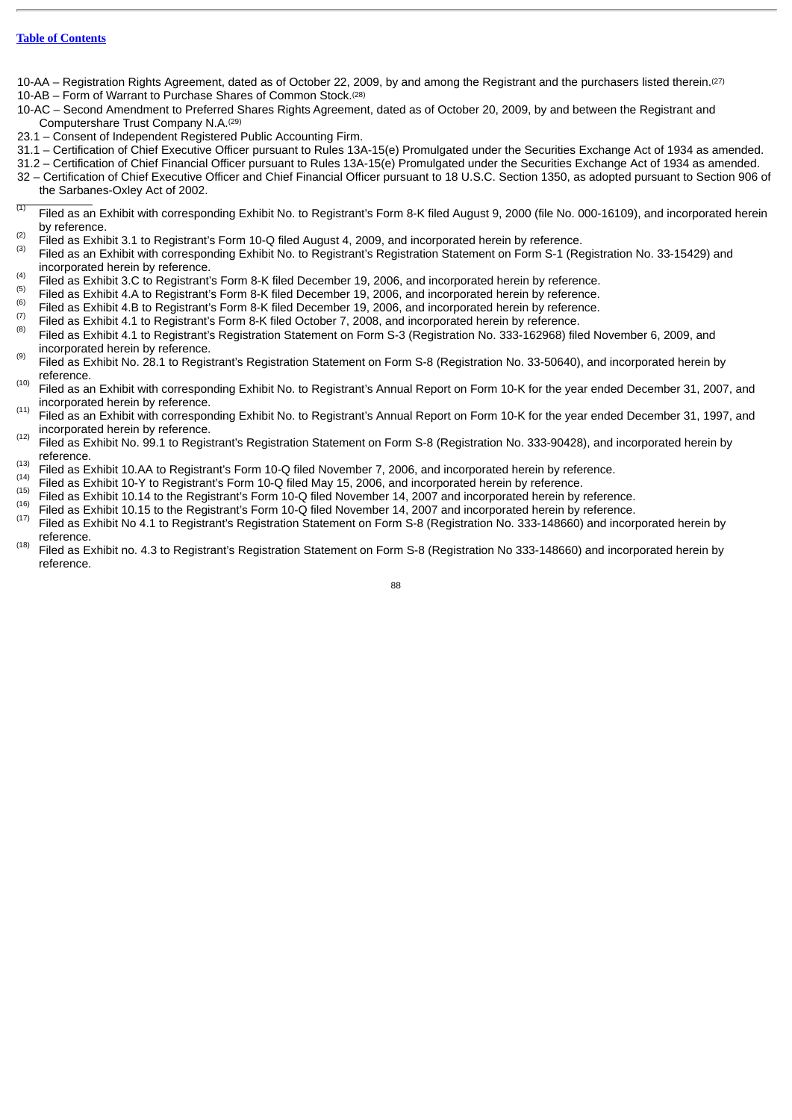- 10-AA Registration Rights Agreement, dated as of October 22, 2009, by and among the Registrant and the purchasers listed therein. (27) 10-AB – Form of Warrant to Purchase Shares of Common Stock. (28)
- 10-AC Second Amendment to Preferred Shares Rights Agreement, dated as of October 20, 2009, by and between the Registrant and Computershare Trust Company N.A. (29)
- 23.1 Consent of Independent Registered Public Accounting Firm.
- 31.1 Certification of Chief Executive Officer pursuant to Rules 13A-15(e) Promulgated under the Securities Exchange Act of 1934 as amended.
- 31.2 Certification of Chief Financial Officer pursuant to Rules 13A-15(e) Promulgated under the Securities Exchange Act of 1934 as amended.
- 32 Certification of Chief Executive Officer and Chief Financial Officer pursuant to 18 U.S.C. Section 1350, as adopted pursuant to Section 906 of the Sarbanes-Oxley Act of 2002.
- Filed as an Exhibit with corresponding Exhibit No. to Registrant's Form 8-K filed August 9, 2000 (file No. 000-16109), and incorporated herein by reference. (1)
- Filed as Exhibit 3.1 to Registrant's Form 10-Q filed August 4, 2009, and incorporated herein by reference. (2)
- Filed as an Exhibit with corresponding Exhibit No. to Registrant's Registration Statement on Form S-1 (Registration No. 33-15429) and incorporated herein by reference. (3)
- Filed as Exhibit 3.C to Registrant's Form 8-K filed December 19, 2006, and incorporated herein by reference. (4) (5)
- Filed as Exhibit 4.A to Registrant's Form 8-K filed December 19, 2006, and incorporated herein by reference. (6)
- Filed as Exhibit 4.B to Registrant's Form 8-K filed December 19, 2006, and incorporated herein by reference. (7)
- Filed as Exhibit 4.1 to Registrant's Form 8-K filed October 7, 2008, and incorporated herein by reference. Filed as Exhibit 4.1 to Registrant's Registration Statement on Form S-3 (Registration No. 333-162968) filed November 6, 2009, and incorporated herein by reference. (8)
- Filed as Exhibit No. 28.1 to Registrant's Registration Statement on Form S-8 (Registration No. 33-50640), and incorporated herein by reference. (9)
- Filed as an Exhibit with corresponding Exhibit No. to Registrant's Annual Report on Form 10-K for the year ended December 31, 2007, and incorporated herein by reference. (10)
- Filed as an Exhibit with corresponding Exhibit No. to Registrant's Annual Report on Form 10-K for the year ended December 31, 1997, and incorporated herein by reference. (11) (12)
- Filed as Exhibit No. 99.1 to Registrant's Registration Statement on Form S-8 (Registration No. 333-90428), and incorporated herein by reference. (13)
- Filed as Exhibit 10.AA to Registrant's Form 10-Q filed November 7, 2006, and incorporated herein by reference. (14)
- Filed as Exhibit 10-Y to Registrant's Form 10-Q filed May 15, 2006, and incorporated herein by reference.  $(15)$
- Filed as Exhibit 10.14 to the Registrant's Form 10-Q filed November 14, 2007 and incorporated herein by reference. (16)
- Filed as Exhibit 10.15 to the Registrant's Form 10-Q filed November 14, 2007 and incorporated herein by reference. (17)
- Filed as Exhibit No 4.1 to Registrant's Registration Statement on Form S-8 (Registration No. 333-148660) and incorporated herein by reference. (18)
- Filed as Exhibit no. 4.3 to Registrant's Registration Statement on Form S-8 (Registration No 333-148660) and incorporated herein by reference.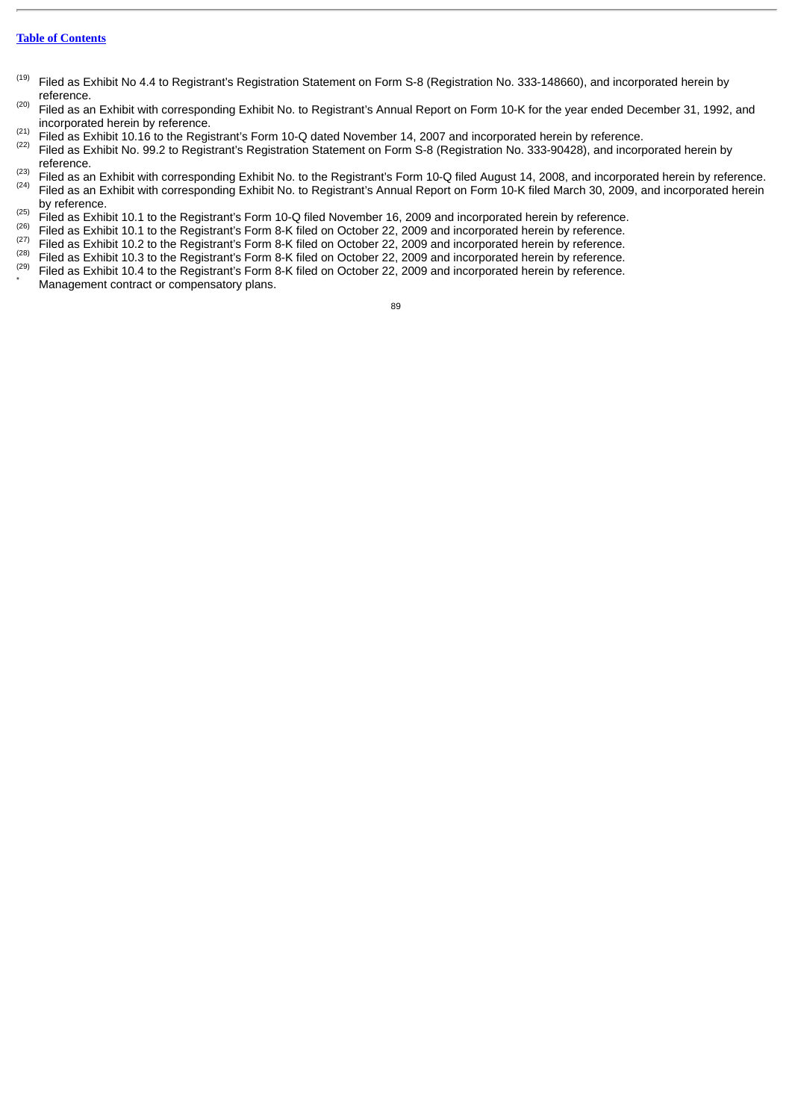- Filed as Exhibit No 4.4 to Registrant's Registration Statement on Form S-8 (Registration No. 333-148660), and incorporated herein by reference. (19)
- Filed as an Exhibit with corresponding Exhibit No. to Registrant's Annual Report on Form 10-K for the year ended December 31, 1992, and incorporated herein by reference. (20) (21)
- Filed as Exhibit 10.16 to the Registrant's Form 10-Q dated November 14, 2007 and incorporated herein by reference.
- $^{(22)}$  Filed as Exhibit No. 99.2 to Registrant's Registration Statement on Form S-8 (Registration No. 333-90428), and incorporated herein by reference. (23)
- Filed as an Exhibit with corresponding Exhibit No. to the Registrant's Form 10-Q filed August 14, 2008, and incorporated herein by reference.  $^{(24)}$  Filed as an Exhibit with corresponding Exhibit No. to Registrant's Annual Report on Form 10-K filed March 30, 2009, and incorporated herein by reference.
- $\frac{(25)}{100}$  Filed as Exhibit 10.1 to the Registrant's Form 10-Q filed November 16, 2009 and incorporated herein by reference.
- $\frac{(26)}{10}$  Filed as Exhibit 10.1 to the Registrant's Form 8-K filed on October 22, 2009 and incorporated herein by reference. (27)
- Filed as Exhibit 10.2 to the Registrant's Form 8-K filed on October 22, 2009 and incorporated herein by reference. (28)
- Filed as Exhibit 10.3 to the Registrant's Form 8-K filed on October 22, 2009 and incorporated herein by reference.
- Filed as Exhibit 10.4 to the Registrant's Form 8-K filed on October 22, 2009 and incorporated herein by reference. Management contract or compensatory plans. (29) \*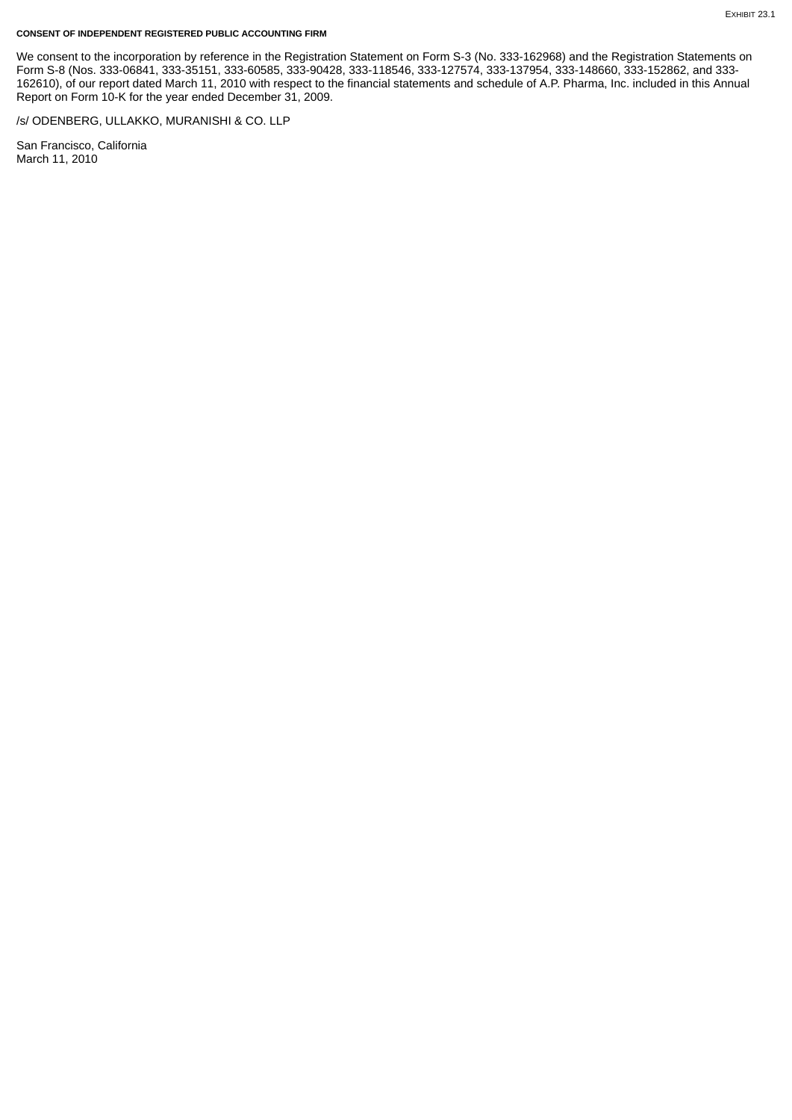#### **CONSENT OF INDEPENDENT REGISTERED PUBLIC ACCOUNTING FIRM**

We consent to the incorporation by reference in the Registration Statement on Form S-3 (No. 333-162968) and the Registration Statements on Form S-8 (Nos. 333-06841, 333-35151, 333-60585, 333-90428, 333-118546, 333-127574, 333-137954, 333-148660, 333-152862, and 333- 162610), of our report dated March 11, 2010 with respect to the financial statements and schedule of A.P. Pharma, Inc. included in this Annual Report on Form 10-K for the year ended December 31, 2009.

/s/ ODENBERG, ULLAKKO, MURANISHI & CO. LLP

San Francisco, California March 11, 2010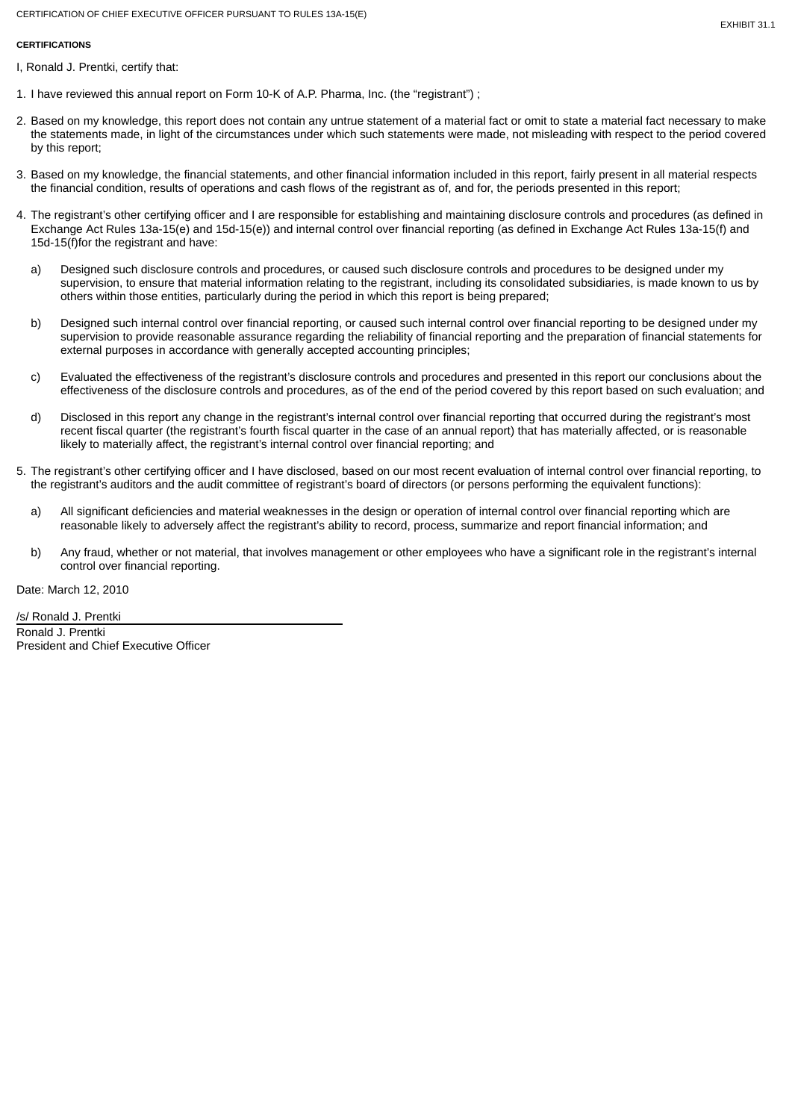# **CERTIFICATIONS**

- I, Ronald J. Prentki, certify that:
- 1. I have reviewed this annual report on Form 10-K of A.P. Pharma, Inc. (the "registrant") ;
- 2. Based on my knowledge, this report does not contain any untrue statement of a material fact or omit to state a material fact necessary to make the statements made, in light of the circumstances under which such statements were made, not misleading with respect to the period covered by this report;
- 3. Based on my knowledge, the financial statements, and other financial information included in this report, fairly present in all material respects the financial condition, results of operations and cash flows of the registrant as of, and for, the periods presented in this report;
- 4. The registrant's other certifying officer and I are responsible for establishing and maintaining disclosure controls and procedures (as defined in Exchange Act Rules 13a-15(e) and 15d-15(e)) and internal control over financial reporting (as defined in Exchange Act Rules 13a-15(f) and 15d-15(f)for the registrant and have:
	- a) Designed such disclosure controls and procedures, or caused such disclosure controls and procedures to be designed under my supervision, to ensure that material information relating to the registrant, including its consolidated subsidiaries, is made known to us by others within those entities, particularly during the period in which this report is being prepared;
	- b) Designed such internal control over financial reporting, or caused such internal control over financial reporting to be designed under my supervision to provide reasonable assurance regarding the reliability of financial reporting and the preparation of financial statements for external purposes in accordance with generally accepted accounting principles;
	- c) Evaluated the effectiveness of the registrant's disclosure controls and procedures and presented in this report our conclusions about the effectiveness of the disclosure controls and procedures, as of the end of the period covered by this report based on such evaluation; and
	- d) Disclosed in this report any change in the registrant's internal control over financial reporting that occurred during the registrant's most recent fiscal quarter (the registrant's fourth fiscal quarter in the case of an annual report) that has materially affected, or is reasonable likely to materially affect, the registrant's internal control over financial reporting; and
- 5. The registrant's other certifying officer and I have disclosed, based on our most recent evaluation of internal control over financial reporting, to the registrant's auditors and the audit committee of registrant's board of directors (or persons performing the equivalent functions):
	- a) All significant deficiencies and material weaknesses in the design or operation of internal control over financial reporting which are reasonable likely to adversely affect the registrant's ability to record, process, summarize and report financial information; and
	- b) Any fraud, whether or not material, that involves management or other employees who have a significant role in the registrant's internal control over financial reporting.

Date: March 12, 2010

/s/ Ronald J. Prentki Ronald J. Prentki President and Chief Executive Officer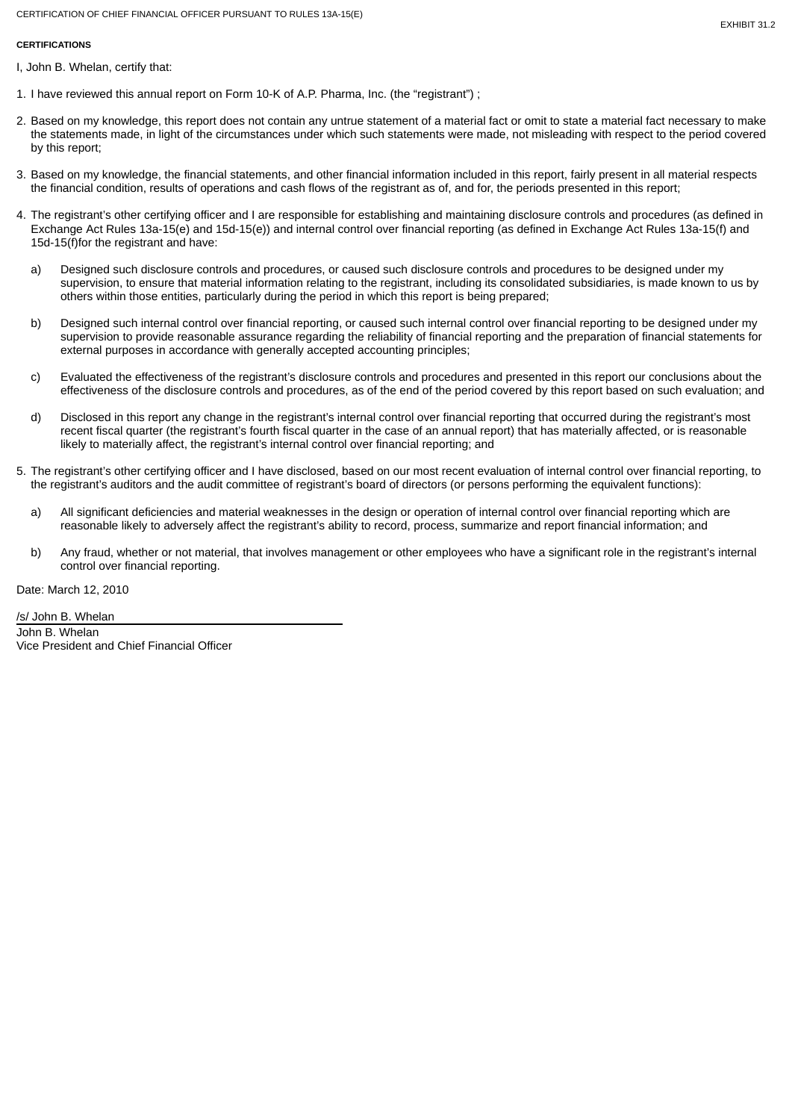## **CERTIFICATIONS**

I, John B. Whelan, certify that:

- 1. I have reviewed this annual report on Form 10-K of A.P. Pharma, Inc. (the "registrant") ;
- 2. Based on my knowledge, this report does not contain any untrue statement of a material fact or omit to state a material fact necessary to make the statements made, in light of the circumstances under which such statements were made, not misleading with respect to the period covered by this report;
- 3. Based on my knowledge, the financial statements, and other financial information included in this report, fairly present in all material respects the financial condition, results of operations and cash flows of the registrant as of, and for, the periods presented in this report;
- 4. The registrant's other certifying officer and I are responsible for establishing and maintaining disclosure controls and procedures (as defined in Exchange Act Rules 13a-15(e) and 15d-15(e)) and internal control over financial reporting (as defined in Exchange Act Rules 13a-15(f) and 15d-15(f)for the registrant and have:
	- a) Designed such disclosure controls and procedures, or caused such disclosure controls and procedures to be designed under my supervision, to ensure that material information relating to the registrant, including its consolidated subsidiaries, is made known to us by others within those entities, particularly during the period in which this report is being prepared;
	- b) Designed such internal control over financial reporting, or caused such internal control over financial reporting to be designed under my supervision to provide reasonable assurance regarding the reliability of financial reporting and the preparation of financial statements for external purposes in accordance with generally accepted accounting principles;
	- c) Evaluated the effectiveness of the registrant's disclosure controls and procedures and presented in this report our conclusions about the effectiveness of the disclosure controls and procedures, as of the end of the period covered by this report based on such evaluation; and
	- d) Disclosed in this report any change in the registrant's internal control over financial reporting that occurred during the registrant's most recent fiscal quarter (the registrant's fourth fiscal quarter in the case of an annual report) that has materially affected, or is reasonable likely to materially affect, the registrant's internal control over financial reporting; and
- 5. The registrant's other certifying officer and I have disclosed, based on our most recent evaluation of internal control over financial reporting, to the registrant's auditors and the audit committee of registrant's board of directors (or persons performing the equivalent functions):
	- a) All significant deficiencies and material weaknesses in the design or operation of internal control over financial reporting which are reasonable likely to adversely affect the registrant's ability to record, process, summarize and report financial information; and
	- b) Any fraud, whether or not material, that involves management or other employees who have a significant role in the registrant's internal control over financial reporting.

Date: March 12, 2010

/s/ John B. Whelan John B. Whelan Vice President and Chief Financial Officer